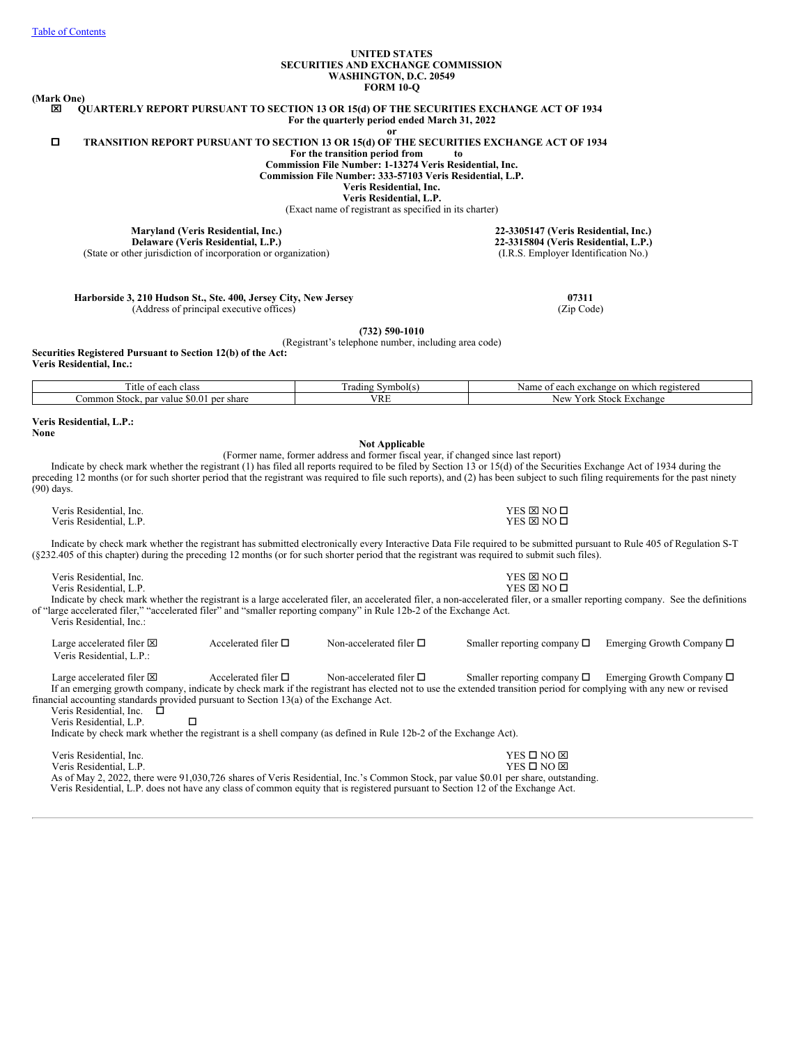#### **UNITED STATES SECURITIES AND EXCHANGE COMMISSION WASHINGTON, D.C. 20549 FORM 10-Q**

**(Mark One)**

### x **QUARTERLY REPORT PURSUANT TO SECTION 13 OR 15(d) OF THE SECURITIES EXCHANGE ACT OF 1934 For the quarterly period ended March 31, 2022**

**or**

#### o **TRANSITION REPORT PURSUANT TO SECTION 13 OR 15(d) OF THE SECURITIES EXCHANGE ACT OF 1934**

**For the transition period from to**

**Commission File Number: 1-13274 Veris Residential, Inc.**

**Commission File Number: 333-57103 Veris Residential, L.P.**

**Veris Residential, Inc. Veris Residential, L.P.**

(Exact name of registrant as specified in its charter)

**Maryland (Veris Residential, Inc.) 22-3305147 (Veris Residential, Inc.)**

(State or other jurisdiction of incorporation or organization)

**Delaware (Veris Residential, L.P.) 22-3315804 (Veris Residential, L.P.)**

**Harborside 3, 210 Hudson St., Ste. 400, Jersey City, New Jersey 07311**

(Address of principal executive offices) (Zip Code)

**(732) 590-1010**

(Registrant's telephone number, including area code)

**Securities Registered Pursuant to Section 12(b) of the Act: Veris Residential, Inc.:**

| <sub>1</sub> tle<br>class<br>$\sim$<br><b>Cach</b>               | Symbol(s<br>radıng | ∍ach<br>istered<br>$r\rho$ $\sigma$ 1.<br>or<br>$\mu$ 1120 $e$<br>which *<br>$\sim$<br>ıme<br>'Nа<br>cac.<br><u>uau</u> |
|------------------------------------------------------------------|--------------------|-------------------------------------------------------------------------------------------------------------------------|
| .ommon<br>I ( I<br>per share<br>Stock.<br>par<br>value<br>111111 | VRI                | New<br>exchange<br>Stock<br>$\alpha$ rlz<br>'' N                                                                        |

|      | Veris Residential, L.P.: |  |
|------|--------------------------|--|
| None |                          |  |

Г

**Not Applicable** (Former name, former address and former fiscal year, if changed since last report) Indicate by check mark whether the registrant (1) has filed all reports required to be filed by Section 13 or 15(d) of the Securities Exchange Act of 1934 during the preceding 12 months (or for such shorter period that the registrant was required to file such reports), and (2) has been subject to such filing requirements for the past ninety (90) days. Veris Residential, Inc.<br>
Veris Residential, L.P.<br>
Veris Residential, L.P.<br>
YES  $\boxtimes$  NO O Veris Residential, L.P.

Indicate by check mark whether the registrant has submitted electronically every Interactive Data File required to be submitted pursuant to Rule 405 of Regulation S-T (§232.405 of this chapter) during the preceding 12 months (or for such shorter period that the registrant was required to submit such files).

Veris Residential, Inc.<br>
Veris Residential, L.P.<br>  $\angle$  YES  $\boxtimes$  NO  $\Box$ Veris Residential, L.P. Indicate by check mark whether the registrant is a large accelerated filer, an accelerated filer, a non-accelerated filer, or a smaller reporting company. See the definitions of "large accelerated filer," "accelerated filer" and "smaller reporting company" in Rule 12b-2 of the Exchange Act. Veris Residential, Inc.: Large accelerated filer  $\boxtimes$  Accelerated filer  $\square$  Non-accelerated filer  $\square$  Smaller reporting company  $\square$  Emerging Growth Company  $\square$ 

Large accelerated filer  $\boxtimes$  Accelerated filer  $\square$  Non-accelerated filer  $\square$  Smaller reporting company  $\square$  Emerging Growth Company  $\square$ If an emerging growth company, indicate by check mark if the registrant has elected not to use the extended transition period for complying with any new or revised financial accounting standards provided pursuant to Section 13(a) of the Exchange Act.<br>Veris Residential Inc.  $\Box$ Veris Residential, Inc.

Veris Residential, L.P.  $\Box$ 

Veris Residential, L.P.:

Indicate by check mark whether the registrant is a shell company (as defined in Rule 12b-2 of the Exchange Act).

Veris Residential, Inc. YES □ NO ⊠ Veris Residential, L.P.  $YES \Box NO \boxtimes$ As of May 2, 2022, there were 91,030,726 shares of Veris Residential, Inc.'s Common Stock, par value \$0.01 per share, outstanding. Veris Residential, L.P. does not have any class of common equity that is registered pursuant to Section 12 of the Exchange Act.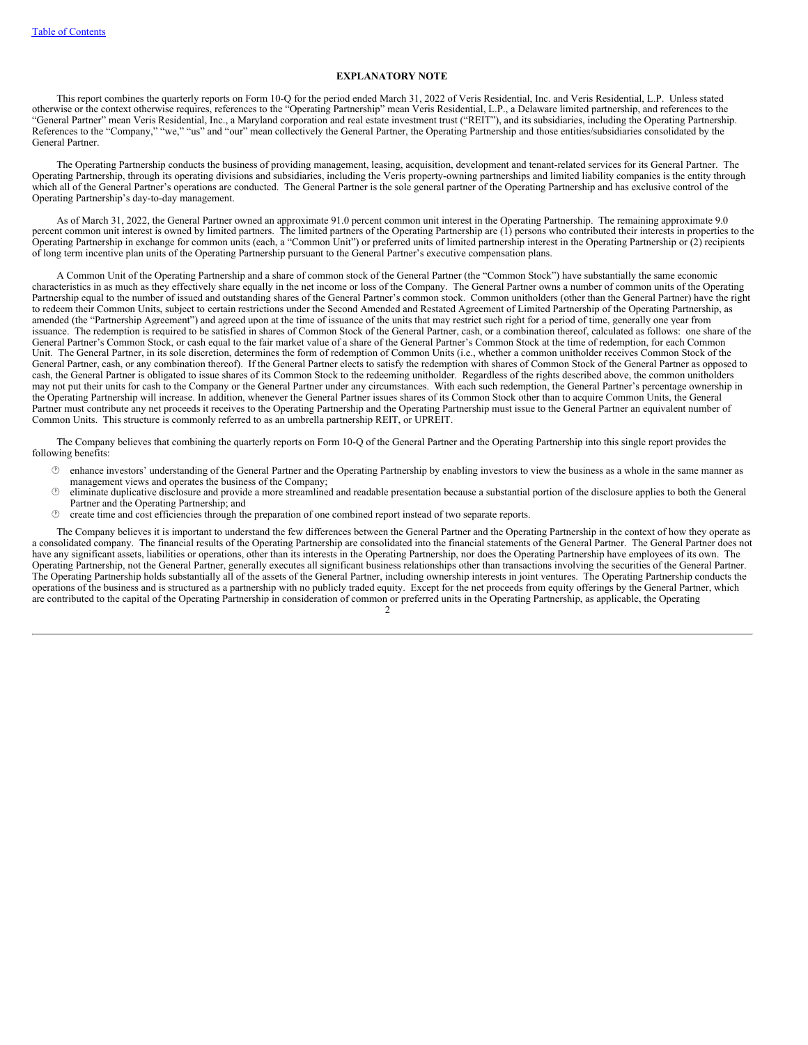#### **EXPLANATORY NOTE**

This report combines the quarterly reports on Form 10-Q for the period ended March 31, 2022 of Veris Residential, Inc. and Veris Residential, L.P. Unless stated otherwise or the context otherwise requires, references to the "Operating Partnership" mean Veris Residential, L.P., a Delaware limited partnership, and references to the "General Partner" mean Veris Residential, Inc., a Maryland corporation and real estate investment trust ("REIT"), and its subsidiaries, including the Operating Partnership. References to the "Company," "we," "us" and "our" mean collectively the General Partner, the Operating Partnership and those entities/subsidiaries consolidated by the General Partner.

The Operating Partnership conducts the business of providing management, leasing, acquisition, development and tenant-related services for its General Partner. The Operating Partnership, through its operating divisions and subsidiaries, including the Veris property-owning partnerships and limited liability companies is the entity through which all of the General Partner's operations are conducted. The General Partner is the sole general partner of the Operating Partnership and has exclusive control of the Operating Partnership's day-to-day management.

As of March 31, 2022, the General Partner owned an approximate 91.0 percent common unit interest in the Operating Partnership. The remaining approximate 9.0 percent common unit interest is owned by limited partners. The limited partners of the Operating Partnership are (1) persons who contributed their interests in properties to the Operating Partnership in exchange for common units (each, a "Common Unit") or preferred units of limited partnership interest in the Operating Partnership or (2) recipients of long term incentive plan units of the Operating Partnership pursuant to the General Partner's executive compensation plans.

A Common Unit of the Operating Partnership and a share of common stock of the General Partner (the "Common Stock") have substantially the same economic characteristics in as much as they effectively share equally in the net income or loss of the Company. The General Partner owns a number of common units of the Operating Partnership equal to the number of issued and outstanding shares of the General Partner's common stock. Common unitholders (other than the General Partner) have the right to redeem their Common Units, subject to certain restrictions under the Second Amended and Restated Agreement of Limited Partnership of the Operating Partnership, as amended (the "Partnership Agreement") and agreed upon at the time of issuance of the units that may restrict such right for a period of time, generally one year from issuance. The redemption is required to be satisfied in shares of Common Stock of the General Partner, cash, or a combination thereof, calculated as follows: one share of the General Partner's Common Stock, or cash equal to the fair market value of a share of the General Partner's Common Stock at the time of redemption, for each Common Unit. The General Partner, in its sole discretion, determines the form of redemption of Common Units (i.e., whether a common unitholder receives Common Stock of the General Partner, cash, or any combination thereof). If the General Partner elects to satisfy the redemption with shares of Common Stock of the General Partner as opposed to cash, the General Partner is obligated to issue shares of its Common Stock to the redeeming unitholder. Regardless of the rights described above, the common unitholders may not put their units for cash to the Company or the General Partner under any circumstances. With each such redemption, the General Partner's percentage ownership in the Operating Partnership will increase. In addition, whenever the General Partner issues shares of its Common Stock other than to acquire Common Units, the General Partner must contribute any net proceeds it receives to the Operating Partnership and the Operating Partnership must issue to the General Partner an equivalent number of Common Units. This structure is commonly referred to as an umbrella partnership REIT, or UPREIT.

The Company believes that combining the quarterly reports on Form 10-Q of the General Partner and the Operating Partnership into this single report provides the following benefits:

- $\circled{}$  enhance investors' understanding of the General Partner and the Operating Partnership by enabling investors to view the business as a whole in the same manner as management views and operates the business of the Company;
- $\circledcirc$  eliminate duplicative disclosure and provide a more streamlined and readable presentation because a substantial portion of the disclosure applies to both the General Partner and the Operating Partnership; and
- · create time and cost efficiencies through the preparation of one combined report instead of two separate reports.

The Company believes it is important to understand the few differences between the General Partner and the Operating Partnership in the context of how they operate as a consolidated company. The financial results of the Operating Partnership are consolidated into the financial statements of the General Partner. The General Partner does not have any significant assets, liabilities or operations, other than its interests in the Operating Partnership, nor does the Operating Partnership have employees of its own. The Operating Partnership, not the General Partner, generally executes all significant business relationships other than transactions involving the securities of the General Partner. The Operating Partnership holds substantially all of the assets of the General Partner, including ownership interests in joint ventures. The Operating Partnership conducts the operations of the business and is structured as a partnership with no publicly traded equity. Except for the net proceeds from equity offerings by the General Partner, which are contributed to the capital of the Operating Partnership in consideration of common or preferred units in the Operating Partnership, as applicable, the Operating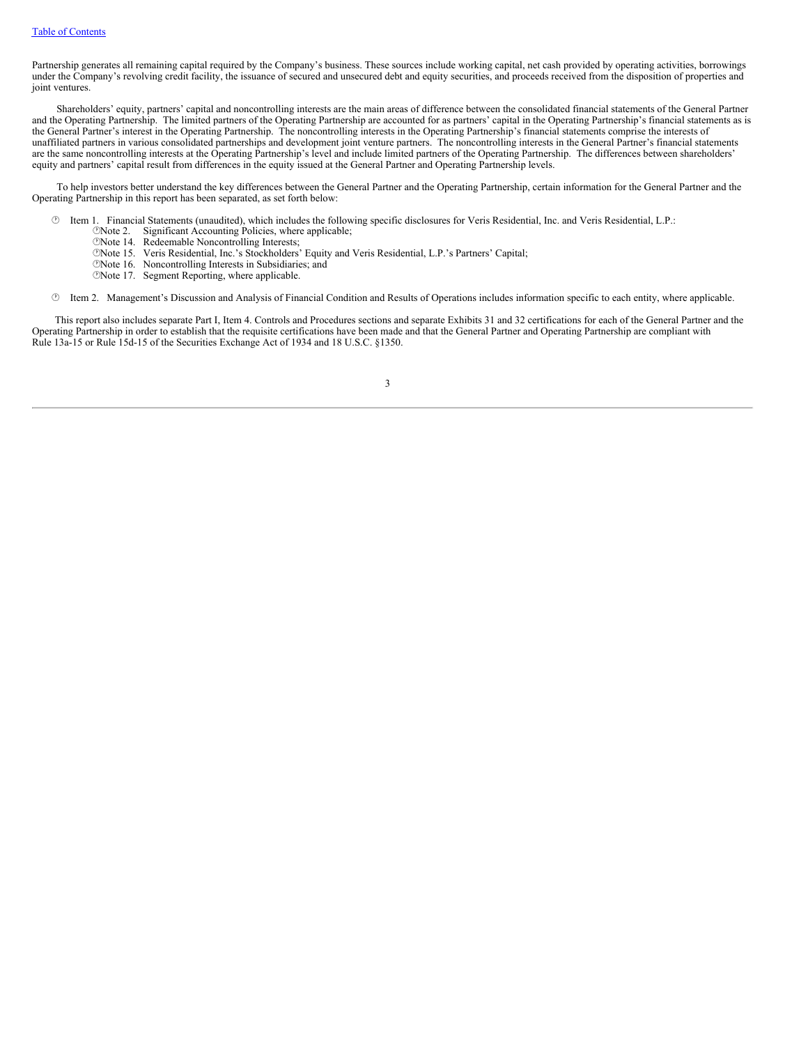Partnership generates all remaining capital required by the Company's business. These sources include working capital, net cash provided by operating activities, borrowings under the Company's revolving credit facility, the issuance of secured and unsecured debt and equity securities, and proceeds received from the disposition of properties and joint ventures.

Shareholders' equity, partners' capital and noncontrolling interests are the main areas of difference between the consolidated financial statements of the General Partner and the Operating Partnership. The limited partners of the Operating Partnership are accounted for as partners' capital in the Operating Partnership's financial statements as is the General Partner's interest in the Operating Partnership. The noncontrolling interests in the Operating Partnership's financial statements comprise the interests of unaffiliated partners in various consolidated partnerships and development joint venture partners. The noncontrolling interests in the General Partner's financial statements are the same noncontrolling interests at the Operating Partnership's level and include limited partners of the Operating Partnership. The differences between shareholders' equity and partners' capital result from differences in the equity issued at the General Partner and Operating Partnership levels.

To help investors better understand the key differences between the General Partner and the Operating Partnership, certain information for the General Partner and the Operating Partnership in this report has been separated, as set forth below:

- · Item 1. Financial Statements (unaudited), which includes the following specific disclosures for Veris Residential, Inc. and Veris Residential, L.P.:
	- ·Note 2. Significant Accounting Policies, where applicable;
	- ·Note 14. Redeemable Noncontrolling Interests;
	- ·Note 15. Veris Residential, Inc.'s Stockholders' Equity and Veris Residential, L.P.'s Partners' Capital;
	- ·Note 16. Noncontrolling Interests in Subsidiaries; and
	- ·Note 17. Segment Reporting, where applicable.

· Item 2. Management's Discussion and Analysis of Financial Condition and Results of Operations includes information specific to each entity, where applicable.

This report also includes separate Part I, Item 4. Controls and Procedures sections and separate Exhibits 31 and 32 certifications for each of the General Partner and the Operating Partnership in order to establish that the requisite certifications have been made and that the General Partner and Operating Partnership are compliant with Rule 13a-15 or Rule 15d-15 of the Securities Exchange Act of 1934 and 18 U.S.C. §1350.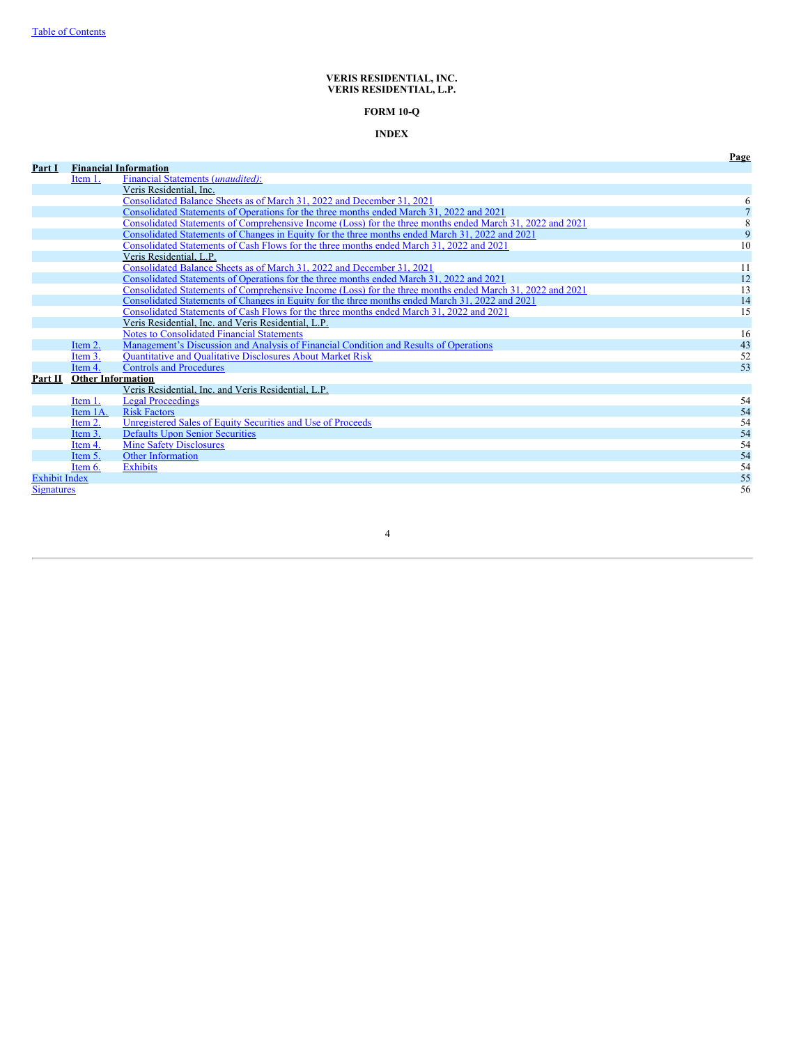#### **VERIS RESIDENTIAL, INC. VERIS RESIDENTIAL, L.P.**

# **FORM 10-Q**

# <span id="page-3-0"></span>**INDEX**

|                      |                          |                                                                                                           | Page |
|----------------------|--------------------------|-----------------------------------------------------------------------------------------------------------|------|
| Part I               |                          | <b>Financial Information</b>                                                                              |      |
|                      | Item 1.                  | Financial Statements (unaudited):                                                                         |      |
|                      |                          | Veris Residential, Inc.                                                                                   |      |
|                      |                          | Consolidated Balance Sheets as of March 31, 2022 and December 31, 2021                                    | 6    |
|                      |                          | Consolidated Statements of Operations for the three months ended March 31, 2022 and 2021                  |      |
|                      |                          | Consolidated Statements of Comprehensive Income (Loss) for the three months ended March 31, 2022 and 2021 | 8    |
|                      |                          | Consolidated Statements of Changes in Equity for the three months ended March 31, 2022 and 2021           | 9    |
|                      |                          | Consolidated Statements of Cash Flows for the three months ended March 31, 2022 and 2021                  | 10   |
|                      |                          | Veris Residential, L.P.                                                                                   |      |
|                      |                          | Consolidated Balance Sheets as of March 31, 2022 and December 31, 2021                                    | 11   |
|                      |                          | Consolidated Statements of Operations for the three months ended March 31, 2022 and 2021                  | 12   |
|                      |                          | Consolidated Statements of Comprehensive Income (Loss) for the three months ended March 31, 2022 and 2021 | 13   |
|                      |                          | Consolidated Statements of Changes in Equity for the three months ended March 31, 2022 and 2021           | 14   |
|                      |                          | Consolidated Statements of Cash Flows for the three months ended March 31, 2022 and 2021                  | 15   |
|                      |                          | Veris Residential. Inc. and Veris Residential. L.P.                                                       |      |
|                      |                          | <b>Notes to Consolidated Financial Statements</b>                                                         | 16   |
|                      | Item 2.                  | Management's Discussion and Analysis of Financial Condition and Results of Operations                     | 43   |
|                      | Item 3.                  | <b>Quantitative and Qualitative Disclosures About Market Risk</b>                                         | 52   |
|                      | Item 4.                  | <b>Controls and Procedures</b>                                                                            | 53   |
| Part II              | <b>Other Information</b> |                                                                                                           |      |
|                      |                          | Veris Residential, Inc. and Veris Residential, L.P.                                                       |      |
|                      | Item 1.                  | <b>Legal Proceedings</b>                                                                                  | 54   |
|                      | Item 1A.                 | <b>Risk Factors</b>                                                                                       | 54   |
|                      | Item 2.                  | Unregistered Sales of Equity Securities and Use of Proceeds                                               | 54   |
|                      | Item 3.                  | <b>Defaults Upon Senior Securities</b>                                                                    | 54   |
|                      | Item 4.                  | <b>Mine Safety Disclosures</b>                                                                            | 54   |
|                      | Item 5.                  | <b>Other Information</b>                                                                                  | 54   |
|                      | Item 6.                  | <b>Exhibits</b>                                                                                           | 54   |
| <b>Exhibit Index</b> |                          |                                                                                                           | 55   |
| <b>Signatures</b>    |                          |                                                                                                           | 56   |
|                      |                          |                                                                                                           |      |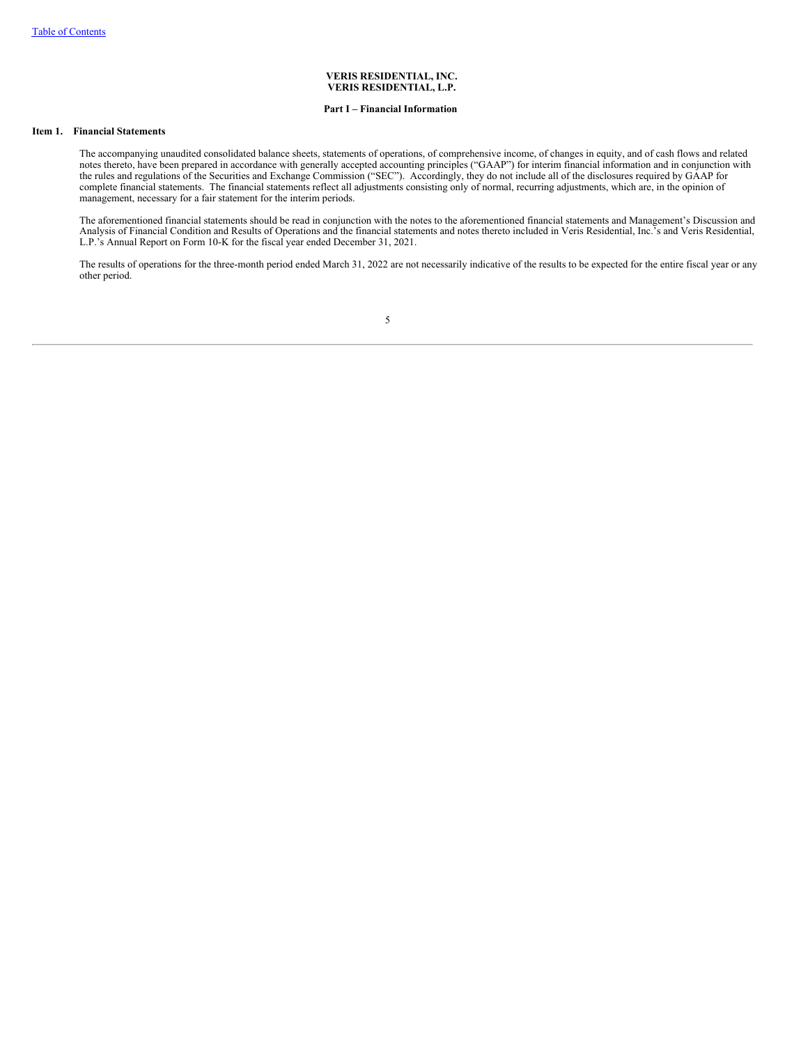## **VERIS RESIDENTIAL, INC. VERIS RESIDENTIAL, L.P.**

# **Part I – Financial Information**

# **Item 1. Financial Statements**

<span id="page-4-0"></span>The accompanying unaudited consolidated balance sheets, statements of operations, of comprehensive income, of changes in equity, and of cash flows and related notes thereto, have been prepared in accordance with generally accepted accounting principles ("GAAP") for interim financial information and in conjunction with the rules and regulations of the Securities and Exchange Commission ("SEC"). Accordingly, they do not include all of the disclosures required by GAAP for complete financial statements. The financial statements reflect all adjustments consisting only of normal, recurring adjustments, which are, in the opinion of management, necessary for a fair statement for the interim periods.

The aforementioned financial statements should be read in conjunction with the notes to the aforementioned financial statements and Management's Discussion and Analysis of Financial Condition and Results of Operations and the financial statements and notes thereto included in Veris Residential, Inc.'s and Veris Residential, L.P.'s Annual Report on Form 10-K for the fiscal year ended December 31, 2021.

The results of operations for the three-month period ended March 31, 2022 are not necessarily indicative of the results to be expected for the entire fiscal year or any other period.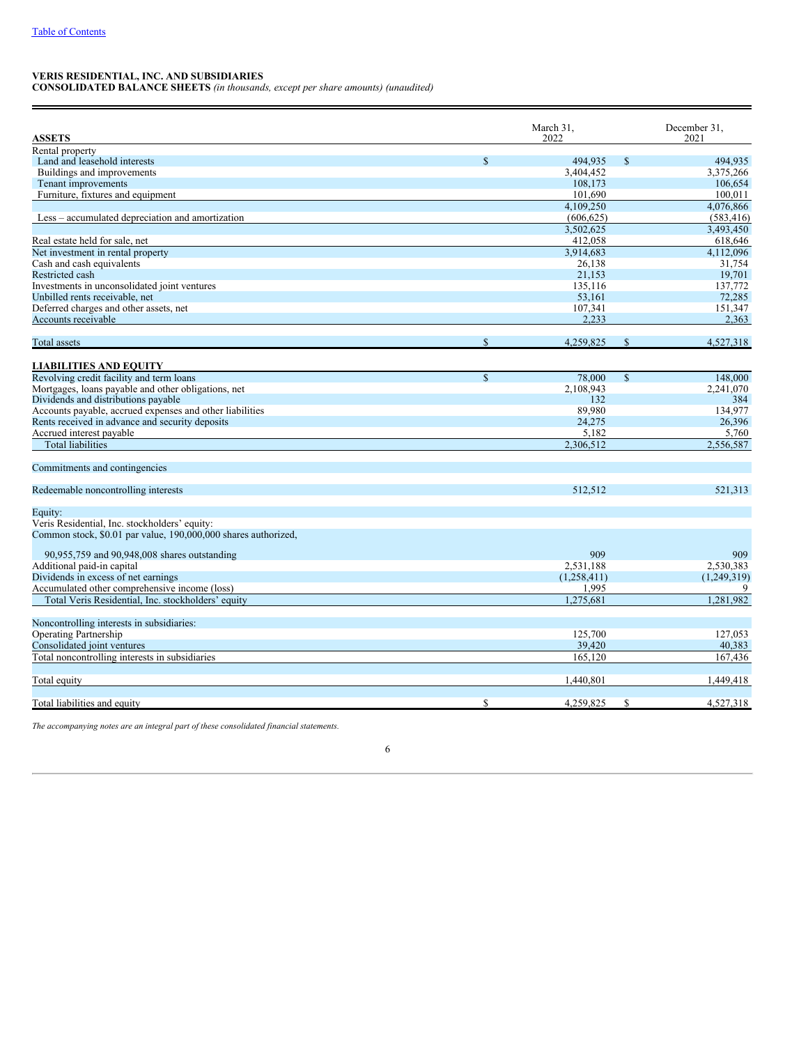# **VERIS RESIDENTIAL, INC. AND SUBSIDIARIES**

<span id="page-5-0"></span>**CONSOLIDATED BALANCE SHEETS** *(in thousands, except per share amounts) (unaudited)*

| Rental property<br>Land and leasehold interests<br>Buildings and improvements | $\mathbf{s}$ | 494.935     |                         |             |
|-------------------------------------------------------------------------------|--------------|-------------|-------------------------|-------------|
|                                                                               |              |             |                         |             |
|                                                                               |              |             | $\mathbf S$             | 494,935     |
|                                                                               |              | 3.404.452   |                         | 3.375.266   |
| Tenant improvements                                                           |              | 108,173     |                         | 106,654     |
| Furniture, fixtures and equipment                                             |              | 101,690     |                         | 100.011     |
|                                                                               |              | 4.109.250   |                         | 4.076.866   |
| Less – accumulated depreciation and amortization                              |              | (606, 625)  |                         | (583, 416)  |
|                                                                               |              | 3,502,625   |                         | 3,493,450   |
| Real estate held for sale, net                                                |              | 412,058     |                         | 618.646     |
| Net investment in rental property                                             |              | 3,914,683   |                         | 4,112,096   |
| Cash and cash equivalents                                                     |              | 26.138      |                         | 31.754      |
| Restricted cash                                                               |              | 21,153      |                         | 19,701      |
| Investments in unconsolidated joint ventures                                  |              | 135,116     |                         | 137,772     |
| Unbilled rents receivable, net                                                |              | 53,161      |                         | 72,285      |
| Deferred charges and other assets, net                                        |              | 107,341     |                         | 151,347     |
| Accounts receivable                                                           |              | 2,233       |                         | 2,363       |
| <b>Total assets</b>                                                           | $\mathbf{s}$ | 4,259,825   | $\mathbf S$             | 4,527,318   |
| <b>LIABILITIES AND EQUITY</b>                                                 |              |             |                         |             |
| Revolving credit facility and term loans                                      | $\mathbf{s}$ | 78,000      | $\overline{\mathbb{S}}$ | 148,000     |
| Mortgages, loans payable and other obligations, net                           |              | 2,108,943   |                         | 2,241,070   |
| Dividends and distributions payable                                           |              | 132         |                         | 384         |
| Accounts payable, accrued expenses and other liabilities                      |              | 89,980      |                         | 134,977     |
| Rents received in advance and security deposits                               |              | 24,275      |                         | 26,396      |
| Accrued interest payable                                                      |              | 5,182       |                         | 5,760       |
| <b>Total liabilities</b>                                                      |              | 2,306,512   |                         | 2,556,587   |
| Commitments and contingencies                                                 |              |             |                         |             |
|                                                                               |              |             |                         |             |
| Redeemable noncontrolling interests                                           |              | 512,512     |                         | 521.313     |
| Equity:                                                                       |              |             |                         |             |
| Veris Residential, Inc. stockholders' equity:                                 |              |             |                         |             |
| Common stock, \$0.01 par value, 190,000,000 shares authorized,                |              |             |                         |             |
| 90,955,759 and 90,948,008 shares outstanding                                  |              | 909         |                         | 909         |
| Additional paid-in capital                                                    |              | 2,531,188   |                         | 2,530,383   |
| Dividends in excess of net earnings                                           |              | (1,258,411) |                         | (1,249,319) |
| Accumulated other comprehensive income (loss)                                 |              | 1,995       |                         | 9           |
| Total Veris Residential, Inc. stockholders' equity                            |              | 1,275,681   |                         | 1.281.982   |
|                                                                               |              |             |                         |             |
| Noncontrolling interests in subsidiaries:                                     |              |             |                         |             |
| <b>Operating Partnership</b>                                                  |              | 125,700     |                         | 127,053     |
| Consolidated joint ventures                                                   |              | 39,420      |                         | 40,383      |
| Total noncontrolling interests in subsidiaries                                |              | 165,120     |                         | 167,436     |
| Total equity                                                                  |              | 1,440,801   |                         | 1,449,418   |
| Total liabilities and equity                                                  | \$           | 4,259,825   | $\mathbb{S}$            | 4,527,318   |

*The accompanying notes are an integral part of these consolidated financial statements.*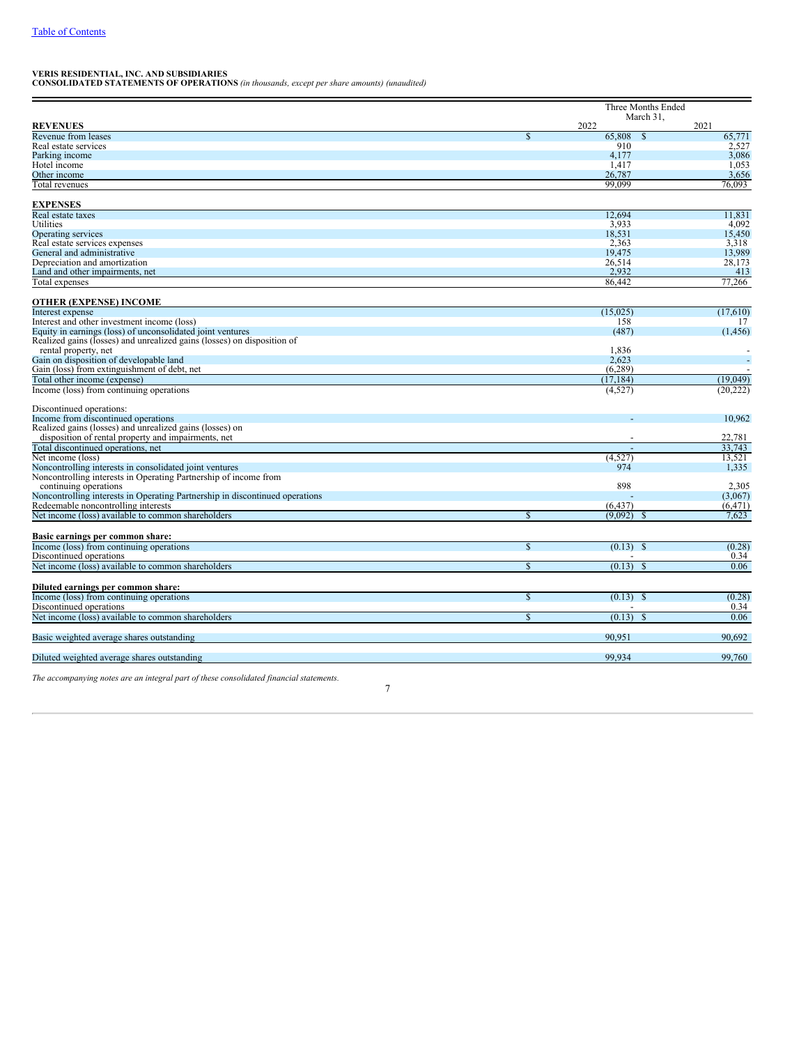<span id="page-6-0"></span>**VERIS RESIDENTIAL, INC. AND SUBSIDIARIES**<br>CONSOLIDATED STATEMENTS OF OPERATIONS (in thousands, except per share amounts) (unaudited)

|                                                                              |                         | Three Months Ended |                      |  |  |
|------------------------------------------------------------------------------|-------------------------|--------------------|----------------------|--|--|
|                                                                              |                         |                    | March 31.            |  |  |
| <b>REVENUES</b><br>Revenue from leases                                       | \$                      | 2022<br>65,808     | 2021<br>65,771<br>-S |  |  |
| Real estate services                                                         |                         | 910                | 2,527                |  |  |
| Parking income                                                               |                         | 4,177              | 3,086                |  |  |
| Hotel income                                                                 |                         | 1.417              | 1,053                |  |  |
| Other income                                                                 |                         | 26,787             | 3,656                |  |  |
| Total revenues                                                               |                         | 99,099             | 76.093               |  |  |
| <b>EXPENSES</b>                                                              |                         |                    |                      |  |  |
| Real estate taxes                                                            |                         | 12,694             | 11,831               |  |  |
| <b>Utilities</b>                                                             |                         | 3,933              | 4,092                |  |  |
| Operating services                                                           |                         | 18.531             | 15,450               |  |  |
| Real estate services expenses                                                |                         | 2,363              | 3,318                |  |  |
| General and administrative                                                   |                         | 19.475             | 13.989               |  |  |
| Depreciation and amortization                                                |                         | 26,514             | 28,173               |  |  |
| Land and other impairments, net                                              |                         | 2.932              | 413                  |  |  |
| Total expenses                                                               |                         | 86,442             | 77,266               |  |  |
| <b>OTHER (EXPENSE) INCOME</b>                                                |                         |                    |                      |  |  |
| Interest expense                                                             |                         | (15,025)           | (17,610)             |  |  |
| Interest and other investment income (loss)                                  |                         | 158                | 17                   |  |  |
| Equity in earnings (loss) of unconsolidated joint ventures                   |                         | (487)              | (1, 456)             |  |  |
| Realized gains (losses) and unrealized gains (losses) on disposition of      |                         |                    |                      |  |  |
| rental property, net                                                         |                         | 1.836              |                      |  |  |
| Gain on disposition of developable land                                      |                         | 2.623              |                      |  |  |
| Gain (loss) from extinguishment of debt, net                                 |                         | (6, 289)           |                      |  |  |
| Total other income (expense)                                                 |                         | (17, 184)          | (19,049)             |  |  |
| Income (loss) from continuing operations                                     |                         | (4,527)            | (20, 222)            |  |  |
| Discontinued operations:                                                     |                         |                    |                      |  |  |
| Income from discontinued operations                                          |                         |                    | 10,962               |  |  |
| Realized gains (losses) and unrealized gains (losses) on                     |                         |                    |                      |  |  |
| disposition of rental property and impairments, net                          |                         |                    | 22,781               |  |  |
| Total discontinued operations, net                                           |                         | $\sim$             | 33.743               |  |  |
| Net income (loss)                                                            |                         | (4,527)            | 13,521               |  |  |
| Noncontrolling interests in consolidated joint ventures                      |                         | 974                | 1.335                |  |  |
| Noncontrolling interests in Operating Partnership of income from             |                         |                    |                      |  |  |
| continuing operations                                                        |                         | 898                | 2.305                |  |  |
| Noncontrolling interests in Operating Partnership in discontinued operations |                         |                    | (3,067)              |  |  |
| Redeemable noncontrolling interests                                          |                         | (6, 437)           | (6, 471)             |  |  |
| Net income (loss) available to common shareholders                           | <sup>\$</sup>           | (9,092)            | 7,623<br>- S         |  |  |
| Basic earnings per common share:                                             |                         |                    |                      |  |  |
| Income (loss) from continuing operations                                     | $\overline{\mathbb{S}}$ | $(0.13)$ \$        | (0.28)               |  |  |
| Discontinued operations                                                      |                         |                    | 0.34                 |  |  |
| Net income (loss) available to common shareholders                           | $\overline{\mathbb{S}}$ | $(0.13)$ \$        | 0.06                 |  |  |
| Diluted earnings per common share:                                           |                         |                    |                      |  |  |
| Income (loss) from continuing operations<br>Discontinued operations          | $\mathcal{S}$           | $(0.13)$ \$        | (0.28)<br>0.34       |  |  |
| Net income (loss) available to common shareholders                           | $\mathbf{s}$            | $(0.13)$ \$        | 0.06                 |  |  |
| Basic weighted average shares outstanding                                    |                         | 90.951             | 90.692               |  |  |
|                                                                              |                         |                    |                      |  |  |
| Diluted weighted average shares outstanding                                  |                         | 99.934             | 99,760               |  |  |
|                                                                              |                         |                    |                      |  |  |

*The accompanying notes are an integral part of these consolidated financial statements.*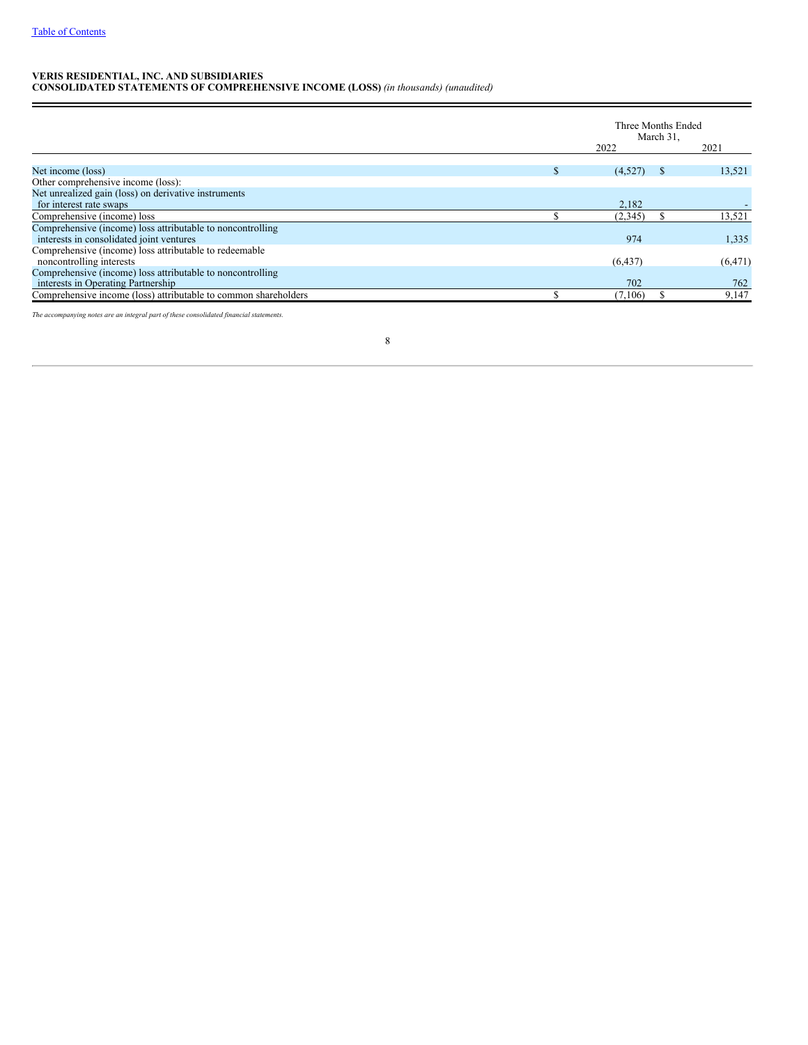# **VERIS RESIDENTIAL, INC. AND SUBSIDIARIES**

<span id="page-7-0"></span>**CONSOLIDATED STATEMENTS OF COMPREHENSIVE INCOME (LOSS)** *(in thousands) (unaudited)*

|                                                                 |   | Three Months Ended<br>2022 | March 31,    | 2021     |
|-----------------------------------------------------------------|---|----------------------------|--------------|----------|
|                                                                 |   |                            |              |          |
| Net income (loss)                                               | S | (4,527)                    | <sup>S</sup> | 13,521   |
| Other comprehensive income (loss):                              |   |                            |              |          |
| Net unrealized gain (loss) on derivative instruments            |   |                            |              |          |
| for interest rate swaps                                         |   | 2.182                      |              |          |
| Comprehensive (income) loss                                     |   | (2,345)                    |              | 13,521   |
| Comprehensive (income) loss attributable to noncontrolling      |   |                            |              |          |
| interests in consolidated joint ventures                        |   | 974                        |              | 1,335    |
| Comprehensive (income) loss attributable to redeemable          |   |                            |              |          |
| noncontrolling interests                                        |   | (6, 437)                   |              | (6, 471) |
| Comprehensive (income) loss attributable to noncontrolling      |   |                            |              |          |
| interests in Operating Partnership                              |   | 702                        |              | 762      |
| Comprehensive income (loss) attributable to common shareholders |   | (7,106)                    |              | 9,147    |

*The accompanying notes are an integral part of these consolidated financial statements.*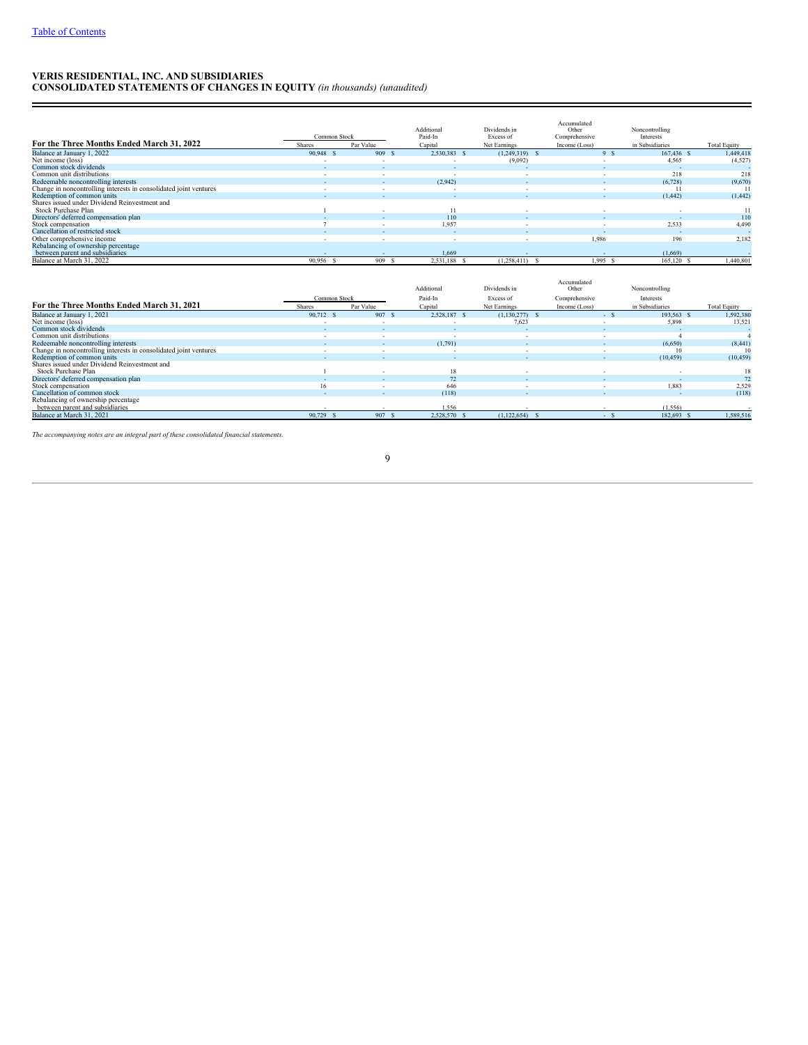#### <span id="page-8-0"></span>**VERIS RESIDENTIAL, INC. AND SUBSIDIARIES CONSOLIDATED STATEMENTS OF CHANGES IN EQUITY** *(in thousands) (unaudited)*

|                                                                   | Common Stock  |                          | Additional<br>Paid-In | Dividends in<br>Excess of | Accumulated<br>Other<br>Comprehensive | Noncontrolling<br>Interests |                     |
|-------------------------------------------------------------------|---------------|--------------------------|-----------------------|---------------------------|---------------------------------------|-----------------------------|---------------------|
| For the Three Months Ended March 31, 2022                         | <b>Shares</b> | Par Value                | Capital               | Net Earnings              | Income (Loss)                         | in Subsidiaries             | <b>Total Equity</b> |
| Balance at January 1, 2022                                        | 90,948        | 909                      | 2,530,383 \$          | (1,249,319)               | 9 <sup>°</sup>                        | 167,436 \$                  | 1,449,418           |
| Net income (loss)                                                 |               | $\overline{a}$           |                       | (9,092)                   | ۰                                     | 4,565                       | (4,527)             |
| Common stock dividends                                            | ۰             |                          |                       |                           | ٠                                     | $\sim$                      |                     |
| Common unit distributions                                         |               | $\overline{\phantom{a}}$ | ٠                     |                           |                                       | 218                         | 218                 |
| Redeemable noncontrolling interests                               |               | $\overline{a}$           | (2,942)               |                           |                                       | (6, 728)                    | (9,670)             |
| Change in noncontrolling interests in consolidated joint ventures | $\sim$        | $\overline{\phantom{a}}$ |                       | $\sim$                    |                                       |                             |                     |
| Redemption of common units                                        |               |                          |                       |                           |                                       | (1, 442)                    | (1, 442)            |
| Shares issued under Dividend Reinvestment and                     |               |                          |                       |                           |                                       |                             |                     |
| Stock Purchase Plan                                               |               |                          |                       |                           |                                       |                             |                     |
| Directors' deferred compensation plan                             |               |                          | 110                   |                           |                                       |                             | 110                 |
| Stock compensation                                                |               | $\overline{\phantom{a}}$ | 1.957                 |                           | ۰                                     | 2.533                       | 4,490               |
| Cancellation of restricted stock                                  |               | $\overline{a}$           |                       |                           |                                       | $\sim$                      |                     |
| Other comprehensive income                                        | $\sim$        | $\overline{a}$           | $\sim$                | $\sim$                    | 1.986                                 | 196                         | 2,182               |
| Rebalancing of ownership percentage                               |               |                          |                       |                           |                                       |                             |                     |
| between parent and subsidiaries                                   |               |                          | 1.669                 |                           |                                       | (1,669)                     |                     |
| Balance at March 31, 2022                                         | 90,956 :      | 909                      | 2,531,188 \$          | (1.258.411)               | 1.995S                                | 165,120                     | 1,440,801           |

|                                                                   | Common Stock  |                          | Additional<br>Paid-In | Dividends in<br>Excess of | Accumulated<br>Other<br>Comprehensive | Noncontrolling<br>Interests |                     |
|-------------------------------------------------------------------|---------------|--------------------------|-----------------------|---------------------------|---------------------------------------|-----------------------------|---------------------|
| For the Three Months Ended March 31, 2021                         | <b>Shares</b> | Par Value                | Capital               | Net Earnings              | Income (Loss)                         | in Subsidiaries             | <b>Total Equity</b> |
| Balance at January 1, 2021                                        | 90.712 \$     | 907                      | 2,528,187 \$          | (1,130,277)               | ۰.                                    | 193,563                     | 1,592,380           |
| Net income (loss)                                                 | ۰             | $\overline{\phantom{a}}$ |                       | 7,623                     | ۰                                     | 5,898                       | 13.52               |
| Common stock dividends                                            |               |                          |                       |                           |                                       |                             |                     |
| Common unit distributions                                         | ٠.            | $\overline{\phantom{a}}$ |                       | ٠.                        | $\sim$                                |                             |                     |
| Redeemable noncontrolling interests                               |               | $\overline{a}$           | (1,791)               |                           |                                       | (6,650)                     | (8, 441)            |
| Change in noncontrolling interests in consolidated joint ventures |               | $\overline{\phantom{a}}$ |                       |                           |                                       | 10                          | 10                  |
| Redemption of common units                                        |               |                          |                       |                           |                                       | (10, 459)                   | (10, 459)           |
| Shares issued under Dividend Reinvestment and                     |               |                          |                       |                           |                                       |                             |                     |
| <b>Stock Purchase Plan</b>                                        |               | $\overline{\phantom{a}}$ | 18                    |                           |                                       |                             | 18                  |
| Directors' deferred compensation plan                             |               |                          | 72                    |                           |                                       | $\sim$                      | 72                  |
| Stock compensation                                                | 16            | $\overline{\phantom{a}}$ | 646                   |                           |                                       | 1,883                       | 2,529               |
| Cancellation of common stock                                      |               |                          | (118)                 |                           |                                       |                             | (118)               |
| Rebalancing of ownership percentage                               |               |                          |                       |                           |                                       |                             |                     |
| between parent and subsidiaries                                   |               |                          | 1.556                 |                           |                                       | (1, 556)                    |                     |
| Balance at March 31, 2021                                         | 90,729 \$     | 907 S                    | 2,528,570 \$          | (1,122,654)               |                                       | 182,693                     | 1,589,516           |

*The accompanying notes are an integral part of these consolidated financial statements.*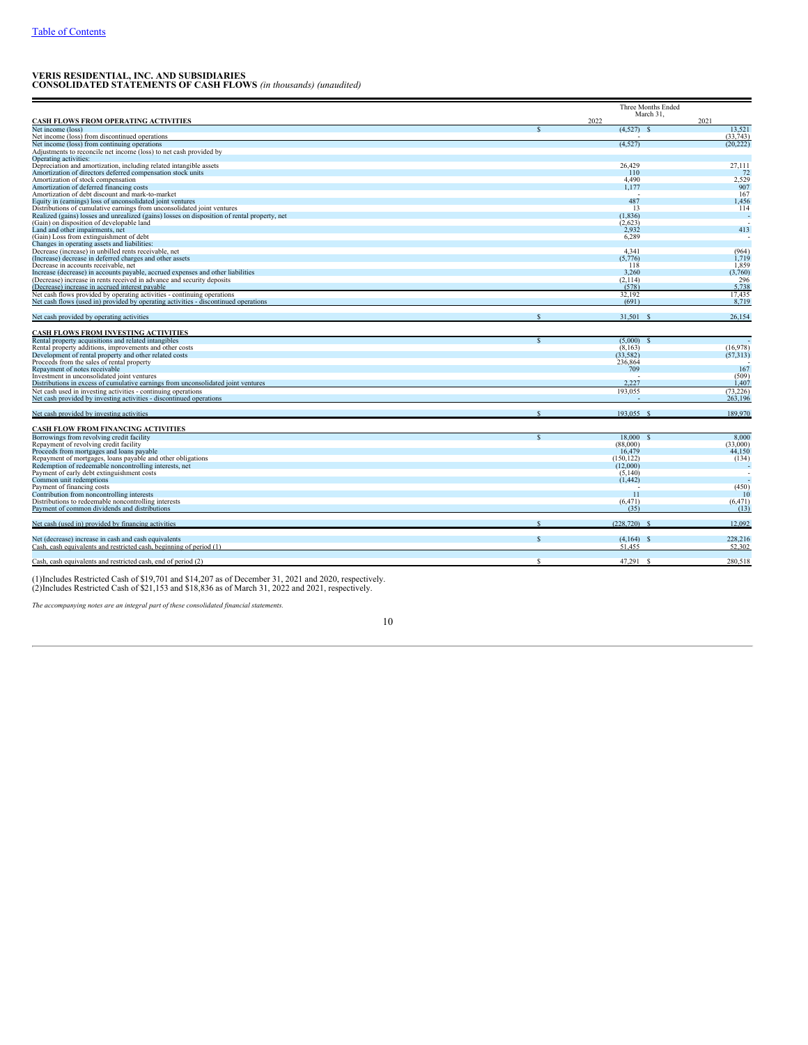# <span id="page-9-0"></span>**VERIS RESIDENTIAL, INC. AND SUBSIDIARIES<br>CONSOLIDATED STATEMENTS OF CASH FLOWS (in thousands) (unaudited)**

|                                                                                                                                                           |                    | Three Months Ended    |                      |
|-----------------------------------------------------------------------------------------------------------------------------------------------------------|--------------------|-----------------------|----------------------|
|                                                                                                                                                           |                    | March 31.             |                      |
| <b>CASH FLOWS FROM OPERATING ACTIVITIES</b>                                                                                                               | 2022               |                       | 2021                 |
| Net income (loss)                                                                                                                                         | $\mathbf S$        | $(4,527)$ \$          | 13,521               |
| Net income (loss) from discontinued operations                                                                                                            |                    |                       | (33, 743)            |
| Net income (loss) from continuing operations                                                                                                              |                    | (4,527)               | (20, 222)            |
| Adjustments to reconcile net income (loss) to net cash provided by<br>Operating activities:                                                               |                    |                       |                      |
| Depreciation and amortization, including related intangible assets                                                                                        |                    | 26.429                | 27,111               |
| Amortization of directors deferred compensation stock units                                                                                               |                    | 110                   | 72                   |
| Amortization of stock compensation                                                                                                                        |                    | 4.490                 | 2,529                |
| Amortization of deferred financing costs                                                                                                                  |                    | 1,177                 | 907                  |
| Amortization of debt discount and mark-to-market                                                                                                          |                    |                       | 167                  |
| Equity in (earnings) loss of unconsolidated joint ventures                                                                                                |                    | 487                   | 1,456                |
| Distributions of cumulative earnings from unconsolidated joint ventures                                                                                   |                    | 13                    | 114                  |
| Realized (gains) losses and unrealized (gains) losses on disposition of rental property, net<br>(Gain) on disposition of developable land                 |                    | (1.836)<br>(2,623)    |                      |
| Land and other impairments, net                                                                                                                           |                    | 2,932                 | 413                  |
| (Gain) Loss from extinguishment of debt                                                                                                                   |                    | 6,289                 |                      |
| Changes in operating assets and liabilities:                                                                                                              |                    |                       |                      |
| Decrease (increase) in unbilled rents receivable, net                                                                                                     |                    | 4,341                 | $(964)$<br>$1,719$   |
| (Increase) decrease in deferred charges and other assets                                                                                                  |                    | (5,776)               |                      |
| Decrease in accounts receivable, net                                                                                                                      |                    | 118                   | 1.859                |
| Increase (decrease) in accounts payable, accrued expenses and other liabilities<br>(Decrease) increase in rents received in advance and security deposits |                    | 3.260<br>(2, 114)     | (3,760)<br>296       |
| (Decrease) increase in accrued interest payable                                                                                                           |                    | (578)                 | 5,738                |
| Net cash flows provided by operating activities - continuing operations                                                                                   |                    | 32,192                | 17,435               |
| Net cash flows (used in) provided by operating activities - discontinued operations                                                                       |                    | (691)                 | 8.719                |
|                                                                                                                                                           |                    |                       |                      |
| Net cash provided by operating activities                                                                                                                 |                    | 31.501                | 26.154               |
|                                                                                                                                                           |                    |                       |                      |
| <b>CASH FLOWS FROM INVESTING ACTIVITIES</b>                                                                                                               |                    |                       |                      |
| Rental property acquisitions and related intangibles                                                                                                      | $\mathbf{s}$       | (5,000)<br>-8         |                      |
| Rental property additions, improvements and other costs<br>Development of rental property and other related costs                                         |                    | (8, 163)<br>(33, 582) | (16.978)<br>(57,313) |
| Proceeds from the sales of rental property                                                                                                                |                    | 236,864               |                      |
| Repayment of notes receivable                                                                                                                             |                    | 709                   | 167                  |
| Investment in unconsolidated joint ventures                                                                                                               |                    |                       | (509)                |
| Distributions in excess of cumulative earnings from unconsolidated joint ventures                                                                         |                    | 2.227                 | .407                 |
| Net cash used in investing activities - continuing operations                                                                                             |                    | 193,055               | (73.226)             |
| Net cash provided by investing activities - discontinued operations                                                                                       |                    |                       | 263.196              |
| Net cash provided by investing activities                                                                                                                 |                    | 193,055               | 189,970              |
|                                                                                                                                                           |                    |                       |                      |
| <b>CASH FLOW FROM FINANCING ACTIVITIES</b>                                                                                                                |                    |                       |                      |
| Borrowings from revolving credit facility                                                                                                                 |                    | 18,000                | 8,000                |
| Repayment of revolving credit facility                                                                                                                    |                    | (88,000)              | (33,000)             |
| Proceeds from mortgages and loans payable                                                                                                                 |                    | 16,479                | 44,150               |
| Repayment of mortgages, loans payable and other obligations                                                                                               |                    | (150, 122)            | (134)                |
| Redemption of redeemable noncontrolling interests, net<br>Payment of early debt extinguishment costs                                                      |                    | (12,000)<br>(5.140)   |                      |
| Common unit redemptions                                                                                                                                   |                    | (1, 442)              |                      |
| Payment of financing costs                                                                                                                                |                    |                       | (450)                |
| Contribution from noncontrolling interests                                                                                                                |                    | 11                    | 10                   |
| Distributions to redeemable noncontrolling interests                                                                                                      |                    | (6, 471)              | (6, 471)             |
| Payment of common dividends and distributions                                                                                                             |                    | (35)                  | (13)                 |
| Net cash (used in) provided by financing activities                                                                                                       |                    | $(228.720)$ \$        | 12.092               |
|                                                                                                                                                           |                    |                       |                      |
| Net (decrease) increase in cash and cash equivalents                                                                                                      | $\mathbf{\hat{S}}$ | $(4,164)$ \$          | 228,216              |
| Cash, cash equivalents and restricted cash, beginning of period (1)                                                                                       |                    | 51.455                | 52.302               |
| Cash, cash equivalents and restricted cash, end of period (2)                                                                                             | S                  | 47.291                | 280.518              |
|                                                                                                                                                           |                    |                       |                      |

(1)Includes Restricted Cash of \$19,701 and \$14,207 as of December 31, 2021 and 2020, respectively.<br>(2)Includes Restricted Cash of \$21,153 and \$18,836 as of March 31, 2022 and 2021, respectively.

*The accompanying notes are an integral part of these consolidated financial statements.*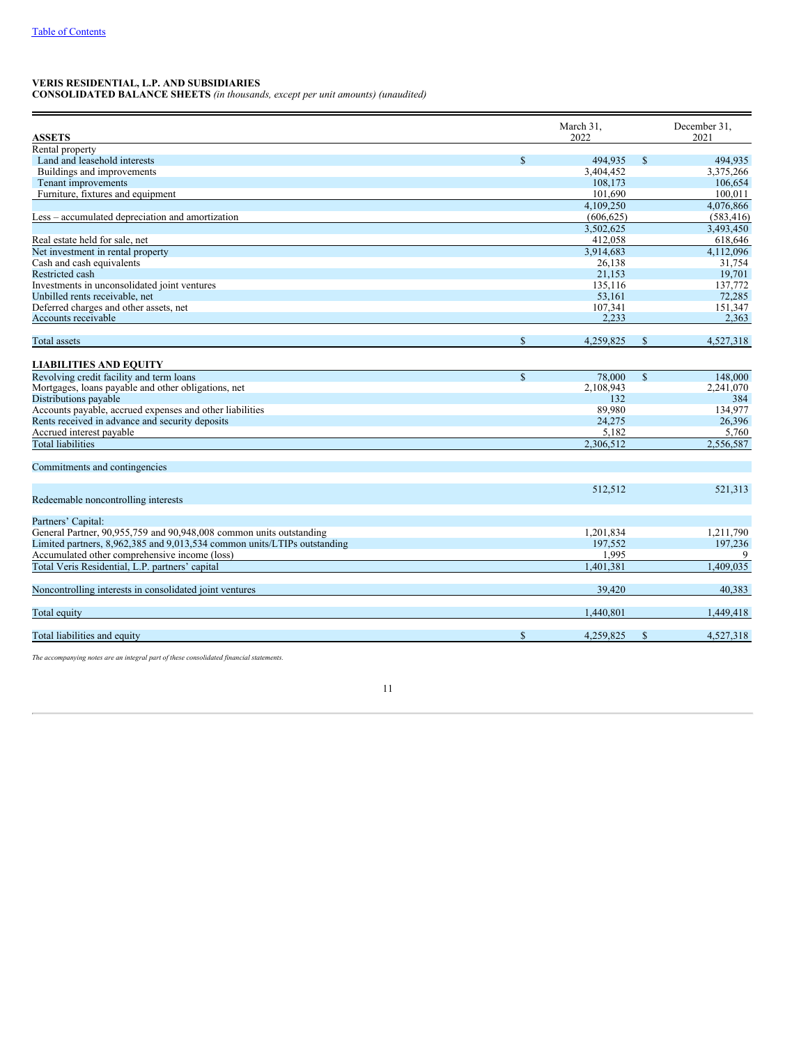# **VERIS RESIDENTIAL, L.P. AND SUBSIDIARIES**

<span id="page-10-0"></span>**CONSOLIDATED BALANCE SHEETS** *(in thousands, except per unit amounts) (unaudited)*

|                                                                          |              | March 31,  |               | December 31, |
|--------------------------------------------------------------------------|--------------|------------|---------------|--------------|
| <b>ASSETS</b>                                                            |              | 2022       |               | 2021         |
| Rental property                                                          |              |            |               |              |
| Land and leasehold interests                                             | $\mathbb{S}$ | 494.935    | \$            | 494,935      |
| Buildings and improvements                                               |              | 3,404,452  |               | 3,375,266    |
| Tenant improvements                                                      |              | 108,173    |               | 106,654      |
| Furniture, fixtures and equipment                                        |              | 101,690    |               | 100.011      |
|                                                                          |              | 4,109,250  |               | 4,076,866    |
| Less - accumulated depreciation and amortization                         |              | (606, 625) |               | (583, 416)   |
|                                                                          |              | 3,502,625  |               | 3,493,450    |
| Real estate held for sale, net                                           |              | 412,058    |               | 618,646      |
| Net investment in rental property                                        |              | 3,914,683  |               | 4,112,096    |
| Cash and cash equivalents                                                |              | 26.138     |               | 31,754       |
| Restricted cash                                                          |              | 21,153     |               | 19,701       |
| Investments in unconsolidated joint ventures                             |              | 135,116    |               | 137,772      |
| Unbilled rents receivable, net                                           |              | 53,161     |               | 72,285       |
| Deferred charges and other assets, net                                   |              | 107,341    |               | 151,347      |
| Accounts receivable                                                      |              | 2,233      |               | 2,363        |
|                                                                          |              |            |               |              |
| <b>Total</b> assets                                                      | $\mathbb{S}$ | 4,259,825  | \$            | 4,527,318    |
|                                                                          |              |            |               |              |
| <b>LIABILITIES AND EQUITY</b>                                            |              |            |               |              |
| Revolving credit facility and term loans                                 | $\mathbf S$  | 78,000     | $\mathbf S$   | 148,000      |
| Mortgages, loans payable and other obligations, net                      |              | 2,108,943  |               | 2,241,070    |
| Distributions payable                                                    |              | 132        |               | 384          |
| Accounts payable, accrued expenses and other liabilities                 |              | 89,980     |               | 134,977      |
| Rents received in advance and security deposits                          |              | 24,275     |               | 26,396       |
| Accrued interest payable                                                 |              | 5,182      |               | 5,760        |
| <b>Total liabilities</b>                                                 |              | 2,306,512  |               | 2.556.587    |
| Commitments and contingencies                                            |              |            |               |              |
|                                                                          |              |            |               |              |
| Redeemable noncontrolling interests                                      |              | 512,512    |               | 521,313      |
|                                                                          |              |            |               |              |
| Partners' Capital:                                                       |              |            |               |              |
| General Partner, 90,955,759 and 90,948,008 common units outstanding      |              | 1,201,834  |               | 1,211,790    |
| Limited partners, 8,962,385 and 9,013,534 common units/LTIPs outstanding |              | 197,552    |               | 197,236      |
| Accumulated other comprehensive income (loss)                            |              | 1,995      |               | 9            |
| Total Veris Residential, L.P. partners' capital                          |              | 1,401,381  |               | 1.409.035    |
| Noncontrolling interests in consolidated joint ventures                  |              | 39,420     |               | 40,383       |
|                                                                          |              |            |               |              |
| Total equity                                                             |              | 1,440,801  |               | 1,449,418    |
| Total liabilities and equity                                             | $\mathbb{S}$ | 4,259,825  | <sup>\$</sup> | 4,527,318    |
|                                                                          |              |            |               |              |

*The accompanying notes are an integral part of these consolidated financial statements.*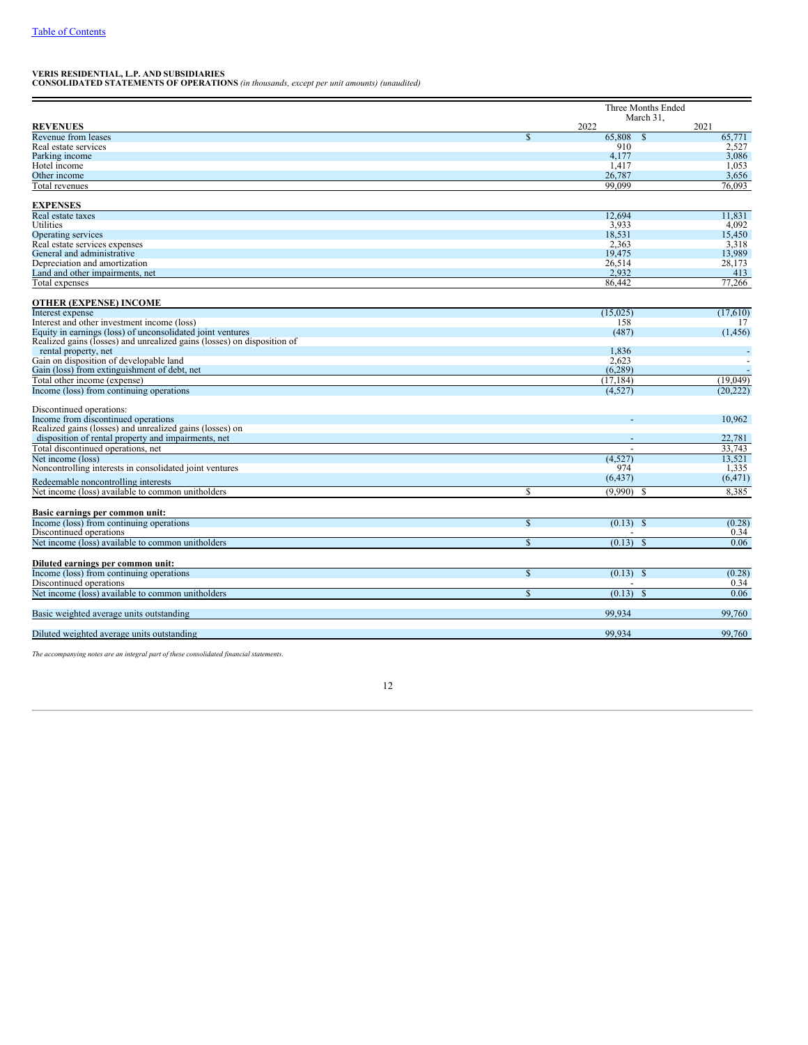<span id="page-11-0"></span>**VERIS RESIDENTIAL, L.P. AND SUBSIDIARIES**<br>CONSOLIDATED STATEMENTS OF OPERATIONS (in thousands, except per unit amounts) (unaudited)

|                                                                                                 |                    | Three Months Ended<br>March 31, |               |  |  |  |
|-------------------------------------------------------------------------------------------------|--------------------|---------------------------------|---------------|--|--|--|
| <b>REVENUES</b>                                                                                 | 2022               |                                 | 2021          |  |  |  |
| Revenue from leases                                                                             | $\mathbf{\hat{s}}$ | 65,808 \$                       | 65,771        |  |  |  |
| Real estate services                                                                            |                    | 910                             | 2,527         |  |  |  |
| Parking income                                                                                  |                    | 4,177                           | 3,086         |  |  |  |
| Hotel income                                                                                    |                    | 1.417                           | 1,053         |  |  |  |
| Other income                                                                                    |                    | 26,787                          | 3,656         |  |  |  |
| Total revenues                                                                                  |                    | 99.099                          | 76.093        |  |  |  |
| <b>EXPENSES</b>                                                                                 |                    |                                 |               |  |  |  |
| Real estate taxes                                                                               |                    | 12,694                          | 11,831        |  |  |  |
| Utilities                                                                                       |                    | 3,933                           | 4.092         |  |  |  |
| Operating services                                                                              |                    | 18,531                          | 15,450        |  |  |  |
| Real estate services expenses                                                                   |                    | 2.363                           | 3,318         |  |  |  |
| General and administrative                                                                      |                    | 19.475                          | 13,989        |  |  |  |
| Depreciation and amortization                                                                   |                    | 26,514                          | 28,173        |  |  |  |
| Land and other impairments, net<br>Total expenses                                               |                    | 2.932<br>86,442                 | 413<br>77,266 |  |  |  |
|                                                                                                 |                    |                                 |               |  |  |  |
| <b>OTHER (EXPENSE) INCOME</b>                                                                   |                    |                                 |               |  |  |  |
| Interest expense                                                                                |                    | (15,025)                        | (17.610)      |  |  |  |
| Interest and other investment income (loss)                                                     |                    | 158                             | 17            |  |  |  |
| Equity in earnings (loss) of unconsolidated joint ventures                                      |                    | (487)                           | (1, 456)      |  |  |  |
| Realized gains (losses) and unrealized gains (losses) on disposition of<br>rental property, net |                    | 1,836                           |               |  |  |  |
| Gain on disposition of developable land                                                         |                    | 2.623                           | $\sim$        |  |  |  |
| Gain (loss) from extinguishment of debt, net                                                    |                    | (6, 289)                        |               |  |  |  |
| Total other income (expense)                                                                    |                    | (17.184)                        | (19.049)      |  |  |  |
| Income (loss) from continuing operations                                                        |                    | (4,527)                         | (20, 222)     |  |  |  |
| Discontinued operations:                                                                        |                    |                                 |               |  |  |  |
| Income from discontinued operations                                                             |                    |                                 | 10,962        |  |  |  |
| Realized gains (losses) and unrealized gains (losses) on                                        |                    |                                 |               |  |  |  |
| disposition of rental property and impairments, net                                             |                    |                                 | 22,781        |  |  |  |
| Total discontinued operations, net                                                              |                    |                                 | 33,743        |  |  |  |
| Net income (loss)                                                                               |                    | (4,527)                         | 13,521        |  |  |  |
| Noncontrolling interests in consolidated joint ventures                                         |                    | 974                             | 1,335         |  |  |  |
|                                                                                                 |                    | (6, 437)                        | (6, 471)      |  |  |  |
| Redeemable noncontrolling interests                                                             |                    |                                 |               |  |  |  |
| Net income (loss) available to common unitholders                                               | <sup>\$</sup>      | $(9.990)$ \$                    | 8,385         |  |  |  |
| Basic earnings per common unit:                                                                 |                    |                                 |               |  |  |  |
| Income (loss) from continuing operations                                                        | $\mathbf S$        | $(0.13)$ \$                     | (0.28)        |  |  |  |
| Discontinued operations                                                                         |                    |                                 | 0.34          |  |  |  |
| Net income (loss) available to common unitholders                                               | $\mathbf{\hat{s}}$ | $(0.13)$ \$                     | 0.06          |  |  |  |
| Diluted earnings per common unit:                                                               |                    |                                 |               |  |  |  |
| Income (loss) from continuing operations                                                        | $\mathbf{\hat{s}}$ | $(0.13)$ \$                     | (0.28)        |  |  |  |
| Discontinued operations                                                                         |                    |                                 | 0.34          |  |  |  |
| Net income (loss) available to common unitholders                                               | $\mathbf{\hat{S}}$ | (0.13)                          | 0.06          |  |  |  |
| Basic weighted average units outstanding                                                        |                    | 99.934                          | 99,760        |  |  |  |
| Diluted weighted average units outstanding                                                      |                    | 99.934                          | 99,760        |  |  |  |
|                                                                                                 |                    |                                 |               |  |  |  |

*The accompanying notes are an integral part of these consolidated financial statements.*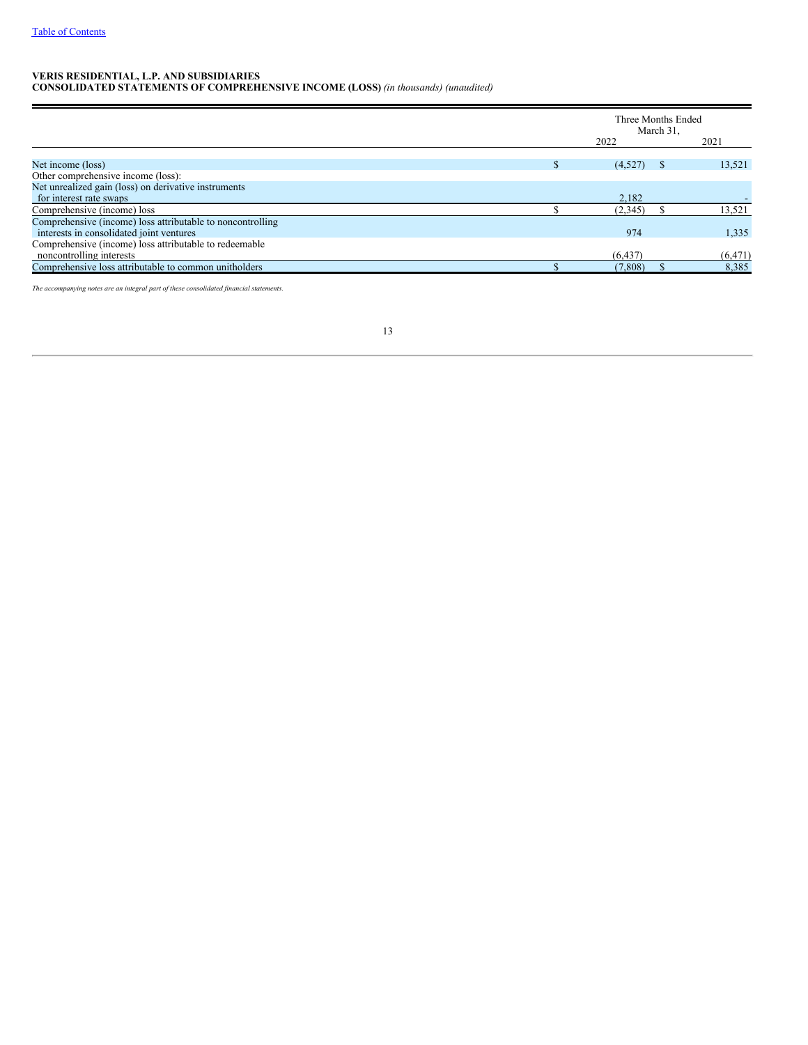# <span id="page-12-0"></span>**VERIS RESIDENTIAL, L.P. AND SUBSIDIARIES**

**CONSOLIDATED STATEMENTS OF COMPREHENSIVE INCOME (LOSS)** *(in thousands) (unaudited)*

|                                                            |                    | Three Months Ended | March 31,    |          |
|------------------------------------------------------------|--------------------|--------------------|--------------|----------|
|                                                            |                    | 2022               |              | 2021     |
| Net income (loss)                                          | $\mathbf{\hat{s}}$ |                    |              | 13,521   |
| Other comprehensive income (loss):                         |                    | (4,527)            | <sup>8</sup> |          |
| Net unrealized gain (loss) on derivative instruments       |                    |                    |              |          |
| for interest rate swaps                                    |                    | 2.182              |              |          |
| Comprehensive (income) loss                                |                    | (2,345)            |              | 13,521   |
| Comprehensive (income) loss attributable to noncontrolling |                    |                    |              |          |
| interests in consolidated joint ventures                   |                    | 974                |              | 1,335    |
| Comprehensive (income) loss attributable to redeemable     |                    |                    |              |          |
| noncontrolling interests                                   |                    | (6, 437)           |              | (6, 471) |
| Comprehensive loss attributable to common unitholders      |                    | (7,808)            |              | 8,385    |

*The accompanying notes are an integral part of these consolidated financial statements.*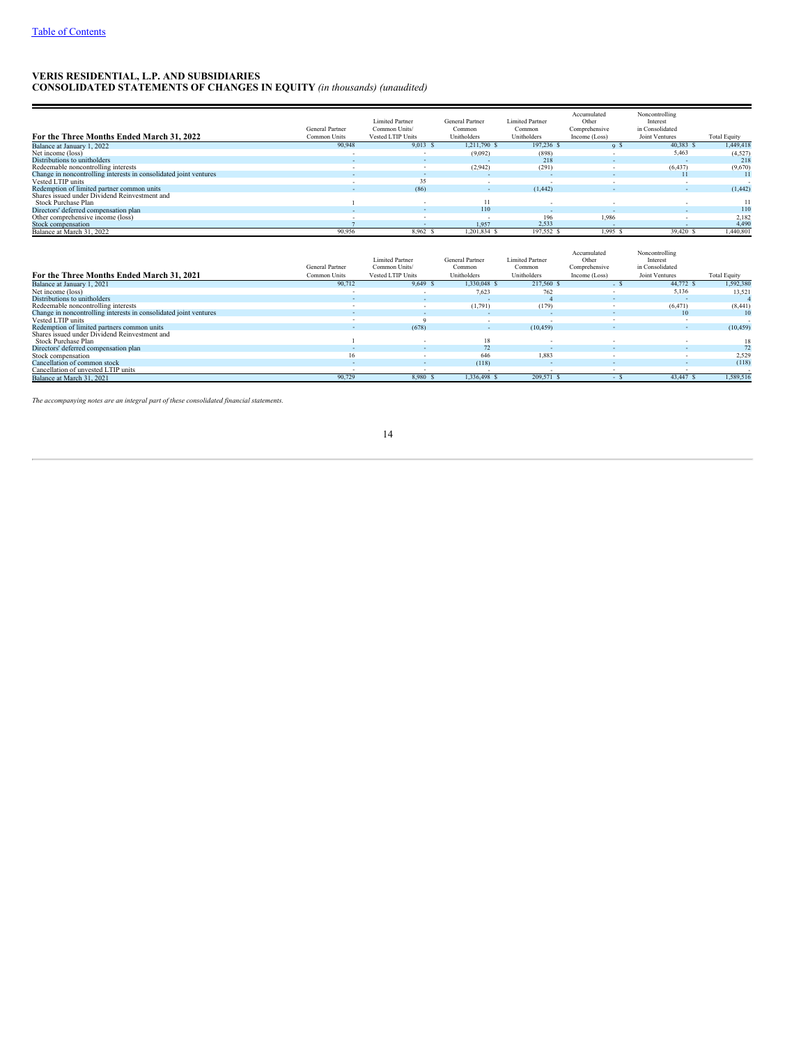# <span id="page-13-0"></span>**VERIS RESIDENTIAL, L.P. AND SUBSIDIARIES CONSOLIDATED STATEMENTS OF CHANGES IN EQUITY** *(in thousands) (unaudited)*

| For the Three Months Ended March 31, 2022                         | General Partner<br>Common Units | <b>Limited Partner</b><br>Common Units/<br>Vested LTIP Units | General Partner<br>Common<br>Unitholders | <b>Limited Partner</b><br>Common<br>Unitholders | Accumulated<br>Other<br>Comprehensive<br>Income (Loss) | Noncontrolling<br>Interest<br>in Consolidated<br>Joint Ventures | <b>Total Equity</b> |
|-------------------------------------------------------------------|---------------------------------|--------------------------------------------------------------|------------------------------------------|-------------------------------------------------|--------------------------------------------------------|-----------------------------------------------------------------|---------------------|
| Balance at January 1, 2022                                        | 90,948                          | 9.013 S                                                      | 1,211,790 \$                             | 197,236 S                                       | $\Omega$                                               | 40,383 S                                                        | 1,449,418           |
| Net income (loss)                                                 |                                 |                                                              | (9,092)                                  | (898)                                           |                                                        | 5,463                                                           | (4,527)             |
| Distributions to unitholders                                      |                                 |                                                              |                                          | 218                                             | ۰                                                      |                                                                 | 218                 |
| Redeemable noncontrolling interests                               |                                 |                                                              | (2,942)                                  | (291)                                           |                                                        | (6, 437)                                                        | (9,670)             |
| Change in noncontrolling interests in consolidated joint ventures | $\sim$                          |                                                              | ٠                                        |                                                 |                                                        | $\mathbf{11}$                                                   | 11                  |
| Vested LTIP units                                                 | . .                             | 35                                                           | $\overline{a}$                           |                                                 |                                                        |                                                                 |                     |
| Redemption of limited partner common units                        |                                 | (86)                                                         |                                          | (1, 442)                                        | ۰                                                      |                                                                 | (1, 442)            |
| Shares issued under Dividend Reinvestment and                     |                                 |                                                              |                                          |                                                 |                                                        |                                                                 |                     |
| Stock Purchase Plan                                               |                                 |                                                              |                                          |                                                 |                                                        |                                                                 | 11                  |
| Directors' deferred compensation plan                             |                                 |                                                              | 110                                      |                                                 |                                                        |                                                                 | 110                 |
| Other comprehensive income (loss)                                 |                                 | ٠                                                            |                                          | 196                                             | 1.986                                                  |                                                                 | 2,182               |
| Stock compensation                                                |                                 |                                                              | 1.957                                    | 2,533                                           |                                                        |                                                                 | 4,490               |
| Balance at March 31, 2022                                         | 90.956                          | 8.962                                                        | 1.201.834                                | 197,552                                         | 1.995                                                  | 39.420 \$                                                       | 1,440,801           |

|                                                                   |                 | <b>Limited Partner</b> | General Partner | <b>Limited Partner</b> | Accumulated<br>Other | Noncontrolling<br>Interest |                     |
|-------------------------------------------------------------------|-----------------|------------------------|-----------------|------------------------|----------------------|----------------------------|---------------------|
|                                                                   | General Partner | Common Units/          | Common          | Common                 | Comprehensive        | in Consolidated            |                     |
| For the Three Months Ended March 31, 2021                         | Common Units    | Vested LTIP Units      | Unitholders     | Unitholders            | Income (Loss)        | Joint Ventures             | <b>Total Equity</b> |
| Balance at January 1, 2021                                        | 90,712          | 9,649 S                | 1,330,048 \$    | 217,560 \$             |                      | 44,772 \$                  | 1,592,380           |
| Net income (loss)                                                 |                 |                        | 7.623           | 762                    | $\sim$               | 5,136                      | 13,521              |
| Distributions to unitholders                                      |                 |                        |                 |                        | ۰                    |                            |                     |
| Redeemable noncontrolling interests                               |                 |                        | (1,791)         | (179)                  | ٠                    | (6, 471)                   | (8,441)             |
| Change in noncontrolling interests in consolidated joint ventures |                 |                        |                 |                        |                      | 10                         | 10                  |
| Vested LTIP units                                                 |                 |                        |                 |                        |                      |                            |                     |
| Redemption of limited partners common units                       |                 | (678)                  | ۰               | (10, 459)              |                      |                            | (10, 459)           |
| Shares issued under Dividend Reinvestment and                     |                 |                        |                 |                        |                      |                            |                     |
| Stock Purchase Plan                                               |                 |                        | 18              |                        |                      |                            | 18                  |
| Directors' deferred compensation plan                             |                 |                        | 72              |                        | ۰                    |                            | 72                  |
| Stock compensation                                                | 16              |                        | 646             | 1.883                  |                      |                            | 2,529               |
| Cancellation of common stock                                      | $\sim$          | . .                    | (118)           | $\sim$                 |                      |                            | (118)               |
| Cancellation of unvested LTIP units                               |                 |                        |                 |                        |                      |                            |                     |
| Balance at March 31, 2021                                         | 90,729          | 8,980                  | 1.336.498 \$    | 209,571 \$             |                      | 43,447 S                   | 1,589,516           |

*The accompanying notes are an integral part of these consolidated financial statements.*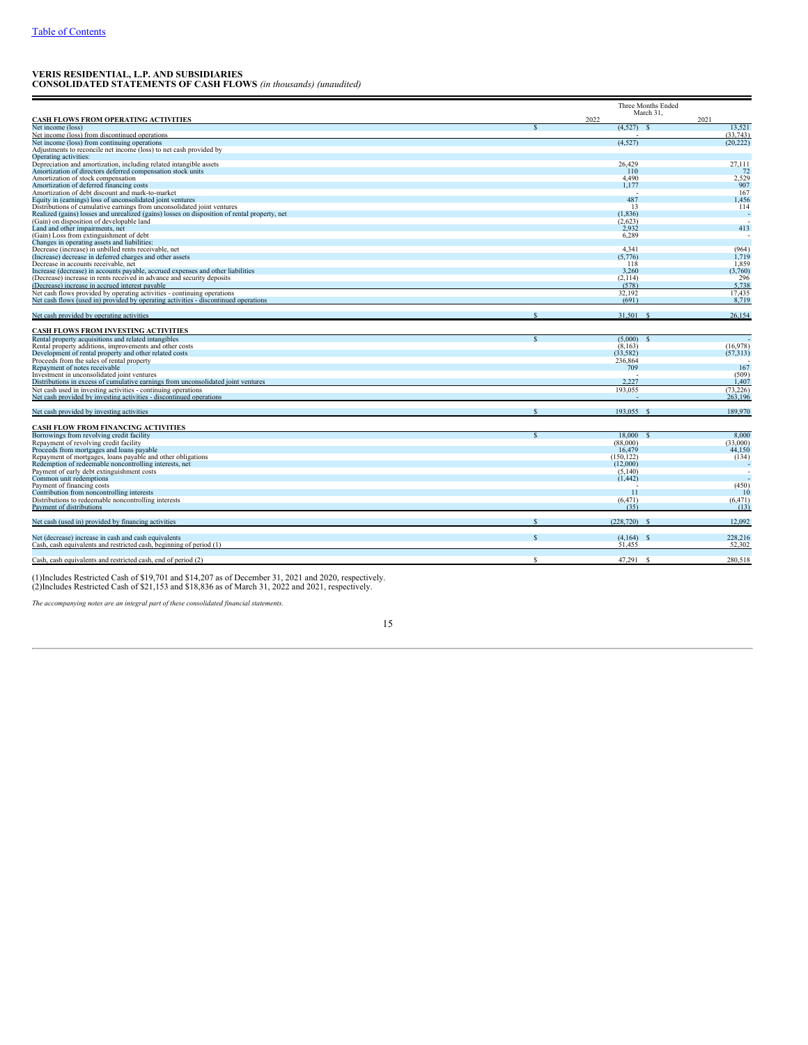# <span id="page-14-0"></span>**VERIS RESIDENTIAL, L.P. AND SUBSIDIARIES**<br>CONSOLIDATED STATEMENTS OF CASH FLOWS (in thousands) (unaudited)

|                                                                                                                           |                    |                      | Three Months Ended      |
|---------------------------------------------------------------------------------------------------------------------------|--------------------|----------------------|-------------------------|
|                                                                                                                           |                    |                      | March 31.               |
| <b>CASH FLOWS FROM OPERATING ACTIVITIES</b><br>Net income (loss)                                                          | $\mathbf{\hat{S}}$ | 2022<br>$(4,527)$ \$ | 2021<br>13,521          |
| Net income (loss) from discontinued operations                                                                            |                    |                      | (33, 743)               |
| Net income (loss) from continuing operations                                                                              |                    | (4,527)              | (20, 222)               |
| Adjustments to reconcile net income (loss) to net cash provided by                                                        |                    |                      |                         |
| Operating activities:                                                                                                     |                    |                      |                         |
| Depreciation and amortization, including related intangible assets                                                        |                    | 26.429               | 27,111                  |
| Amortization of directors deferred compensation stock units                                                               |                    | 110                  | 72                      |
| Amortization of stock compensation<br>Amortization of deferred financing costs                                            |                    | 4.490<br>1.177       | 2,529<br>907            |
| Amortization of debt discount and mark-to-market                                                                          |                    |                      | 167                     |
| Equity in (earnings) loss of unconsolidated joint ventures                                                                |                    | 487                  | 1,456                   |
| Distributions of cumulative earnings from unconsolidated joint ventures                                                   |                    | 13                   | 114                     |
| Realized (gains) losses and unrealized (gains) losses on disposition of rental property, net                              |                    | (1.836)              |                         |
| (Gain) on disposition of developable land                                                                                 |                    | (2,623)              |                         |
| Land and other impairments, net<br>(Gain) Loss from extinguishment of debt                                                |                    | 2,932<br>6,289       | 413                     |
| Changes in operating assets and liabilities:                                                                              |                    |                      |                         |
| Decrease (increase) in unbilled rents receivable, net                                                                     |                    | 4.341                | (964)                   |
| (Increase) decrease in deferred charges and other assets                                                                  |                    | (5,776)              | 1,719                   |
| Decrease in accounts receivable, net                                                                                      |                    | 118                  | 1,859                   |
| Increase (decrease) in accounts payable, accrued expenses and other liabilities                                           |                    | 3,260                | (3,760)                 |
| (Decrease) increase in rents received in advance and security deposits<br>(Decrease) increase in accrued interest payable |                    | (2, 114)<br>(578)    | 296<br>5,738            |
| Net cash flows provided by operating activities - continuing operations                                                   |                    | 32.192               | 17.435                  |
| Net cash flows (used in) provided by operating activities - discontinued operations                                       |                    | (691)                | 8,719                   |
| Net cash provided by operating activities                                                                                 |                    | 31.501               | 26,154<br>-S            |
|                                                                                                                           |                    |                      |                         |
| <b>CASH FLOWS FROM INVESTING ACTIVITIES</b>                                                                               |                    |                      |                         |
| Rental property acquisitions and related intangibles                                                                      |                    | (5,000)              | -8                      |
| Rental property additions, improvements and other costs                                                                   |                    | (8.163)              | (16,978)                |
| Development of rental property and other related costs                                                                    |                    | (33, 582)            | (57, 313)               |
| Proceeds from the sales of rental property<br>Repayment of notes receivable                                               |                    | 236,864<br>709       |                         |
| Investment in unconsolidated joint ventures                                                                               |                    |                      | 167<br>(509)            |
| Distributions in excess of cumulative earnings from unconsolidated joint ventures                                         |                    | 2.227                | 1.407                   |
| Net cash used in investing activities - continuing operations                                                             |                    | 193,055              | (73, 226)               |
| Net cash provided by investing activities - discontinued operations                                                       |                    |                      | 263,196                 |
| Net cash provided by investing activities                                                                                 |                    | 193,055              | 189,970                 |
|                                                                                                                           |                    |                      |                         |
| <b>CASH FLOW FROM FINANCING ACTIVITIES</b>                                                                                |                    |                      |                         |
| Borrowings from revolving credit facility<br>Repayment of revolving credit facility                                       |                    | 18,000<br>(88,000)   | 8,000<br>-S<br>(33,000) |
| Proceeds from mortgages and loans payable                                                                                 |                    | 16,479               | 44,150                  |
| Repayment of mortgages, loans payable and other obligations                                                               |                    | (150, 122)           | (134)                   |
| Redemption of redeemable noncontrolling interests, net                                                                    |                    | (12,000)             |                         |
| Payment of early debt extinguishment costs                                                                                |                    | (5.140)              |                         |
| Common unit redemptions                                                                                                   |                    | (1, 442)             |                         |
| Payment of financing costs                                                                                                |                    |                      | (450)<br>10             |
| Contribution from noncontrolling interests<br>Distributions to redeemable noncontrolling interests                        |                    | 11<br>(6.471)        | (6, 471)                |
| Payment of distributions                                                                                                  |                    | (35)                 | (13)                    |
| Net cash (used in) provided by financing activities                                                                       |                    | (228, 720)           | 12.092                  |
|                                                                                                                           |                    |                      |                         |
| Net (decrease) increase in cash and cash equivalents                                                                      | $\mathcal{S}$      | $(4,164)$ \$         | 228,216                 |
| Cash, cash equivalents and restricted cash, beginning of period (1)                                                       |                    | 51.455               | 52,302                  |
| Cash, cash equivalents and restricted cash, end of period (2)                                                             | $\mathbf{\hat{S}}$ | 47.291               | 280.518<br>-S           |
|                                                                                                                           |                    |                      |                         |

(1)Includes Restricted Cash of \$19,701 and \$14,207 as of December 31, 2021 and 2020, respectively.<br>(2)Includes Restricted Cash of \$21,153 and \$18,836 as of March 31, 2022 and 2021, respectively.

*The accompanying notes are an integral part of these consolidated financial statements.*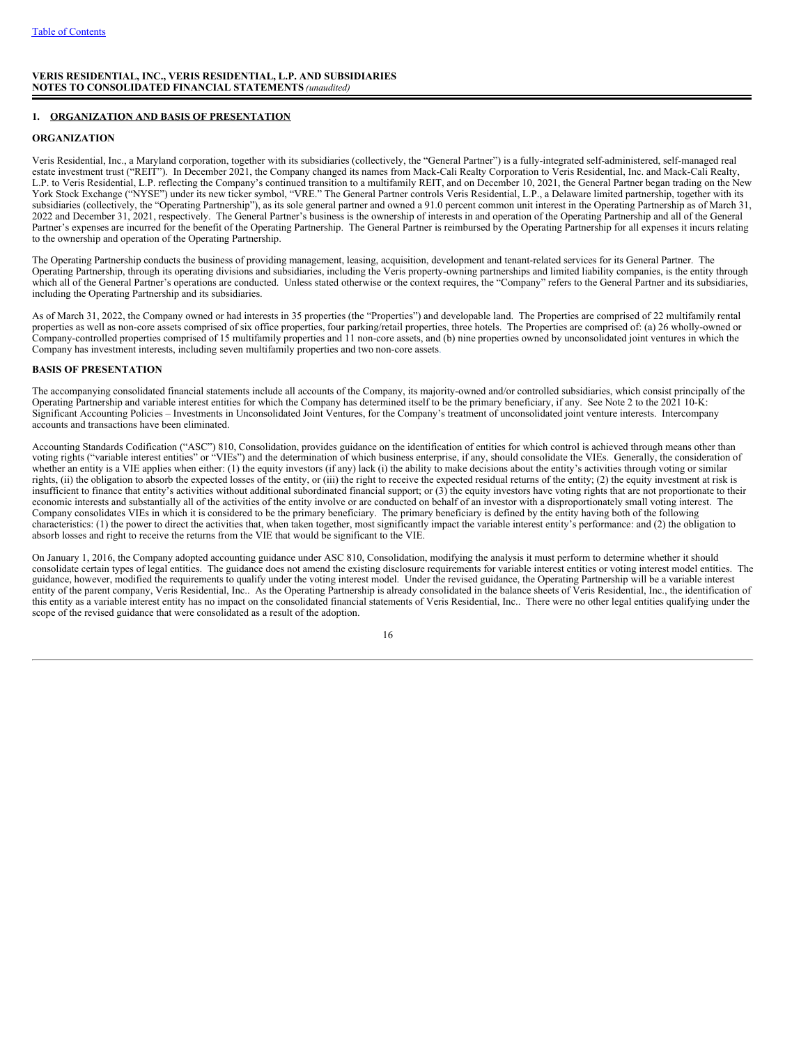# <span id="page-15-0"></span>**VERIS RESIDENTIAL, INC., VERIS RESIDENTIAL, L.P. AND SUBSIDIARIES NOTES TO CONSOLIDATED FINANCIAL STATEMENTS** *(unaudited)*

# **1. ORGANIZATION AND BASIS OF PRESENTATION**

# **ORGANIZATION**

Veris Residential, Inc., a Maryland corporation, together with its subsidiaries (collectively, the "General Partner") is a fully-integrated self-administered, self-managed real estate investment trust ("REIT"). In December 2021, the Company changed its names from Mack-Cali Realty Corporation to Veris Residential, Inc. and Mack-Cali Realty, L.P. to Veris Residential, L.P. reflecting the Company's continued transition to a multifamily REIT, and on December 10, 2021, the General Partner began trading on the New York Stock Exchange ("NYSE") under its new ticker symbol, "VRE." The General Partner controls Veris Residential, L.P., a Delaware limited partnership, together with its subsidiaries (collectively, the "Operating Partnership"), as its sole general partner and owned a 91.0 percent common unit interest in the Operating Partnership as of March 31, 2022 and December 31, 2021, respectively. The General Partner's business is the ownership of interests in and operation of the Operating Partnership and all of the General Partner's expenses are incurred for the benefit of the Operating Partnership. The General Partner is reimbursed by the Operating Partnership for all expenses it incurs relating to the ownership and operation of the Operating Partnership.

The Operating Partnership conducts the business of providing management, leasing, acquisition, development and tenant-related services for its General Partner. The Operating Partnership, through its operating divisions and subsidiaries, including the Veris property-owning partnerships and limited liability companies, is the entity through which all of the General Partner's operations are conducted. Unless stated otherwise or the context requires, the "Company" refers to the General Partner and its subsidiaries, including the Operating Partnership and its subsidiaries.

As of March 31, 2022, the Company owned or had interests in 35 properties (the "Properties") and developable land. The Properties are comprised of 22 multifamily rental properties as well as non-core assets comprised of six office properties, four parking/retail properties, three hotels. The Properties are comprised of: (a) 26 wholly-owned or Company-controlled properties comprised of 15 multifamily properties and 11 non-core assets, and (b) nine properties owned by unconsolidated joint ventures in which the Company has investment interests, including seven multifamily properties and two non-core assets.

# **BASIS OF PRESENTATION**

The accompanying consolidated financial statements include all accounts of the Company, its majority-owned and/or controlled subsidiaries, which consist principally of the Operating Partnership and variable interest entities for which the Company has determined itself to be the primary beneficiary, if any. See Note 2 to the 2021 10-K: Significant Accounting Policies – Investments in Unconsolidated Joint Ventures, for the Company's treatment of unconsolidated joint venture interests. Intercompany accounts and transactions have been eliminated.

Accounting Standards Codification ("ASC") 810, Consolidation, provides guidance on the identification of entities for which control is achieved through means other than voting rights ("variable interest entities" or "VIEs") and the determination of which business enterprise, if any, should consolidate the VIEs. Generally, the consideration of whether an entity is a VIE applies when either: (1) the equity investors (if any) lack (i) the ability to make decisions about the entity's activities through voting or similar rights, (ii) the obligation to absorb the expected losses of the entity, or (iii) the right to receive the expected residual returns of the entity; (2) the equity investment at risk is insufficient to finance that entity's activities without additional subordinated financial support; or (3) the equity investors have voting rights that are not proportionate to their economic interests and substantially all of the activities of the entity involve or are conducted on behalf of an investor with a disproportionately small voting interest. The Company consolidates VIEs in which it is considered to be the primary beneficiary. The primary beneficiary is defined by the entity having both of the following characteristics: (1) the power to direct the activities that, when taken together, most significantly impact the variable interest entity's performance: and (2) the obligation to absorb losses and right to receive the returns from the VIE that would be significant to the VIE.

On January 1, 2016, the Company adopted accounting guidance under ASC 810, Consolidation, modifying the analysis it must perform to determine whether it should consolidate certain types of legal entities. The guidance does not amend the existing disclosure requirements for variable interest entities or voting interest model entities. The guidance, however, modified the requirements to qualify under the voting interest model. Under the revised guidance, the Operating Partnership will be a variable interest entity of the parent company, Veris Residential, Inc.. As the Operating Partnership is already consolidated in the balance sheets of Veris Residential, Inc., the identification of this entity as a variable interest entity has no impact on the consolidated financial statements of Veris Residential, Inc.. There were no other legal entities qualifying under the scope of the revised guidance that were consolidated as a result of the adoption.

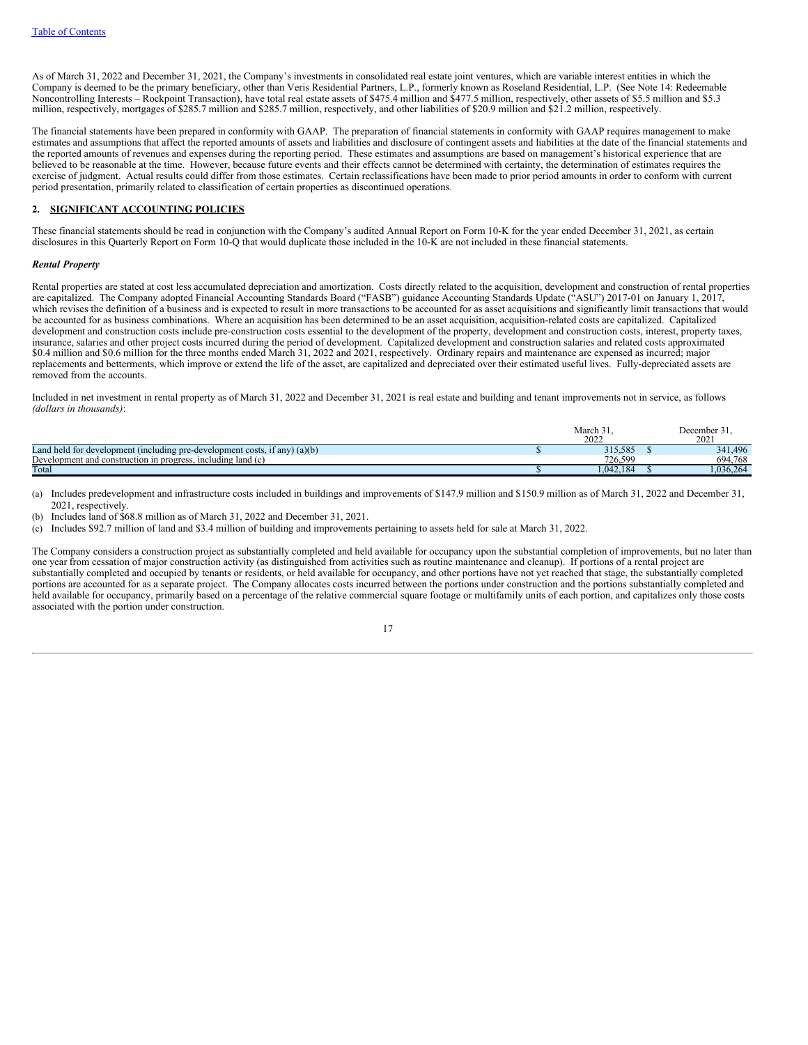As of March 31, 2022 and December 31, 2021, the Company's investments in consolidated real estate joint ventures, which are variable interest entities in which the Company is deemed to be the primary beneficiary, other than Veris Residential Partners, L.P., formerly known as Roseland Residential, L.P. (See Note 14: Redeemable Noncontrolling Interests – Rockpoint Transaction), have total real estate assets of \$475.4 million and \$477.5 million, respectively, other assets of \$5.5 million and \$5.3 million, respectively, mortgages of \$285.7 million and \$285.7 million, respectively, and other liabilities of \$20.9 million and \$21.2 million, respectively.

The financial statements have been prepared in conformity with GAAP. The preparation of financial statements in conformity with GAAP requires management to make estimates and assumptions that affect the reported amounts of assets and liabilities and disclosure of contingent assets and liabilities at the date of the financial statements and the reported amounts of revenues and expenses during the reporting period. These estimates and assumptions are based on management's historical experience that are believed to be reasonable at the time. However, because future events and their effects cannot be determined with certainty, the determination of estimates requires the exercise of judgment. Actual results could differ from those estimates. Certain reclassifications have been made to prior period amounts in order to conform with current period presentation, primarily related to classification of certain properties as discontinued operations.

# **2. SIGNIFICANT ACCOUNTING POLICIES**

These financial statements should be read in conjunction with the Company's audited Annual Report on Form 10-K for the year ended December 31, 2021, as certain disclosures in this Quarterly Report on Form 10-Q that would duplicate those included in the 10-K are not included in these financial statements.

#### *Rental Property*

Rental properties are stated at cost less accumulated depreciation and amortization. Costs directly related to the acquisition, development and construction of rental properties are capitalized. The Company adopted Financial Accounting Standards Board ("FASB") guidance Accounting Standards Update ("ASU") 2017-01 on January 1, 2017, which revises the definition of a business and is expected to result in more transactions to be accounted for as asset acquisitions and significantly limit transactions that would be accounted for as business combinations. Where an acquisition has been determined to be an asset acquisition, acquisition-related costs are capitalized. Capitalized development and construction costs include pre-construction costs essential to the development of the property, development and construction costs, interest, property taxes, insurance, salaries and other project costs incurred during the period of development. Capitalized development and construction salaries and related costs approximated \$0.4 million and \$0.6 million for the three months ended March 31, 2022 and 2021, respectively. Ordinary repairs and maintenance are expensed as incurred; major replacements and betterments, which improve or extend the life of the asset, are capitalized and depreciated over their estimated useful lives. Fully-depreciated assets are removed from the accounts.

Included in net investment in rental property as of March 31, 2022 and December 31, 2021 is real estate and building and tenant improvements not in service, as follows *(dollars in thousands)*:

|                                                                            | March 31, | $D$ ecember |
|----------------------------------------------------------------------------|-----------|-------------|
|                                                                            | 2022      | 2021        |
| Land held for development (including pre-development costs, if any) (a)(b) | 315.585   | 341,496     |
| Development and construction in progress, including land (c)               | 726.599   | 694,768     |
| Total                                                                      | 1.042.184 | .036.264    |

(a) Includes predevelopment and infrastructure costs included in buildings and improvements of \$147.9 million and \$150.9 million as of March 31, 2022 and December 31, 2021, respectively.

(b) Includes land of \$68.8 million as of March 31, 2022 and December 31, 2021.

(c) Includes \$92.7 million of land and \$3.4 million of building and improvements pertaining to assets held for sale at March 31, 2022.

The Company considers a construction project as substantially completed and held available for occupancy upon the substantial completion of improvements, but no later than one year from cessation of major construction activity (as distinguished from activities such as routine maintenance and cleanup). If portions of a rental project are substantially completed and occupied by tenants or residents, or held available for occupancy, and other portions have not yet reached that stage, the substantially completed portions are accounted for as a separate project. The Company allocates costs incurred between the portions under construction and the portions substantially completed and held available for occupancy, primarily based on a percentage of the relative commercial square footage or multifamily units of each portion, and capitalizes only those costs associated with the portion under construction.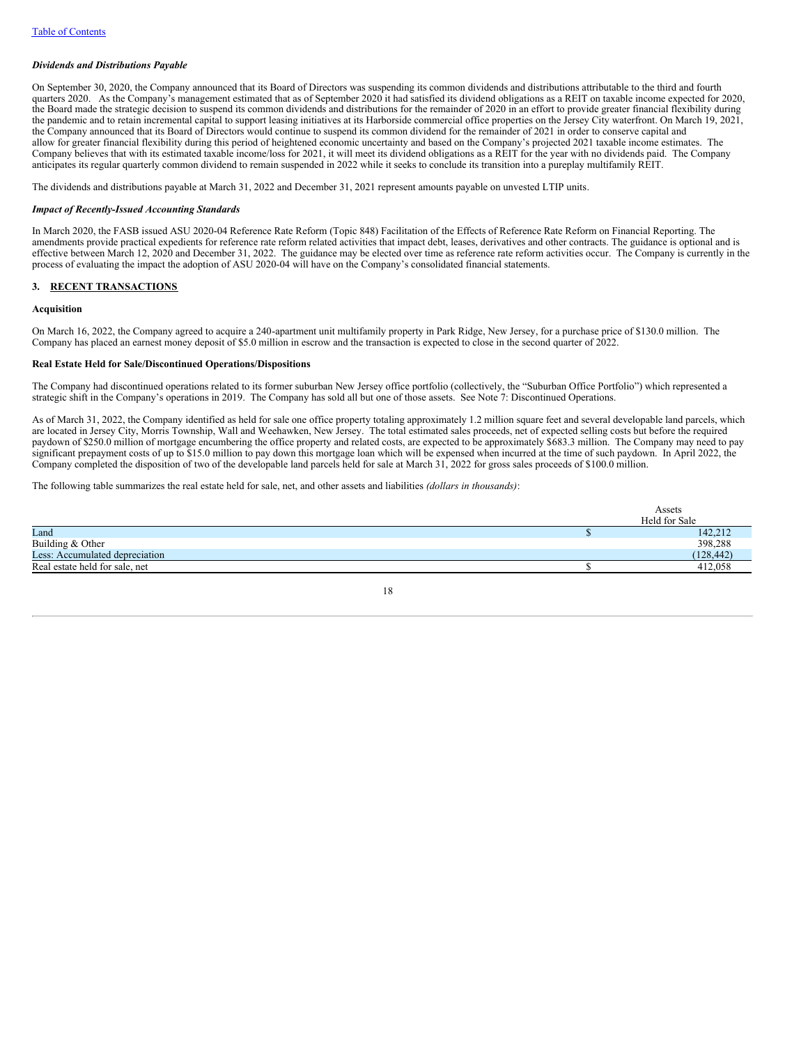#### *Dividends and Distributions Payable*

On September 30, 2020, the Company announced that its Board of Directors was suspending its common dividends and distributions attributable to the third and fourth quarters 2020. As the Company's management estimated that as of September 2020 it had satisfied its dividend obligations as a REIT on taxable income expected for 2020, the Board made the strategic decision to suspend its common dividends and distributions for the remainder of 2020 in an effort to provide greater financial flexibility during the pandemic and to retain incremental capital to support leasing initiatives at its Harborside commercial office properties on the Jersey City waterfront. On March 19, 2021, the Company announced that its Board of Directors would continue to suspend its common dividend for the remainder of 2021 in order to conserve capital and allow for greater financial flexibility during this period of heightened economic uncertainty and based on the Company's projected 2021 taxable income estimates. The Company believes that with its estimated taxable income/loss for 2021, it will meet its dividend obligations as a REIT for the year with no dividends paid. The Company anticipates its regular quarterly common dividend to remain suspended in 2022 while it seeks to conclude its transition into a pureplay multifamily REIT.

The dividends and distributions payable at March 31, 2022 and December 31, 2021 represent amounts payable on unvested LTIP units.

## *Impact of Recently-Issued Accounting Standards*

In March 2020, the FASB issued ASU 2020-04 Reference Rate Reform (Topic 848) Facilitation of the Effects of Reference Rate Reform on Financial Reporting. The amendments provide practical expedients for reference rate reform related activities that impact debt, leases, derivatives and other contracts. The guidance is optional and is effective between March 12, 2020 and December 31, 2022. The guidance may be elected over time as reference rate reform activities occur. The Company is currently in the process of evaluating the impact the adoption of ASU 2020-04 will have on the Company's consolidated financial statements.

#### **3. RECENT TRANSACTIONS**

#### **Acquisition**

On March 16, 2022, the Company agreed to acquire a 240-apartment unit multifamily property in Park Ridge, New Jersey, for a purchase price of \$130.0 million. The Company has placed an earnest money deposit of \$5.0 million in escrow and the transaction is expected to close in the second quarter of 2022.

#### **Real Estate Held for Sale/Discontinued Operations/Dispositions**

The Company had discontinued operations related to its former suburban New Jersey office portfolio (collectively, the "Suburban Office Portfolio") which represented a strategic shift in the Company's operations in 2019. The Company has sold all but one of those assets. See Note 7: Discontinued Operations.

As of March 31, 2022, the Company identified as held for sale one office property totaling approximately 1.2 million square feet and several developable land parcels, which are located in Jersey City, Morris Township, Wall and Weehawken, New Jersey. The total estimated sales proceeds, net of expected selling costs but before the required paydown of \$250.0 million of mortgage encumbering the office property and related costs, are expected to be approximately \$683.3 million. The Company may need to pay significant prepayment costs of up to \$15.0 million to pay down this mortgage loan which will be expensed when incurred at the time of such paydown. In April 2022, the Company completed the disposition of two of the developable land parcels held for sale at March 31, 2022 for gross sales proceeds of \$100.0 million.

The following table summarizes the real estate held for sale, net, and other assets and liabilities *(dollars in thousands)*:

|                                | Assets        |
|--------------------------------|---------------|
|                                | Held for Sale |
| Land                           | 142,212       |
| Building & Other               | 398,288       |
| Less: Accumulated depreciation | (128, 442)    |
| Real estate held for sale, net | 412,058       |

$$
18\\
$$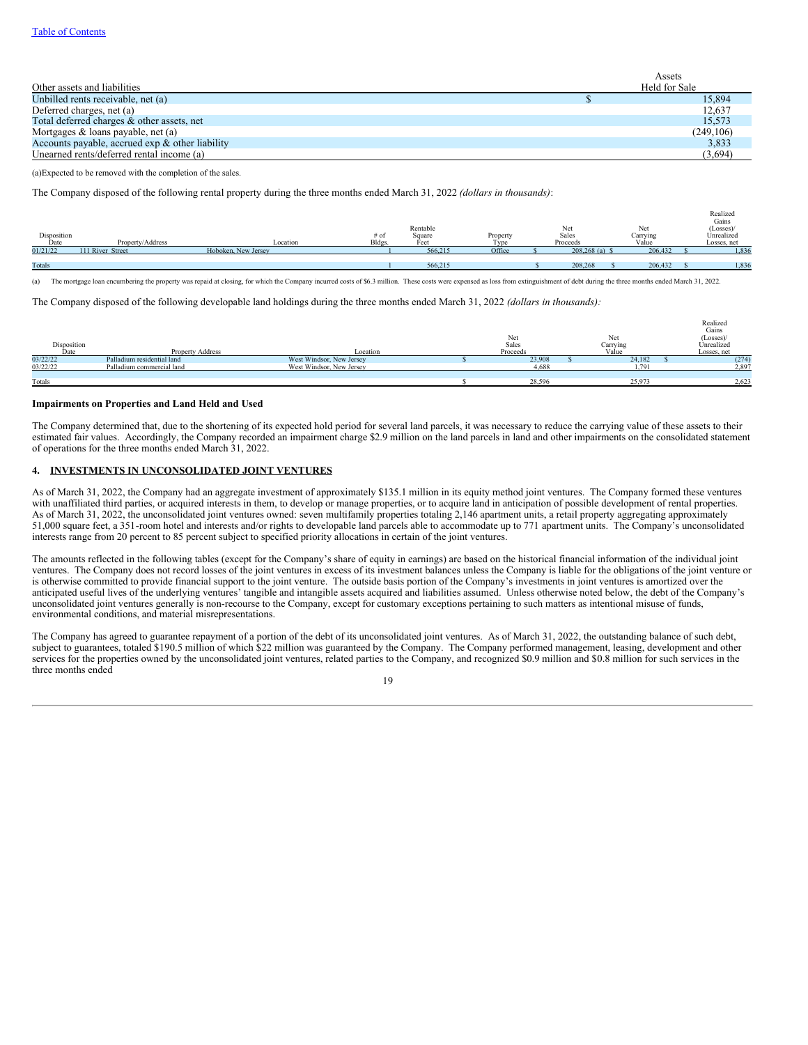| Other assets and liabilities                    | Assets<br><b>Held for Sale</b> |
|-------------------------------------------------|--------------------------------|
| Unbilled rents receivable, net (a)              | 15,894                         |
| Deferred charges, net (a)                       | 12,637                         |
| Total deferred charges & other assets, net      | 15.573                         |
| Mortgages $\&$ loans payable, net (a)           | (249, 106)                     |
| Accounts payable, accrued exp & other liability | 3,833                          |
| Unearned rents/deferred rental income (a)       | (3,694)                        |

(a)Expected to be removed with the completion of the sales.

The Company disposed of the following rental property during the three months ended March 31, 2022 *(dollars in thousands)*:

|               |                  |                     |        | Rentable |          | Net           | Net      | Realized<br>Gains<br>(Losses). |
|---------------|------------------|---------------------|--------|----------|----------|---------------|----------|--------------------------------|
| Disposition   |                  |                     | # of   | Square   | Property | Sales         | Carrying | Unrealized                     |
| Date          | Property/Address | Location            | Bldgs. | Feet     | Type     | Proceeds      | Value    | Losses, net                    |
| 01/21/22      | 111 River Street | Hoboken, New Jersey |        | 566,215  | Office   | $208,268$ (a) | 206.432  | 1.836                          |
|               |                  |                     |        |          |          |               |          |                                |
| <b>Totals</b> |                  |                     |        | 566,215  |          | 208,268       | 206.432  | 1,836                          |
|               |                  |                     |        |          |          |               |          |                                |

(a) The mortgage loan encumbering the property was repaid at closing, for which the Company incurred costs of \$6.3 million. These costs were expensed as loss from extinguishment of debt during the three months ended March

The Company disposed of the following developable land holdings during the three months ended March 31, 2022 *(dollars in thousands):*

|             |                            |                          |          |          |        | Realized    |
|-------------|----------------------------|--------------------------|----------|----------|--------|-------------|
|             |                            |                          |          |          |        | Gains       |
|             |                            |                          | Net      | Net      |        | (Losses)    |
| Disposition |                            |                          | Sales    | Carrying |        | Unrealized  |
| Date        | Property Address           | Location                 | Proceeds | Value    |        | Losses, net |
| 03/22/22    | Palladium residential land | West Windsor, New Jersey | 23,908   |          | 24,182 | (274)       |
| 03/22/22    | Palladium commercial land  | West Windsor, New Jersey | 4.688    |          | 1.791  | 2.897       |
|             |                            |                          |          |          |        |             |
| Totals      |                            |                          | 28,596   |          | 25.973 | 2,623       |

# **Impairments on Properties and Land Held and Used**

The Company determined that, due to the shortening of its expected hold period for several land parcels, it was necessary to reduce the carrying value of these assets to their estimated fair values. Accordingly, the Company recorded an impairment charge \$2.9 million on the land parcels in land and other impairments on the consolidated statement of operations for the three months ended March 31, 2022.

# **4. INVESTMENTS IN UNCONSOLIDATED JOINT VENTURES**

As of March 31, 2022, the Company had an aggregate investment of approximately \$135.1 million in its equity method joint ventures. The Company formed these ventures with unaffiliated third parties, or acquired interests in them, to develop or manage properties, or to acquire land in anticipation of possible development of rental properties. As of March 31, 2022, the unconsolidated joint ventures owned: seven multifamily properties totaling 2,146 apartment units, a retail property aggregating approximately 51,000 square feet, a 351-room hotel and interests and/or rights to developable land parcels able to accommodate up to 771 apartment units. The Company's unconsolidated interests range from 20 percent to 85 percent subject to specified priority allocations in certain of the joint ventures.

The amounts reflected in the following tables (except for the Company's share of equity in earnings) are based on the historical financial information of the individual joint ventures. The Company does not record losses of the joint ventures in excess of its investment balances unless the Company is liable for the obligations of the joint venture or is otherwise committed to provide financial support to the joint venture. The outside basis portion of the Company's investments in joint ventures is amortized over the anticipated useful lives of the underlying ventures' tangible and intangible assets acquired and liabilities assumed. Unless otherwise noted below, the debt of the Company's unconsolidated joint ventures generally is non-recourse to the Company, except for customary exceptions pertaining to such matters as intentional misuse of funds, environmental conditions, and material misrepresentations.

The Company has agreed to guarantee repayment of a portion of the debt of its unconsolidated joint ventures. As of March 31, 2022, the outstanding balance of such debt, subject to guarantees, totaled \$190.5 million of which \$22 million was guaranteed by the Company. The Company performed management, leasing, development and other services for the properties owned by the unconsolidated joint ventures, related parties to the Company, and recognized \$0.9 million and \$0.8 million for such services in the three months ended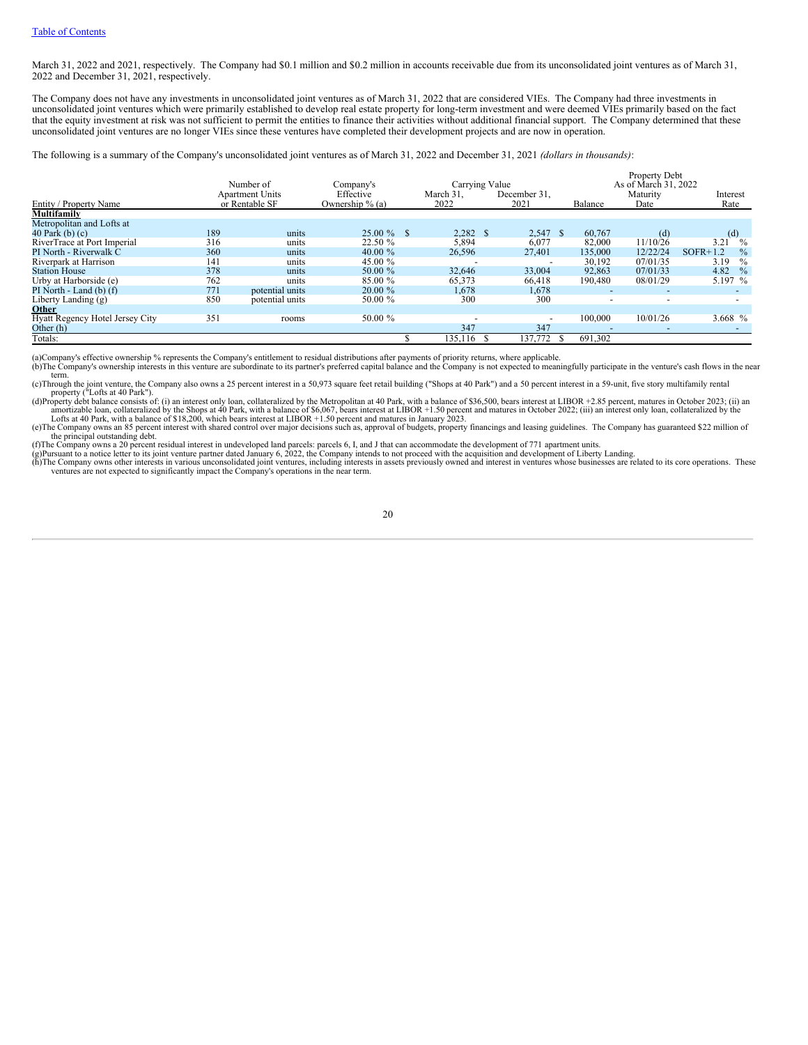March 31, 2022 and 2021, respectively. The Company had \$0.1 million and \$0.2 million in accounts receivable due from its unconsolidated joint ventures as of March 31, 2022 and December 31, 2021, respectively.

The Company does not have any investments in unconsolidated joint ventures as of March 31, 2022 that are considered VIEs. The Company had three investments in unconsolidated joint ventures which were primarily established to develop real estate property for long-term investment and were deemed VIEs primarily based on the fact that the equity investment at risk was not sufficient to permit the entities to finance their activities without additional financial support. The Company determined that these unconsolidated joint ventures are no longer VIEs since these ventures have completed their development projects and are now in operation.

The following is a summary of the Company's unconsolidated joint ventures as of March 31, 2022 and December 31, 2021 *(dollars in thousands)*:

|                                 |     | Number of<br><b>Apartment Units</b> | Company's<br>Effective | Carrying Value<br>March 31. | December 31,             |      |                          | Property Debt<br>As of March 31, 2022<br>Maturity |            | Interest  |                |
|---------------------------------|-----|-------------------------------------|------------------------|-----------------------------|--------------------------|------|--------------------------|---------------------------------------------------|------------|-----------|----------------|
| Entity / Property Name          |     | or Rentable SF                      | Ownership % (a)        | 2022                        | 2021                     |      | Balance                  | Date                                              |            | Rate      |                |
| <b>Multifamily</b>              |     |                                     |                        |                             |                          |      |                          |                                                   |            |           |                |
| Metropolitan and Lofts at       |     |                                     |                        |                             |                          |      |                          |                                                   |            |           |                |
| 40 Park (b) (c)                 | 189 | units                               | $25.00 \%$ \$          | $2,282$ \$                  | 2,547                    | - \$ | 60,767                   | (d)                                               |            | (d)       |                |
| RiverTrace at Port Imperial     | 316 | units                               | 22.50 %                | 5,894                       | 6,077                    |      | 82,000                   | 11/10/26                                          |            | 3.21      | $\frac{0}{0}$  |
| PI North - Riverwalk C          | 360 | units                               | 40.00 $\%$             | 26,596                      | 27,401                   |      | 135,000                  | 12/22/24                                          | $SOFR+1.2$ |           | $\frac{0}{0}$  |
| Riverpark at Harrison           | 141 | units                               | 45.00 %                |                             |                          |      | 30.192                   | 07/01/35                                          |            | 3.19      | $\frac{0}{0}$  |
| <b>Station House</b>            | 378 | units                               | $50.00 \%$             | 32,646                      | 33,004                   |      | 92,863                   | 07/01/33                                          |            | 4.82 $\%$ |                |
| Urby at Harborside (e)          | 762 | units                               | 85.00 %                | 65,373                      | 66,418                   |      | 190,480                  | 08/01/29                                          |            | 5.197 %   |                |
| PI North - Land (b) $(f)$       | 771 | potential units                     | $20.00 \%$             | 1,678                       | 1,678                    |      | $\overline{\phantom{a}}$ | $\overline{\phantom{0}}$                          |            |           | $\overline{a}$ |
| Liberty Landing (g)             | 850 | potential units                     | 50.00 $\%$             | 300                         | 300                      |      | $\overline{\phantom{a}}$ |                                                   |            |           |                |
| Other                           |     |                                     |                        |                             |                          |      |                          |                                                   |            |           |                |
| Hyatt Regency Hotel Jersey City | 351 | rooms                               | 50.00 %                | $\overline{\phantom{a}}$    | $\overline{\phantom{0}}$ |      | 100,000                  | 10/01/26                                          |            | 3.668 %   |                |
| Other (h)                       |     |                                     |                        | 347                         | 347                      |      |                          | $\overline{\phantom{0}}$                          |            |           |                |
| Totals:                         |     |                                     |                        | 135.116                     | 137,772                  |      | 691.302                  |                                                   |            |           |                |

(a)Company's effective ownership % represents the Company's entitlement to residual distributions after payments of priority returns, where applicable.<br>(b)The Company's ownership interests in this venture are subordinate t

term.

(c)Through the joint venture, the Company also owns a 25 percent interest in a 50,973 square feet retail building ("Shops at 40 Park") and a 50 percent interest in a 59-unit, five story multifamily rental

property ("Lofts at 40 Park").<br>(d)Property debt balance consists of: (i) an interest only loan, collateralized by the Metropolitan at 40 Park, with a balance of \$36,500, bears interest at LIBOR +2.85 percent, matures in Oc

(e)The Company owns an 85 percent interest with shared control over major decisions such as, approval of budgets, property financings and leasing guidelines. The Company has guaranteed \$22 million of the principal outstanding debt.

(f)The Company owns a 20 percent residual interest in undeveloped land parcels: parcels 6, I, and J that can accommodate the development of 771 apartment units.<br>(g)Pursuant to a notice letter to its joint venture partner d ventures are not expected to significantly impact the Company's operations in the near term.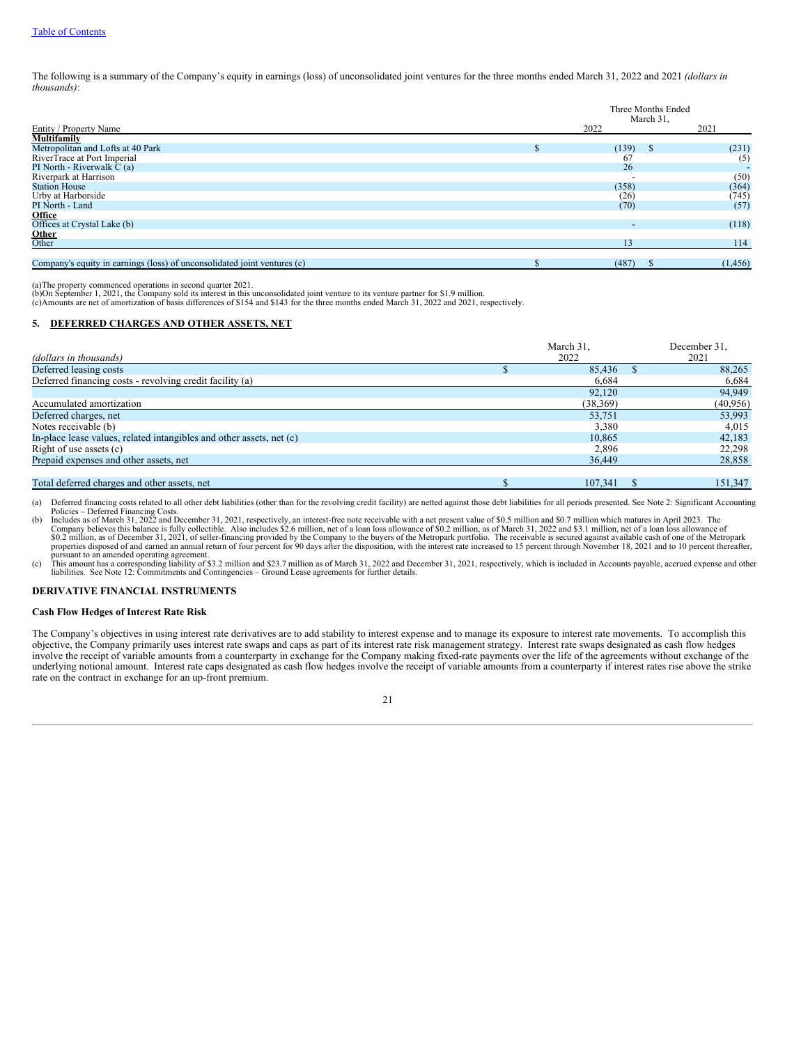The following is a summary of the Company's equity in earnings (loss) of unconsolidated joint ventures for the three months ended March 31, 2022 and 2021 *(dollars in thousands)*:

|                                                                          |       | Three Months Ended<br>March 31, |          |
|--------------------------------------------------------------------------|-------|---------------------------------|----------|
| Entity / Property Name                                                   | 2022  |                                 | 2021     |
| Multifamily                                                              |       |                                 |          |
| Metropolitan and Lofts at 40 Park                                        | (139) | Ж                               | (231)    |
| RiverTrace at Port Imperial                                              | 67    |                                 | (5)      |
| PI North - Riverwalk $\overline{C}$ (a)                                  | 26    |                                 |          |
| Riverpark at Harrison                                                    |       |                                 | (50)     |
| <b>Station House</b>                                                     | (358) |                                 | (364)    |
| Urby at Harborside                                                       | (26)  |                                 | (745)    |
| PI North - Land                                                          | (70)  |                                 | (57)     |
| <b>Office</b>                                                            |       |                                 |          |
| Offices at Crystal Lake (b)                                              |       |                                 | (118)    |
| Other<br>Other                                                           |       |                                 |          |
|                                                                          | 13    |                                 | 114      |
|                                                                          |       |                                 |          |
| Company's equity in earnings (loss) of unconsolidated joint ventures (c) | (487) |                                 | (1, 456) |

(a)The property commenced operations in second quarter 2021.

(b)On September 1, 2021, the Company sold its interest in this unconsolidated joint venture to its venture partner for \$1.9 million.<br>(c)Amounts are net of amortization of basis differences of \$154 and \$143 for the three mo

# **5. DEFERRED CHARGES AND OTHER ASSETS, NET**

| (dollars in thousands)                                               | March 31,<br>2022 | December 31,<br>2021 |
|----------------------------------------------------------------------|-------------------|----------------------|
| Deferred leasing costs                                               | 85,436            | 88,265               |
| Deferred financing costs - revolving credit facility (a)             | 6,684             | 6,684                |
|                                                                      | 92,120            | 94,949               |
| Accumulated amortization                                             | (38,369)          | (40, 956)            |
| Deferred charges, net                                                | 53,751            | 53,993               |
| Notes receivable (b)                                                 | 3,380             | 4,015                |
| In-place lease values, related intangibles and other assets, net (c) | 10,865            | 42,183               |
| Right of use assets $(c)$                                            | 2,896             | 22,298               |
| Prepaid expenses and other assets, net                               | 36,449            | 28,858               |
|                                                                      |                   |                      |
| Total deferred charges and other assets, net                         | 107.341           | 151,347              |

(a) Deferred financing costs related to all other debt liabilities (other than for the revolving credit facility) are netted against those debt liabilities for all periods presented. See Note 2: Significant Accounting

Policies – Deferred Financing Costs.<br>
(b) Includes as of March 31, 2022 and December 31, 2021, respectively, an interest-free note receivable with a net present value of \$0.5 million and \$0.7 million which matures in April

pursuant to an amended operating agreement.<br>(c) This amount has a corresponding liability of \$3.2 million and \$23.7 million as of March 31, 2022 and December 31, 2021, respectively, which is included in Accounts payable, a

#### **DERIVATIVE FINANCIAL INSTRUMENTS**

#### **Cash Flow Hedges of Interest Rate Risk**

The Company's objectives in using interest rate derivatives are to add stability to interest expense and to manage its exposure to interest rate movements. To accomplish this objective, the Company primarily uses interest rate swaps and caps as part of its interest rate risk management strategy. Interest rate swaps designated as cash flow hedges involve the receipt of variable amounts from a counterparty in exchange for the Company making fixed-rate payments over the life of the agreements without exchange of the underlying notional amount. Interest rate caps designated as cash flow hedges involve the receipt of variable amounts from a counterparty if interest rates rise above the strike rate on the contract in exchange for an up-front premium.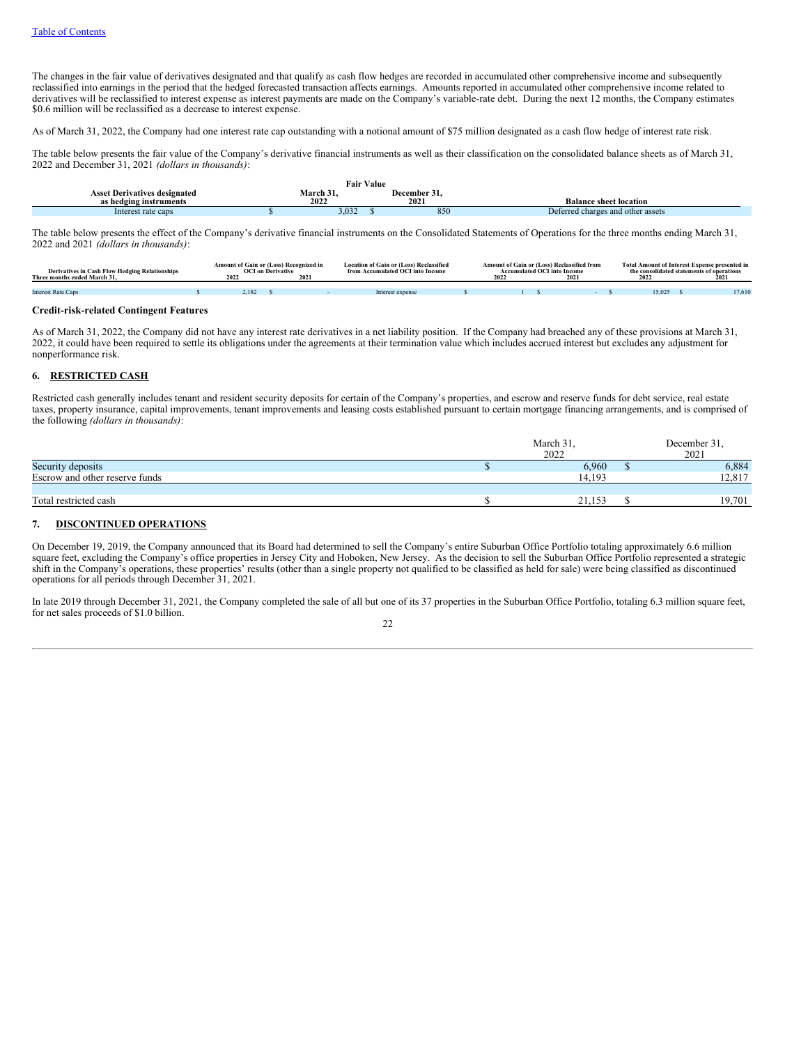The changes in the fair value of derivatives designated and that qualify as cash flow hedges are recorded in accumulated other comprehensive income and subsequently reclassified into earnings in the period that the hedged forecasted transaction affects earnings. Amounts reported in accumulated other comprehensive income related to derivatives will be reclassified to interest expense as interest payments are made on the Company's variable-rate debt. During the next 12 months, the Company estimates \$0.6 million will be reclassified as a decrease to interest expense.

As of March 31, 2022, the Company had one interest rate cap outstanding with a notional amount of \$75 million designated as a cash flow hedge of interest rate risk.

The table below presents the fair value of the Company's derivative financial instruments as well as their classification on the consolidated balance sheets as of March 31, 2022 and December 31, 2021 *(dollars in thousands)*:

|                                   |                                                | <b>Fair Value</b> |                 |                                      |
|-----------------------------------|------------------------------------------------|-------------------|-----------------|--------------------------------------|
| Asset De<br>erivatives designated | March 3<br>the contract of the contract of the |                   | <b>December</b> |                                      |
| as hedging instruments            | 2022                                           |                   | 2021            | e sheet location.<br><i>B</i> alance |
| Inter<br>rest rate caps           | 3,032                                          |                   | 850             | Deferred charges and other assets    |

The table below presents the effect of the Company's derivative financial instruments on the Consolidated Statements of Operations for the three months ending March 31, 2022 and 2021 *(dollars in thousands)*:

| <b>Derivatives in Cash Flow Hedging Relationships</b> | Amount of Gain or (Loss) Recognized in<br><b>OCI</b> on Derivative |      | <b>Location of Gain or (Loss) Reclassified</b><br>from Accumulated OCI into Income |  | Amount of Gain or (Loss) Reclassified from<br><b>Accumulated OCI into Income</b> |  | the consolidated statements of operations | <b>Total Amount of Interest Expense presented in</b> |        |
|-------------------------------------------------------|--------------------------------------------------------------------|------|------------------------------------------------------------------------------------|--|----------------------------------------------------------------------------------|--|-------------------------------------------|------------------------------------------------------|--------|
| Three months ended March 31.                          | 2022                                                               | 2021 |                                                                                    |  | 2022                                                                             |  | 2021<br>- 94                              | 202                                                  | 2021   |
|                                                       |                                                                    |      |                                                                                    |  |                                                                                  |  |                                           |                                                      |        |
| <b>Interest Rate Caps</b>                             | .                                                                  |      | interest expense                                                                   |  |                                                                                  |  |                                           | 15.025                                               | 17.610 |

#### **Credit-risk-related Contingent Features**

As of March 31, 2022, the Company did not have any interest rate derivatives in a net liability position. If the Company had breached any of these provisions at March 31, 2022, it could have been required to settle its obligations under the agreements at their termination value which includes accrued interest but excludes any adjustment for nonperformance risk.

# **6. RESTRICTED CASH**

Restricted cash generally includes tenant and resident security deposits for certain of the Company's properties, and escrow and reserve funds for debt service, real estate taxes, property insurance, capital improvements, tenant improvements and leasing costs established pursuant to certain mortgage financing arrangements, and is comprised of the following *(dollars in thousands)*:

|                                | March 31 | December 31, |
|--------------------------------|----------|--------------|
|                                | 2022     | 2021         |
| Security deposits              | 6,960    | 6,884        |
| Escrow and other reserve funds | 14.193   | 12,817       |
|                                |          |              |
| Total restricted cash          | 21,153   | 19.701       |
|                                |          |              |

# **7. DISCONTINUED OPERATIONS**

On December 19, 2019, the Company announced that its Board had determined to sell the Company's entire Suburban Office Portfolio totaling approximately 6.6 million square feet, excluding the Company's office properties in Jersey City and Hoboken, New Jersey. As the decision to sell the Suburban Office Portfolio represented a strategic shift in the Company's operations, these properties' results (other than a single property not qualified to be classified as held for sale) were being classified as discontinued operations for all periods through December 31, 2021.

In late 2019 through December 31, 2021, the Company completed the sale of all but one of its 37 properties in the Suburban Office Portfolio, totaling 6.3 million square feet, for net sales proceeds of \$1.0 billion.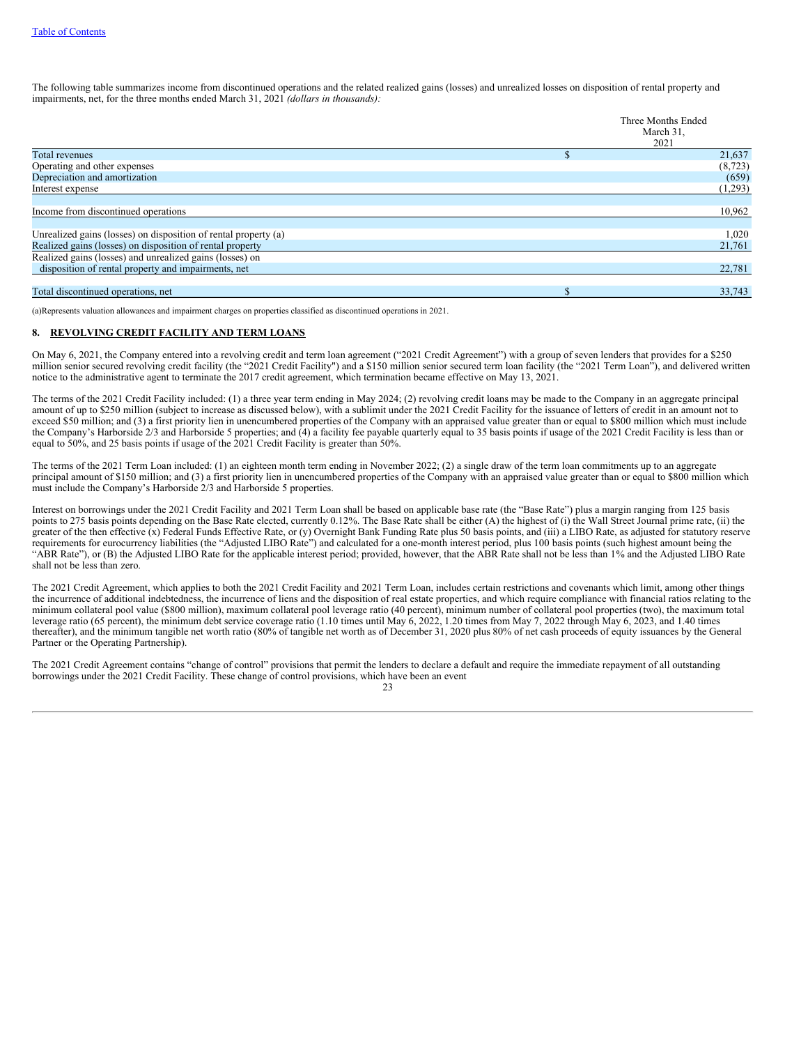The following table summarizes income from discontinued operations and the related realized gains (losses) and unrealized losses on disposition of rental property and impairments, net, for the three months ended March 31, 2021 *(dollars in thousands):*

|                                                                 | Three Months Ended |
|-----------------------------------------------------------------|--------------------|
|                                                                 | March 31,          |
|                                                                 | 2021               |
| Total revenues                                                  | 21,637             |
| Operating and other expenses                                    | (8, 723)           |
| Depreciation and amortization                                   | (659)              |
| Interest expense                                                | (1,293)            |
|                                                                 |                    |
| Income from discontinued operations                             | 10,962             |
|                                                                 |                    |
| Unrealized gains (losses) on disposition of rental property (a) | 1,020              |
| Realized gains (losses) on disposition of rental property       | 21,761             |
| Realized gains (losses) and unrealized gains (losses) on        |                    |
| disposition of rental property and impairments, net             | 22,781             |
|                                                                 |                    |
| Total discontinued operations, net                              | 33,743             |

(a)Represents valuation allowances and impairment charges on properties classified as discontinued operations in 2021.

#### **8. REVOLVING CREDIT FACILITY AND TERM LOANS**

On May 6, 2021, the Company entered into a revolving credit and term loan agreement ("2021 Credit Agreement") with a group of seven lenders that provides for a \$250 million senior secured revolving credit facility (the "2021 Credit Facility") and a \$150 million senior secured term loan facility (the "2021 Term Loan"), and delivered written notice to the administrative agent to terminate the 2017 credit agreement, which termination became effective on May 13, 2021.

The terms of the 2021 Credit Facility included: (1) a three year term ending in May 2024; (2) revolving credit loans may be made to the Company in an aggregate principal amount of up to \$250 million (subject to increase as discussed below), with a sublimit under the 2021 Credit Facility for the issuance of letters of credit in an amount not to exceed \$50 million; and (3) a first priority lien in unencumbered properties of the Company with an appraised value greater than or equal to \$800 million which must include the Company's Harborside 2/3 and Harborside 5 properties; and  $(4)$  a facility fee payable quarterly equal to 35 basis points if usage of the 2021 Credit Facility is less than or equal to 50%, and 25 basis points if usage of the 2021 Credit Facility is greater than 50%.

The terms of the 2021 Term Loan included: (1) an eighteen month term ending in November 2022; (2) a single draw of the term loan commitments up to an aggregate principal amount of \$150 million; and (3) a first priority lien in unencumbered properties of the Company with an appraised value greater than or equal to \$800 million which must include the Company's Harborside 2/3 and Harborside 5 properties.

Interest on borrowings under the 2021 Credit Facility and 2021 Term Loan shall be based on applicable base rate (the "Base Rate") plus a margin ranging from 125 basis points to 275 basis points depending on the Base Rate elected, currently 0.12%. The Base Rate shall be either (A) the highest of (i) the Wall Street Journal prime rate, (ii) the greater of the then effective (x) Federal Funds Effective Rate, or (y) Overnight Bank Funding Rate plus 50 basis points, and (iii) a LIBO Rate, as adjusted for statutory reserve requirements for eurocurrency liabilities (the "Adjusted LIBO Rate") and calculated for a one-month interest period, plus 100 basis points (such highest amount being the "ABR Rate"), or (B) the Adjusted LIBO Rate for the applicable interest period; provided, however, that the ABR Rate shall not be less than 1% and the Adjusted LIBO Rate shall not be less than zero.

The 2021 Credit Agreement, which applies to both the 2021 Credit Facility and 2021 Term Loan, includes certain restrictions and covenants which limit, among other things the incurrence of additional indebtedness, the incurrence of liens and the disposition of real estate properties, and which require compliance with financial ratios relating to the minimum collateral pool value (\$800 million), maximum collateral pool leverage ratio (40 percent), minimum number of collateral pool properties (two), the maximum total leverage ratio (65 percent), the minimum debt service coverage ratio (1.10 times until May 6, 2022, 1.20 times from May 7, 2022 through May 6, 2023, and 1.40 times thereafter), and the minimum tangible net worth ratio (80% of tangible net worth as of December 31, 2020 plus 80% of net cash proceeds of equity issuances by the General Partner or the Operating Partnership).

The 2021 Credit Agreement contains "change of control" provisions that permit the lenders to declare a default and require the immediate repayment of all outstanding borrowings under the 2021 Credit Facility. These change of control provisions, which have been an event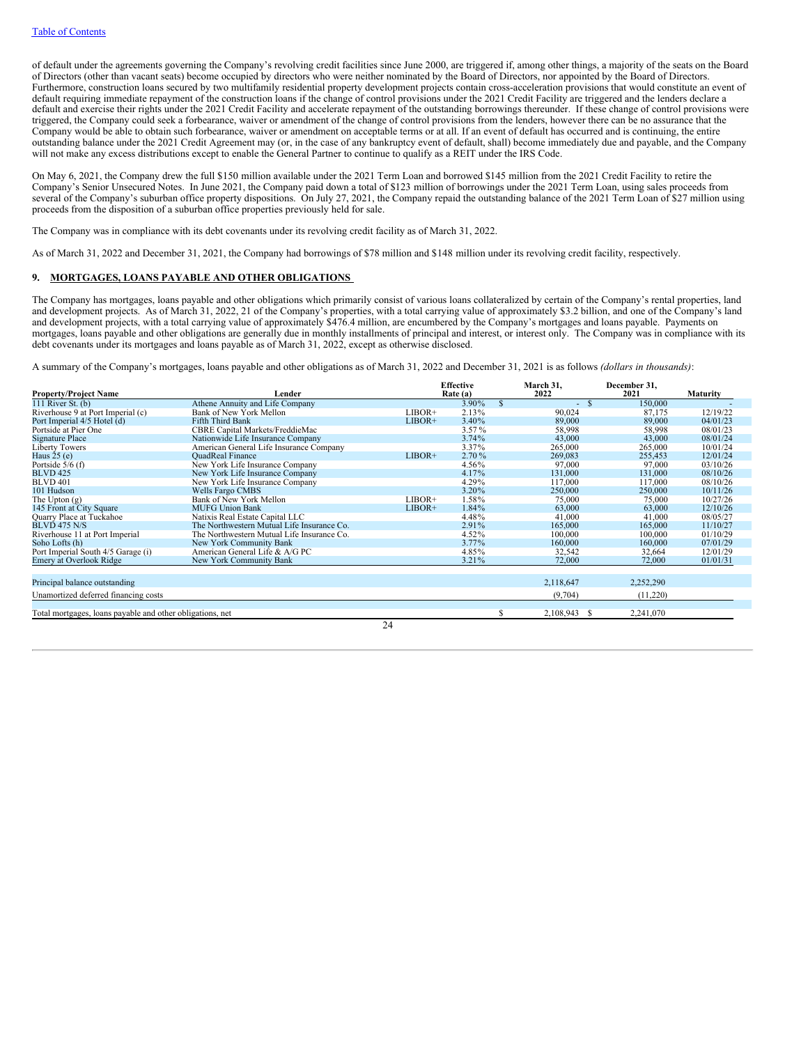of default under the agreements governing the Company's revolving credit facilities since June 2000, are triggered if, among other things, a majority of the seats on the Board of Directors (other than vacant seats) become occupied by directors who were neither nominated by the Board of Directors, nor appointed by the Board of Directors. Furthermore, construction loans secured by two multifamily residential property development projects contain cross-acceleration provisions that would constitute an event of default requiring immediate repayment of the construction loans if the change of control provisions under the 2021 Credit Facility are triggered and the lenders declare a default and exercise their rights under the 2021 Credit Facility and accelerate repayment of the outstanding borrowings thereunder. If these change of control provisions were triggered, the Company could seek a forbearance, waiver or amendment of the change of control provisions from the lenders, however there can be no assurance that the Company would be able to obtain such forbearance, waiver or amendment on acceptable terms or at all. If an event of default has occurred and is continuing, the entire outstanding balance under the 2021 Credit Agreement may (or, in the case of any bankruptcy event of default, shall) become immediately due and payable, and the Company will not make any excess distributions except to enable the General Partner to continue to qualify as a REIT under the IRS Code.

On May 6, 2021, the Company drew the full \$150 million available under the 2021 Term Loan and borrowed \$145 million from the 2021 Credit Facility to retire the Company's Senior Unsecured Notes. In June 2021, the Company paid down a total of \$123 million of borrowings under the 2021 Term Loan, using sales proceeds from several of the Company's suburban office property dispositions. On July 27, 2021, the Company repaid the outstanding balance of the 2021 Term Loan of \$27 million using proceeds from the disposition of a suburban office properties previously held for sale.

The Company was in compliance with its debt covenants under its revolving credit facility as of March 31, 2022.

As of March 31, 2022 and December 31, 2021, the Company had borrowings of \$78 million and \$148 million under its revolving credit facility, respectively.

# **9. MORTGAGES, LOANS PAYABLE AND OTHER OBLIGATIONS**

The Company has mortgages, loans payable and other obligations which primarily consist of various loans collateralized by certain of the Company's rental properties, land and development projects. As of March 31, 2022, 21 of the Company's properties, with a total carrying value of approximately \$3.2 billion, and one of the Company's land and development projects, with a total carrying value of approximately \$476.4 million, are encumbered by the Company's mortgages and loans payable. Payments on mortgages, loans payable and other obligations are generally due in monthly installments of principal and interest, or interest only. The Company was in compliance with its debt covenants under its mortgages and loans payable as of March 31, 2022, except as otherwise disclosed.

A summary of the Company's mortgages, loans payable and other obligations as of March 31, 2022 and December 31, 2021 is as follows *(dollars in thousands)*:

| <b>Property/Project Name</b>                              | Lender                                     |          | <b>Effective</b><br>Rate(a) |              | March 31,<br>2022 | December 31,<br>2021 | <b>Maturity</b> |
|-----------------------------------------------------------|--------------------------------------------|----------|-----------------------------|--------------|-------------------|----------------------|-----------------|
| 111 River St. $(b)$                                       | Athene Annuity and Life Company            |          | 3.90%                       | $\mathbf{s}$ | $-$ \$            | 150,000              |                 |
| Riverhouse 9 at Port Imperial (c)                         | Bank of New York Mellon                    | $LIBOR+$ | 2.13%                       |              | 90,024            | 87,175               | 12/19/22        |
| Port Imperial 4/5 Hotel (d)                               | Fifth Third Bank                           | $LIBOR+$ | 3.40%                       |              | 89,000            | 89,000               | 04/01/23        |
| Portside at Pier One                                      | CBRE Capital Markets/FreddieMac            |          | 3.57%                       |              | 58,998            | 58,998               | 08/01/23        |
| Signature Place                                           | Nationwide Life Insurance Company          |          | 3.74%                       |              | 43,000            | 43,000               | 08/01/24        |
| <b>Liberty Towers</b>                                     | American General Life Insurance Company    |          | 3.37%                       |              | 265,000           | 265,000              | 10/01/24        |
| Haus $25(e)$                                              | <b>OuadReal Finance</b>                    | $LIBOR+$ | 2.70%                       |              | 269,083           | 255,453              | 12/01/24        |
| Portside $5/6$ (f)                                        | New York Life Insurance Company            |          | 4.56%                       |              | 97,000            | 97,000               | 03/10/26        |
| <b>BLVD 425</b>                                           | New York Life Insurance Company            |          | 4.17%                       |              | 131,000           | 131,000              | 08/10/26        |
| <b>BLVD 401</b>                                           | New York Life Insurance Company            |          | 4.29%                       |              | 117,000           | 117,000              | 08/10/26        |
| 101 Hudson                                                | <b>Wells Fargo CMBS</b>                    |          | 3.20%                       |              | 250,000           | 250,000              | 10/11/26        |
| The Upton $(g)$                                           | Bank of New York Mellon                    | $LIBOR+$ | 1.58%                       |              | 75,000            | 75,000               | 10/27/26        |
| 145 Front at City Square                                  | <b>MUFG Union Bank</b>                     | $LIBOR+$ | 1.84%                       |              | 63,000            | 63,000               | 12/10/26        |
| <b>Ouarry Place at Tuckahoe</b>                           | Natixis Real Estate Capital LLC            |          | 4.48%                       |              | 41,000            | 41,000               | 08/05/27        |
| <b>BLVD 475 N/S</b>                                       | The Northwestern Mutual Life Insurance Co. |          | 2.91%                       |              | 165,000           | 165,000              | 11/10/27        |
| Riverhouse 11 at Port Imperial                            | The Northwestern Mutual Life Insurance Co. |          | 4.52%                       |              | 100,000           | 100,000              | 01/10/29        |
| Soho Lofts (h)                                            | New York Community Bank                    |          | $3.77\%$                    |              | 160,000           | 160,000              | 07/01/29        |
| Port Imperial South 4/5 Garage (i)                        | American General Life & A/G PC             |          | 4.85%                       |              | 32,542            | 32,664               | 12/01/29        |
| Emery at Overlook Ridge                                   | New York Community Bank                    |          | 3.21%                       |              | 72,000            | 72,000               | 01/01/31        |
|                                                           |                                            |          |                             |              |                   |                      |                 |
| Principal balance outstanding                             |                                            |          |                             |              | 2,118,647         | 2,252,290            |                 |
| Unamortized deferred financing costs                      |                                            |          |                             |              | (9,704)           | (11,220)             |                 |
| Total mortgages, loans payable and other obligations, net |                                            |          |                             | S.           | 2,108,943 \$      | 2,241,070            |                 |
|                                                           |                                            |          |                             |              |                   |                      |                 |
|                                                           |                                            | 24       |                             |              |                   |                      |                 |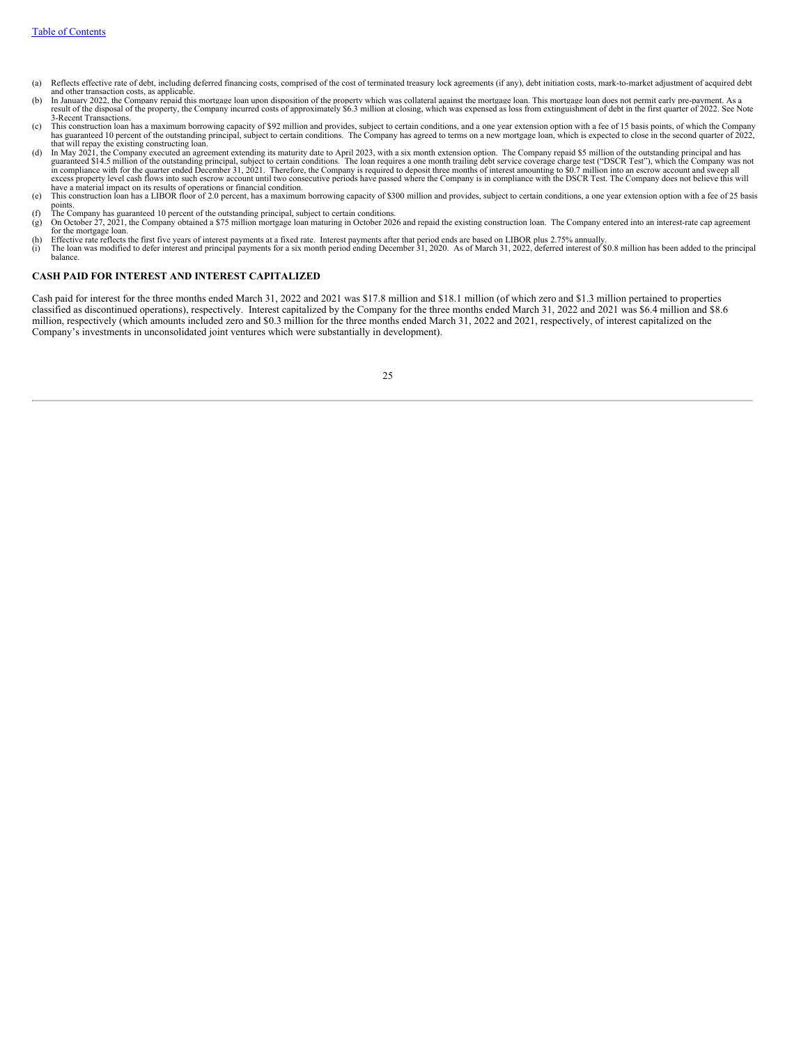- (a) Reflects effective rate of debt, including deferred financing costs, comprised of the cost of terminated treasury lock agreements (if any), debt initiation costs, mark-to-market adjustment of acquired debt
- and other transaction costs, as applicable.<br>(b) In January 2022, the Company repaid this mortgage loan upon disposition of the property which was collateral against the mortgage loan. This mortgage loan does not permit ear 3-Recent Transactions.
- (c) This construction loan has a maximum borrowing capacity of \$92 million and provides, subject to certain conditions, and a one year extension option with a fee of 15 basis points, of which the Company has guaranteed 10 that will repay the existing constructing loan.
- (d) In May 2021, the Company executed an agreement extending its maturity date to April 2023, with a six month extension option. The Company repaid \$5 million of the outstanding principal and has guaranteed \$14.5 million i excess property level cash flows into such escrow account until two consecutive periods have passed where the Company is in compliance with the DSCR Test. The Company does not believe this will<br>have a material impact on it
- 
- points.<br>(f) The Company has guaranteed 10 percent of the outstanding principal, subject to certain conditions.<br>(g) On October 27, 2021, the Company obtained a \$75 million mortgage loan maturing in October 2026 and repaid t for the mortgage loan.
- (h) Effective rate reflects the first five years of interest payments at a fixed rate. Interest payments after that period ends are based on LIBOR plus 2.75% annually.<br>(i) The loan was modified to defer interest and princi
- balance.

# **CASH PAID FOR INTEREST AND INTEREST CAPITALIZED**

Cash paid for interest for the three months ended March 31, 2022 and 2021 was \$17.8 million and \$18.1 million (of which zero and \$1.3 million pertained to properties classified as discontinued operations), respectively. Interest capitalized by the Company for the three months ended March 31, 2022 and 2021 was \$6.4 million and \$8.6 million, respectively (which amounts included zero and \$0.3 million for the three months ended March 31, 2022 and 2021, respectively, of interest capitalized on the Company's investments in unconsolidated joint ventures which were substantially in development).

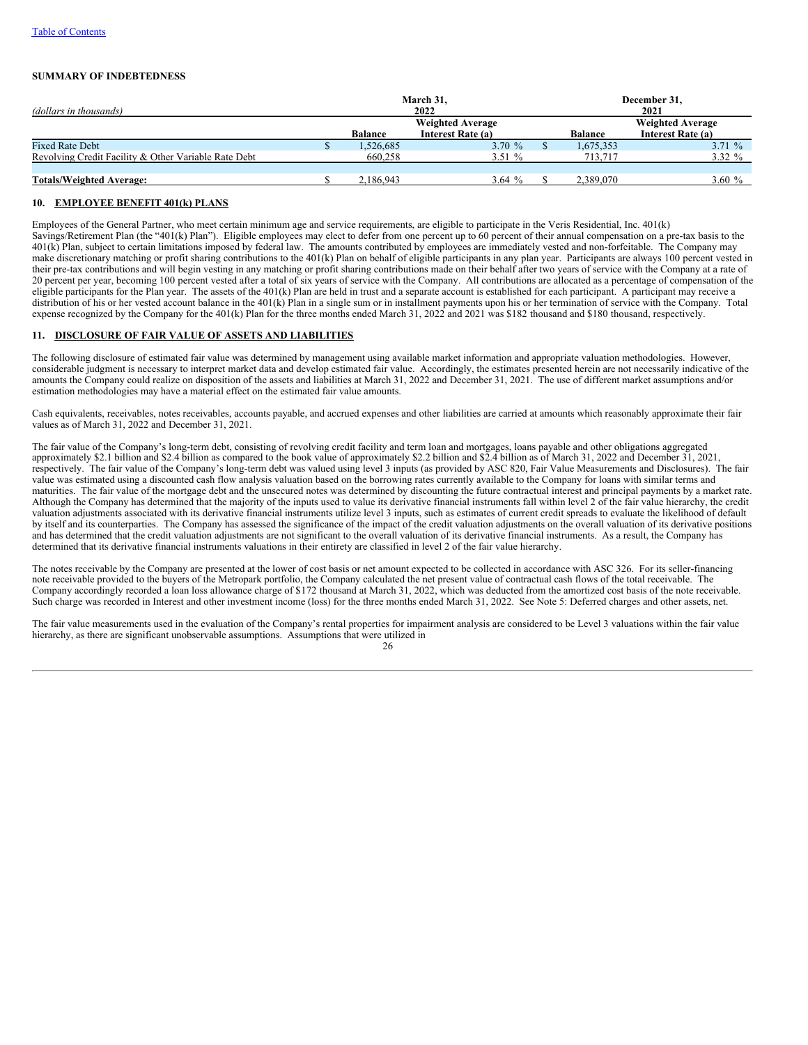### **SUMMARY OF INDEBTEDNESS**

| (dollars in thousands)                               | March 31,<br>2022 |                |                         |                         | December 31.<br>2021 |                   |  |  |
|------------------------------------------------------|-------------------|----------------|-------------------------|-------------------------|----------------------|-------------------|--|--|
|                                                      |                   |                | <b>Weighted Average</b> | <b>Weighted Average</b> |                      |                   |  |  |
|                                                      |                   | <b>Balance</b> | Interest Rate (a)       |                         | <b>Balance</b>       | Interest Rate (a) |  |  |
| <b>Fixed Rate Debt</b>                               |                   | 1.526.685      | 3.70 $%$                |                         | 1.675.353            | 3.71%             |  |  |
| Revolving Credit Facility & Other Variable Rate Debt |                   | 660.258        | $3.51\%$                |                         | 713.717              | $3.32 \%$         |  |  |
|                                                      |                   |                |                         |                         |                      |                   |  |  |
| <b>Totals/Weighted Average:</b>                      |                   | 2.186.943      | 3.64 $%$                |                         | 2,389,070            | 3.60 $%$          |  |  |

# **10. EMPLOYEE BENEFIT 401(k) PLANS**

Employees of the General Partner, who meet certain minimum age and service requirements, are eligible to participate in the Veris Residential, Inc. 401(k) Savings/Retirement Plan (the "401(k) Plan"). Eligible employees may elect to defer from one percent up to 60 percent of their annual compensation on a pre-tax basis to the 401(k) Plan, subject to certain limitations imposed by federal law. The amounts contributed by employees are immediately vested and non-forfeitable. The Company may make discretionary matching or profit sharing contributions to the 401(k) Plan on behalf of eligible participants in any plan year. Participants are always 100 percent vested in their pre-tax contributions and will begin vesting in any matching or profit sharing contributions made on their behalf after two years of service with the Company at a rate of 20 percent per year, becoming 100 percent vested after a total of six years of service with the Company. All contributions are allocated as a percentage of compensation of the eligible participants for the Plan year. The assets of the 401(k) Plan are held in trust and a separate account is established for each participant. A participant may receive a distribution of his or her vested account balance in the 401(k) Plan in a single sum or in installment payments upon his or her termination of service with the Company. Total expense recognized by the Company for the 401(k) Plan for the three months ended March 31, 2022 and 2021 was \$182 thousand and \$180 thousand, respectively.

# **11. DISCLOSURE OF FAIR VALUE OF ASSETS AND LIABILITIES**

The following disclosure of estimated fair value was determined by management using available market information and appropriate valuation methodologies. However, considerable judgment is necessary to interpret market data and develop estimated fair value. Accordingly, the estimates presented herein are not necessarily indicative of the amounts the Company could realize on disposition of the assets and liabilities at March 31, 2022 and December 31, 2021. The use of different market assumptions and/or estimation methodologies may have a material effect on the estimated fair value amounts.

Cash equivalents, receivables, notes receivables, accounts payable, and accrued expenses and other liabilities are carried at amounts which reasonably approximate their fair values as of March 31, 2022 and December 31, 2021.

The fair value of the Company's long-term debt, consisting of revolving credit facility and term loan and mortgages, loans payable and other obligations aggregated approximately \$2.1 billion and \$2.4 billion as compared to the book value of approximately \$2.2 billion and \$2.4 billion as of March 31, 2022 and December 31, 2021, respectively. The fair value of the Company's long-term debt was valued using level 3 inputs (as provided by ASC 820, Fair Value Measurements and Disclosures). The fair value was estimated using a discounted cash flow analysis valuation based on the borrowing rates currently available to the Company for loans with similar terms and maturities. The fair value of the mortgage debt and the unsecured notes was determined by discounting the future contractual interest and principal payments by a market rate. Although the Company has determined that the majority of the inputs used to value its derivative financial instruments fall within level 2 of the fair value hierarchy, the credit valuation adjustments associated with its derivative financial instruments utilize level 3 inputs, such as estimates of current credit spreads to evaluate the likelihood of default by itself and its counterparties. The Company has assessed the significance of the impact of the credit valuation adjustments on the overall valuation of its derivative positions and has determined that the credit valuation adjustments are not significant to the overall valuation of its derivative financial instruments. As a result, the Company has determined that its derivative financial instruments valuations in their entirety are classified in level 2 of the fair value hierarchy.

The notes receivable by the Company are presented at the lower of cost basis or net amount expected to be collected in accordance with ASC 326. For its seller-financing note receivable provided to the buyers of the Metropark portfolio, the Company calculated the net present value of contractual cash flows of the total receivable. The Company accordingly recorded a loan loss allowance charge of \$172 thousand at March 31, 2022, which was deducted from the amortized cost basis of the note receivable. Such charge was recorded in Interest and other investment income (loss) for the three months ended March 31, 2022. See Note 5: Deferred charges and other assets, net.

The fair value measurements used in the evaluation of the Company's rental properties for impairment analysis are considered to be Level 3 valuations within the fair value hierarchy, as there are significant unobservable assumptions. Assumptions that were utilized in

<sup>26</sup>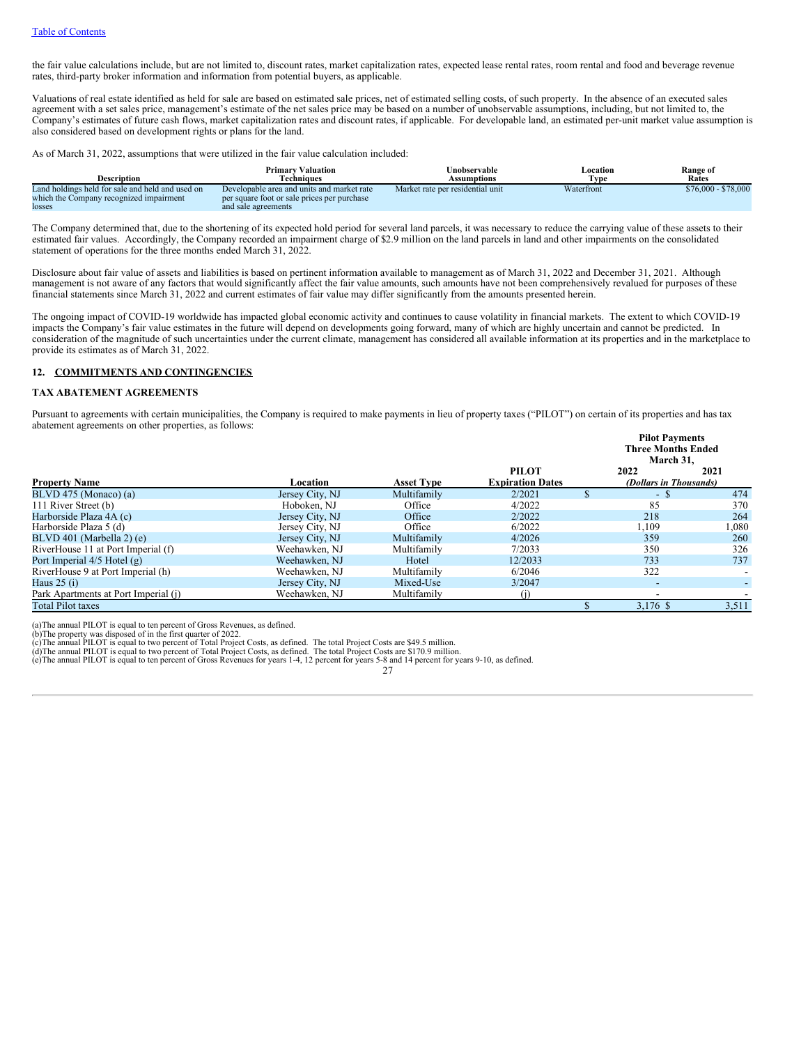the fair value calculations include, but are not limited to, discount rates, market capitalization rates, expected lease rental rates, room rental and food and beverage revenue rates, third-party broker information and information from potential buyers, as applicable.

Valuations of real estate identified as held for sale are based on estimated sale prices, net of estimated selling costs, of such property. In the absence of an executed sales agreement with a set sales price, management's estimate of the net sales price may be based on a number of unobservable assumptions, including, but not limited to, the Company's estimates of future cash flows, market capitalization rates and discount rates, if applicable. For developable land, an estimated per-unit market value assumption is also considered based on development rights or plans for the land.

As of March 31, 2022, assumptions that were utilized in the fair value calculation included:

|                                                  | <b>Primary Valuation</b>                    | Unobservable                     | Location   | Range of            |
|--------------------------------------------------|---------------------------------------------|----------------------------------|------------|---------------------|
| <b>Description</b>                               | echniques                                   | Assumptions                      | Type       | Rates               |
| Land holdings held for sale and held and used on | Developable area and units and market rate  | Market rate per residential unit | Waterfront | $$76,000 - $78,000$ |
| which the Company recognized impairment          | per square foot or sale prices per purchase |                                  |            |                     |
| losses                                           | and sale agreements                         |                                  |            |                     |

The Company determined that, due to the shortening of its expected hold period for several land parcels, it was necessary to reduce the carrying value of these assets to their estimated fair values. Accordingly, the Company recorded an impairment charge of \$2.9 million on the land parcels in land and other impairments on the consolidated statement of operations for the three months ended March 31, 2022.

Disclosure about fair value of assets and liabilities is based on pertinent information available to management as of March 31, 2022 and December 31, 2021. Although management is not aware of any factors that would significantly affect the fair value amounts, such amounts have not been comprehensively revalued for purposes of these financial statements since March 31, 2022 and current estimates of fair value may differ significantly from the amounts presented herein.

The ongoing impact of COVID-19 worldwide has impacted global economic activity and continues to cause volatility in financial markets. The extent to which COVID-19 impacts the Company's fair value estimates in the future will depend on developments going forward, many of which are highly uncertain and cannot be predicted. In consideration of the magnitude of such uncertainties under the current climate, management has considered all available information at its properties and in the marketplace to provide its estimates as of March 31, 2022.

#### **12. COMMITMENTS AND CONTINGENCIES**

#### **TAX ABATEMENT AGREEMENTS**

Pursuant to agreements with certain municipalities, the Company is required to make payments in lieu of property taxes ("PILOT") on certain of its properties and has tax abatement agreements on other properties, as follows:

|                                      |                 |                   |                         | <b>Pilot Payments</b><br><b>Three Months Ended</b> |                          |
|--------------------------------------|-----------------|-------------------|-------------------------|----------------------------------------------------|--------------------------|
|                                      |                 |                   |                         | March 31,                                          |                          |
|                                      |                 |                   | <b>PILOT</b>            | 2022                                               | 2021                     |
| <b>Property Name</b>                 | Location        | <b>Asset Type</b> | <b>Expiration Dates</b> | (Dollars in Thousands)                             |                          |
| BLVD 475 (Monaco) (a)                | Jersey City, NJ | Multifamily       | 2/2021                  | - \$                                               | 474                      |
| 111 River Street (b)                 | Hoboken, NJ     | Office            | 4/2022                  | 85                                                 | 370                      |
| Harborside Plaza 4A (c)              | Jersey City, NJ | Office            | 2/2022                  | 218                                                | 264                      |
| Harborside Plaza 5 (d)               | Jersey City, NJ | Office            | 6/2022                  | 1,109                                              | 1,080                    |
| BLVD 401 (Marbella 2) (e)            | Jersey City, NJ | Multifamily       | 4/2026                  | 359                                                | 260                      |
| RiverHouse 11 at Port Imperial (f)   | Weehawken, NJ   | Multifamily       | 7/2033                  | 350                                                | 326                      |
| Port Imperial $4/5$ Hotel (g)        | Weehawken, NJ   | Hotel             | 12/2033                 | 733                                                | 737                      |
| RiverHouse 9 at Port Imperial (h)    | Weehawken, NJ   | Multifamily       | 6/2046                  | 322                                                | $\overline{\phantom{a}}$ |
| Haus $25(i)$                         | Jersey City, NJ | Mixed-Use         | 3/2047                  |                                                    | $\sim$                   |
| Park Apartments at Port Imperial (j) | Weehawken, NJ   | Multifamily       | (i)                     |                                                    |                          |
| <b>Total Pilot taxes</b>             |                 |                   |                         | 3,176 \$                                           | 3,511                    |

(a)The annual PILOT is equal to ten percent of Gross Revenues, as defined.

(b)The property was disposed of in the first quarter of 2022.<br>(c)The annual PILOT is equal to two percent of Total Project Costs, as defined. The total Project Costs are \$49.5 million.<br>(d)The annual PILOT is equal to two p

(e)The annual PILOT is equal to ten percent of Gross Revenues for years 1-4, 12 percent for years 5-8 and 14 percent for years 9-10, as defined.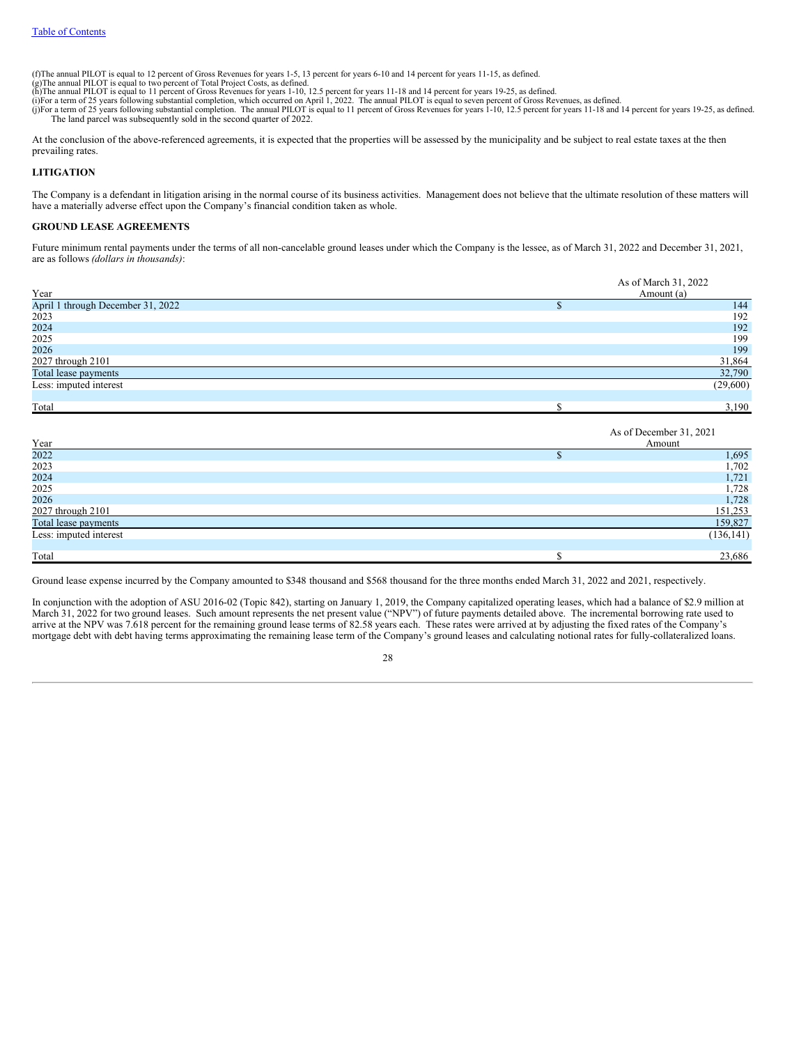(f)The annual PILOT is equal to 12 percent of Gross Revenues for years 1-5, 13 percent for years 6-10 and 14 percent for years 11-15, as defined.

(g)The annual PILOT is equal to two percent of Total Project Costs, as defined.<br>(h)The annual PILOT is equal to 11 percent of Gross Revenues for years 11-0. 12.5 percent for years 11-18 and 14 percent for years 19-25, as d

(j)For a term of 25 years following substantial completion. The annual PILOT is equal to 11 percent of Gross Revenues for years 1-10, 12.5 percent for years 11-18 and 14 percent for years 19-25, as defined. The land parcel was subsequently sold in the second quarter of 2022.

At the conclusion of the above-referenced agreements, it is expected that the properties will be assessed by the municipality and be subject to real estate taxes at the then prevailing rates.

# **LITIGATION**

The Company is a defendant in litigation arising in the normal course of its business activities. Management does not believe that the ultimate resolution of these matters will have a materially adverse effect upon the Company's financial condition taken as whole.

# **GROUND LEASE AGREEMENTS**

Future minimum rental payments under the terms of all non-cancelable ground leases under which the Company is the lessee, as of March 31, 2022 and December 31, 2021, are as follows *(dollars in thousands)*:

|                                           | As of March 31, 2022 |
|-------------------------------------------|----------------------|
| Year                                      | Amount (a)           |
| April 1 through December 31, 2022<br>2023 | 144                  |
|                                           | 192                  |
| 2024                                      | 192                  |
| 2025                                      | 199                  |
| 2026                                      | 199                  |
| 2027 through 2101                         | 31,864               |
| Total lease payments                      | 32,790               |
| Less: imputed interest                    | (29,600)             |
|                                           |                      |
| Total                                     | 3,190                |

| Year                   | As of December 31, 2021<br>Amount |
|------------------------|-----------------------------------|
| 2022                   | 1,695                             |
| 2023                   | 1,702                             |
| 2024                   | 1,721                             |
| 2025                   | 1,728                             |
| 2026                   | 1,728                             |
| 2027 through 2101      | 151,253                           |
| Total lease payments   | 159,827                           |
| Less: imputed interest | (136, 141)                        |
|                        |                                   |
| Total                  | 23,686                            |

Ground lease expense incurred by the Company amounted to \$348 thousand and \$568 thousand for the three months ended March 31, 2022 and 2021, respectively.

In conjunction with the adoption of ASU 2016-02 (Topic 842), starting on January 1, 2019, the Company capitalized operating leases, which had a balance of \$2.9 million at March 31, 2022 for two ground leases. Such amount represents the net present value ("NPV") of future payments detailed above. The incremental borrowing rate used to arrive at the NPV was 7.618 percent for the remaining ground lease terms of 82.58 years each. These rates were arrived at by adjusting the fixed rates of the Company's mortgage debt with debt having terms approximating the remaining lease term of the Company's ground leases and calculating notional rates for fully-collateralized loans.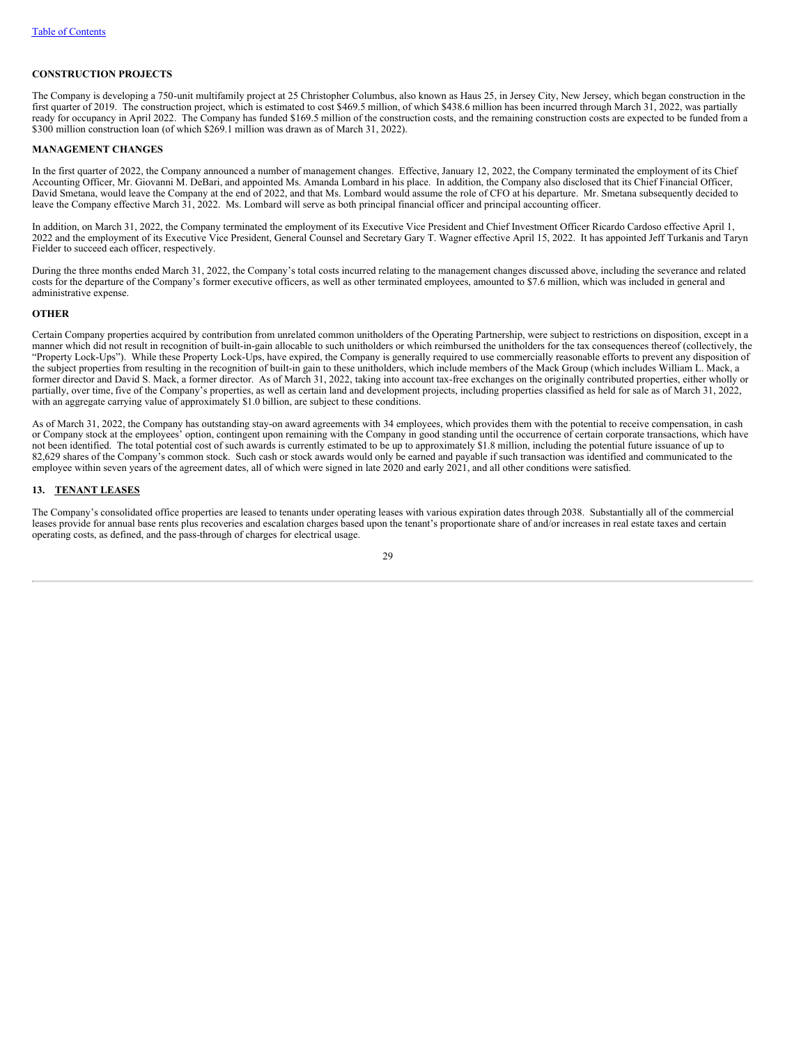# **CONSTRUCTION PROJECTS**

The Company is developing a 750-unit multifamily project at 25 Christopher Columbus, also known as Haus 25, in Jersey City, New Jersey, which began construction in the first quarter of 2019. The construction project, which is estimated to cost \$469.5 million, of which \$438.6 million has been incurred through March 31, 2022, was partially ready for occupancy in April 2022. The Company has funded \$169.5 million of the construction costs, and the remaining construction costs are expected to be funded from a \$300 million construction loan (of which \$269.1 million was drawn as of March 31, 2022).

# **MANAGEMENT CHANGES**

In the first quarter of 2022, the Company announced a number of management changes. Effective, January 12, 2022, the Company terminated the employment of its Chief Accounting Officer, Mr. Giovanni M. DeBari, and appointed Ms. Amanda Lombard in his place. In addition, the Company also disclosed that its Chief Financial Officer, David Smetana, would leave the Company at the end of 2022, and that Ms. Lombard would assume the role of CFO at his departure. Mr. Smetana subsequently decided to leave the Company effective March 31, 2022. Ms. Lombard will serve as both principal financial officer and principal accounting officer.

In addition, on March 31, 2022, the Company terminated the employment of its Executive Vice President and Chief Investment Officer Ricardo Cardoso effective April 1, 2022 and the employment of its Executive Vice President, General Counsel and Secretary Gary T. Wagner effective April 15, 2022. It has appointed Jeff Turkanis and Taryn Fielder to succeed each officer, respectively.

During the three months ended March 31, 2022, the Company's total costs incurred relating to the management changes discussed above, including the severance and related costs for the departure of the Company's former executive officers, as well as other terminated employees, amounted to \$7.6 million, which was included in general and administrative expense.

#### **OTHER**

Certain Company properties acquired by contribution from unrelated common unitholders of the Operating Partnership, were subject to restrictions on disposition, except in a manner which did not result in recognition of built-in-gain allocable to such unitholders or which reimbursed the unitholders for the tax consequences thereof (collectively, the "Property Lock-Ups"). While these Property Lock-Ups, have expired, the Company is generally required to use commercially reasonable efforts to prevent any disposition of the subject properties from resulting in the recognition of built-in gain to these unitholders, which include members of the Mack Group (which includes William L. Mack, a former director and David S. Mack, a former director. As of March 31, 2022, taking into account tax-free exchanges on the originally contributed properties, either wholly or partially, over time, five of the Company's properties, as well as certain land and development projects, including properties classified as held for sale as of March 31, 2022, with an aggregate carrying value of approximately \$1.0 billion, are subject to these conditions.

As of March 31, 2022, the Company has outstanding stay-on award agreements with 34 employees, which provides them with the potential to receive compensation, in cash or Company stock at the employees' option, contingent upon remaining with the Company in good standing until the occurrence of certain corporate transactions, which have not been identified. The total potential cost of such awards is currently estimated to be up to approximately \$1.8 million, including the potential future issuance of up to 82,629 shares of the Company's common stock. Such cash or stock awards would only be earned and payable if such transaction was identified and communicated to the employee within seven years of the agreement dates, all of which were signed in late 2020 and early 2021, and all other conditions were satisfied.

#### **13. TENANT LEASES**

The Company's consolidated office properties are leased to tenants under operating leases with various expiration dates through 2038. Substantially all of the commercial leases provide for annual base rents plus recoveries and escalation charges based upon the tenant's proportionate share of and/or increases in real estate taxes and certain operating costs, as defined, and the pass-through of charges for electrical usage.

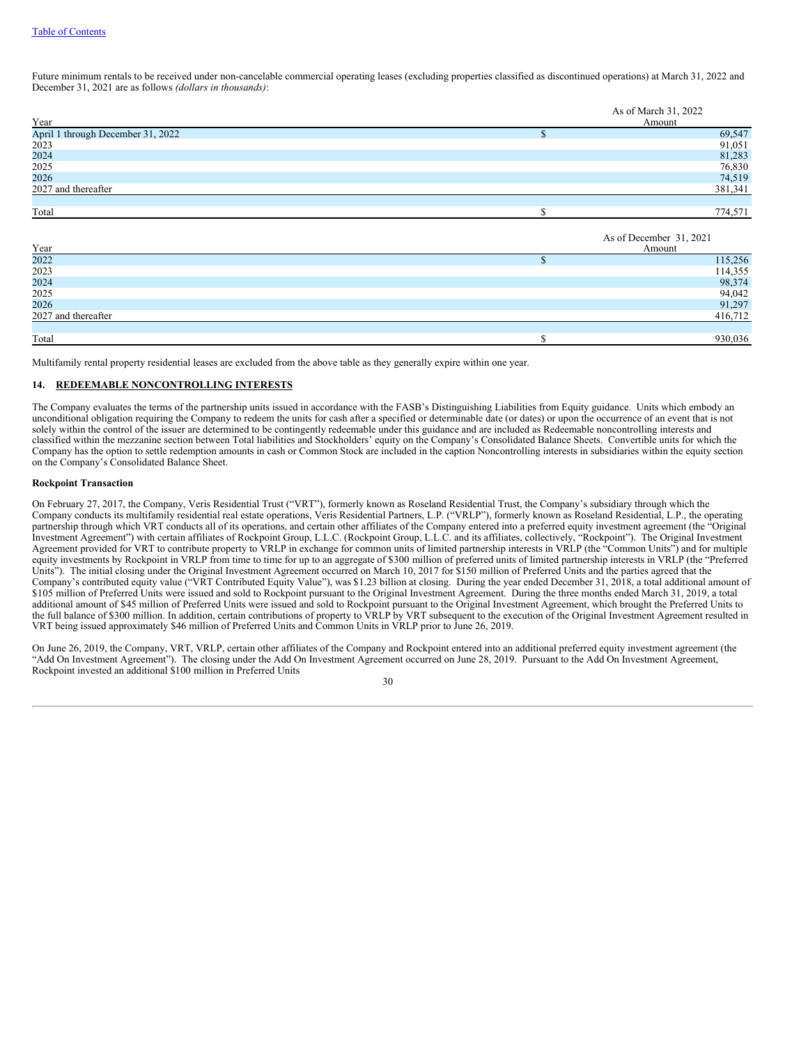Future minimum rentals to be received under non-cancelable commercial operating leases (excluding properties classified as discontinued operations) at March 31, 2022 and December 31, 2021 are as follows *(dollars in thousands)*:

| Year                              | As of March 31, 2022<br>Amount    |
|-----------------------------------|-----------------------------------|
| April 1 through December 31, 2022 | \$<br>69,547                      |
| 2023                              | 91,051                            |
| 2024                              | 81,283                            |
| 2025                              | 76,830                            |
| 2026                              | 74,519                            |
| 2027 and thereafter               | 381,341                           |
|                                   |                                   |
| Total                             | \$<br>774,571                     |
|                                   | As of December 31, 2021<br>Amount |
| Year<br>2022                      | \$<br>115,256                     |
| 2023                              | 114,355                           |
| 2024                              | 98,374                            |
| 2025                              | 94,042                            |
| 2026                              | 91,297                            |
| 2027 and thereafter               | 416,712                           |

**Total 5 930,036** 930,036

Multifamily rental property residential leases are excluded from the above table as they generally expire within one year.

# **14. REDEEMABLE NONCONTROLLING INTERESTS**

The Company evaluates the terms of the partnership units issued in accordance with the FASB's Distinguishing Liabilities from Equity guidance. Units which embody an unconditional obligation requiring the Company to redeem the units for cash after a specified or determinable date (or dates) or upon the occurrence of an event that is not solely within the control of the issuer are determined to be contingently redeemable under this guidance and are included as Redeemable noncontrolling interests and classified within the mezzanine section between Total liabilities and Stockholders' equity on the Company's Consolidated Balance Sheets. Convertible units for which the Company has the option to settle redemption amounts in cash or Common Stock are included in the caption Noncontrolling interests in subsidiaries within the equity section on the Company's Consolidated Balance Sheet.

#### **Rockpoint Transaction**

On February 27, 2017, the Company, Veris Residential Trust ("VRT"), formerly known as Roseland Residential Trust, the Company's subsidiary through which the Company conducts its multifamily residential real estate operations, Veris Residential Partners, L.P. ("VRLP"), formerly known as Roseland Residential, L.P., the operating partnership through which VRT conducts all of its operations, and certain other affiliates of the Company entered into a preferred equity investment agreement (the "Original Investment Agreement") with certain affiliates of Rockpoint Group, L.L.C. (Rockpoint Group, L.L.C. and its affiliates, collectively, "Rockpoint"). The Original Investment Agreement provided for VRT to contribute property to VRLP in exchange for common units of limited partnership interests in VRLP (the "Common Units") and for multiple equity investments by Rockpoint in VRLP from time to time for up to an aggregate of \$300 million of preferred units of limited partnership interests in VRLP (the "Preferred Units"). The initial closing under the Original Investment Agreement occurred on March 10, 2017 for \$150 million of Preferred Units and the parties agreed that the Company's contributed equity value ("VRT Contributed Equity Value"), was \$1.23 billion at closing. During the year ended December 31, 2018, a total additional amount of \$105 million of Preferred Units were issued and sold to Rockpoint pursuant to the Original Investment Agreement. During the three months ended March 31, 2019, a total additional amount of \$45 million of Preferred Units were issued and sold to Rockpoint pursuant to the Original Investment Agreement, which brought the Preferred Units to the full balance of \$300 million. In addition, certain contributions of property to VRLP by VRT subsequent to the execution of the Original Investment Agreement resulted in VRT being issued approximately \$46 million of Preferred Units and Common Units in VRLP prior to June 26, 2019.

On June 26, 2019, the Company, VRT, VRLP, certain other affiliates of the Company and Rockpoint entered into an additional preferred equity investment agreement (the "Add On Investment Agreement"). The closing under the Add On Investment Agreement occurred on June 28, 2019. Pursuant to the Add On Investment Agreement, Rockpoint invested an additional \$100 million in Preferred Units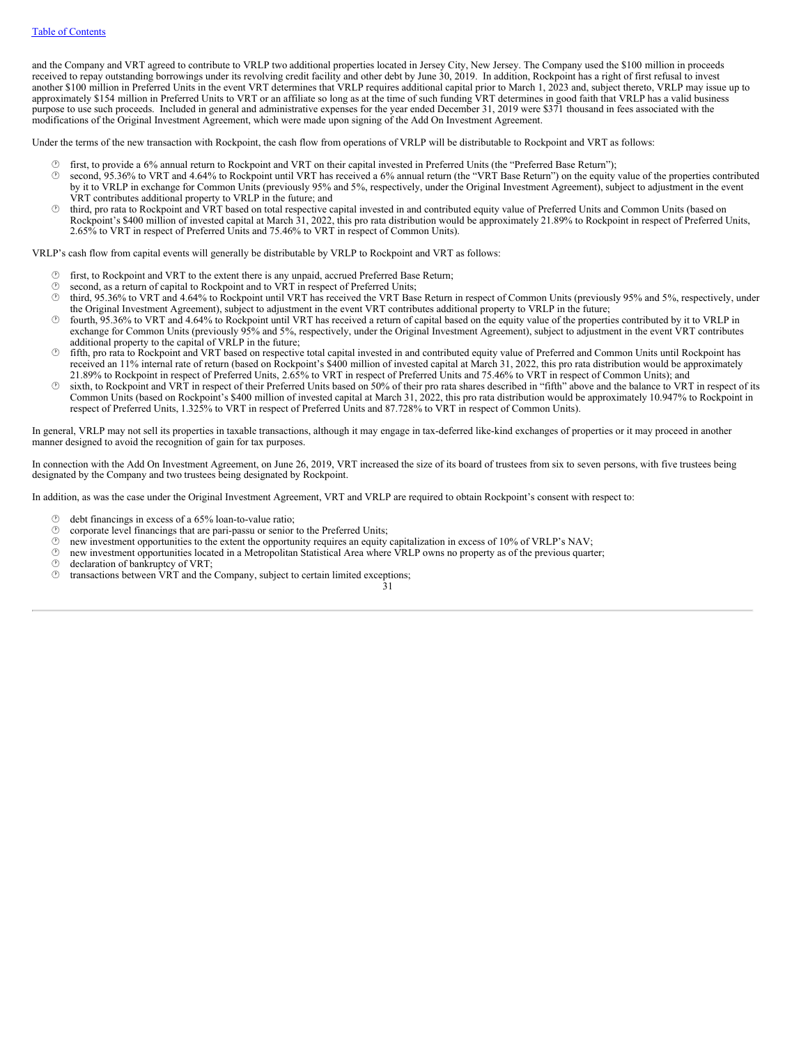and the Company and VRT agreed to contribute to VRLP two additional properties located in Jersey City, New Jersey. The Company used the \$100 million in proceeds received to repay outstanding borrowings under its revolving credit facility and other debt by June 30, 2019. In addition, Rockpoint has a right of first refusal to invest another \$100 million in Preferred Units in the event VRT determines that VRLP requires additional capital prior to March 1, 2023 and, subject thereto, VRLP may issue up to approximately \$154 million in Preferred Units to VRT or an affiliate so long as at the time of such funding VRT determines in good faith that VRLP has a valid business purpose to use such proceeds. Included in general and administrative expenses for the year ended December 31, 2019 were \$371 thousand in fees associated with the modifications of the Original Investment Agreement, which were made upon signing of the Add On Investment Agreement.

Under the terms of the new transaction with Rockpoint, the cash flow from operations of VRLP will be distributable to Rockpoint and VRT as follows:

- $\circ$  first, to provide a 6% annual return to Rockpoint and VRT on their capital invested in Preferred Units (the "Preferred Base Return");<br> $\circ$  second 95.36% to VRT and 4.64% to Rockpoint until VRT has received a 6% annua
- second, 95.36% to VRT and 4.64% to Rockpoint until VRT has received a 6% annual return (the "VRT Base Return") on the equity value of the properties contributed by it to VRLP in exchange for Common Units (previously 95% and 5%, respectively, under the Original Investment Agreement), subject to adjustment in the event VRT contributes additional property to VRLP in the future; and
- · third, pro rata to Rockpoint and VRT based on total respective capital invested in and contributed equity value of Preferred Units and Common Units (based on Rockpoint's \$400 million of invested capital at March 31, 2022, this pro rata distribution would be approximately 21.89% to Rockpoint in respect of Preferred Units, 2.65% to VRT in respect of Preferred Units and 75.46% to VRT in respect of Common Units).

VRLP's cash flow from capital events will generally be distributable by VRLP to Rockpoint and VRT as follows:

- **<sup>1</sup>** first, to Rockpoint and VRT to the extent there is any unpaid, accrued Preferred Base Return;<br><sup>1</sup> second as a return of canital to Rockpoint and to VRT in respect of Preferred Units:
- $\circled{}$  second, as a return of capital to Rockpoint and to VRT in respect of Preferred Units;<br> $\circled{}$  third. 95.36% to VRT and 4.64% to Rockpoint until VRT has received the VRT Base
- third, 95.36% to VRT and 4.64% to Rockpoint until VRT has received the VRT Base Return in respect of Common Units (previously 95% and 5%, respectively, under the Original Investment Agreement), subject to adjustment in the event VRT contributes additional property to VRLP in the future;
- · fourth, 95.36% to VRT and 4.64% to Rockpoint until VRT has received a return of capital based on the equity value of the properties contributed by it to VRLP in exchange for Common Units (previously 95% and 5%, respectively, under the Original Investment Agreement), subject to adjustment in the event VRT contributes additional property to the capital of VRLP in the future;
- · fifth, pro rata to Rockpoint and VRT based on respective total capital invested in and contributed equity value of Preferred and Common Units until Rockpoint has received an 11% internal rate of return (based on Rockpoint's \$400 million of invested capital at March 31, 2022, this pro rata distribution would be approximately 21.89% to Rockpoint in respect of Preferred Units, 2.65% to VRT in respect of Preferred Units and 75.46% to VRT in respect of Common Units); and
- sixth, to Rockpoint and VRT in respect of their Preferred Units based on 50% of their pro rata shares described in "fifth" above and the balance to VRT in respect of its Common Units (based on Rockpoint's \$400 million of invested capital at March 31, 2022, this pro rata distribution would be approximately 10.947% to Rockpoint in respect of Preferred Units, 1.325% to VRT in respect of Preferred Units and 87.728% to VRT in respect of Common Units).

In general, VRLP may not sell its properties in taxable transactions, although it may engage in tax-deferred like-kind exchanges of properties or it may proceed in another manner designed to avoid the recognition of gain for tax purposes.

In connection with the Add On Investment Agreement, on June 26, 2019, VRT increased the size of its board of trustees from six to seven persons, with five trustees being designated by the Company and two trustees being designated by Rockpoint.

In addition, as was the case under the Original Investment Agreement, VRT and VRLP are required to obtain Rockpoint's consent with respect to:

- $\degree$  debt financings in excess of a 65% loan-to-value ratio;<br> $\degree$  corporate level financings that are pari-passu or senior
- $\circled{?}$  corporate level financings that are pari-passu or senior to the Preferred Units;<br> $\circled{?}$  new investment opportunities to the extent the opportunity requires an equity
- $\circled{r}$  new investment opportunities to the extent the opportunity requires an equity capitalization in excess of 10% of VRLP's NAV;<br> $\circled{r}$  new investment opportunities located in a Metropolitan Statistical Area where
- $\circled{r}$  new investment opportunities located in a Metropolitan Statistical Area where VRLP owns no property as of the previous quarter;<br> $\circled{r}$  declaration of bankruptev of VRT:
- $\circled{r}$  declaration of bankruptcy of VRT;<br> $\circled{r}$  transactions between VRT and the
- transactions between VRT and the Company, subject to certain limited exceptions;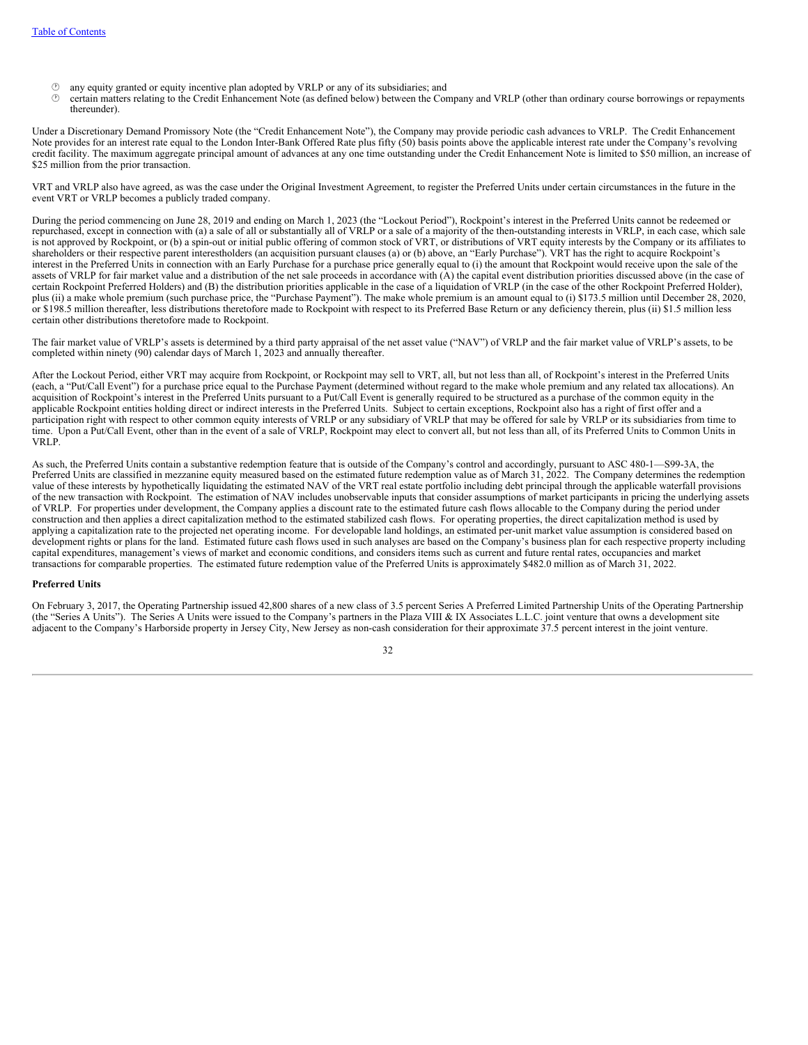- $\circled{2}$  any equity granted or equity incentive plan adopted by VRLP or any of its subsidiaries; and  $\circled{2}$  certain matters relating to the Credit Enhancement Note (as defined below) between the Cor
- · certain matters relating to the Credit Enhancement Note (as defined below) between the Company and VRLP (other than ordinary course borrowings or repayments thereunder).

Under a Discretionary Demand Promissory Note (the "Credit Enhancement Note"), the Company may provide periodic cash advances to VRLP. The Credit Enhancement Note provides for an interest rate equal to the London Inter-Bank Offered Rate plus fifty (50) basis points above the applicable interest rate under the Company's revolving credit facility. The maximum aggregate principal amount of advances at any one time outstanding under the Credit Enhancement Note is limited to \$50 million, an increase of \$25 million from the prior transaction.

VRT and VRLP also have agreed, as was the case under the Original Investment Agreement, to register the Preferred Units under certain circumstances in the future in the event VRT or VRLP becomes a publicly traded company.

During the period commencing on June 28, 2019 and ending on March 1, 2023 (the "Lockout Period"), Rockpoint's interest in the Preferred Units cannot be redeemed or repurchased, except in connection with (a) a sale of all or substantially all of VRLP or a sale of a majority of the then-outstanding interests in VRLP, in each case, which sale is not approved by Rockpoint, or (b) a spin-out or initial public offering of common stock of VRT, or distributions of VRT equity interests by the Company or its affiliates to shareholders or their respective parent interestholders (an acquisition pursuant clauses (a) or (b) above, an "Early Purchase"). VRT has the right to acquire Rockpoint's interest in the Preferred Units in connection with an Early Purchase for a purchase price generally equal to (i) the amount that Rockpoint would receive upon the sale of the assets of VRLP for fair market value and a distribution of the net sale proceeds in accordance with  $(A)$  the capital event distribution priorities discussed above (in the case of certain Rockpoint Preferred Holders) and (B) the distribution priorities applicable in the case of a liquidation of VRLP (in the case of the other Rockpoint Preferred Holder), plus (ii) a make whole premium (such purchase price, the "Purchase Payment"). The make whole premium is an amount equal to (i) \$173.5 million until December 28, 2020, or \$198.5 million thereafter, less distributions theretofore made to Rockpoint with respect to its Preferred Base Return or any deficiency therein, plus (ii) \$1.5 million less certain other distributions theretofore made to Rockpoint.

The fair market value of VRLP's assets is determined by a third party appraisal of the net asset value ("NAV") of VRLP and the fair market value of VRLP's assets, to be completed within ninety (90) calendar days of March 1, 2023 and annually thereafter.

After the Lockout Period, either VRT may acquire from Rockpoint, or Rockpoint may sell to VRT, all, but not less than all, of Rockpoint's interest in the Preferred Units (each, a "Put/Call Event") for a purchase price equal to the Purchase Payment (determined without regard to the make whole premium and any related tax allocations). An acquisition of Rockpoint's interest in the Preferred Units pursuant to a Put/Call Event is generally required to be structured as a purchase of the common equity in the applicable Rockpoint entities holding direct or indirect interests in the Preferred Units. Subject to certain exceptions, Rockpoint also has a right of first offer and a participation right with respect to other common equity interests of VRLP or any subsidiary of VRLP that may be offered for sale by VRLP or its subsidiaries from time to time. Upon a Put/Call Event, other than in the event of a sale of VRLP, Rockpoint may elect to convert all, but not less than all, of its Preferred Units to Common Units in VRLP.

As such, the Preferred Units contain a substantive redemption feature that is outside of the Company's control and accordingly, pursuant to ASC 480-1—S99-3A, the Preferred Units are classified in mezzanine equity measured based on the estimated future redemption value as of March 31, 2022. The Company determines the redemption value of these interests by hypothetically liquidating the estimated NAV of the VRT real estate portfolio including debt principal through the applicable waterfall provisions of the new transaction with Rockpoint. The estimation of NAV includes unobservable inputs that consider assumptions of market participants in pricing the underlying assets of VRLP. For properties under development, the Company applies a discount rate to the estimated future cash flows allocable to the Company during the period under construction and then applies a direct capitalization method to the estimated stabilized cash flows. For operating properties, the direct capitalization method is used by applying a capitalization rate to the projected net operating income. For developable land holdings, an estimated per-unit market value assumption is considered based on development rights or plans for the land. Estimated future cash flows used in such analyses are based on the Company's business plan for each respective property including capital expenditures, management's views of market and economic conditions, and considers items such as current and future rental rates, occupancies and market transactions for comparable properties. The estimated future redemption value of the Preferred Units is approximately \$482.0 million as of March 31, 2022.

#### **Preferred Units**

On February 3, 2017, the Operating Partnership issued 42,800 shares of a new class of 3.5 percent Series A Preferred Limited Partnership Units of the Operating Partnership (the "Series A Units"). The Series A Units were issued to the Company's partners in the Plaza VIII & IX Associates L.L.C. joint venture that owns a development site adjacent to the Company's Harborside property in Jersey City, New Jersey as non-cash consideration for their approximate 37.5 percent interest in the joint venture.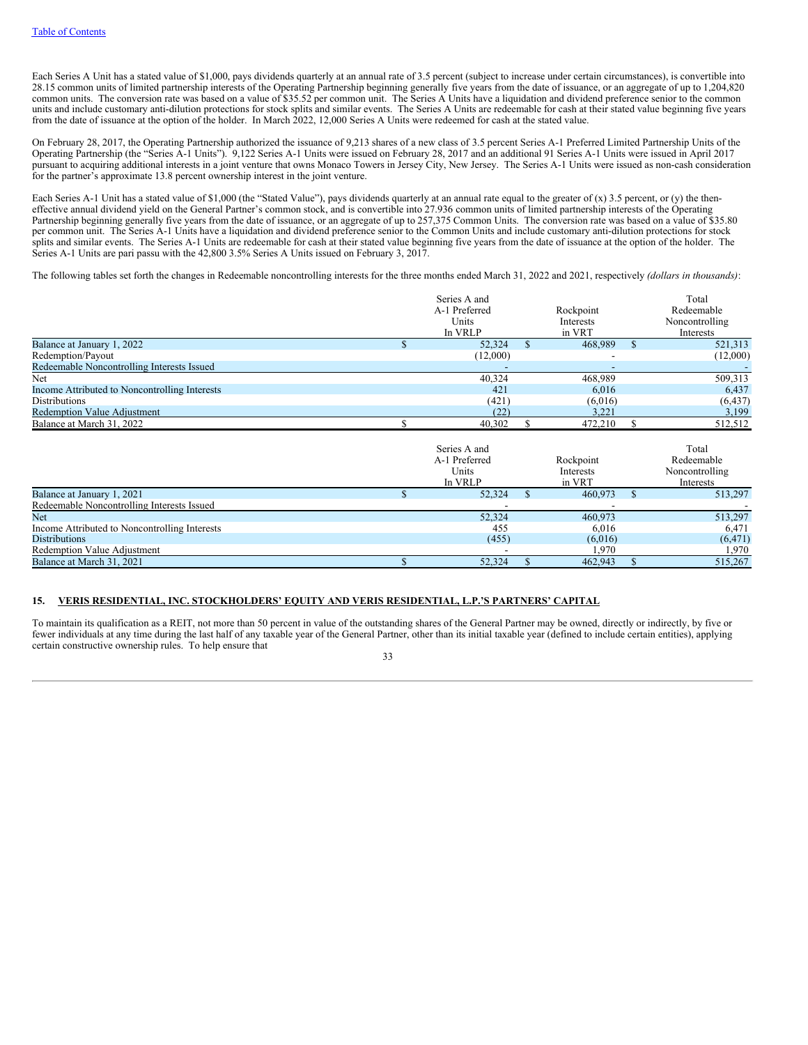Each Series A Unit has a stated value of \$1,000, pays dividends quarterly at an annual rate of 3.5 percent (subject to increase under certain circumstances), is convertible into 28.15 common units of limited partnership interests of the Operating Partnership beginning generally five years from the date of issuance, or an aggregate of up to 1,204,820 common units. The conversion rate was based on a value of \$35.52 per common unit. The Series A Units have a liquidation and dividend preference senior to the common units and include customary anti-dilution protections for stock splits and similar events. The Series A Units are redeemable for cash at their stated value beginning five years from the date of issuance at the option of the holder. In March 2022, 12,000 Series A Units were redeemed for cash at the stated value.

On February 28, 2017, the Operating Partnership authorized the issuance of 9,213 shares of a new class of 3.5 percent Series A-1 Preferred Limited Partnership Units of the Operating Partnership (the "Series A-1 Units"). 9,122 Series A-1 Units were issued on February 28, 2017 and an additional 91 Series A-1 Units were issued in April 2017 pursuant to acquiring additional interests in a joint venture that owns Monaco Towers in Jersey City, New Jersey. The Series A-1 Units were issued as non-cash consideration for the partner's approximate 13.8 percent ownership interest in the joint venture.

Each Series A-1 Unit has a stated value of \$1,000 (the "Stated Value"), pays dividends quarterly at an annual rate equal to the greater of (x) 3.5 percent, or (y) the theneffective annual dividend yield on the General Partner's common stock, and is convertible into 27.936 common units of limited partnership interests of the Operating Partnership beginning generally five years from the date of issuance, or an aggregate of up to 257,375 Common Units. The conversion rate was based on a value of \$35.80 per common unit. The Series A-1 Units have a liquidation and dividend preference senior to the Common Units and include customary anti-dilution protections for stock splits and similar events. The Series A-1 Units are redeemable for cash at their stated value beginning five years from the date of issuance at the option of the holder. The Series A-1 Units are pari passu with the 42,800 3.5% Series A Units issued on February 3, 2017.

The following tables set forth the changes in Redeemable noncontrolling interests for the three months ended March 31, 2022 and 2021, respectively *(dollars in thousands)*:

|                                               | Series A and<br>A-1 Preferred<br>Units<br>In VRLP | Rockpoint<br>Interests<br>in VRT | Total<br>Redeemable<br>Noncontrolling<br>Interests |
|-----------------------------------------------|---------------------------------------------------|----------------------------------|----------------------------------------------------|
| Balance at January 1, 2022                    | 52,324                                            | 468,989                          | 521,313                                            |
| Redemption/Payout                             | (12,000)                                          |                                  | (12,000)                                           |
| Redeemable Noncontrolling Interests Issued    |                                                   |                                  |                                                    |
| Net                                           | 40,324                                            | 468,989                          | 509,313                                            |
| Income Attributed to Noncontrolling Interests | 421                                               | 6,016                            | 6,437                                              |
| Distributions                                 | (421)                                             | (6,016)                          | (6, 437)                                           |
| <b>Redemption Value Adjustment</b>            | (22)                                              | 3,221                            | 3,199                                              |
| Balance at March 31, 2022                     | 40,302                                            | 472.210                          | 512,512                                            |

|                                               | Series A and<br>A-1 Preferred<br>Units<br>In VRLP | Rockpoint<br>Interests<br>in VRT | Total<br>Redeemable<br>Noncontrolling<br>Interests |
|-----------------------------------------------|---------------------------------------------------|----------------------------------|----------------------------------------------------|
| Balance at January 1, 2021                    | 52,324                                            | 460,973                          | 513,297                                            |
| Redeemable Noncontrolling Interests Issued    |                                                   |                                  |                                                    |
| Net                                           | 52,324                                            | 460,973                          | 513,297                                            |
| Income Attributed to Noncontrolling Interests | 455                                               | 6,016                            | 6,471                                              |
| <b>Distributions</b>                          | (455)                                             | (6,016)                          | (6, 471)                                           |
| Redemption Value Adjustment                   |                                                   | .970                             | 1,970                                              |
| Balance at March 31, 2021                     | 52,324                                            | 462,943                          | 515,267                                            |

# **15. VERIS RESIDENTIAL, INC. STOCKHOLDERS' EQUITY AND VERIS RESIDENTIAL, L.P.'S PARTNERS' CAPITAL**

To maintain its qualification as a REIT, not more than 50 percent in value of the outstanding shares of the General Partner may be owned, directly or indirectly, by five or fewer individuals at any time during the last half of any taxable year of the General Partner, other than its initial taxable year (defined to include certain entities), applying certain constructive ownership rules. To help ensure that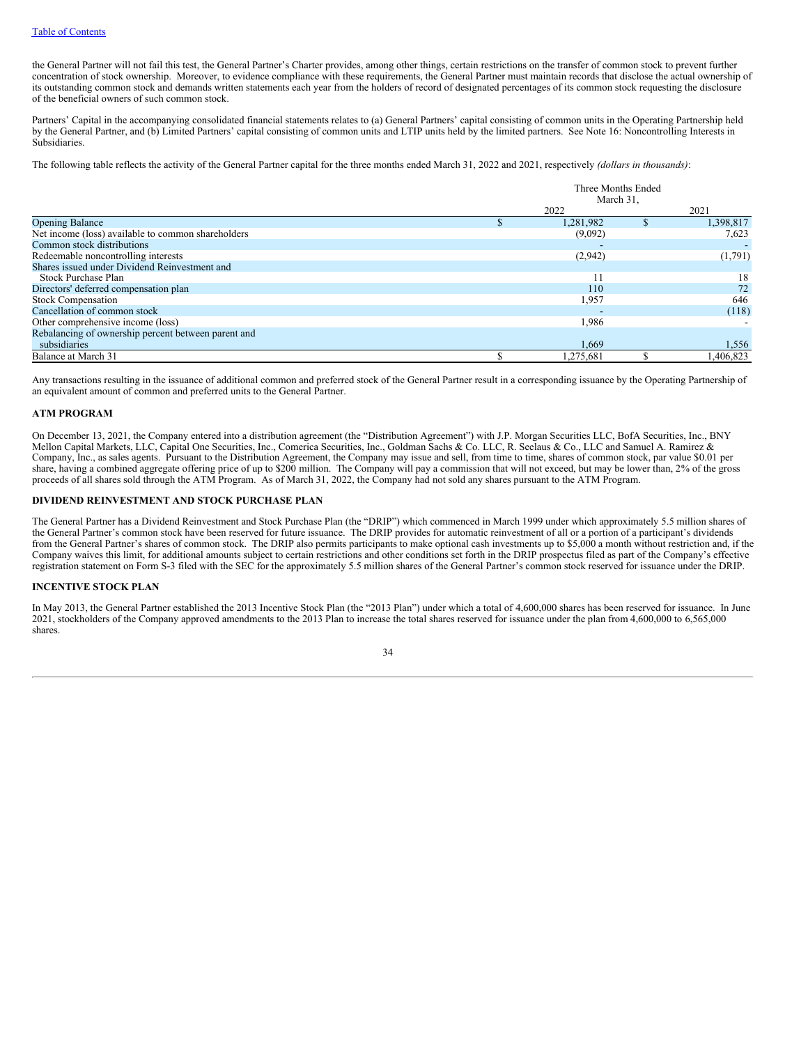the General Partner will not fail this test, the General Partner's Charter provides, among other things, certain restrictions on the transfer of common stock to prevent further concentration of stock ownership. Moreover, to evidence compliance with these requirements, the General Partner must maintain records that disclose the actual ownership of its outstanding common stock and demands written statements each year from the holders of record of designated percentages of its common stock requesting the disclosure of the beneficial owners of such common stock.

Partners' Capital in the accompanying consolidated financial statements relates to (a) General Partners' capital consisting of common units in the Operating Partnership held by the General Partner, and (b) Limited Partners' capital consisting of common units and LTIP units held by the limited partners. See Note 16: Noncontrolling Interests in Subsidiaries.

The following table reflects the activity of the General Partner capital for the three months ended March 31, 2022 and 2021, respectively *(dollars in thousands)*:

|                                                     | Three Months Ended<br>March 31, |  |           |
|-----------------------------------------------------|---------------------------------|--|-----------|
|                                                     | 2022                            |  | 2021      |
| <b>Opening Balance</b>                              | 1.281.982                       |  | 1,398,817 |
| Net income (loss) available to common shareholders  | (9,092)                         |  | 7,623     |
| Common stock distributions                          |                                 |  |           |
| Redeemable noncontrolling interests                 | (2,942)                         |  | (1,791)   |
| Shares issued under Dividend Reinvestment and       |                                 |  |           |
| Stock Purchase Plan                                 | 11                              |  | 18        |
| Directors' deferred compensation plan               | 110                             |  | 72        |
| <b>Stock Compensation</b>                           | 1,957                           |  | 646       |
| Cancellation of common stock                        |                                 |  | (118)     |
| Other comprehensive income (loss)                   | 1,986                           |  |           |
| Rebalancing of ownership percent between parent and |                                 |  |           |
| subsidiaries                                        | 1,669                           |  | 1,556     |
| Balance at March 31                                 | 1,275,681                       |  | .406,823  |

Any transactions resulting in the issuance of additional common and preferred stock of the General Partner result in a corresponding issuance by the Operating Partnership of an equivalent amount of common and preferred units to the General Partner.

#### **ATM PROGRAM**

On December 13, 2021, the Company entered into a distribution agreement (the "Distribution Agreement") with J.P. Morgan Securities LLC, BofA Securities, Inc., BNY Mellon Capital Markets, LLC, Capital One Securities, Inc., Comerica Securities, Inc., Goldman Sachs & Co. LLC, R. Seelaus & Co., LLC and Samuel A. Ramirez & Company, Inc., as sales agents. Pursuant to the Distribution Agreement, the Company may issue and sell, from time to time, shares of common stock, par value \$0.01 per share, having a combined aggregate offering price of up to \$200 million. The Company will pay a commission that will not exceed, but may be lower than, 2% of the gross proceeds of all shares sold through the ATM Program. As of March 31, 2022, the Company had not sold any shares pursuant to the ATM Program.

# **DIVIDEND REINVESTMENT AND STOCK PURCHASE PLAN**

The General Partner has a Dividend Reinvestment and Stock Purchase Plan (the "DRIP") which commenced in March 1999 under which approximately 5.5 million shares of the General Partner's common stock have been reserved for future issuance. The DRIP provides for automatic reinvestment of all or a portion of a participant's dividends from the General Partner's shares of common stock. The DRIP also permits participants to make optional cash investments up to \$5,000 a month without restriction and, if the Company waives this limit, for additional amounts subject to certain restrictions and other conditions set forth in the DRIP prospectus filed as part of the Company's effective registration statement on Form S-3 filed with the SEC for the approximately 5.5 million shares of the General Partner's common stock reserved for issuance under the DRIP.

# **INCENTIVE STOCK PLAN**

In May 2013, the General Partner established the 2013 Incentive Stock Plan (the "2013 Plan") under which a total of 4,600,000 shares has been reserved for issuance. In June 2021, stockholders of the Company approved amendments to the 2013 Plan to increase the total shares reserved for issuance under the plan from 4,600,000 to 6,565,000 shares.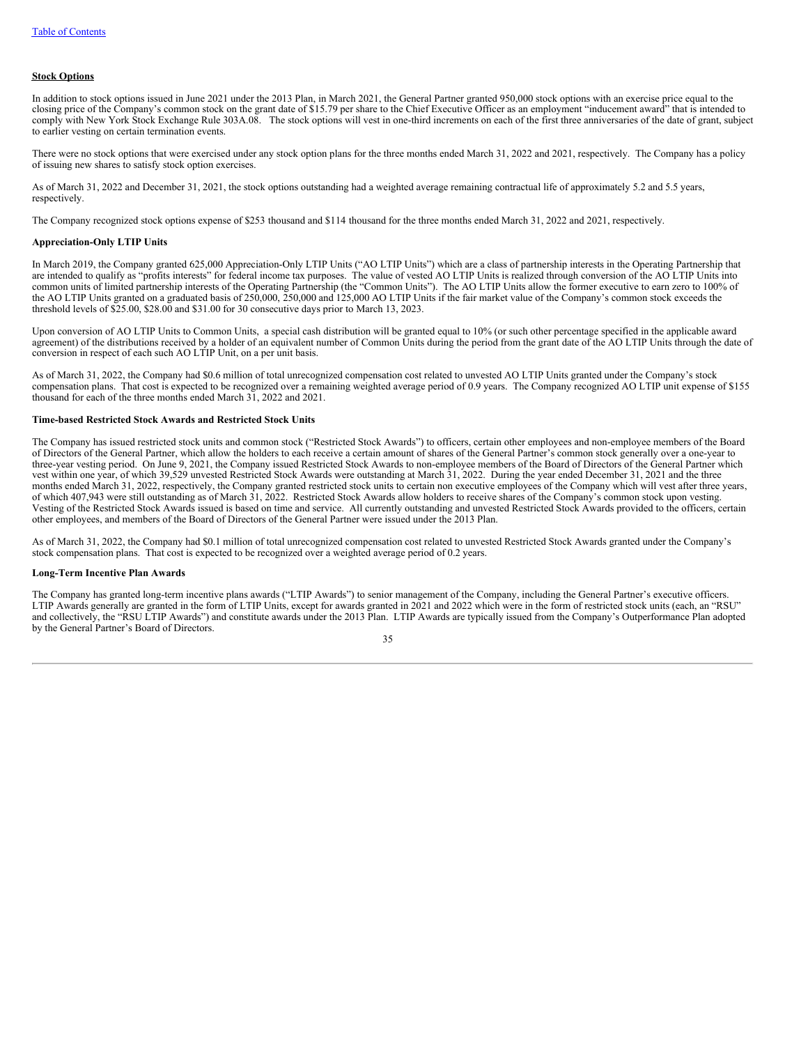#### **Stock Options**

In addition to stock options issued in June 2021 under the 2013 Plan, in March 2021, the General Partner granted 950,000 stock options with an exercise price equal to the closing price of the Company's common stock on the grant date of \$15.79 per share to the Chief Executive Officer as an employment "inducement award" that is intended to comply with New York Stock Exchange Rule 303A.08. The stock options will vest in one-third increments on each of the first three anniversaries of the date of grant, subject to earlier vesting on certain termination events.

There were no stock options that were exercised under any stock option plans for the three months ended March 31, 2022 and 2021, respectively. The Company has a policy of issuing new shares to satisfy stock option exercises.

As of March 31, 2022 and December 31, 2021, the stock options outstanding had a weighted average remaining contractual life of approximately 5.2 and 5.5 years, respectively.

The Company recognized stock options expense of \$253 thousand and \$114 thousand for the three months ended March 31, 2022 and 2021, respectively.

#### **Appreciation-Only LTIP Units**

In March 2019, the Company granted 625,000 Appreciation-Only LTIP Units ("AO LTIP Units") which are a class of partnership interests in the Operating Partnership that are intended to qualify as "profits interests" for federal income tax purposes. The value of vested AO LTIP Units is realized through conversion of the AO LTIP Units into common units of limited partnership interests of the Operating Partnership (the "Common Units"). The AO LTIP Units allow the former executive to earn zero to 100% of the AO LTIP Units granted on a graduated basis of 250,000, 250,000 and 125,000 AO LTIP Units if the fair market value of the Company's common stock exceeds the threshold levels of \$25.00, \$28.00 and \$31.00 for 30 consecutive days prior to March 13, 2023.

Upon conversion of AO LTIP Units to Common Units, a special cash distribution will be granted equal to 10% (or such other percentage specified in the applicable award agreement) of the distributions received by a holder of an equivalent number of Common Units during the period from the grant date of the AO LTIP Units through the date of conversion in respect of each such AO LTIP Unit, on a per unit basis.

As of March 31, 2022, the Company had \$0.6 million of total unrecognized compensation cost related to unvested AO LTIP Units granted under the Company's stock compensation plans. That cost is expected to be recognized over a remaining weighted average period of 0.9 years. The Company recognized AO LTIP unit expense of \$155 thousand for each of the three months ended March 31, 2022 and 2021.

#### **Time-based Restricted Stock Awards and Restricted Stock Units**

The Company has issued restricted stock units and common stock ("Restricted Stock Awards") to officers, certain other employees and non-employee members of the Board of Directors of the General Partner, which allow the holders to each receive a certain amount of shares of the General Partner's common stock generally over a one-year to three-year vesting period. On June 9, 2021, the Company issued Restricted Stock Awards to non-employee members of the Board of Directors of the General Partner which vest within one year, of which 39,529 unvested Restricted Stock Awards were outstanding at March 31, 2022. During the year ended December 31, 2021 and the three months ended March 31, 2022, respectively, the Company granted restricted stock units to certain non executive employees of the Company which will vest after three years, of which 407,943 were still outstanding as of March 31, 2022. Restricted Stock Awards allow holders to receive shares of the Company's common stock upon vesting. Vesting of the Restricted Stock Awards issued is based on time and service. All currently outstanding and unvested Restricted Stock Awards provided to the officers, certain other employees, and members of the Board of Directors of the General Partner were issued under the 2013 Plan.

As of March 31, 2022, the Company had \$0.1 million of total unrecognized compensation cost related to unvested Restricted Stock Awards granted under the Company's stock compensation plans. That cost is expected to be recognized over a weighted average period of 0.2 years.

#### **Long-Term Incentive Plan Awards**

The Company has granted long-term incentive plans awards ("LTIP Awards") to senior management of the Company, including the General Partner's executive officers. LTIP Awards generally are granted in the form of LTIP Units, except for awards granted in 2021 and 2022 which were in the form of restricted stock units (each, an "RSU" and collectively, the "RSU LTIP Awards") and constitute awards under the 2013 Plan. LTIP Awards are typically issued from the Company's Outperformance Plan adopted by the General Partner's Board of Directors.

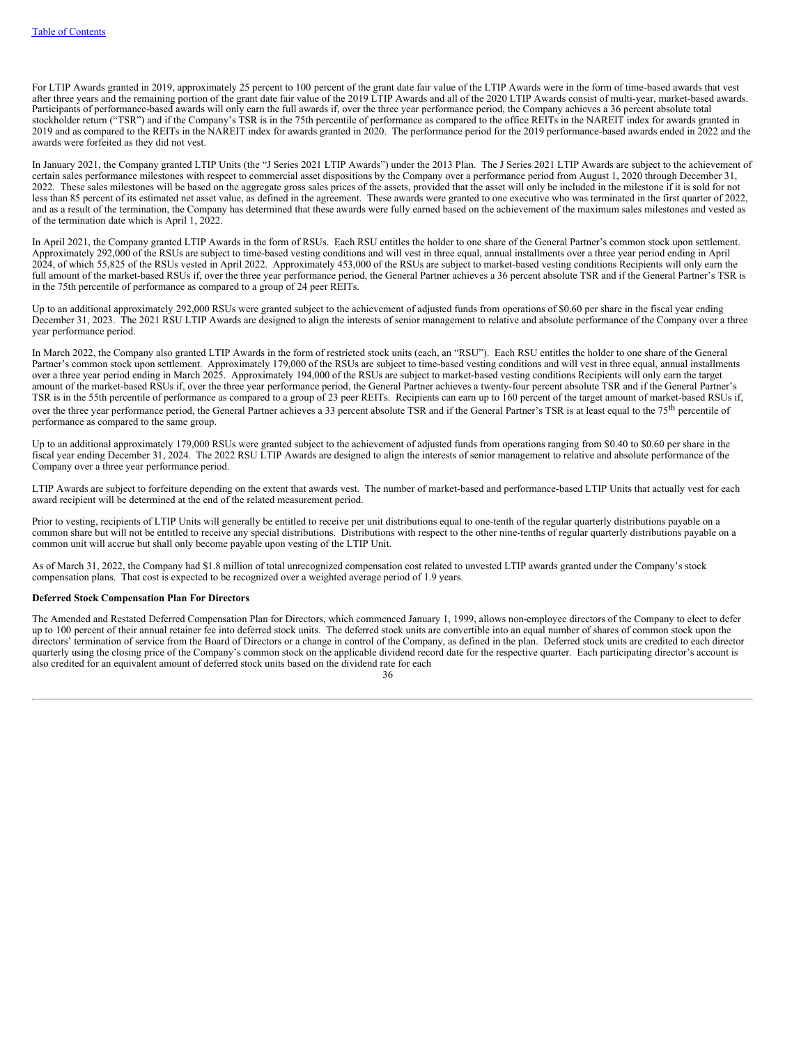For LTIP Awards granted in 2019, approximately 25 percent to 100 percent of the grant date fair value of the LTIP Awards were in the form of time-based awards that vest after three years and the remaining portion of the grant date fair value of the 2019 LTIP Awards and all of the 2020 LTIP Awards consist of multi-year, market-based awards. Participants of performance-based awards will only earn the full awards if, over the three year performance period, the Company achieves a 36 percent absolute total stockholder return ("TSR") and if the Company's TSR is in the 75th percentile of performance as compared to the office REITs in the NAREIT index for awards granted in 2019 and as compared to the REITs in the NAREIT index for awards granted in 2020. The performance period for the 2019 performance-based awards ended in 2022 and the awards were forfeited as they did not vest.

In January 2021, the Company granted LTIP Units (the "J Series 2021 LTIP Awards") under the 2013 Plan. The J Series 2021 LTIP Awards are subject to the achievement of certain sales performance milestones with respect to commercial asset dispositions by the Company over a performance period from August 1, 2020 through December 31, 2022. These sales milestones will be based on the aggregate gross sales prices of the assets, provided that the asset will only be included in the milestone if it is sold for not less than 85 percent of its estimated net asset value, as defined in the agreement. These awards were granted to one executive who was terminated in the first quarter of 2022, and as a result of the termination, the Company has determined that these awards were fully earned based on the achievement of the maximum sales milestones and vested as of the termination date which is April 1, 2022.

In April 2021, the Company granted LTIP Awards in the form of RSUs. Each RSU entitles the holder to one share of the General Partner's common stock upon settlement. Approximately 292,000 of the RSUs are subject to time-based vesting conditions and will vest in three equal, annual installments over a three year period ending in April 2024, of which 55,825 of the RSUs vested in April 2022. Approximately 453,000 of the RSUs are subject to market-based vesting conditions Recipients will only earn the full amount of the market-based RSUs if, over the three year performance period, the General Partner achieves a 36 percent absolute TSR and if the General Partner's TSR is in the 75th percentile of performance as compared to a group of 24 peer REITs.

Up to an additional approximately 292,000 RSUs were granted subject to the achievement of adjusted funds from operations of \$0.60 per share in the fiscal year ending December 31, 2023. The 2021 RSU LTIP Awards are designed to align the interests of senior management to relative and absolute performance of the Company over a three year performance period.

In March 2022, the Company also granted LTIP Awards in the form of restricted stock units (each, an "RSU"). Each RSU entitles the holder to one share of the General Partner's common stock upon settlement. Approximately 179,000 of the RSUs are subject to time-based vesting conditions and will vest in three equal, annual installments over a three year period ending in March 2025. Approximately 194,000 of the RSUs are subject to market-based vesting conditions Recipients will only earn the target amount of the market-based RSUs if, over the three year performance period, the General Partner achieves a twenty-four percent absolute TSR and if the General Partner's TSR is in the 55th percentile of performance as compared to a group of 23 peer REITs. Recipients can earn up to 160 percent of the target amount of market-based RSUs if, over the three year performance period, the General Partner achieves a 33 percent absolute TSR and if the General Partner's TSR is at least equal to the 75<sup>th</sup> percentile of performance as compared to the same group.

Up to an additional approximately 179,000 RSUs were granted subject to the achievement of adjusted funds from operations ranging from \$0.40 to \$0.60 per share in the fiscal year ending December 31, 2024. The 2022 RSU LTIP Awards are designed to align the interests of senior management to relative and absolute performance of the Company over a three year performance period.

LTIP Awards are subject to forfeiture depending on the extent that awards vest. The number of market-based and performance-based LTIP Units that actually vest for each award recipient will be determined at the end of the related measurement period.

Prior to vesting, recipients of LTIP Units will generally be entitled to receive per unit distributions equal to one-tenth of the regular quarterly distributions payable on a common share but will not be entitled to receive any special distributions. Distributions with respect to the other nine-tenths of regular quarterly distributions payable on a common unit will accrue but shall only become payable upon vesting of the LTIP Unit.

As of March 31, 2022, the Company had \$1.8 million of total unrecognized compensation cost related to unvested LTIP awards granted under the Company's stock compensation plans. That cost is expected to be recognized over a weighted average period of 1.9 years.

#### **Deferred Stock Compensation Plan For Directors**

The Amended and Restated Deferred Compensation Plan for Directors, which commenced January 1, 1999, allows non-employee directors of the Company to elect to defer up to 100 percent of their annual retainer fee into deferred stock units. The deferred stock units are convertible into an equal number of shares of common stock upon the directors' termination of service from the Board of Directors or a change in control of the Company, as defined in the plan. Deferred stock units are credited to each director quarterly using the closing price of the Company's common stock on the applicable dividend record date for the respective quarter. Each participating director's account is also credited for an equivalent amount of deferred stock units based on the dividend rate for each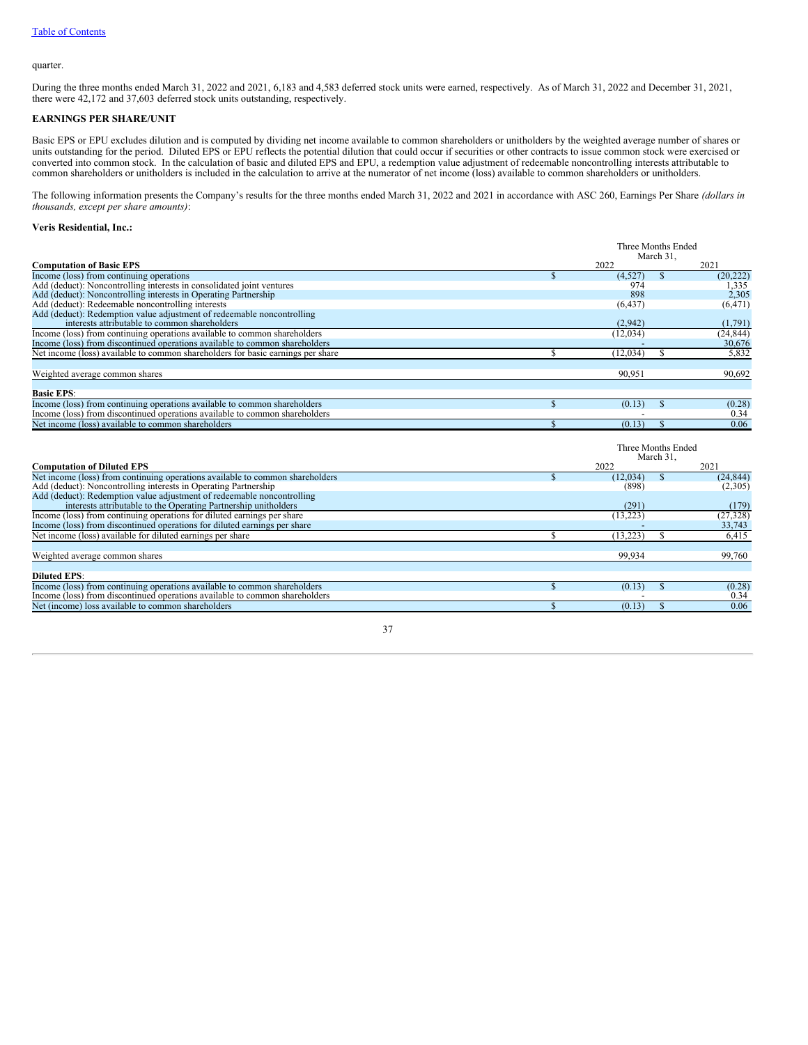quarter.

During the three months ended March 31, 2022 and 2021, 6,183 and 4,583 deferred stock units were earned, respectively. As of March 31, 2022 and December 31, 2021, there were 42,172 and 37,603 deferred stock units outstanding, respectively.

# **EARNINGS PER SHARE/UNIT**

Basic EPS or EPU excludes dilution and is computed by dividing net income available to common shareholders or unitholders by the weighted average number of shares or units outstanding for the period. Diluted EPS or EPU reflects the potential dilution that could occur if securities or other contracts to issue common stock were exercised or converted into common stock. In the calculation of basic and diluted EPS and EPU, a redemption value adjustment of redeemable noncontrolling interests attributable to common shareholders or unitholders is included in the calculation to arrive at the numerator of net income (loss) available to common shareholders or unitholders.

The following information presents the Company's results for the three months ended March 31, 2022 and 2021 in accordance with ASC 260, Earnings Per Share *(dollars in*) *thousands, except per share amounts)*:

### **Veris Residential, Inc.:**

|                                                                                 | Three Months Ended | March 31, |           |
|---------------------------------------------------------------------------------|--------------------|-----------|-----------|
| <b>Computation of Basic EPS</b>                                                 | 2022               |           | 2021      |
| Income (loss) from continuing operations                                        | (4,527)            |           | (20, 222) |
| Add (deduct): Noncontrolling interests in consolidated joint ventures           | 974                |           | 1,335     |
| Add (deduct): Noncontrolling interests in Operating Partnership                 | 898                |           | 2,305     |
| Add (deduct): Redeemable noncontrolling interests                               | (6, 437)           |           | (6, 471)  |
| Add (deduct): Redemption value adjustment of redeemable noncontrolling          |                    |           |           |
| interests attributable to common shareholders                                   | (2,942)            |           | (1,791)   |
| Income (loss) from continuing operations available to common shareholders       | (12, 034)          |           | (24, 844) |
| Income (loss) from discontinued operations available to common shareholders     |                    |           | 30,676    |
| Net income (loss) available to common shareholders for basic earnings per share | (12, 034)          |           | 5,832     |
| Weighted average common shares                                                  | 90,951             |           | 90,692    |
|                                                                                 |                    |           |           |
| <b>Basic EPS:</b>                                                               |                    |           |           |
| Income (loss) from continuing operations available to common shareholders       | (0.13)             |           | (0.28)    |
| Income (loss) from discontinued operations available to common shareholders     |                    |           | 0.34      |
| Net income (loss) available to common shareholders                              | (0.13)             |           | 0.06      |

| 2022      | 2021                            |
|-----------|---------------------------------|
| (12, 034) | (24, 844)                       |
| (898)     | (2,305)                         |
|           |                                 |
| (291)     | (179)                           |
| (13, 223) | (27, 328)                       |
|           | 33,743                          |
| (13, 223) | 6,415                           |
|           |                                 |
| 99.934    | 99,760                          |
|           |                                 |
|           |                                 |
| (0.13)    | (0.28)                          |
|           | 0.34                            |
| (0.13)    | 0.06                            |
|           | Three Months Ended<br>March 31. |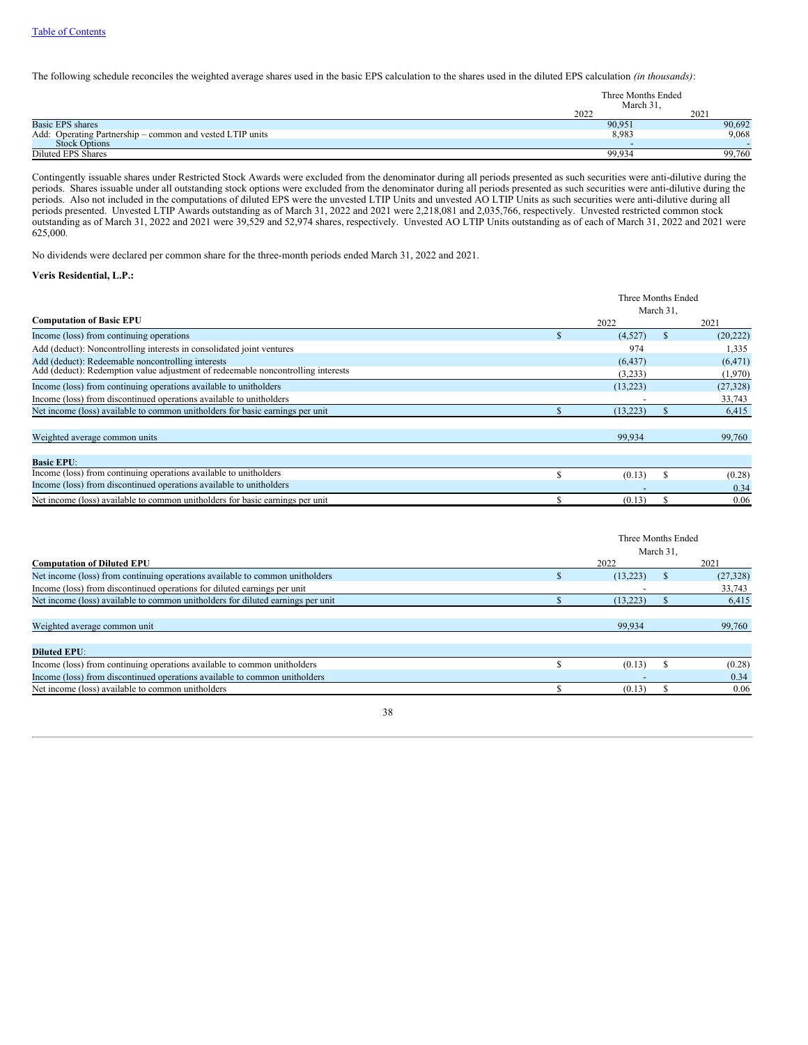The following schedule reconciles the weighted average shares used in the basic EPS calculation to the shares used in the diluted EPS calculation *(in thousands)*:

|                                                           | Three Months Ended<br>March 31, |        |  |  |
|-----------------------------------------------------------|---------------------------------|--------|--|--|
|                                                           | 2022                            | 2021   |  |  |
| <b>Basic EPS</b> shares                                   | 90,951                          | 90,692 |  |  |
| Add: Operating Partnership – common and vested LTIP units | 8,983                           | 9,068  |  |  |
| <b>Stock Options</b>                                      | $\overline{\phantom{a}}$        |        |  |  |
| Diluted EPS Shares                                        | 99.934                          | 99,760 |  |  |

Contingently issuable shares under Restricted Stock Awards were excluded from the denominator during all periods presented as such securities were anti-dilutive during the periods. Shares issuable under all outstanding stock options were excluded from the denominator during all periods presented as such securities were anti-dilutive during the periods. Also not included in the computations of diluted EPS were the unvested LTIP Units and unvested AO LTIP Units as such securities were anti-dilutive during all periods presented. Unvested LTIP Awards outstanding as of March 31, 2022 and 2021 were 2,218,081 and 2,035,766, respectively. Unvested restricted common stock outstanding as of March 31, 2022 and 2021 were 39,529 and 52,974 shares, respectively. Unvested AO LTIP Units outstanding as of each of March 31, 2022 and 2021 were 625,000.

No dividends were declared per common share for the three-month periods ended March 31, 2022 and 2021.

### **Veris Residential, L.P.:**

|                                                                                  | Three Months Ended |          |           |  |  |  |
|----------------------------------------------------------------------------------|--------------------|----------|-----------|--|--|--|
|                                                                                  | March 31,          |          |           |  |  |  |
| <b>Computation of Basic EPU</b>                                                  | 2022               |          | 2021      |  |  |  |
| Income (loss) from continuing operations                                         | (4,527)            | <b>S</b> | (20, 222) |  |  |  |
| Add (deduct): Noncontrolling interests in consolidated joint ventures            | 974                |          | 1,335     |  |  |  |
| Add (deduct): Redeemable noncontrolling interests                                | (6, 437)           |          | (6, 471)  |  |  |  |
| Add (deduct): Redemption value adjustment of redeemable noncontrolling interests | (3,233)            |          | (1,970)   |  |  |  |
| Income (loss) from continuing operations available to unitholders                | (13, 223)          |          | (27, 328) |  |  |  |
| Income (loss) from discontinued operations available to unitholders              |                    |          | 33,743    |  |  |  |
| Net income (loss) available to common unitholders for basic earnings per unit    | (13, 223)          |          | 6,415     |  |  |  |
|                                                                                  |                    |          |           |  |  |  |
| Weighted average common units                                                    | 99,934             |          | 99,760    |  |  |  |
|                                                                                  |                    |          |           |  |  |  |
| <b>Basic EPU:</b>                                                                |                    |          |           |  |  |  |
| Income (loss) from continuing operations available to unitholders                | (0.13)             |          | (0.28)    |  |  |  |
| Income (loss) from discontinued operations available to unitholders              |                    |          | 0.34      |  |  |  |
| Net income (loss) available to common unitholders for basic earnings per unit    | (0.13)             |          | 0.06      |  |  |  |

|                                                                                 | Three Months Ended |           |           |  |
|---------------------------------------------------------------------------------|--------------------|-----------|-----------|--|
|                                                                                 |                    | March 31, |           |  |
| <b>Computation of Diluted EPU</b>                                               | 2022               |           | 2021      |  |
| Net income (loss) from continuing operations available to common unitholders    | (13,223)           |           | (27, 328) |  |
| Income (loss) from discontinued operations for diluted earnings per unit        |                    |           | 33,743    |  |
| Net income (loss) available to common unitholders for diluted earnings per unit | (13,223)           |           | 6,415     |  |
|                                                                                 |                    |           |           |  |
| Weighted average common unit                                                    | 99,934             |           | 99,760    |  |
|                                                                                 |                    |           |           |  |
| <b>Diluted EPU:</b>                                                             |                    |           |           |  |
| Income (loss) from continuing operations available to common unitholders        | (0.13)             |           | (0.28)    |  |
| Income (loss) from discontinued operations available to common unitholders      |                    |           | 0.34      |  |
| Net income (loss) available to common unitholders                               | (0.13)             |           | 0.06      |  |
|                                                                                 |                    |           |           |  |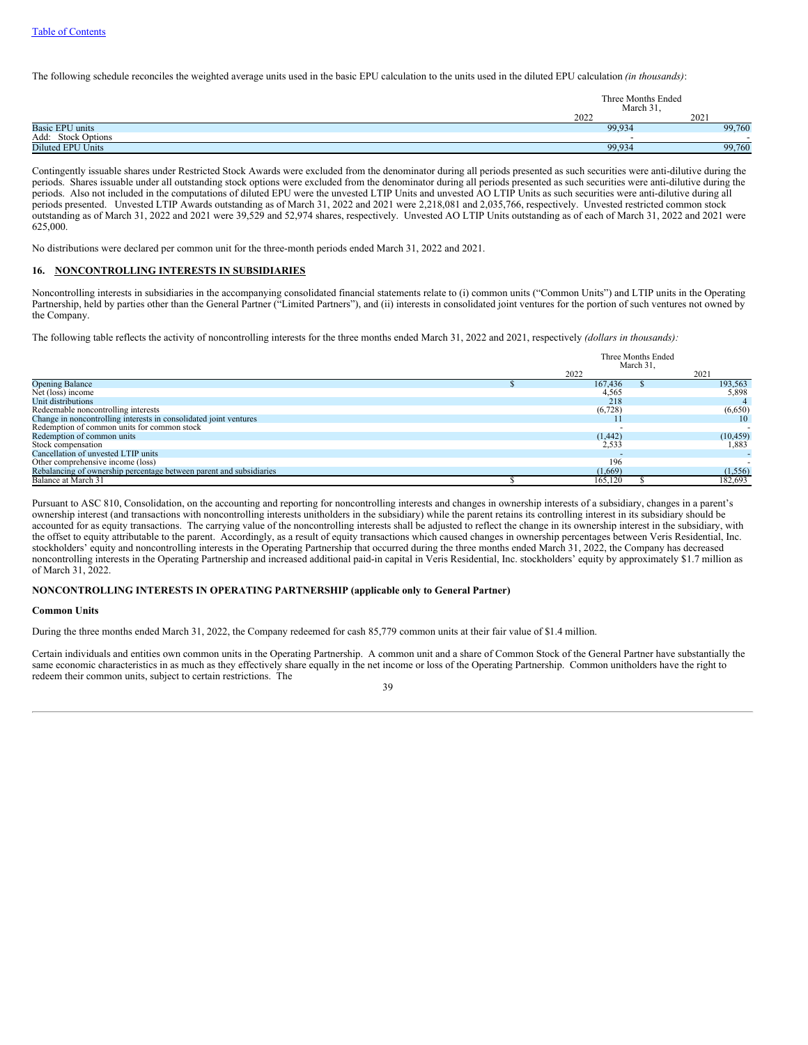The following schedule reconciles the weighted average units used in the basic EPU calculation to the units used in the diluted EPU calculation *(in thousands)*:

|                    | Three Months Ended<br>March 31, |        |  |  |
|--------------------|---------------------------------|--------|--|--|
|                    | 2022                            | 2021   |  |  |
| Basic EPU units    | 99,934                          | 99,760 |  |  |
| Add: Stock Options | <b>Contract</b>                 |        |  |  |
| Diluted EPU Units  | 99,934                          | 99,760 |  |  |

Contingently issuable shares under Restricted Stock Awards were excluded from the denominator during all periods presented as such securities were anti-dilutive during the periods. Shares issuable under all outstanding stock options were excluded from the denominator during all periods presented as such securities were anti-dilutive during the periods. Also not included in the computations of diluted EPU were the unvested LTIP Units and unvested AO LTIP Units as such securities were anti-dilutive during all periods presented. Unvested LTIP Awards outstanding as of March 31, 2022 and 2021 were 2,218,081 and 2,035,766, respectively. Unvested restricted common stock outstanding as of March 31, 2022 and 2021 were 39,529 and 52,974 shares, respectively. Unvested AO LTIP Units outstanding as of each of March 31, 2022 and 2021 were 625,000.

No distributions were declared per common unit for the three-month periods ended March 31, 2022 and 2021.

### **16. NONCONTROLLING INTERESTS IN SUBSIDIARIES**

Noncontrolling interests in subsidiaries in the accompanying consolidated financial statements relate to (i) common units ("Common Units") and LTIP units in the Operating Partnership, held by parties other than the General Partner ("Limited Partners"), and (ii) interests in consolidated joint ventures for the portion of such ventures not owned by the Company.

The following table reflects the activity of noncontrolling interests for the three months ended March 31, 2022 and 2021, respectively *(dollars in thousands):*

|                                                                     | Three Months Ended |           |           |
|---------------------------------------------------------------------|--------------------|-----------|-----------|
|                                                                     | 2022               | March 31, | 2021      |
| <b>Opening Balance</b>                                              | 167.436            |           | 193,563   |
| Net (loss) income                                                   | 4,565              |           | 5,898     |
| Unit distributions                                                  | 218                |           |           |
| Redeemable noncontrolling interests                                 | (6, 728)           |           | (6,650)   |
| Change in noncontrolling interests in consolidated joint ventures   |                    |           | 10        |
| Redemption of common units for common stock                         |                    |           |           |
| Redemption of common units                                          | (1, 442)           |           | (10, 459) |
| Stock compensation                                                  | 2,533              |           | 1,883     |
| Cancellation of unvested LTIP units                                 |                    |           |           |
| Other comprehensive income (loss)                                   | 196                |           |           |
| Rebalancing of ownership percentage between parent and subsidiaries | (1,669)            |           | (1, 556)  |
| Balance at March 31                                                 | 165.120            |           | 182.693   |

Pursuant to ASC 810, Consolidation, on the accounting and reporting for noncontrolling interests and changes in ownership interests of a subsidiary, changes in a parent's ownership interest (and transactions with noncontrolling interests unitholders in the subsidiary) while the parent retains its controlling interest in its subsidiary should be accounted for as equity transactions. The carrying value of the noncontrolling interests shall be adjusted to reflect the change in its ownership interest in the subsidiary, with the offset to equity attributable to the parent. Accordingly, as a result of equity transactions which caused changes in ownership percentages between Veris Residential, Inc. stockholders' equity and noncontrolling interests in the Operating Partnership that occurred during the three months ended March 31, 2022, the Company has decreased noncontrolling interests in the Operating Partnership and increased additional paid-in capital in Veris Residential, Inc. stockholders' equity by approximately \$1.7 million as of March 31, 2022.

### **NONCONTROLLING INTERESTS IN OPERATING PARTNERSHIP (applicable only to General Partner)**

### **Common Units**

During the three months ended March 31, 2022, the Company redeemed for cash 85,779 common units at their fair value of \$1.4 million.

Certain individuals and entities own common units in the Operating Partnership. A common unit and a share of Common Stock of the General Partner have substantially the same economic characteristics in as much as they effectively share equally in the net income or loss of the Operating Partnership. Common unitholders have the right to redeem their common units, subject to certain restrictions. The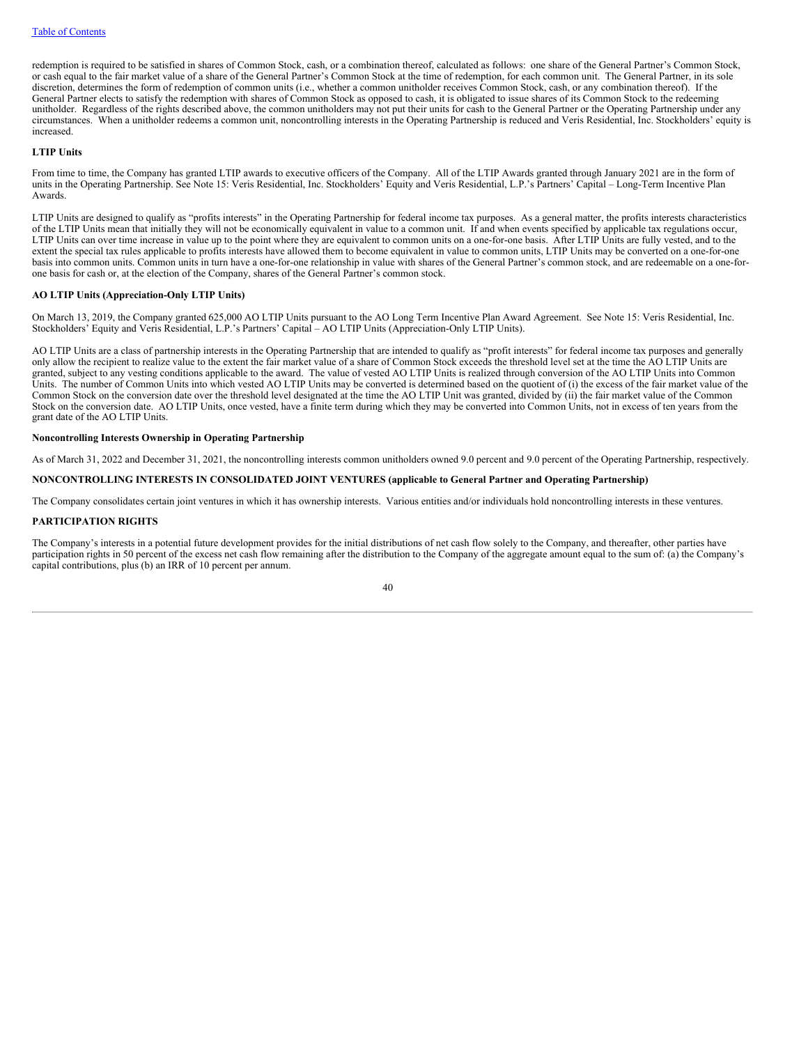redemption is required to be satisfied in shares of Common Stock, cash, or a combination thereof, calculated as follows: one share of the General Partner's Common Stock, or cash equal to the fair market value of a share of the General Partner's Common Stock at the time of redemption, for each common unit. The General Partner, in its sole discretion, determines the form of redemption of common units (i.e., whether a common unitholder receives Common Stock, cash, or any combination thereof). If the General Partner elects to satisfy the redemption with shares of Common Stock as opposed to cash, it is obligated to issue shares of its Common Stock to the redeeming unitholder. Regardless of the rights described above, the common unitholders may not put their units for cash to the General Partner or the Operating Partnership under any circumstances. When a unitholder redeems a common unit, noncontrolling interests in the Operating Partnership is reduced and Veris Residential, Inc. Stockholders' equity is increased.

### **LTIP Units**

From time to time, the Company has granted LTIP awards to executive officers of the Company. All of the LTIP Awards granted through January 2021 are in the form of units in the Operating Partnership. See Note 15: Veris Residential, Inc. Stockholders' Equity and Veris Residential, L.P.'s Partners' Capital – Long-Term Incentive Plan Awards.

LTIP Units are designed to qualify as "profits interests" in the Operating Partnership for federal income tax purposes. As a general matter, the profits interests characteristics of the LTIP Units mean that initially they will not be economically equivalent in value to a common unit. If and when events specified by applicable tax regulations occur, LTIP Units can over time increase in value up to the point where they are equivalent to common units on a one-for-one basis. After LTIP Units are fully vested, and to the extent the special tax rules applicable to profits interests have allowed them to become equivalent in value to common units, LTIP Units may be converted on a one-for-one basis into common units. Common units in turn have a one-for-one relationship in value with shares of the General Partner's common stock, and are redeemable on a one-forone basis for cash or, at the election of the Company, shares of the General Partner's common stock.

### **AO LTIP Units (Appreciation-Only LTIP Units)**

On March 13, 2019, the Company granted 625,000 AO LTIP Units pursuant to the AO Long Term Incentive Plan Award Agreement. See Note 15: Veris Residential, Inc. Stockholders' Equity and Veris Residential, L.P.'s Partners' Capital – AO LTIP Units (Appreciation-Only LTIP Units).

AO LTIP Units are a class of partnership interests in the Operating Partnership that are intended to qualify as "profit interests" for federal income tax purposes and generally only allow the recipient to realize value to the extent the fair market value of a share of Common Stock exceeds the threshold level set at the time the AO LTIP Units are granted, subject to any vesting conditions applicable to the award. The value of vested AO LTIP Units is realized through conversion of the AO LTIP Units into Common Units. The number of Common Units into which vested AO LTIP Units may be converted is determined based on the quotient of (i) the excess of the fair market value of the Common Stock on the conversion date over the threshold level designated at the time the AO LTIP Unit was granted, divided by (ii) the fair market value of the Common Stock on the conversion date. AO LTIP Units, once vested, have a finite term during which they may be converted into Common Units, not in excess of ten years from the grant date of the AO LTIP Units.

#### **Noncontrolling Interests Ownership in Operating Partnership**

As of March 31, 2022 and December 31, 2021, the noncontrolling interests common unitholders owned 9.0 percent and 9.0 percent of the Operating Partnership, respectively.

### **NONCONTROLLING INTERESTS IN CONSOLIDATED JOINT VENTURES (applicable to General Partner and Operating Partnership)**

The Company consolidates certain joint ventures in which it has ownership interests. Various entities and/or individuals hold noncontrolling interests in these ventures.

### **PARTICIPATION RIGHTS**

The Company's interests in a potential future development provides for the initial distributions of net cash flow solely to the Company, and thereafter, other parties have participation rights in 50 percent of the excess net cash flow remaining after the distribution to the Company of the aggregate amount equal to the sum of: (a) the Company's capital contributions, plus (b) an IRR of 10 percent per annum.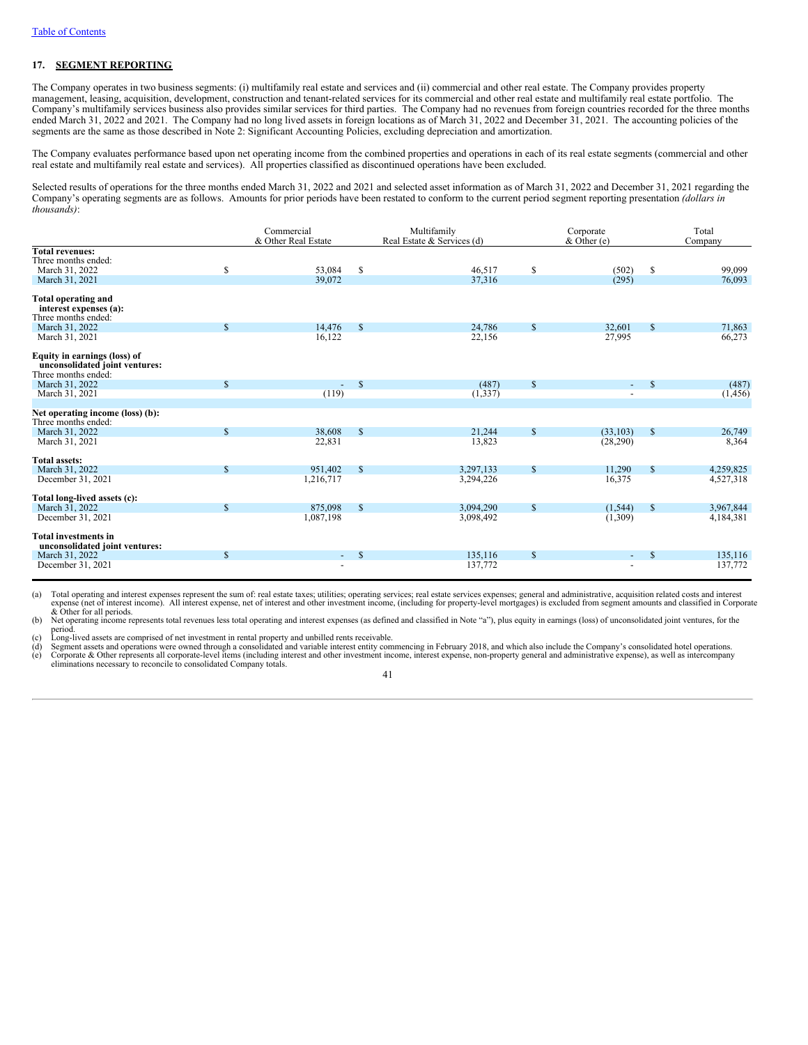# **17. SEGMENT REPORTING**

The Company operates in two business segments: (i) multifamily real estate and services and (ii) commercial and other real estate. The Company provides property management, leasing, acquisition, development, construction and tenant-related services for its commercial and other real estate and multifamily real estate portfolio. The Company's multifamily services business also provides similar services for third parties. The Company had no revenues from foreign countries recorded for the three months ended March 31, 2022 and 2021. The Company had no long lived assets in foreign locations as of March 31, 2022 and December 31, 2021. The accounting policies of the segments are the same as those described in Note 2: Significant Accounting Policies, excluding depreciation and amortization.

The Company evaluates performance based upon net operating income from the combined properties and operations in each of its real estate segments (commercial and other real estate and multifamily real estate and services). All properties classified as discontinued operations have been excluded.

Selected results of operations for the three months ended March 31, 2022 and 2021 and selected asset information as of March 31, 2022 and December 31, 2021 regarding the Company's operating segments are as follows. Amounts for prior periods have been restated to conform to the current period segment reporting presentation *(dollars in thousands)*:

|                                                                             |               | Commercial<br>& Other Real Estate |               | Multifamily<br>Real Estate & Services (d) |              | Corporate<br>$&$ Other (e) |              | Total<br>Company |
|-----------------------------------------------------------------------------|---------------|-----------------------------------|---------------|-------------------------------------------|--------------|----------------------------|--------------|------------------|
| <b>Total revenues:</b>                                                      |               |                                   |               |                                           |              |                            |              |                  |
| Three months ended:                                                         |               |                                   |               |                                           |              |                            |              |                  |
| March 31, 2022                                                              | \$            | 53,084                            | \$            | 46,517                                    | S            | (502)                      | $\mathbb{S}$ | 99,099           |
| March 31, 2021                                                              |               | 39,072                            |               | 37,316                                    |              | (295)                      |              | 76,093           |
| <b>Total operating and</b><br>interest expenses (a):<br>Three months ended: |               |                                   |               |                                           |              |                            |              |                  |
| March 31, 2022                                                              | $\mathbb{S}$  | 14,476                            | $\mathbb{S}$  | 24,786                                    | $\mathbb{S}$ | 32,601                     | $\mathbb{S}$ | 71,863           |
| March 31, 2021                                                              |               | 16,122                            |               | 22,156                                    |              | 27,995                     |              | 66,273           |
|                                                                             |               |                                   |               |                                           |              |                            |              |                  |
| Equity in earnings (loss) of<br>unconsolidated joint ventures:              |               |                                   |               |                                           |              |                            |              |                  |
| Three months ended:                                                         |               |                                   |               |                                           |              |                            |              |                  |
| March 31, 2022                                                              | $\mathbb{S}$  |                                   | <sup>\$</sup> | (487)                                     | $\mathbb{S}$ |                            | S            | (487)            |
| March 31, 2021                                                              |               | (119)                             |               | (1, 337)                                  |              | $\overline{\phantom{a}}$   |              | (1, 456)         |
| Net operating income (loss) (b):<br>Three months ended:                     |               |                                   |               |                                           |              |                            |              |                  |
| March 31, 2022                                                              | $\mathbb{S}$  | 38,608                            | $\mathbb{S}$  | 21,244                                    | $\mathbb{S}$ | (33, 103)                  | $\mathbb{S}$ | 26,749           |
| March 31, 2021                                                              |               | 22,831                            |               | 13,823                                    |              | (28,290)                   |              | 8,364            |
| <b>Total assets:</b>                                                        |               |                                   |               |                                           |              |                            |              |                  |
| March 31, 2022                                                              | $\mathbb{S}$  | 951.402                           | $\mathbb{S}$  | 3.297.133                                 | $\mathbb{S}$ | 11,290                     | $\mathbb{S}$ | 4.259.825        |
| December 31, 2021                                                           |               | 1,216,717                         |               | 3,294,226                                 |              | 16,375                     |              | 4,527,318        |
|                                                                             |               |                                   |               |                                           |              |                            |              |                  |
| Total long-lived assets (c):                                                |               |                                   |               |                                           |              |                            |              |                  |
| March 31, 2022                                                              | $\mathbb{S}$  | 875,098                           | $\mathbb{S}$  | 3,094,290                                 | $\mathbb{S}$ | (1, 544)                   | $\mathbb{S}$ | 3,967,844        |
| December 31, 2021                                                           |               | 1,087,198                         |               | 3,098,492                                 |              | (1,309)                    |              | 4,184,381        |
|                                                                             |               |                                   |               |                                           |              |                            |              |                  |
| <b>Total investments in</b><br>unconsolidated joint ventures:               |               |                                   |               |                                           |              |                            |              |                  |
| March 31, 2022                                                              | $\mathcal{S}$ | $\overline{\phantom{a}}$          | <sup>\$</sup> | 135,116                                   | $\mathbb{S}$ | $\sim$                     | <b>S</b>     | 135,116          |
| December 31, 2021                                                           |               |                                   |               | 137,772                                   |              |                            |              | 137,772          |

(a) Total operating and interest expenses represent the sum of: real estate taxes; utilities; operating services; real estate eservices expenses; general and administrative, acquisition related costs and interest expense ( & Other for all periods.

(b) Net operating income represents total revenues less total operating and interest expenses (as defined and classified in Note "a"), plus equity in earnings (loss) of unconsolidated joint ventures, for the period.

(c) Long-lived assets are comprised of net investment in rental property and unbilled rents receivable.<br>(d) Segment assets and operations were owned through a consolidated and variable interest entity commencing in Februar eliminations necessary to reconcile to consolidated Company totals.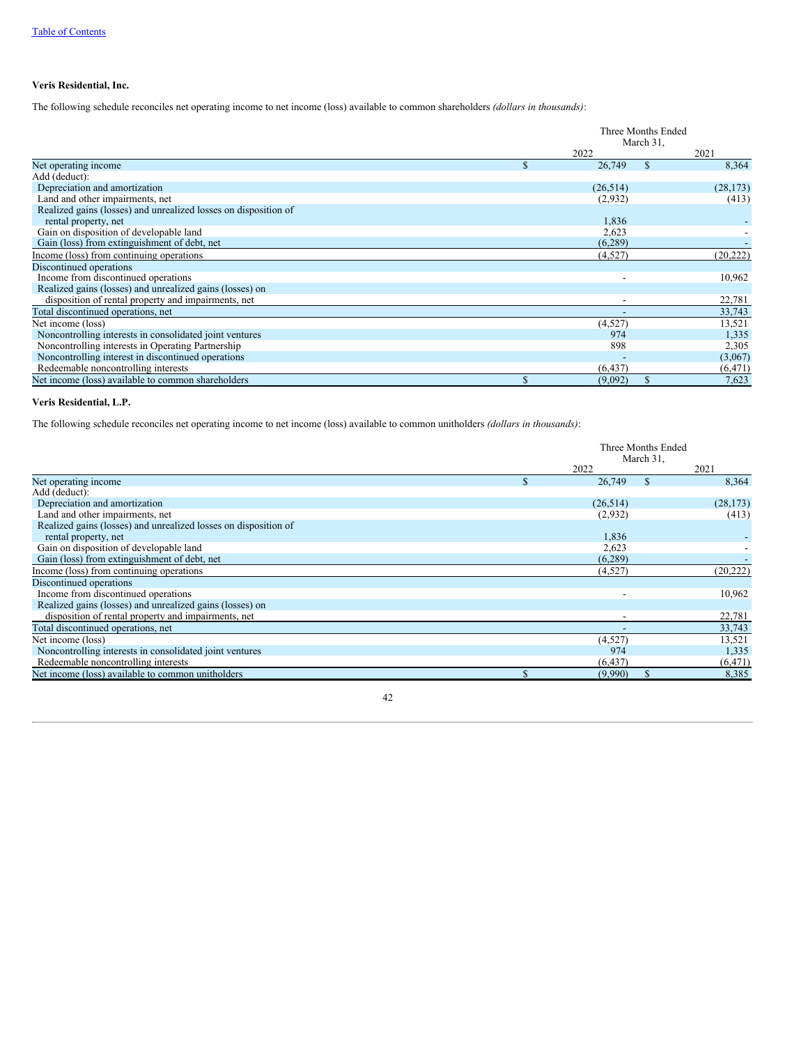# **Veris Residential, Inc.**

The following schedule reconciles net operating income to net income (loss) available to common shareholders *(dollars in thousands)*:

|                                                                 |     | Three Months Ended<br>March 31, |              |           |
|-----------------------------------------------------------------|-----|---------------------------------|--------------|-----------|
|                                                                 |     | 2022                            |              | 2021      |
| Net operating income                                            | \$. | 26,749                          | $\mathbf{s}$ | 8,364     |
| Add (deduct):                                                   |     |                                 |              |           |
| Depreciation and amortization                                   |     | (26, 514)                       |              | (28, 173) |
| Land and other impairments, net                                 |     | (2,932)                         |              | (413)     |
| Realized gains (losses) and unrealized losses on disposition of |     |                                 |              |           |
| rental property, net                                            |     | 1,836                           |              |           |
| Gain on disposition of developable land                         |     | 2,623                           |              |           |
| Gain (loss) from extinguishment of debt, net                    |     | (6,289)                         |              |           |
| Income (loss) from continuing operations                        |     | (4,527)                         |              | (20, 222) |
| Discontinued operations                                         |     |                                 |              |           |
| Income from discontinued operations                             |     |                                 |              | 10,962    |
| Realized gains (losses) and unrealized gains (losses) on        |     |                                 |              |           |
| disposition of rental property and impairments, net             |     | $\overline{\phantom{a}}$        |              | 22,781    |
| Total discontinued operations, net                              |     |                                 |              | 33,743    |
| Net income (loss)                                               |     | (4,527)                         |              | 13,521    |
| Noncontrolling interests in consolidated joint ventures         |     | 974                             |              | 1,335     |
| Noncontrolling interests in Operating Partnership               |     | 898                             |              | 2,305     |
| Noncontrolling interest in discontinued operations              |     |                                 |              | (3,067)   |
| Redeemable noncontrolling interests                             |     | (6, 437)                        |              | (6, 471)  |
| Net income (loss) available to common shareholders              |     | (9,092)                         |              | 7,623     |

# **Veris Residential, L.P.**

The following schedule reconciles net operating income to net income (loss) available to common unitholders *(dollars in thousands)*:

|                                                                 | Three Months Ended<br>March 31, |     |           |  |
|-----------------------------------------------------------------|---------------------------------|-----|-----------|--|
|                                                                 | 2022                            |     | 2021      |  |
| Net operating income                                            | 26,749                          | \$. | 8,364     |  |
| Add (deduct):                                                   |                                 |     |           |  |
| Depreciation and amortization                                   | (26, 514)                       |     | (28, 173) |  |
| Land and other impairments, net                                 | (2,932)                         |     | (413)     |  |
| Realized gains (losses) and unrealized losses on disposition of |                                 |     |           |  |
| rental property, net                                            | 1,836                           |     |           |  |
| Gain on disposition of developable land                         | 2,623                           |     |           |  |
| Gain (loss) from extinguishment of debt, net                    | (6,289)                         |     |           |  |
| Income (loss) from continuing operations                        | (4,527)                         |     | (20, 222) |  |
| Discontinued operations                                         |                                 |     |           |  |
| Income from discontinued operations                             |                                 |     | 10,962    |  |
| Realized gains (losses) and unrealized gains (losses) on        |                                 |     |           |  |
| disposition of rental property and impairments, net             | ٠                               |     | 22,781    |  |
| Total discontinued operations, net                              | ٠                               |     | 33,743    |  |
| Net income (loss)                                               | (4,527)                         |     | 13,521    |  |
| Noncontrolling interests in consolidated joint ventures         | 974                             |     | 1,335     |  |
| Redeemable noncontrolling interests                             | (6, 437)                        |     | (6, 471)  |  |
| Net income (loss) available to common unitholders               | (9,990)                         |     | 8,385     |  |

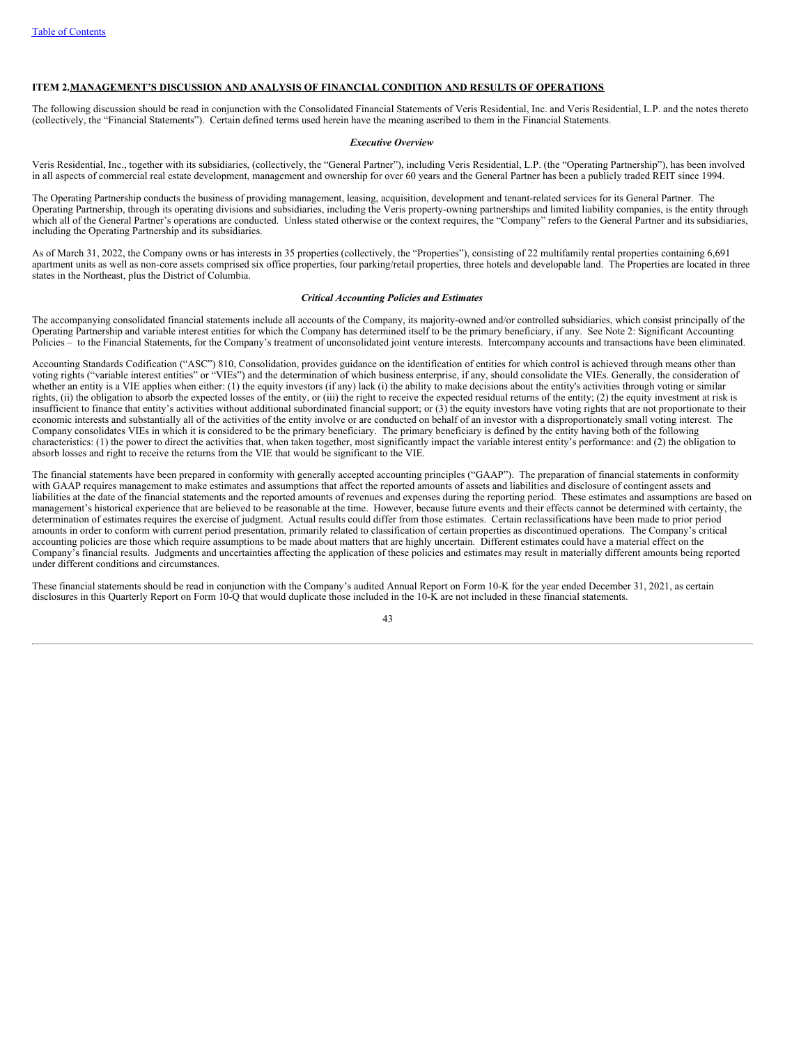### **ITEM 2.MANAGEMENT'S DISCUSSION AND ANALYSIS OF FINANCIAL CONDITION AND RESULTS OF OPERATIONS**

The following discussion should be read in conjunction with the Consolidated Financial Statements of Veris Residential, Inc. and Veris Residential, L.P. and the notes thereto (collectively, the "Financial Statements"). Certain defined terms used herein have the meaning ascribed to them in the Financial Statements.

### *Executive Overview*

Veris Residential, Inc., together with its subsidiaries, (collectively, the "General Partner"), including Veris Residential, L.P. (the "Operating Partnership"), has been involved in all aspects of commercial real estate development, management and ownership for over 60 years and the General Partner has been a publicly traded REIT since 1994.

The Operating Partnership conducts the business of providing management, leasing, acquisition, development and tenant-related services for its General Partner. The Operating Partnership, through its operating divisions and subsidiaries, including the Veris property-owning partnerships and limited liability companies, is the entity through which all of the General Partner's operations are conducted. Unless stated otherwise or the context requires, the "Company" refers to the General Partner and its subsidiaries, including the Operating Partnership and its subsidiaries.

As of March 31, 2022, the Company owns or has interests in 35 properties (collectively, the "Properties"), consisting of 22 multifamily rental properties containing 6,691 apartment units as well as non-core assets comprised six office properties, four parking/retail properties, three hotels and developable land. The Properties are located in three states in the Northeast, plus the District of Columbia.

### *Critical Accounting Policies and Estimates*

The accompanying consolidated financial statements include all accounts of the Company, its majority-owned and/or controlled subsidiaries, which consist principally of the Operating Partnership and variable interest entities for which the Company has determined itself to be the primary beneficiary, if any. See Note 2: Significant Accounting Policies – to the Financial Statements, for the Company's treatment of unconsolidated joint venture interests. Intercompany accounts and transactions have been eliminated.

Accounting Standards Codification ("ASC") 810, Consolidation, provides guidance on the identification of entities for which control is achieved through means other than voting rights ("variable interest entities" or "VIEs") and the determination of which business enterprise, if any, should consolidate the VIEs. Generally, the consideration of whether an entity is a VIE applies when either: (1) the equity investors (if any) lack (i) the ability to make decisions about the entity's activities through voting or similar rights, (ii) the obligation to absorb the expected losses of the entity, or (iii) the right to receive the expected residual returns of the entity; (2) the equity investment at risk is insufficient to finance that entity's activities without additional subordinated financial support; or (3) the equity investors have voting rights that are not proportionate to their economic interests and substantially all of the activities of the entity involve or are conducted on behalf of an investor with a disproportionately small voting interest. The Company consolidates VIEs in which it is considered to be the primary beneficiary. The primary beneficiary is defined by the entity having both of the following characteristics: (1) the power to direct the activities that, when taken together, most significantly impact the variable interest entity's performance: and (2) the obligation to absorb losses and right to receive the returns from the VIE that would be significant to the VIE.

The financial statements have been prepared in conformity with generally accepted accounting principles ("GAAP"). The preparation of financial statements in conformity with GAAP requires management to make estimates and assumptions that affect the reported amounts of assets and liabilities and disclosure of contingent assets and liabilities at the date of the financial statements and the reported amounts of revenues and expenses during the reporting period. These estimates and assumptions are based on management's historical experience that are believed to be reasonable at the time. However, because future events and their effects cannot be determined with certainty, the determination of estimates requires the exercise of judgment. Actual results could differ from those estimates. Certain reclassifications have been made to prior period amounts in order to conform with current period presentation, primarily related to classification of certain properties as discontinued operations. The Company's critical accounting policies are those which require assumptions to be made about matters that are highly uncertain. Different estimates could have a material effect on the Company's financial results. Judgments and uncertainties affecting the application of these policies and estimates may result in materially different amounts being reported under different conditions and circumstances.

These financial statements should be read in conjunction with the Company's audited Annual Report on Form 10-K for the year ended December 31, 2021, as certain disclosures in this Quarterly Report on Form 10-Q that would duplicate those included in the 10-K are not included in these financial statements.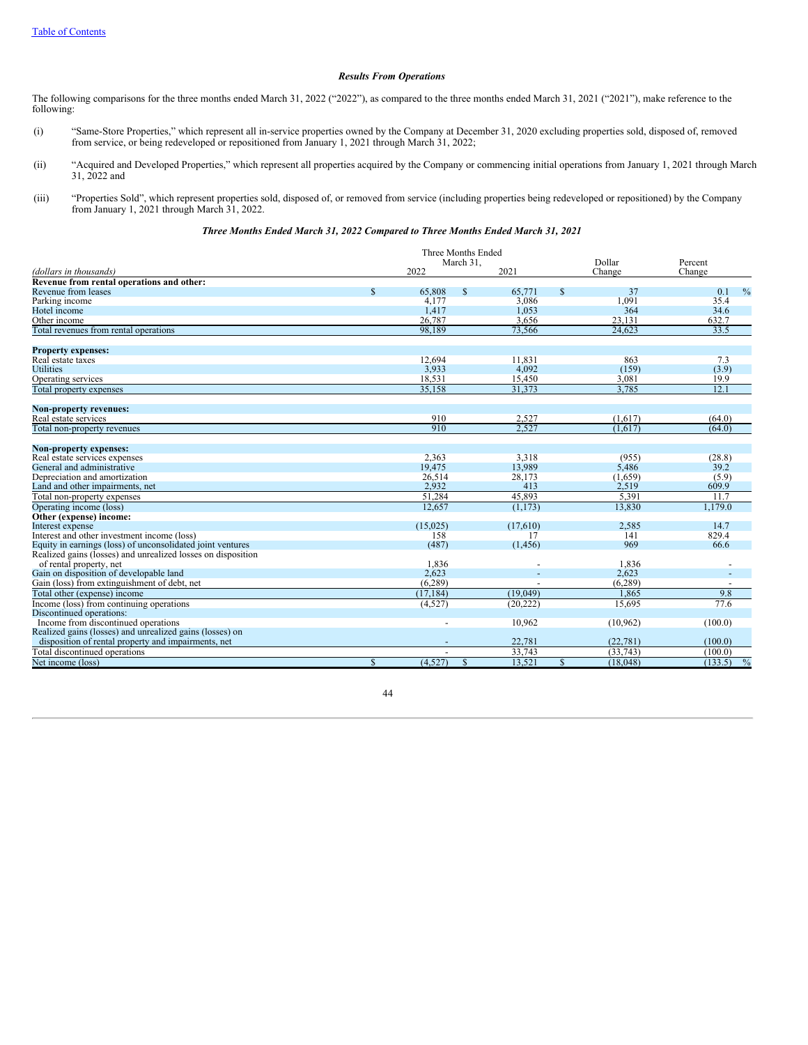### *Results From Operations*

The following comparisons for the three months ended March 31, 2022 ("2022"), as compared to the three months ended March 31, 2021 ("2021"), make reference to the following:

- (i) "Same-Store Properties," which represent all in-service properties owned by the Company at December 31, 2020 excluding properties sold, disposed of, removed from service, or being redeveloped or repositioned from January 1, 2021 through March 31, 2022;
- (ii) "Acquired and Developed Properties," which represent all properties acquired by the Company or commencing initial operations from January 1, 2021 through March 31, 2022 and
- (iii) "Properties Sold", which represent properties sold, disposed of, or removed from service (including properties being redeveloped or repositioned) by the Company from January 1, 2021 through March 31, 2022.

# *Three Months Ended March 31, 2022 Compared to Three Months Ended March 31, 2021*

|                                                              |              |          | March 31.     |           |              | Dollar    | Percent                  |
|--------------------------------------------------------------|--------------|----------|---------------|-----------|--------------|-----------|--------------------------|
| (dollars in thousands)                                       |              | 2022     |               | 2021      |              | Change    | Change                   |
| Revenue from rental operations and other:                    |              |          |               |           |              |           |                          |
| Revenue from leases                                          | $\mathbf S$  | 65.808   | <sup>\$</sup> | 65,771    | $\mathbf S$  | 37        | $\frac{0}{0}$<br>0.1     |
| Parking income                                               |              | 4.177    |               | 3.086     |              | 1.091     | 35.4                     |
| Hotel income                                                 |              | 1,417    |               | 1,053     |              | 364       | 34.6                     |
| Other income                                                 |              | 26,787   |               | 3,656     |              | 23.131    | 632.7                    |
| Total revenues from rental operations                        |              | 98.189   |               | 73,566    |              | 24,623    | 33.5                     |
| <b>Property expenses:</b>                                    |              |          |               |           |              |           |                          |
| Real estate taxes                                            |              | 12.694   |               | 11,831    |              | 863       | 7.3                      |
| <b>Utilities</b>                                             |              | 3,933    |               | 4,092     |              | (159)     | (3.9)                    |
| Operating services                                           |              | 18,531   |               | 15,450    |              | 3,081     | 19.9                     |
| Total property expenses                                      |              | 35,158   |               | 31,373    |              | 3,785     | 12.1                     |
|                                                              |              |          |               |           |              |           |                          |
| Non-property revenues:<br>Real estate services               |              | 910      |               | 2,527     |              | (1.617)   | (64.0)                   |
|                                                              |              | 910      |               | 2,527     |              |           |                          |
| Total non-property revenues                                  |              |          |               |           |              | (1,617)   | (64.0)                   |
| Non-property expenses:                                       |              |          |               |           |              |           |                          |
| Real estate services expenses                                |              | 2.363    |               | 3,318     |              | (955)     | (28.8)                   |
| General and administrative                                   |              | 19,475   |               | 13.989    |              | 5,486     | 39.2                     |
| Depreciation and amortization                                |              | 26,514   |               | 28,173    |              | (1,659)   | (5.9)                    |
| Land and other impairments, net                              |              | 2,932    |               | 413       |              | 2,519     | 609.9                    |
| Total non-property expenses                                  |              | 51,284   |               | 45,893    |              | 5,391     | 11.7                     |
| Operating income (loss)                                      |              | 12.657   |               | (1, 173)  |              | 13,830    | 1.179.0                  |
| Other (expense) income:                                      |              |          |               |           |              |           |                          |
| Interest expense                                             |              | (15,025) |               | (17,610)  |              | 2,585     | 14.7                     |
| Interest and other investment income (loss)                  |              | 158      |               | 17        |              | 141       | 829.4                    |
| Equity in earnings (loss) of unconsolidated joint ventures   |              | (487)    |               | (1, 456)  |              | 969       | 66.6                     |
| Realized gains (losses) and unrealized losses on disposition |              |          |               |           |              |           |                          |
| of rental property, net                                      |              | 1.836    |               |           |              | 1.836     |                          |
| Gain on disposition of developable land                      |              | 2,623    |               |           |              | 2,623     |                          |
| Gain (loss) from extinguishment of debt, net                 |              | (6.289)  |               |           |              | (6.289)   | $\sim$                   |
| Total other (expense) income                                 |              | (17.184) |               | (19,049)  |              | 1.865     | 9.8                      |
| Income (loss) from continuing operations                     |              | (4,527)  |               | (20, 222) |              | 15,695    | 77.6                     |
| Discontinued operations:                                     |              |          |               |           |              |           |                          |
| Income from discontinued operations                          |              |          |               | 10,962    |              | (10, 962) | (100.0)                  |
| Realized gains (losses) and unrealized gains (losses) on     |              |          |               |           |              |           |                          |
| disposition of rental property and impairments, net          |              |          |               | 22,781    |              | (22, 781) | (100.0)                  |
| Total discontinued operations                                |              |          |               | 33,743    |              | (33, 743) | (100.0)                  |
| Net income (loss)                                            | $\mathbb{S}$ | (4,527)  | <sup>\$</sup> | 13,521    | $\mathbb{S}$ | (18,048)  | (133.5)<br>$\frac{0}{0}$ |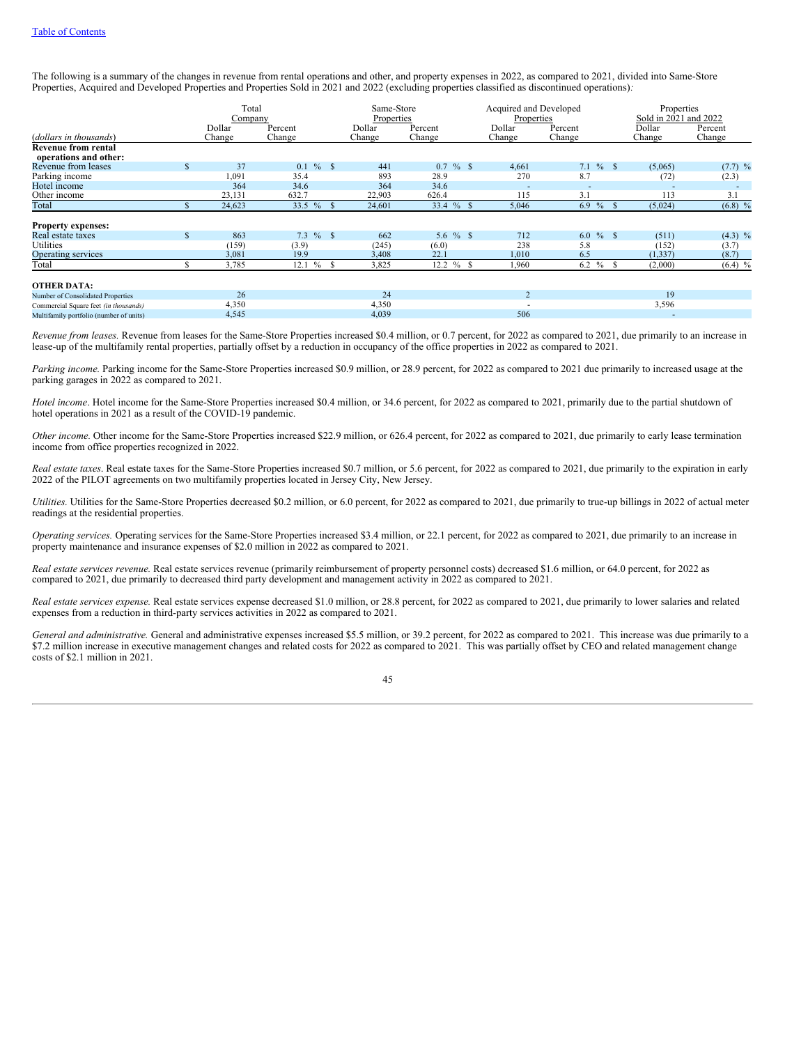The following is a summary of the changes in revenue from rental operations and other, and property expenses in 2022, as compared to 2021, divided into Same-Store Properties, Acquired and Developed Properties and Properties Sold in 2021 and 2022 (excluding properties classified as discontinued operations)*:*

|                                         |     | Total<br>Company |              | Same-Store<br>Properties |                  |              | Acquired and Developed<br>Properties |                          |             |  | Properties<br>Sold in 2021 and 2022 |           |        |
|-----------------------------------------|-----|------------------|--------------|--------------------------|------------------|--------------|--------------------------------------|--------------------------|-------------|--|-------------------------------------|-----------|--------|
|                                         |     | Dollar           | Percent      | Dollar                   | Percent          |              | Dollar                               | Percent                  |             |  | Dollar                              | Percent   |        |
| (dollars in thousands)                  |     | Change           | Change       |                          | Change<br>Change |              |                                      | Change                   | Change      |  |                                     | Change    | Change |
| <b>Revenue from rental</b>              |     |                  |              |                          |                  |              |                                      |                          |             |  |                                     |           |        |
| operations and other:                   |     |                  |              |                          |                  |              |                                      |                          |             |  |                                     |           |        |
| Revenue from leases                     | \$. | 37               | $0.1 \%$ \$  |                          | 441              | 0.7<br>% S   | 4,661                                |                          | $7.1 \%$ \$ |  | (5,065)                             | $(7.7)$ % |        |
| Parking income                          |     | 1,091            | 35.4         |                          | 893              | 28.9         | 270                                  |                          | 8.7         |  | (72)                                | (2.3)     |        |
| Hotel income                            |     | 364              | 34.6         |                          | 364              | 34.6         |                                      | ۰                        | ٠.          |  |                                     |           |        |
| Other income                            |     | 23,131           | 632.7        |                          | 22,903           | 626.4        | 115                                  |                          | 3.1         |  | 113                                 | 3.1       |        |
| Total                                   |     | 24,623           | 33.5 $%$ \$  |                          | 24,601           | 33.4 $%$ \$  | 5,046                                |                          | $6.9 \%$ \$ |  | (5,024)                             | $(6.8)$ % |        |
| <b>Property expenses:</b>               |     |                  |              |                          |                  |              |                                      |                          |             |  |                                     |           |        |
| Real estate taxes                       | \$. | 863              | $7.3 \%$ \$  |                          | 662              | 5.6 $%$ \$   | 712                                  |                          | $6.0 \%$ \$ |  | (511)                               | $(4.3)$ % |        |
| <b>Utilities</b>                        |     | (159)            | (3.9)        |                          | (245)            | (6.0)        | 238                                  |                          | 5.8         |  | (152)                               | (3.7)     |        |
| Operating services                      |     | 3,081            | 19.9         |                          | 3,408            | 22.1         | 1,010                                |                          | 6.5         |  | (1, 337)                            | (8.7)     |        |
| Total                                   |     | 3,785            | $12.1 \%$ \$ |                          | 3,825            | $12.2 \%$ \$ | 1,960                                |                          | 6.2 $%$ \$  |  | (2,000)                             | $(6.4)$ % |        |
| <b>OTHER DATA:</b>                      |     |                  |              |                          |                  |              |                                      |                          |             |  |                                     |           |        |
| Number of Consolidated Properties       |     | 26               |              |                          | 24               |              | $\mathcal{D}$                        |                          |             |  | 19                                  |           |        |
| Commercial Square feet (in thousands)   |     | 4,350            |              |                          | 4,350            |              |                                      | $\overline{\phantom{a}}$ |             |  | 3,596                               |           |        |
| Multifamily portfolio (number of units) |     | 4,545            |              |                          | 4,039            |              | 506                                  |                          |             |  |                                     |           |        |

*Revenue from leases.* Revenue from leases for the Same-Store Properties increased \$0.4 million, or 0.7 percent, for 2022 as compared to 2021, due primarily to an increase in lease-up of the multifamily rental properties, partially offset by a reduction in occupancy of the office properties in 2022 as compared to 2021.

*Parking income.* Parking income for the Same-Store Properties increased \$0.9 million, or 28.9 percent, for 2022 as compared to 2021 due primarily to increased usage at the parking garages in 2022 as compared to 2021.

*Hotel income*. Hotel income for the Same-Store Properties increased \$0.4 million, or 34.6 percent, for 2022 as compared to 2021, primarily due to the partial shutdown of hotel operations in 2021 as a result of the COVID-19 pandemic.

*Other income.* Other income for the Same-Store Properties increased \$22.9 million, or 626.4 percent, for 2022 as compared to 2021, due primarily to early lease termination income from office properties recognized in 2022.

*Real estate taxes*. Real estate taxes for the Same-Store Properties increased \$0.7 million, or 5.6 percent, for 2022 as compared to 2021, due primarily to the expiration in early 2022 of the PILOT agreements on two multifamily properties located in Jersey City, New Jersey.

*Utilities.* Utilities for the Same-Store Properties decreased \$0.2 million, or 6.0 percent, for 2022 as compared to 2021, due primarily to true-up billings in 2022 of actual meter readings at the residential properties.

*Operating services.* Operating services for the Same-Store Properties increased \$3.4 million, or 22.1 percent, for 2022 as compared to 2021, due primarily to an increase in property maintenance and insurance expenses of \$2.0 million in 2022 as compared to 2021.

*Real estate services revenue.* Real estate services revenue (primarily reimbursement of property personnel costs) decreased \$1.6 million, or 64.0 percent, for 2022 as compared to 2021, due primarily to decreased third party development and management activity in 2022 as compared to 2021.

*Real estate services expense.* Real estate services expense decreased \$1.0 million, or 28.8 percent, for 2022 as compared to 2021, due primarily to lower salaries and related expenses from a reduction in third-party services activities in 2022 as compared to 2021.

*General and administrative.* General and administrative expenses increased \$5.5 million, or 39.2 percent, for 2022 as compared to 2021. This increase was due primarily to a \$7.2 million increase in executive management changes and related costs for 2022 as compared to 2021. This was partially offset by CEO and related management change costs of \$2.1 million in 2021.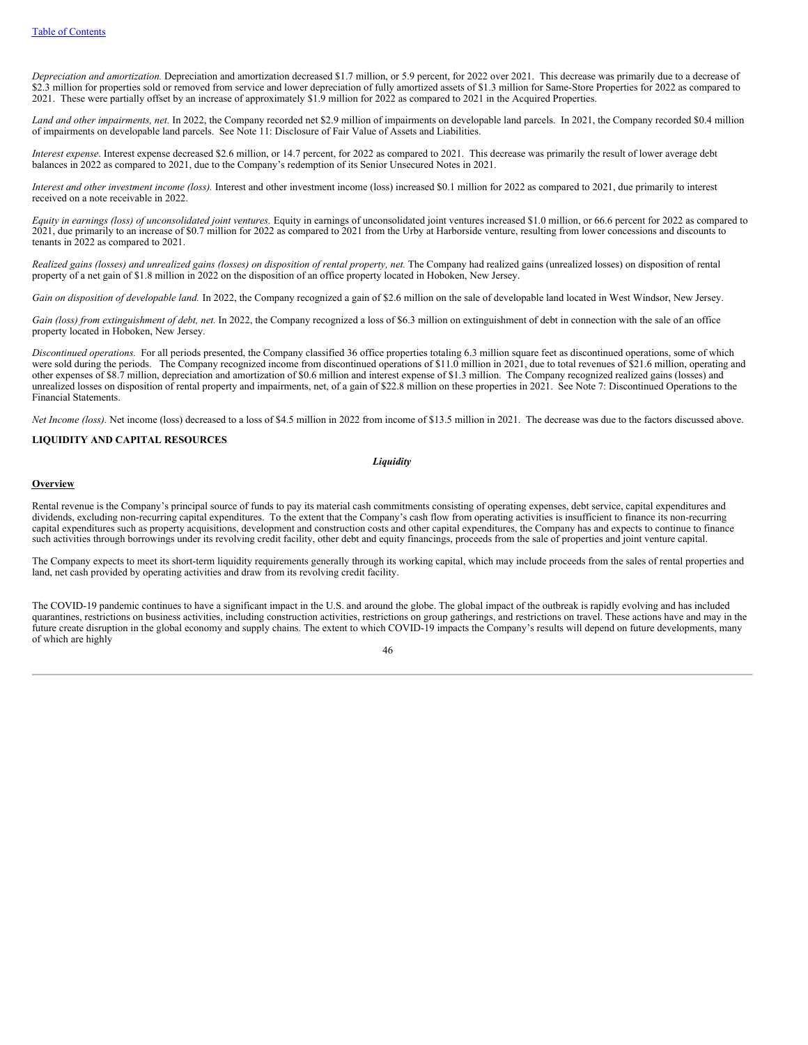*Depreciation and amortization.* Depreciation and amortization decreased \$1.7 million, or 5.9 percent, for 2022 over 2021. This decrease was primarily due to a decrease of \$2.3 million for properties sold or removed from service and lower depreciation of fully amortized assets of \$1.3 million for Same-Store Properties for 2022 as compared to 2021. These were partially offset by an increase of approximately \$1.9 million for 2022 as compared to 2021 in the Acquired Properties.

*Land and other impairments, net.* In 2022, the Company recorded net \$2.9 million of impairments on developable land parcels. In 2021, the Company recorded \$0.4 million of impairments on developable land parcels. See Note 11: Disclosure of Fair Value of Assets and Liabilities.

*Interest expense*. Interest expense decreased \$2.6 million, or 14.7 percent, for 2022 as compared to 2021. This decrease was primarily the result of lower average debt balances in 2022 as compared to 2021, due to the Company's redemption of its Senior Unsecured Notes in 2021.

*Interest and other investment income (loss).* Interest and other investment income (loss) increased \$0.1 million for 2022 as compared to 2021, due primarily to interest received on a note receivable in 2022.

Equity in earnings (loss) of unconsolidated joint ventures. Equity in earnings of unconsolidated joint ventures increased \$1.0 million, or 66.6 percent for 2022 as compared to 2021, due primarily to an increase of \$0.7 million for 2022 as compared to 2021 from the Urby at Harborside venture, resulting from lower concessions and discounts to tenants in 2022 as compared to 2021.

Realized gains (losses) and unrealized gains (losses) on disposition of rental property, net. The Company had realized gains (unrealized losses) on disposition of rental property of a net gain of \$1.8 million in 2022 on the disposition of an office property located in Hoboken, New Jersey.

*Gain on disposition of developable land.* In 2022, the Company recognized a gain of \$2.6 million on the sale of developable land located in West Windsor, New Jersey.

*Gain (loss) from extinguishment of debt, net.* In 2022, the Company recognized a loss of \$6.3 million on extinguishment of debt in connection with the sale of an office property located in Hoboken, New Jersey.

*Discontinued operations.* For all periods presented, the Company classified 36 office properties totaling 6.3 million square feet as discontinued operations, some of which were sold during the periods. The Company recognized income from discontinued operations of \$11.0 million in 2021, due to total revenues of \$21.6 million, operating and other expenses of \$8.7 million, depreciation and amortization of \$0.6 million and interest expense of \$1.3 million. The Company recognized realized gains (losses) and unrealized losses on disposition of rental property and impairments, net, of a gain of \$22.8 million on these properties in 2021. See Note 7: Discontinued Operations to the Financial Statements.

*Net Income (loss).* Net income (loss) decreased to a loss of \$4.5 million in 2022 from income of \$13.5 million in 2021. The decrease was due to the factors discussed above.

### **LIQUIDITY AND CAPITAL RESOURCES**

#### *Liquidity*

### **Overview**

Rental revenue is the Company's principal source of funds to pay its material cash commitments consisting of operating expenses, debt service, capital expenditures and dividends, excluding non-recurring capital expenditures. To the extent that the Company's cash flow from operating activities is insufficient to finance its non-recurring capital expenditures such as property acquisitions, development and construction costs and other capital expenditures, the Company has and expects to continue to finance such activities through borrowings under its revolving credit facility, other debt and equity financings, proceeds from the sale of properties and joint venture capital.

The Company expects to meet its short-term liquidity requirements generally through its working capital, which may include proceeds from the sales of rental properties and land, net cash provided by operating activities and draw from its revolving credit facility.

The COVID-19 pandemic continues to have a significant impact in the U.S. and around the globe. The global impact of the outbreak is rapidly evolving and has included quarantines, restrictions on business activities, including construction activities, restrictions on group gatherings, and restrictions on travel. These actions have and may in the future create disruption in the global economy and supply chains. The extent to which COVID-19 impacts the Company's results will depend on future developments, many of which are highly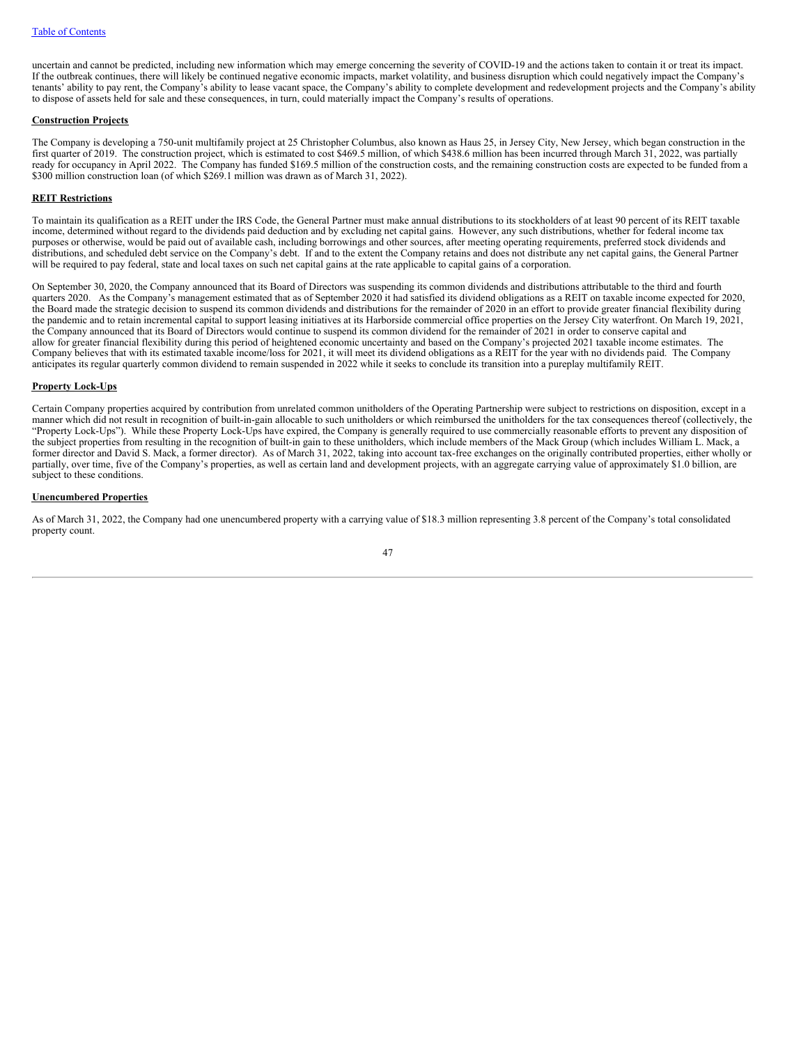uncertain and cannot be predicted, including new information which may emerge concerning the severity of COVID-19 and the actions taken to contain it or treat its impact. If the outbreak continues, there will likely be continued negative economic impacts, market volatility, and business disruption which could negatively impact the Company's tenants' ability to pay rent, the Company's ability to lease vacant space, the Company's ability to complete development and redevelopment projects and the Company's ability to dispose of assets held for sale and these consequences, in turn, could materially impact the Company's results of operations.

### **Construction Projects**

The Company is developing a 750-unit multifamily project at 25 Christopher Columbus, also known as Haus 25, in Jersey City, New Jersey, which began construction in the first quarter of 2019. The construction project, which is estimated to cost \$469.5 million, of which \$438.6 million has been incurred through March 31, 2022, was partially ready for occupancy in April 2022. The Company has funded \$169.5 million of the construction costs, and the remaining construction costs are expected to be funded from a \$300 million construction loan (of which \$269.1 million was drawn as of March 31, 2022).

### **REIT Restrictions**

To maintain its qualification as a REIT under the IRS Code, the General Partner must make annual distributions to its stockholders of at least 90 percent of its REIT taxable income, determined without regard to the dividends paid deduction and by excluding net capital gains. However, any such distributions, whether for federal income tax purposes or otherwise, would be paid out of available cash, including borrowings and other sources, after meeting operating requirements, preferred stock dividends and distributions, and scheduled debt service on the Company's debt. If and to the extent the Company retains and does not distribute any net capital gains, the General Partner will be required to pay federal, state and local taxes on such net capital gains at the rate applicable to capital gains of a corporation.

On September 30, 2020, the Company announced that its Board of Directors was suspending its common dividends and distributions attributable to the third and fourth quarters 2020. As the Company's management estimated that as of September 2020 it had satisfied its dividend obligations as a REIT on taxable income expected for 2020, the Board made the strategic decision to suspend its common dividends and distributions for the remainder of 2020 in an effort to provide greater financial flexibility during the pandemic and to retain incremental capital to support leasing initiatives at its Harborside commercial office properties on the Jersey City waterfront. On March 19, 2021, the Company announced that its Board of Directors would continue to suspend its common dividend for the remainder of 2021 in order to conserve capital and allow for greater financial flexibility during this period of heightened economic uncertainty and based on the Company's projected 2021 taxable income estimates. The Company believes that with its estimated taxable income/loss for 2021, it will meet its dividend obligations as a REIT for the year with no dividends paid. The Company anticipates its regular quarterly common dividend to remain suspended in 2022 while it seeks to conclude its transition into a pureplay multifamily REIT.

### **Property Lock-Ups**

Certain Company properties acquired by contribution from unrelated common unitholders of the Operating Partnership were subject to restrictions on disposition, except in a manner which did not result in recognition of built-in-gain allocable to such unitholders or which reimbursed the unitholders for the tax consequences thereof (collectively, the "Property Lock-Ups"). While these Property Lock-Ups have expired, the Company is generally required to use commercially reasonable efforts to prevent any disposition of the subject properties from resulting in the recognition of built-in gain to these unitholders, which include members of the Mack Group (which includes William L. Mack, a former director and David S. Mack, a former director). As of March 31, 2022, taking into account tax-free exchanges on the originally contributed properties, either wholly or partially, over time, five of the Company's properties, as well as certain land and development projects, with an aggregate carrying value of approximately \$1.0 billion, are subject to these conditions.

### **Unencumbered Properties**

As of March 31, 2022, the Company had one unencumbered property with a carrying value of \$18.3 million representing 3.8 percent of the Company's total consolidated property count.

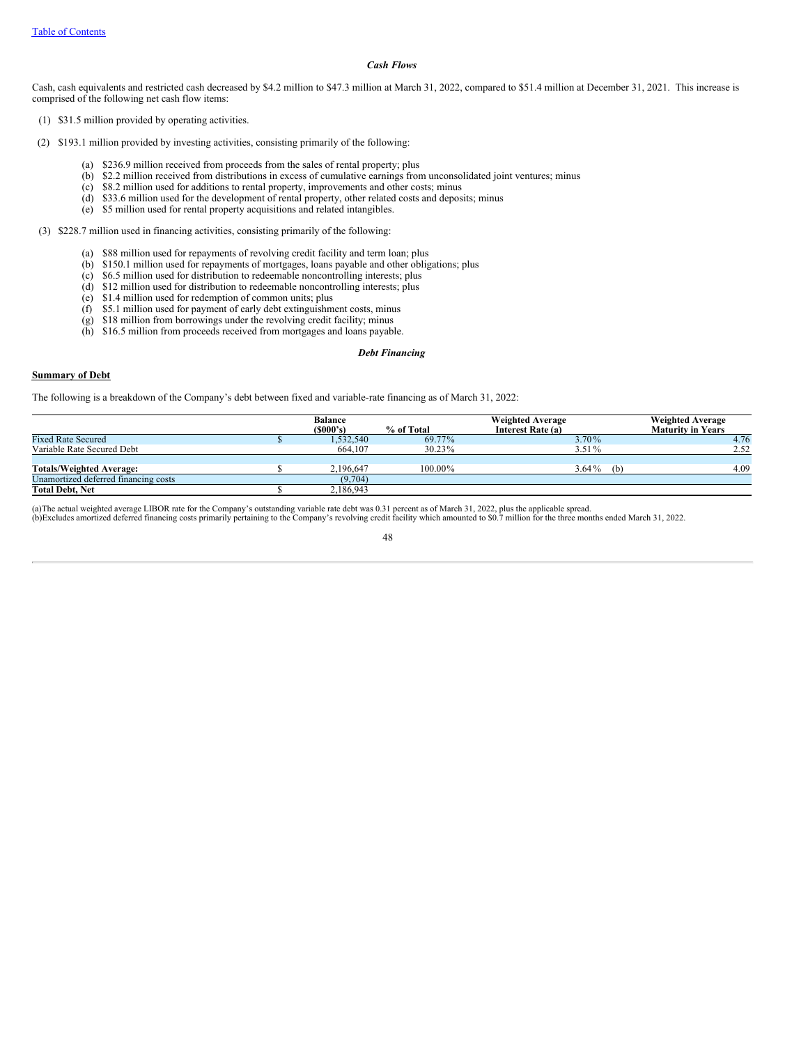### *Cash Flows*

Cash, cash equivalents and restricted cash decreased by \$4.2 million to \$47.3 million at March 31, 2022, compared to \$51.4 million at December 31, 2021. This increase is comprised of the following net cash flow items:

(1) \$31.5 million provided by operating activities.

- (2) \$193.1 million provided by investing activities, consisting primarily of the following:
	- (a) \$236.9 million received from proceeds from the sales of rental property; plus
	- (b) \$2.2 million received from distributions in excess of cumulative earnings from unconsolidated joint ventures; minus
	- (c) \$8.2 million used for additions to rental property, improvements and other costs; minus
	- (d) \$33.6 million used for the development of rental property, other related costs and deposits; minus
	- (e) \$5 million used for rental property acquisitions and related intangibles.
- (3) \$228.7 million used in financing activities, consisting primarily of the following:
	- (a) \$88 million used for repayments of revolving credit facility and term loan; plus
	- (b) \$150.1 million used for repayments of mortgages, loans payable and other obligations; plus
	- (c) \$6.5 million used for distribution to redeemable noncontrolling interests; plus
	- (d) \$12 million used for distribution to redeemable noncontrolling interests; plus
	- (e) \$1.4 million used for redemption of common units; plus
	- (f) \$5.1 million used for payment of early debt extinguishment costs, minus
	- (g) \$18 million from borrowings under the revolving credit facility; minus
	- (h) \$16.5 million from proceeds received from mortgages and loans payable.

### *Debt Financing*

### **Summary of Debt**

The following is a breakdown of the Company's debt between fixed and variable-rate financing as of March 31, 2022:

|                                      | <b>Balance</b> |            | <b>Weighted Average</b> | <b>Weighted Average</b>  |
|--------------------------------------|----------------|------------|-------------------------|--------------------------|
|                                      | $($ \$000's)   | % of Total | Interest Rate (a)       | <b>Maturity in Years</b> |
| <b>Fixed Rate Secured</b>            | 1,532,540      | 69.77%     | 3.70%                   | 4.76                     |
| Variable Rate Secured Debt           | 664,107        | 30.23%     | 3.51%                   | 2.52                     |
|                                      |                |            |                         |                          |
| <b>Totals/Weighted Average:</b>      | 2.196.647      | 100.00%    | $3.64\%$                | 4.09<br>(b)              |
| Unamortized deferred financing costs | (9,704)        |            |                         |                          |
| <b>Total Debt. Net</b>               | 2,186,943      |            |                         |                          |

(a)The actual weighted average LIBOR rate for the Company's outstanding variable rate debt was 0.31 percent as of March 31, 2022, plus the applicable spread.<br>(b)Excludes amortized deferred financing costs primarily pertain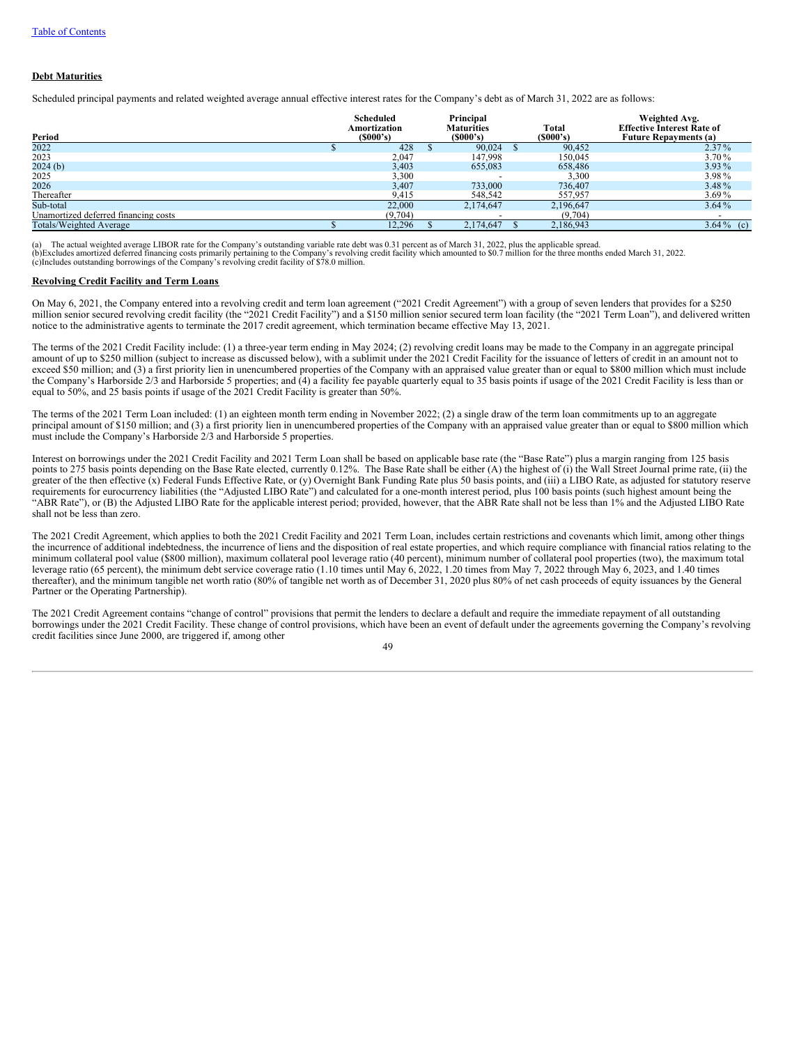### **Debt Maturities**

Scheduled principal payments and related weighted average annual effective interest rates for the Company's debt as of March 31, 2022 are as follows:

| Period                               | <b>Scheduled</b><br>Amortization<br>(S000's) | Principal<br><b>Maturities</b><br>(S000's) | Total<br>$($ \$000's) | Weighted Avg.<br><b>Effective Interest Rate of</b><br><b>Future Repayments (a)</b> |
|--------------------------------------|----------------------------------------------|--------------------------------------------|-----------------------|------------------------------------------------------------------------------------|
| 2022                                 | 428                                          | 90.024                                     | 90.452                | $2.37\%$                                                                           |
| 2023                                 | 2,047                                        | 147,998                                    | 150,045               | 3.70%                                                                              |
| 2024(b)                              | 3,403                                        | 655,083                                    | 658,486               | $3.93\%$                                                                           |
| 2025                                 | 3,300                                        | $\overline{\phantom{0}}$                   | 3,300                 | 3.98%                                                                              |
| 2026                                 | 3,407                                        | 733,000                                    | 736,407               | 3.48%                                                                              |
| Thereafter                           | 9.415                                        | 548,542                                    | 557,957               | 3.69%                                                                              |
| Sub-total                            | 22,000                                       | 2,174,647                                  | 2,196,647             | $3.64\%$                                                                           |
| Unamortized deferred financing costs | (9,704)                                      |                                            | (9,704)               |                                                                                    |
| Totals/Weighted Average              | 12.296                                       | 2.174.647                                  | 2,186,943             | $3.64\%$ (c)                                                                       |

(a) The actual weighted average LIBOR rate for the Company's outstanding variable rate debt was 0.31 percent as of March 31, 2022, plus the applicable spread. (b)Excludes amortized deferred financing costs primarily pertaining to the Company's revolving credit facility which amounted to \$0.7 million for the three months ended March 31, 2022.<br>(c)Includes outstanding borrowings of

### **Revolving Credit Facility and Term Loans**

On May 6, 2021, the Company entered into a revolving credit and term loan agreement ("2021 Credit Agreement") with a group of seven lenders that provides for a \$250 million senior secured revolving credit facility (the "2021 Credit Facility") and a \$150 million senior secured term loan facility (the "2021 Term Loan"), and delivered written notice to the administrative agents to terminate the 2017 credit agreement, which termination became effective May 13, 2021.

The terms of the 2021 Credit Facility include: (1) a three-year term ending in May 2024; (2) revolving credit loans may be made to the Company in an aggregate principal amount of up to \$250 million (subject to increase as discussed below), with a sublimit under the 2021 Credit Facility for the issuance of letters of credit in an amount not to exceed \$50 million; and (3) a first priority lien in unencumbered properties of the Company with an appraised value greater than or equal to \$800 million which must include the Company's Harborside 2/3 and Harborside 5 properties; and (4) a facility fee payable quarterly equal to 35 basis points if usage of the 2021 Credit Facility is less than or equal to 50%, and 25 basis points if usage of the 2021 Credit Facility is greater than 50%.

The terms of the 2021 Term Loan included: (1) an eighteen month term ending in November 2022; (2) a single draw of the term loan commitments up to an aggregate principal amount of \$150 million; and (3) a first priority lien in unencumbered properties of the Company with an appraised value greater than or equal to \$800 million which must include the Company's Harborside 2/3 and Harborside 5 properties.

Interest on borrowings under the 2021 Credit Facility and 2021 Term Loan shall be based on applicable base rate (the "Base Rate") plus a margin ranging from 125 basis points to 275 basis points depending on the Base Rate elected, currently 0.12%. The Base Rate shall be either (A) the highest of (i) the Wall Street Journal prime rate, (ii) the greater of the then effective (x) Federal Funds Effective Rate, or (y) Overnight Bank Funding Rate plus 50 basis points, and (iii) a LIBO Rate, as adjusted for statutory reserve requirements for eurocurrency liabilities (the "Adjusted LIBO Rate") and calculated for a one-month interest period, plus 100 basis points (such highest amount being the "ABR Rate"), or (B) the Adjusted LIBO Rate for the applicable interest period; provided, however, that the ABR Rate shall not be less than 1% and the Adjusted LIBO Rate shall not be less than zero.

The 2021 Credit Agreement, which applies to both the 2021 Credit Facility and 2021 Term Loan, includes certain restrictions and covenants which limit, among other things the incurrence of additional indebtedness, the incurrence of liens and the disposition of real estate properties, and which require compliance with financial ratios relating to the minimum collateral pool value (\$800 million), maximum collateral pool leverage ratio (40 percent), minimum number of collateral pool properties (two), the maximum total leverage ratio (65 percent), the minimum debt service coverage ratio (1.10 times until May 6, 2022, 1.20 times from May 7, 2022 through May 6, 2023, and 1.40 times thereafter), and the minimum tangible net worth ratio (80% of tangible net worth as of December 31, 2020 plus 80% of net cash proceeds of equity issuances by the General Partner or the Operating Partnership).

The 2021 Credit Agreement contains "change of control" provisions that permit the lenders to declare a default and require the immediate repayment of all outstanding borrowings under the 2021 Credit Facility. These change of control provisions, which have been an event of default under the agreements governing the Company's revolving credit facilities since June 2000, are triggered if, among other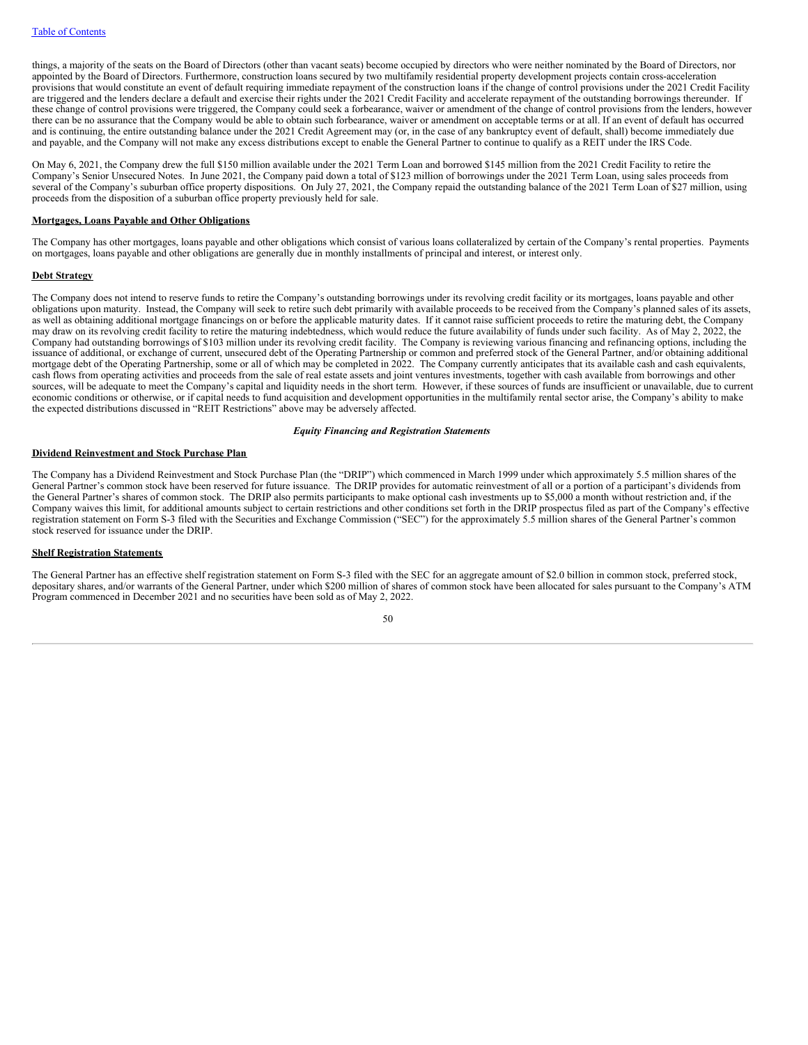things, a majority of the seats on the Board of Directors (other than vacant seats) become occupied by directors who were neither nominated by the Board of Directors, nor appointed by the Board of Directors. Furthermore, construction loans secured by two multifamily residential property development projects contain cross-acceleration provisions that would constitute an event of default requiring immediate repayment of the construction loans if the change of control provisions under the 2021 Credit Facility are triggered and the lenders declare a default and exercise their rights under the 2021 Credit Facility and accelerate repayment of the outstanding borrowings thereunder. If these change of control provisions were triggered, the Company could seek a forbearance, waiver or amendment of the change of control provisions from the lenders, however there can be no assurance that the Company would be able to obtain such forbearance, waiver or amendment on acceptable terms or at all. If an event of default has occurred and is continuing, the entire outstanding balance under the 2021 Credit Agreement may (or, in the case of any bankruptcy event of default, shall) become immediately due and payable, and the Company will not make any excess distributions except to enable the General Partner to continue to qualify as a REIT under the IRS Code.

On May 6, 2021, the Company drew the full \$150 million available under the 2021 Term Loan and borrowed \$145 million from the 2021 Credit Facility to retire the Company's Senior Unsecured Notes. In June 2021, the Company paid down a total of \$123 million of borrowings under the 2021 Term Loan, using sales proceeds from several of the Company's suburban office property dispositions. On July 27, 2021, the Company repaid the outstanding balance of the 2021 Term Loan of \$27 million, using proceeds from the disposition of a suburban office property previously held for sale.

### **Mortgages, Loans Payable and Other Obligations**

The Company has other mortgages, loans payable and other obligations which consist of various loans collateralized by certain of the Company's rental properties. Payments on mortgages, loans payable and other obligations are generally due in monthly installments of principal and interest, or interest only.

### **Debt Strategy**

The Company does not intend to reserve funds to retire the Company's outstanding borrowings under its revolving credit facility or its mortgages, loans payable and other obligations upon maturity. Instead, the Company will seek to retire such debt primarily with available proceeds to be received from the Company's planned sales of its assets, as well as obtaining additional mortgage financings on or before the applicable maturity dates. If it cannot raise sufficient proceeds to retire the maturing debt, the Company may draw on its revolving credit facility to retire the maturing indebtedness, which would reduce the future availability of funds under such facility. As of May 2, 2022, the Company had outstanding borrowings of \$103 million under its revolving credit facility. The Company is reviewing various financing and refinancing options, including the issuance of additional, or exchange of current, unsecured debt of the Operating Partnership or common and preferred stock of the General Partner, and/or obtaining additional mortgage debt of the Operating Partnership, some or all of which may be completed in 2022. The Company currently anticipates that its available cash and cash equivalents, cash flows from operating activities and proceeds from the sale of real estate assets and joint ventures investments, together with cash available from borrowings and other sources, will be adequate to meet the Company's capital and liquidity needs in the short term. However, if these sources of funds are insufficient or unavailable, due to current economic conditions or otherwise, or if capital needs to fund acquisition and development opportunities in the multifamily rental sector arise, the Company's ability to make the expected distributions discussed in "REIT Restrictions" above may be adversely affected.

#### *Equity Financing and Registration Statements*

#### **Dividend Reinvestment and Stock Purchase Plan**

The Company has a Dividend Reinvestment and Stock Purchase Plan (the "DRIP") which commenced in March 1999 under which approximately 5.5 million shares of the General Partner's common stock have been reserved for future issuance. The DRIP provides for automatic reinvestment of all or a portion of a participant's dividends from the General Partner's shares of common stock. The DRIP also permits participants to make optional cash investments up to \$5,000 a month without restriction and, if the Company waives this limit, for additional amounts subject to certain restrictions and other conditions set forth in the DRIP prospectus filed as part of the Company's effective registration statement on Form S-3 filed with the Securities and Exchange Commission ("SEC") for the approximately 5.5 million shares of the General Partner's common stock reserved for issuance under the DRIP.

### **Shelf Registration Statements**

The General Partner has an effective shelf registration statement on Form S-3 filed with the SEC for an aggregate amount of \$2.0 billion in common stock, preferred stock, depositary shares, and/or warrants of the General Partner, under which \$200 million of shares of common stock have been allocated for sales pursuant to the Company's ATM Program commenced in December 2021 and no securities have been sold as of May 2, 2022.

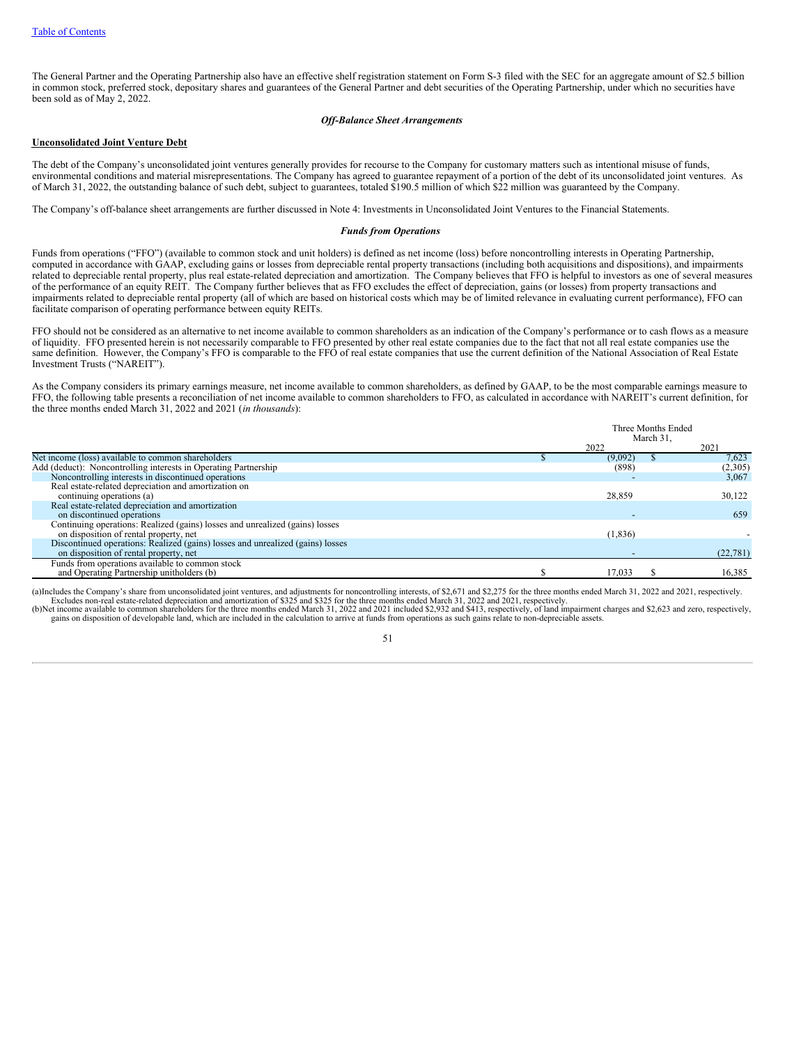The General Partner and the Operating Partnership also have an effective shelf registration statement on Form S-3 filed with the SEC for an aggregate amount of \$2.5 billion in common stock, preferred stock, depositary shares and guarantees of the General Partner and debt securities of the Operating Partnership, under which no securities have been sold as of May 2, 2022.

### *Of -Balance Sheet Arrangements*

### **Unconsolidated Joint Venture Debt**

The debt of the Company's unconsolidated joint ventures generally provides for recourse to the Company for customary matters such as intentional misuse of funds, environmental conditions and material misrepresentations. The Company has agreed to guarantee repayment of a portion of the debt of its unconsolidated joint ventures. As of March 31, 2022, the outstanding balance of such debt, subject to guarantees, totaled \$190.5 million of which \$22 million was guaranteed by the Company.

The Company's off-balance sheet arrangements are further discussed in Note 4: Investments in Unconsolidated Joint Ventures to the Financial Statements.

### *Funds from Operations*

Funds from operations ("FFO") (available to common stock and unit holders) is defined as net income (loss) before noncontrolling interests in Operating Partnership, computed in accordance with GAAP, excluding gains or losses from depreciable rental property transactions (including both acquisitions and dispositions), and impairments related to depreciable rental property, plus real estate-related depreciation and amortization. The Company believes that FFO is helpful to investors as one of several measures of the performance of an equity REIT. The Company further believes that as FFO excludes the effect of depreciation, gains (or losses) from property transactions and impairments related to depreciable rental property (all of which are based on historical costs which may be of limited relevance in evaluating current performance), FFO can facilitate comparison of operating performance between equity REITs.

FFO should not be considered as an alternative to net income available to common shareholders as an indication of the Company's performance or to cash flows as a measure of liquidity. FFO presented herein is not necessarily comparable to FFO presented by other real estate companies due to the fact that not all real estate companies use the same definition. However, the Company's FFO is comparable to the FFO of real estate companies that use the current definition of the National Association of Real Estate Investment Trusts ("NAREIT").

As the Company considers its primary earnings measure, net income available to common shareholders, as defined by GAAP, to be the most comparable earnings measure to FFO, the following table presents a reconciliation of net income available to common shareholders to FFO, as calculated in accordance with NAREIT's current definition, for the three months ended March 31, 2022 and 2021 (*in thousands*):

|                                                                                |          | Three Months Ended<br>March 31, |           |
|--------------------------------------------------------------------------------|----------|---------------------------------|-----------|
|                                                                                | 2022     |                                 | 2021      |
| Net income (loss) available to common shareholders                             | (9,092)  |                                 | 7,623     |
| Add (deduct): Noncontrolling interests in Operating Partnership                | (898)    |                                 | (2,305)   |
| Noncontrolling interests in discontinued operations                            |          |                                 | 3,067     |
| Real estate-related depreciation and amortization on                           |          |                                 |           |
| continuing operations (a)                                                      | 28,859   |                                 | 30,122    |
| Real estate-related depreciation and amortization                              |          |                                 |           |
| on discontinued operations                                                     |          |                                 | 659       |
| Continuing operations: Realized (gains) losses and unrealized (gains) losses   |          |                                 |           |
| on disposition of rental property, net                                         | (1, 836) |                                 |           |
| Discontinued operations: Realized (gains) losses and unrealized (gains) losses |          |                                 |           |
| on disposition of rental property, net                                         |          |                                 | (22, 781) |
| Funds from operations available to common stock                                |          |                                 |           |
| and Operating Partnership unitholders (b)                                      | 17.033   |                                 | 16.385    |

(a)Includes the Company's share from unconsolidated joint ventures, and adjustments for noncontrolling interests, of \$2,671 and \$2,275 for the three months ended March 31, 2022 and 2021, respectively.

Excludes non-real estate-related depreciation and amortization of \$325 and \$325 for the three months ended March 31, 2022 and 2021, respectively.<br>(b)Net income available to common shareholders for the three months ended Ma gains on disposition of developable land, which are included in the calculation to arrive at funds from operations as such gains relate to non-depreciable assets.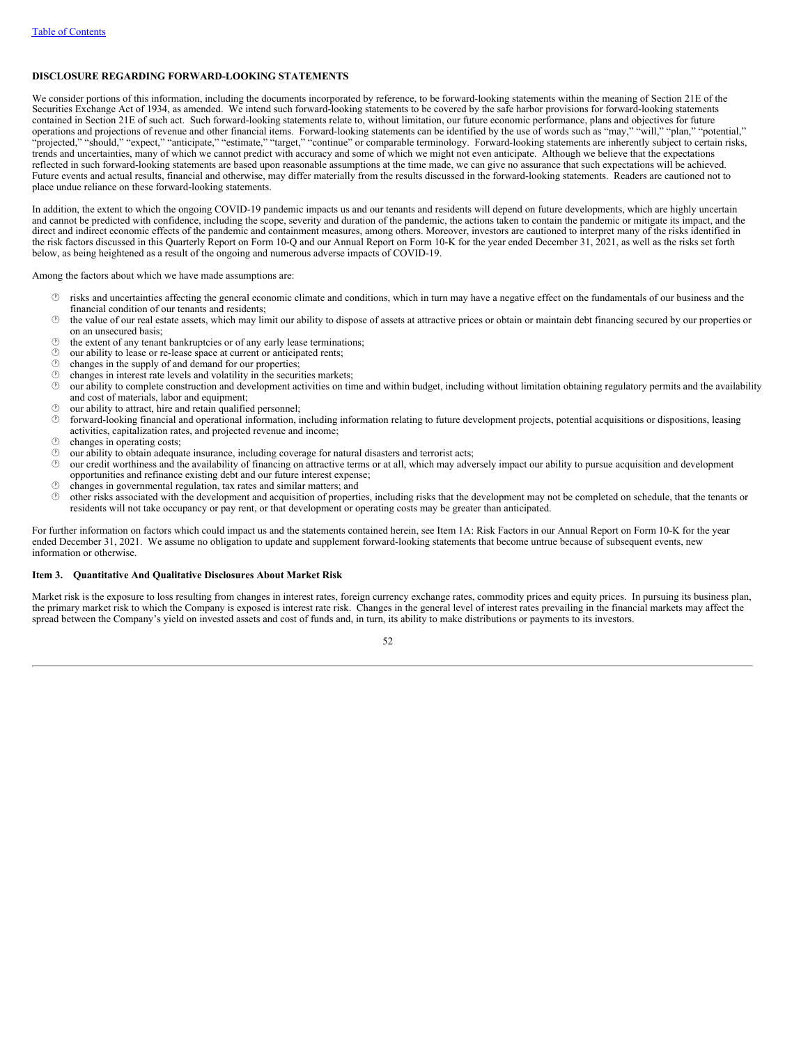### **DISCLOSURE REGARDING FORWARD-LOOKING STATEMENTS**

We consider portions of this information, including the documents incorporated by reference, to be forward-looking statements within the meaning of Section 21E of the Securities Exchange Act of 1934, as amended. We intend such forward-looking statements to be covered by the safe harbor provisions for forward-looking statements contained in Section 21E of such act. Such forward-looking statements relate to, without limitation, our future economic performance, plans and objectives for future operations and projections of revenue and other financial items. Forward-looking statements can be identified by the use of words such as "may," "will," "plan," "potential," "projected," "should," "expect," "anticipate," "estimate," "target," "continue" or comparable terminology. Forward-looking statements are inherently subject to certain risks, trends and uncertainties, many of which we cannot predict with accuracy and some of which we might not even anticipate. Although we believe that the expectations reflected in such forward-looking statements are based upon reasonable assumptions at the time made, we can give no assurance that such expectations will be achieved. Future events and actual results, financial and otherwise, may differ materially from the results discussed in the forward-looking statements. Readers are cautioned not to place undue reliance on these forward-looking statements.

In addition, the extent to which the ongoing COVID-19 pandemic impacts us and our tenants and residents will depend on future developments, which are highly uncertain and cannot be predicted with confidence, including the scope, severity and duration of the pandemic, the actions taken to contain the pandemic or mitigate its impact, and the direct and indirect economic effects of the pandemic and containment measures, among others. Moreover, investors are cautioned to interpret many of the risks identified in the risk factors discussed in this Quarterly Report on Form 10-Q and our Annual Report on Form 10-K for the year ended December 31, 2021, as well as the risks set forth below, as being heightened as a result of the ongoing and numerous adverse impacts of COVID-19.

Among the factors about which we have made assumptions are:

- $\circled{r}$  risks and uncertainties affecting the general economic climate and conditions, which in turn may have a negative effect on the fundamentals of our business and the financial condition of our tenants and residents;
- · the value of our real estate assets, which may limit our ability to dispose of assets at attractive prices or obtain or maintain debt financing secured by our properties or on an unsecured basis;
- $\circled{r}$  the extent of any tenant bankruptcies or of any early lease terminations;<br> $\circled{r}$  our ability to lease or re-lease space at current or anticipated rents:
- our ability to lease or re-lease space at current or anticipated rents:
- $\circled{r}$  changes in the supply of and demand for our properties;<br> $\circled{r}$  changes in interest rate levels and volatility in the securi
- $\circled{1}$  changes in interest rate levels and volatility in the securities markets;<br> $\circled{1}$  our ability to complete construction and development activities on tin
- · our ability to complete construction and development activities on time and within budget, including without limitation obtaining regulatory permits and the availability and cost of materials, labor and equipment;
- $\circled{v}$  our ability to attract, hire and retain qualified personnel;
- · forward-looking financial and operational information, including information relating to future development projects, potential acquisitions or dispositions, leasing activities, capitalization rates, and projected revenue and income;
- $\circled{r}$  changes in operating costs;<br> $\circled{r}$  our ability to obtain adequa
- $\circled{r}$  our ability to obtain adequate insurance, including coverage for natural disasters and terrorist acts;<br> $\circled{r}$  our credit worthiness and the availability of financing on attractive terms or at all which may adve
- · our credit worthiness and the availability of financing on attractive terms or at all, which may adversely impact our ability to pursue acquisition and development opportunities and refinance existing debt and our future interest expense;
- $<sup>①</sup>$  changes in governmental regulation, tax rates and similar matters; and</sup>
- · other risks associated with the development and acquisition of properties, including risks that the development may not be completed on schedule, that the tenants or residents will not take occupancy or pay rent, or that development or operating costs may be greater than anticipated.

For further information on factors which could impact us and the statements contained herein, see Item 1A: Risk Factors in our Annual Report on Form 10-K for the year ended December 31, 2021. We assume no obligation to update and supplement forward-looking statements that become untrue because of subsequent events, new information or otherwise.

### **Item 3. Quantitative And Qualitative Disclosures About Market Risk**

Market risk is the exposure to loss resulting from changes in interest rates, foreign currency exchange rates, commodity prices and equity prices. In pursuing its business plan, the primary market risk to which the Company is exposed is interest rate risk. Changes in the general level of interest rates prevailing in the financial markets may affect the spread between the Company's yield on invested assets and cost of funds and, in turn, its ability to make distributions or payments to its investors.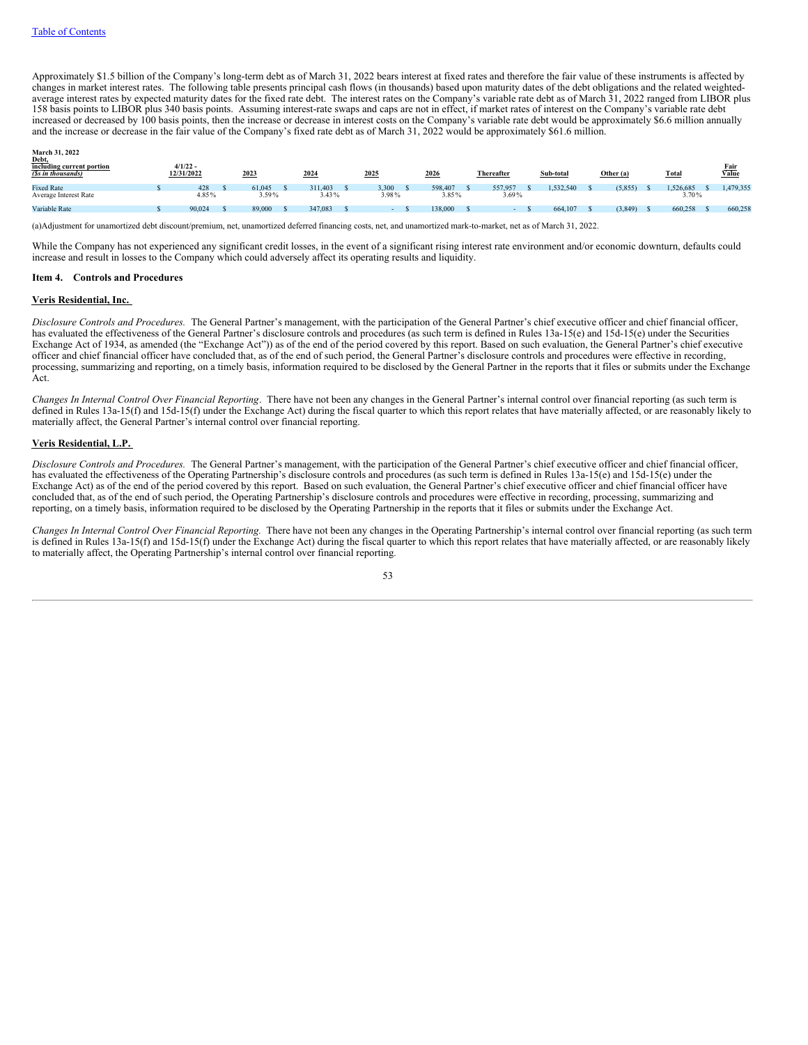Approximately \$1.5 billion of the Company's long-term debt as of March 31, 2022 bears interest at fixed rates and therefore the fair value of these instruments is affected by changes in market interest rates. The following table presents principal cash flows (in thousands) based upon maturity dates of the debt obligations and the related weightedaverage interest rates by expected maturity dates for the fixed rate debt. The interest rates on the Company's variable rate debt as of March 31, 2022 ranged from LIBOR plus 158 basis points to LIBOR plus 340 basis points. Assuming interest-rate swaps and caps are not in effect, if market rates of interest on the Company's variable rate debt increased or decreased by 100 basis points, then the increase or decrease in interest costs on the Company's variable rate debt would be approximately \$6.6 million annually and the increase or decrease in the fair value of the Company's fixed rate debt as of March 31, 2022 would be approximately \$61.6 million.

# **March 31, 2022 Debt,**

| DUDL,<br>including current portion<br>(Ss in thousands) | $4/1/22 -$<br>12/31/2022 | 2023   | 2024     | 2025  | 2026    | Thereafter | Sub-total | Other (a) | <b>Total</b> | Fair<br>Value |
|---------------------------------------------------------|--------------------------|--------|----------|-------|---------|------------|-----------|-----------|--------------|---------------|
| <b>Fixed Rate</b>                                       | 428                      | 61.045 | 311.403  | 3.300 | 598,407 | 557,957    | 1.532.540 | (5,855)   | 1.526.685    | ,479,355      |
| Average Interest Rate                                   | 4.85%                    | 3.59%  | $3.43\%$ | 3.98% | 3.85%   | 3.69%      |           |           | 3.70%        |               |
| Variable Rate                                           | 90.024                   | 89,000 | 347,083  |       | 38,000  |            | 664,107   | (3, 849)  | 660,258      | 660,258       |

(a)Adjustment for unamortized debt discount/premium, net, unamortized deferred financing costs, net, and unamortized mark-to-market, net as of March 31, 2022.

While the Company has not experienced any significant credit losses, in the event of a significant rising interest rate environment and/or economic downturn, defaults could increase and result in losses to the Company which could adversely affect its operating results and liquidity.

### **Item 4. Controls and Procedures**

### **Veris Residential, Inc.**

*Disclosure Controls and Procedures.* The General Partner's management, with the participation of the General Partner's chief executive officer and chief financial officer, has evaluated the effectiveness of the General Partner's disclosure controls and procedures (as such term is defined in Rules 13a-15(e) and 15d-15(e) under the Securities Exchange Act of 1934, as amended (the "Exchange Act")) as of the end of the period covered by this report. Based on such evaluation, the General Partner's chief executive officer and chief financial officer have concluded that, as of the end of such period, the General Partner's disclosure controls and procedures were effective in recording, processing, summarizing and reporting, on a timely basis, information required to be disclosed by the General Partner in the reports that it files or submits under the Exchange Act.

*Changes In Internal Control Over Financial Reporting*. There have not been any changes in the General Partner's internal control over financial reporting (as such term is defined in Rules 13a-15(f) and 15d-15(f) under the Exchange Act) during the fiscal quarter to which this report relates that have materially affected, or are reasonably likely to materially affect, the General Partner's internal control over financial reporting.

#### **Veris Residential, L.P.**

*Disclosure Controls and Procedures.* The General Partner's management, with the participation of the General Partner's chief executive officer and chief financial officer, has evaluated the effectiveness of the Operating Partnership's disclosure controls and procedures (as such term is defined in Rules 13a-15(e) and 15d-15(e) under the Exchange Act) as of the end of the period covered by this report. Based on such evaluation, the General Partner's chief executive officer and chief financial officer have concluded that, as of the end of such period, the Operating Partnership's disclosure controls and procedures were effective in recording, processing, summarizing and reporting, on a timely basis, information required to be disclosed by the Operating Partnership in the reports that it files or submits under the Exchange Act.

*Changes In Internal Control Over Financial Reporting.* There have not been any changes in the Operating Partnership's internal control over financial reporting (as such term is defined in Rules 13a-15(f) and 15d-15(f) under the Exchange Act) during the fiscal quarter to which this report relates that have materially affected, or are reasonably likely to materially affect, the Operating Partnership's internal control over financial reporting.

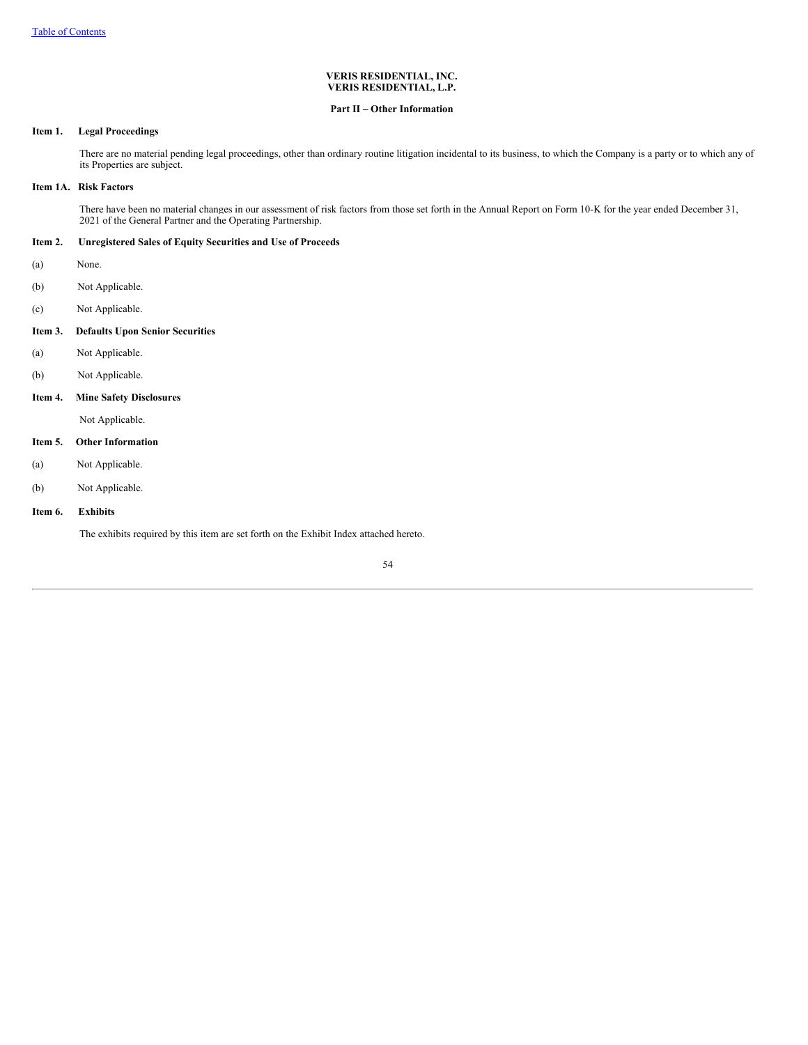### **VERIS RESIDENTIAL, INC. VERIS RESIDENTIAL, L.P.**

# **Part II – Other Information**

### **Item 1. Legal Proceedings**

There are no material pending legal proceedings, other than ordinary routine litigation incidental to its business, to which the Company is a party or to which any of its Properties are subject.

### **Item 1A. Risk Factors**

There have been no material changes in our assessment of risk factors from those set forth in the Annual Report on Form 10-K for the year ended December 31, 2021 of the General Partner and the Operating Partnership.

# **Item 2. Unregistered Sales of Equity Securities and Use of Proceeds**

- (a) None.
- (b) Not Applicable.
- (c) Not Applicable.

### **Item 3. Defaults Upon Senior Securities**

- (a) Not Applicable.
- (b) Not Applicable.

### **Item 4. Mine Safety Disclosures**

Not Applicable.

# **Item 5. Other Information**

- (a) Not Applicable.
- (b) Not Applicable.

### **Item 6. Exhibits**

The exhibits required by this item are set forth on the Exhibit Index attached hereto.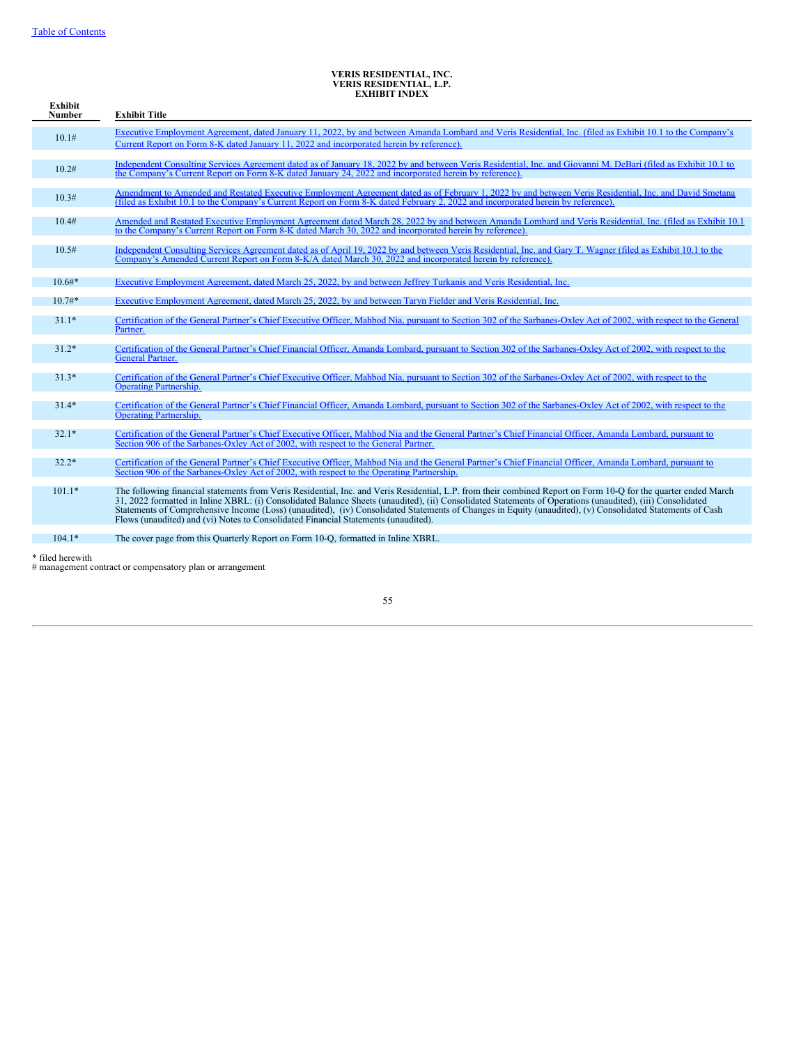# **VERIS RESIDENTIAL, INC. VERIS RESIDENTIAL, L.P. EXHIBIT INDEX**

| Exhibit<br><b>Number</b> | <b>Exhibit Title</b>                                                                                                                                                                                                                                                                                                                                                                                                                                                                                                                                                             |
|--------------------------|----------------------------------------------------------------------------------------------------------------------------------------------------------------------------------------------------------------------------------------------------------------------------------------------------------------------------------------------------------------------------------------------------------------------------------------------------------------------------------------------------------------------------------------------------------------------------------|
| 10.1#                    | Executive Employment Agreement, dated January 11, 2022, by and between Amanda Lombard and Veris Residential, Inc. (filed as Exhibit 10.1 to the Company's<br>Current Report on Form 8-K dated January 11, 2022 and incorporated herein by reference).                                                                                                                                                                                                                                                                                                                            |
|                          |                                                                                                                                                                                                                                                                                                                                                                                                                                                                                                                                                                                  |
| 10.2#                    | Independent Consulting Services Agreement dated as of January 18, 2022 by and between Veris Residential, Inc. and Giovanni M. DeBari (filed as Exhibit 10.1 to<br>the Company's Current Report on Form 8-K dated January 24, 2022 and incorporated herein by reference).                                                                                                                                                                                                                                                                                                         |
| 10.3#                    | Amendment to Amended and Restated Executive Employment Agreement dated as of February 1, 2022 by and between Veris Residential, Inc. and David Smetana<br>(filed as Exhibit 10.1 to the Company's Current Report on Form 8-K dated February 2, 2022 and incorporated herein by reference).                                                                                                                                                                                                                                                                                       |
| 10.4#                    | Amended and Restated Executive Employment Agreement dated March 28, 2022 by and between Amanda Lombard and Veris Residential, Inc. (filed as Exhibit 10.1<br>to the Company's Current Report on Form 8-K dated March 30, 2022 and incorporated herein by reference).                                                                                                                                                                                                                                                                                                             |
| 10.5#                    | Independent Consulting Services Agreement dated as of April 19, 2022 by and between Veris Residential, Inc. and Gary T. Wagner (filed as Exhibit 10.1 to the<br>Company's Amended Current Report on Form 8-K/A dated March 30, 2022 and incorporated herein by reference).                                                                                                                                                                                                                                                                                                       |
|                          |                                                                                                                                                                                                                                                                                                                                                                                                                                                                                                                                                                                  |
| $10.6#*$                 | Executive Employment Agreement, dated March 25, 2022, by and between Jeffrey Turkanis and Veris Residential, Inc.                                                                                                                                                                                                                                                                                                                                                                                                                                                                |
| $10.7#*$                 | Executive Employment Agreement, dated March 25, 2022, by and between Taryn Fielder and Veris Residential, Inc.                                                                                                                                                                                                                                                                                                                                                                                                                                                                   |
| $31.1*$                  | Certification of the General Partner's Chief Executive Officer, Mahbod Nia, pursuant to Section 302 of the Sarbanes-Oxley Act of 2002, with respect to the General<br>Partner.                                                                                                                                                                                                                                                                                                                                                                                                   |
| $31.2*$                  | Certification of the General Partner's Chief Financial Officer, Amanda Lombard, pursuant to Section 302 of the Sarbanes-Oxley Act of 2002, with respect to the<br><b>General Partner.</b>                                                                                                                                                                                                                                                                                                                                                                                        |
|                          |                                                                                                                                                                                                                                                                                                                                                                                                                                                                                                                                                                                  |
| $31.3*$                  | Certification of the General Partner's Chief Executive Officer, Mahbod Nia, pursuant to Section 302 of the Sarbanes-Oxley Act of 2002, with respect to the<br><b>Operating Partnership.</b>                                                                                                                                                                                                                                                                                                                                                                                      |
| $31.4*$                  | Certification of the General Partner's Chief Financial Officer, Amanda Lombard, pursuant to Section 302 of the Sarbanes-Oxley Act of 2002, with respect to the                                                                                                                                                                                                                                                                                                                                                                                                                   |
|                          | Operating Partnership.                                                                                                                                                                                                                                                                                                                                                                                                                                                                                                                                                           |
| $32.1*$                  | Certification of the General Partner's Chief Executive Officer, Mahbod Nia and the General Partner's Chief Financial Officer, Amanda Lombard, pursuant to                                                                                                                                                                                                                                                                                                                                                                                                                        |
|                          | Section 906 of the Sarbanes-Oxley Act of 2002, with respect to the General Partner.                                                                                                                                                                                                                                                                                                                                                                                                                                                                                              |
| $32.2*$                  | Certification of the General Partner's Chief Executive Officer, Mahbod Nia and the General Partner's Chief Financial Officer, Amanda Lombard, pursuant to                                                                                                                                                                                                                                                                                                                                                                                                                        |
|                          | Section 906 of the Sarbanes-Oxley Act of 2002, with respect to the Operating Partnership.                                                                                                                                                                                                                                                                                                                                                                                                                                                                                        |
|                          |                                                                                                                                                                                                                                                                                                                                                                                                                                                                                                                                                                                  |
| $101.1*$                 | The following financial statements from Veris Residential, Inc. and Veris Residential, L.P. from their combined Report on Form 10-O for the quarter ended March<br>31, 2022 formatted in Inline XBRL: (i) Consolidated Balance Sheets (unaudited), (ii) Consolidated Statements of Operations (unaudited), (iii) Consolidated<br>Statements of Comprehensive Income (Loss) (unaudited), (iv) Consolidated Statements of Changes in Equity (unaudited), (v) Consolidated Statements of Cash<br>Flows (unaudited) and (vi) Notes to Consolidated Financial Statements (unaudited). |
|                          |                                                                                                                                                                                                                                                                                                                                                                                                                                                                                                                                                                                  |
| $104.1*$                 | The cover page from this Quarterly Report on Form 10-Q, formatted in Inline XBRL.                                                                                                                                                                                                                                                                                                                                                                                                                                                                                                |
|                          |                                                                                                                                                                                                                                                                                                                                                                                                                                                                                                                                                                                  |

\* filed herewith # management contract or compensatory plan or arrangement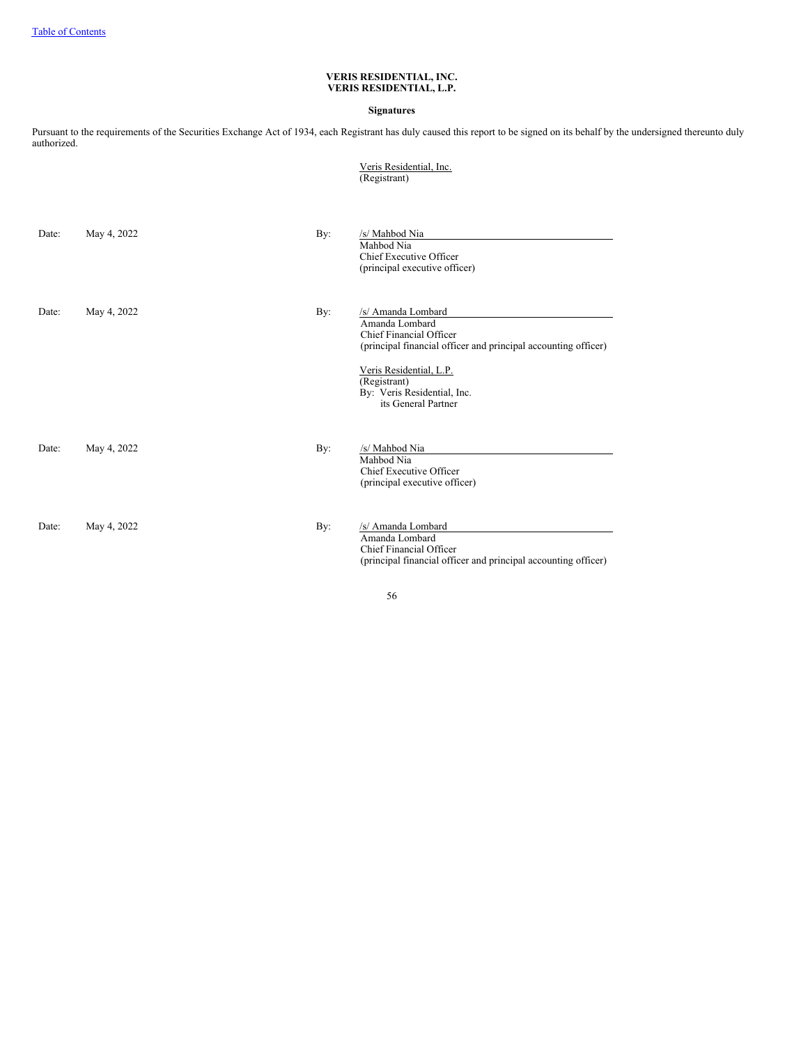### **VERIS RESIDENTIAL, INC. VERIS RESIDENTIAL, L.P.**

### **Signatures**

Pursuant to the requirements of the Securities Exchange Act of 1934, each Registrant has duly caused this report to be signed on its behalf by the undersigned thereunto duly authorized.

|       |             |     | Veris Residential, Inc.<br>(Registrant)                                                                                                                                                                                            |
|-------|-------------|-----|------------------------------------------------------------------------------------------------------------------------------------------------------------------------------------------------------------------------------------|
| Date: | May 4, 2022 | By: | /s/ Mahbod Nia<br>Mahbod Nia<br>Chief Executive Officer<br>(principal executive officer)                                                                                                                                           |
| Date: | May 4, 2022 | By: | /s/ Amanda Lombard<br>Amanda Lombard<br>Chief Financial Officer<br>(principal financial officer and principal accounting officer)<br>Veris Residential, L.P.<br>(Registrant)<br>By: Veris Residential, Inc.<br>its General Partner |
| Date: | May 4, 2022 | By: | /s/ Mahbod Nia<br>Mahbod Nia<br>Chief Executive Officer<br>(principal executive officer)                                                                                                                                           |
| Date: | May 4, 2022 | By: | /s/ Amanda Lombard<br>Amanda Lombard<br>Chief Financial Officer<br>(principal financial officer and principal accounting officer)                                                                                                  |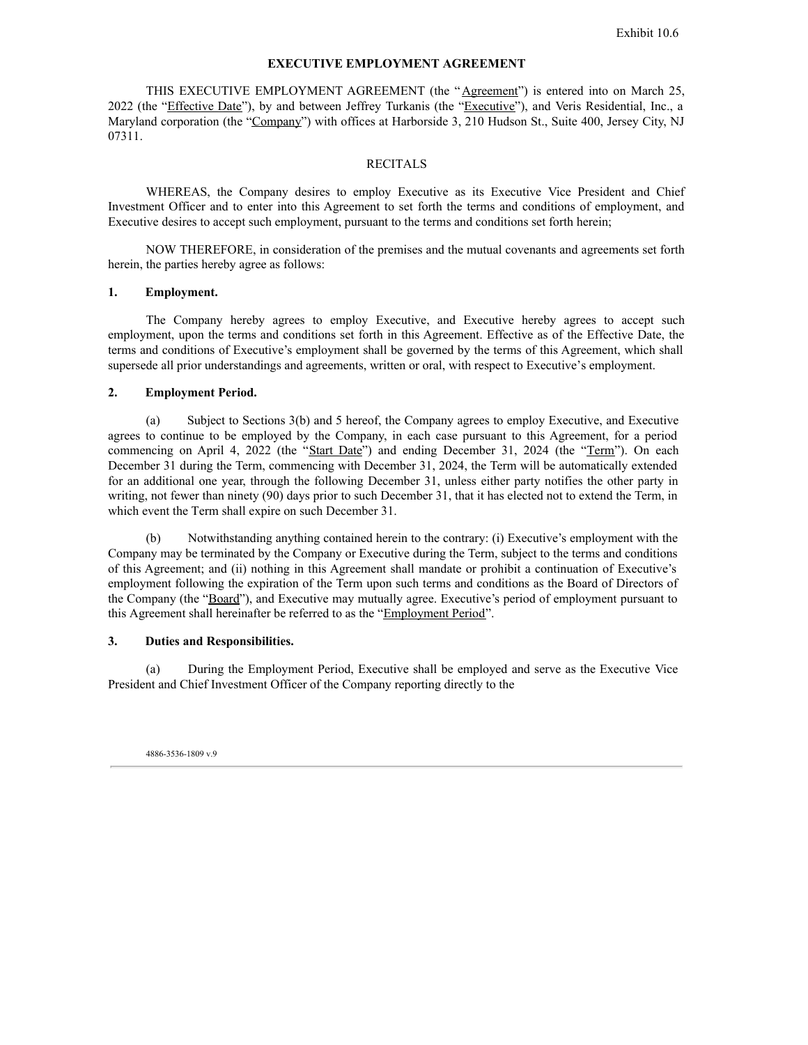# **EXECUTIVE EMPLOYMENT AGREEMENT**

THIS EXECUTIVE EMPLOYMENT AGREEMENT (the "Agreement") is entered into on March 25, 2022 (the "Effective Date"), by and between Jeffrey Turkanis (the "Executive"), and Veris Residential, Inc., a Maryland corporation (the "Company") with offices at Harborside 3, 210 Hudson St., Suite 400, Jersey City, NJ 07311.

# RECITALS

WHEREAS, the Company desires to employ Executive as its Executive Vice President and Chief Investment Officer and to enter into this Agreement to set forth the terms and conditions of employment, and Executive desires to accept such employment, pursuant to the terms and conditions set forth herein;

NOW THEREFORE, in consideration of the premises and the mutual covenants and agreements set forth herein, the parties hereby agree as follows:

## **1. Employment.**

The Company hereby agrees to employ Executive, and Executive hereby agrees to accept such employment, upon the terms and conditions set forth in this Agreement. Effective as of the Effective Date, the terms and conditions of Executive's employment shall be governed by the terms of this Agreement, which shall supersede all prior understandings and agreements, written or oral, with respect to Executive's employment.

# **2. Employment Period.**

(a) Subject to Sections 3(b) and 5 hereof, the Company agrees to employ Executive, and Executive agrees to continue to be employed by the Company, in each case pursuant to this Agreement, for a period commencing on April 4, 2022 (the "Start Date") and ending December 31, 2024 (the "Term"). On each December 31 during the Term, commencing with December 31, 2024, the Term will be automatically extended for an additional one year, through the following December 31, unless either party notifies the other party in writing, not fewer than ninety (90) days prior to such December 31, that it has elected not to extend the Term, in which event the Term shall expire on such December 31.

(b) Notwithstanding anything contained herein to the contrary: (i) Executive's employment with the Company may be terminated by the Company or Executive during the Term, subject to the terms and conditions of this Agreement; and (ii) nothing in this Agreement shall mandate or prohibit a continuation of Executive's employment following the expiration of the Term upon such terms and conditions as the Board of Directors of the Company (the "Board"), and Executive may mutually agree. Executive's period of employment pursuant to this Agreement shall hereinafter be referred to as the "Employment Period".

### **3. Duties and Responsibilities.**

(a) During the Employment Period, Executive shall be employed and serve as the Executive Vice President and Chief Investment Officer of the Company reporting directly to the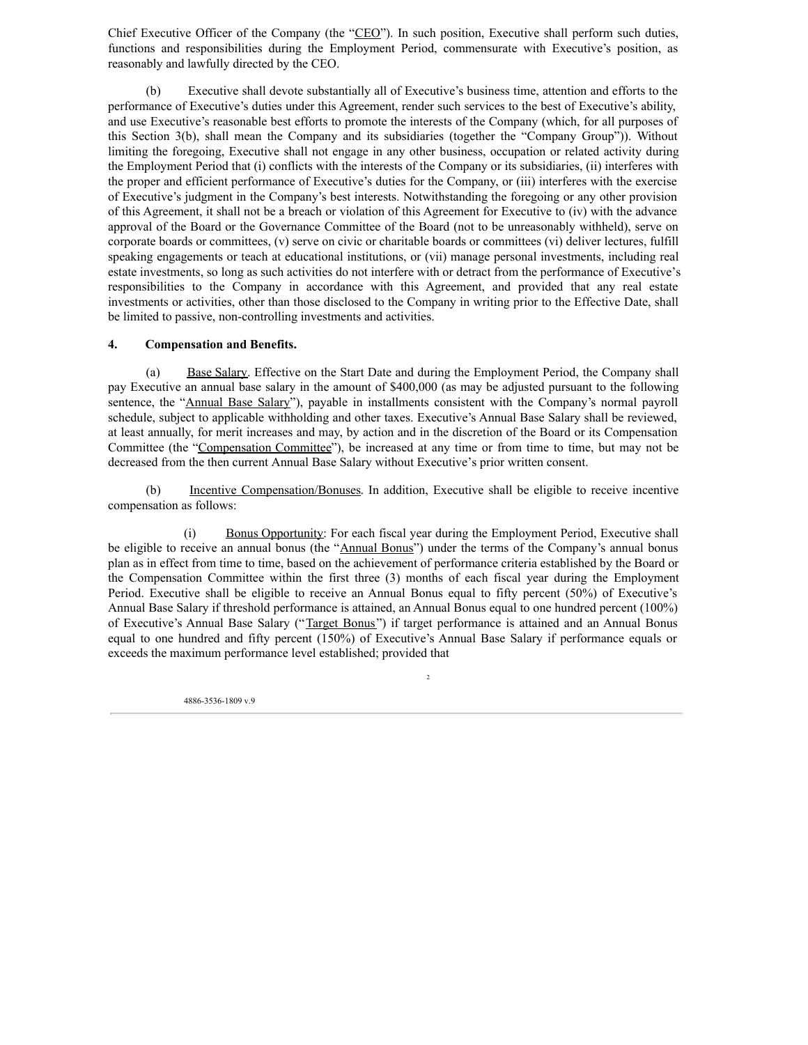Chief Executive Officer of the Company (the "CEO"). In such position, Executive shall perform such duties, functions and responsibilities during the Employment Period, commensurate with Executive's position, as reasonably and lawfully directed by the CEO.

(b) Executive shall devote substantially all of Executive's business time, attention and efforts to the performance of Executive's duties under this Agreement, render such services to the best of Executive's ability, and use Executive's reasonable best efforts to promote the interests of the Company (which, for all purposes of this Section 3(b), shall mean the Company and its subsidiaries (together the "Company Group")). Without limiting the foregoing, Executive shall not engage in any other business, occupation or related activity during the Employment Period that (i) conflicts with the interests of the Company or its subsidiaries, (ii) interferes with the proper and efficient performance of Executive's duties for the Company, or (iii) interferes with the exercise of Executive's judgment in the Company's best interests. Notwithstanding the foregoing or any other provision of this Agreement, it shall not be a breach or violation of this Agreement for Executive to (iv) with the advance approval of the Board or the Governance Committee of the Board (not to be unreasonably withheld), serve on corporate boards or committees, (v) serve on civic or charitable boards or committees (vi) deliver lectures, fulfill speaking engagements or teach at educational institutions, or (vii) manage personal investments, including real estate investments, so long as such activities do not interfere with or detract from the performance of Executive's responsibilities to the Company in accordance with this Agreement, and provided that any real estate investments or activities, other than those disclosed to the Company in writing prior to the Effective Date, shall be limited to passive, non-controlling investments and activities.

# **4. Compensation and Benefits.**

(a) Base Salary. Effective on the Start Date and during the Employment Period, the Company shall pay Executive an annual base salary in the amount of \$400,000 (as may be adjusted pursuant to the following sentence, the "Annual Base Salary"), payable in installments consistent with the Company's normal payroll schedule, subject to applicable withholding and other taxes. Executive's Annual Base Salary shall be reviewed, at least annually, for merit increases and may, by action and in the discretion of the Board or its Compensation Committee (the "Compensation Committee"), be increased at any time or from time to time, but may not be decreased from the then current Annual Base Salary without Executive's prior written consent.

(b) Incentive Compensation/Bonuses. In addition, Executive shall be eligible to receive incentive compensation as follows:

(i) Bonus Opportunity: For each fiscal year during the Employment Period, Executive shall be eligible to receive an annual bonus (the "Annual Bonus") under the terms of the Company's annual bonus plan as in effect from time to time, based on the achievement of performance criteria established by the Board or the Compensation Committee within the first three (3) months of each fiscal year during the Employment Period. Executive shall be eligible to receive an Annual Bonus equal to fifty percent (50%) of Executive's Annual Base Salary if threshold performance is attained, an Annual Bonus equal to one hundred percent (100%) of Executive's Annual Base Salary ("Target Bonus") if target performance is attained and an Annual Bonus equal to one hundred and fifty percent (150%) of Executive's Annual Base Salary if performance equals or exceeds the maximum performance level established; provided that

2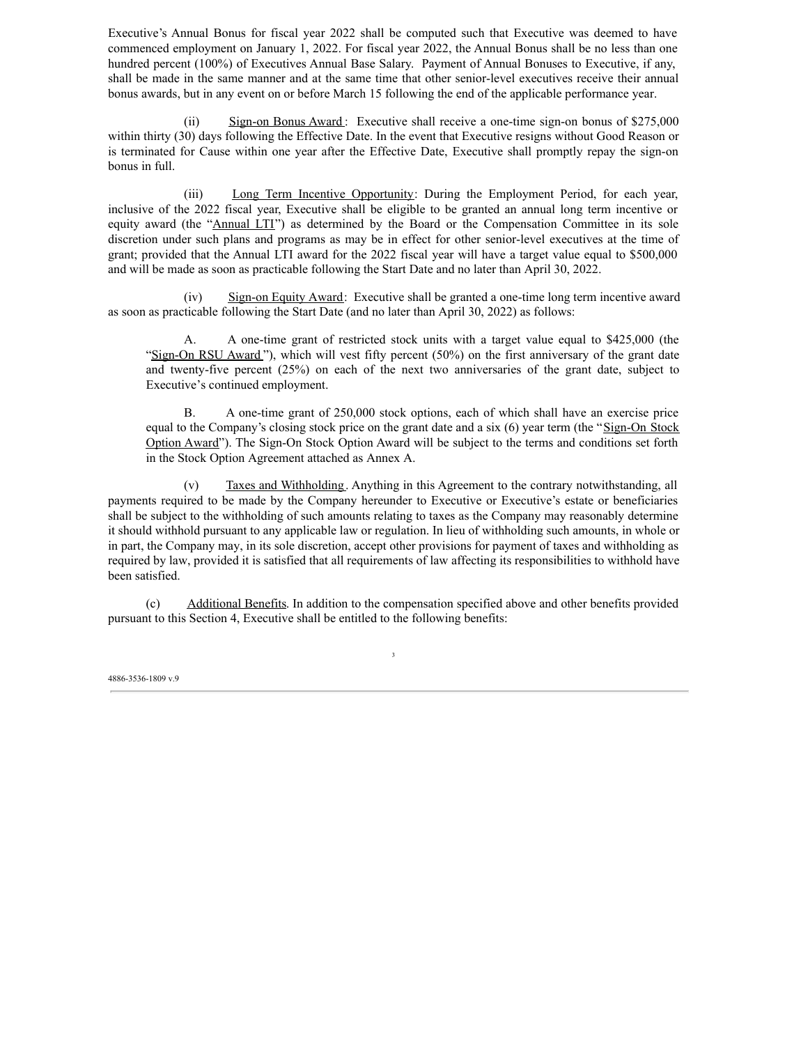Executive's Annual Bonus for fiscal year 2022 shall be computed such that Executive was deemed to have commenced employment on January 1, 2022. For fiscal year 2022, the Annual Bonus shall be no less than one hundred percent (100%) of Executives Annual Base Salary. Payment of Annual Bonuses to Executive, if any, shall be made in the same manner and at the same time that other senior-level executives receive their annual bonus awards, but in any event on or before March 15 following the end of the applicable performance year.

(ii) Sign-on Bonus Award : Executive shall receive a one-time sign-on bonus of \$275,000 within thirty (30) days following the Effective Date. In the event that Executive resigns without Good Reason or is terminated for Cause within one year after the Effective Date, Executive shall promptly repay the sign-on bonus in full.

(iii) Long Term Incentive Opportunity: During the Employment Period, for each year, inclusive of the 2022 fiscal year, Executive shall be eligible to be granted an annual long term incentive or equity award (the "Annual LTI") as determined by the Board or the Compensation Committee in its sole discretion under such plans and programs as may be in effect for other senior-level executives at the time of grant; provided that the Annual LTI award for the 2022 fiscal year will have a target value equal to \$500,000 and will be made as soon as practicable following the Start Date and no later than April 30, 2022.

(iv) Sign-on Equity Award: Executive shall be granted a one-time long term incentive award as soon as practicable following the Start Date (and no later than April 30, 2022) as follows:

A. A one-time grant of restricted stock units with a target value equal to \$425,000 (the "Sign-On RSU Award "), which will vest fifty percent (50%) on the first anniversary of the grant date and twenty-five percent (25%) on each of the next two anniversaries of the grant date, subject to Executive's continued employment.

B. A one-time grant of 250,000 stock options, each of which shall have an exercise price equal to the Company's closing stock price on the grant date and a six (6) year term (the "Sign-On Stock Option Award"). The Sign-On Stock Option Award will be subject to the terms and conditions set forth in the Stock Option Agreement attached as Annex A.

(v) Taxes and Withholding. Anything in this Agreement to the contrary notwithstanding, all payments required to be made by the Company hereunder to Executive or Executive's estate or beneficiaries shall be subject to the withholding of such amounts relating to taxes as the Company may reasonably determine it should withhold pursuant to any applicable law or regulation. In lieu of withholding such amounts, in whole or in part, the Company may, in its sole discretion, accept other provisions for payment of taxes and withholding as required by law, provided it is satisfied that all requirements of law affecting its responsibilities to withhold have been satisfied.

(c) Additional Benefits. In addition to the compensation specified above and other benefits provided pursuant to this Section 4, Executive shall be entitled to the following benefits:

3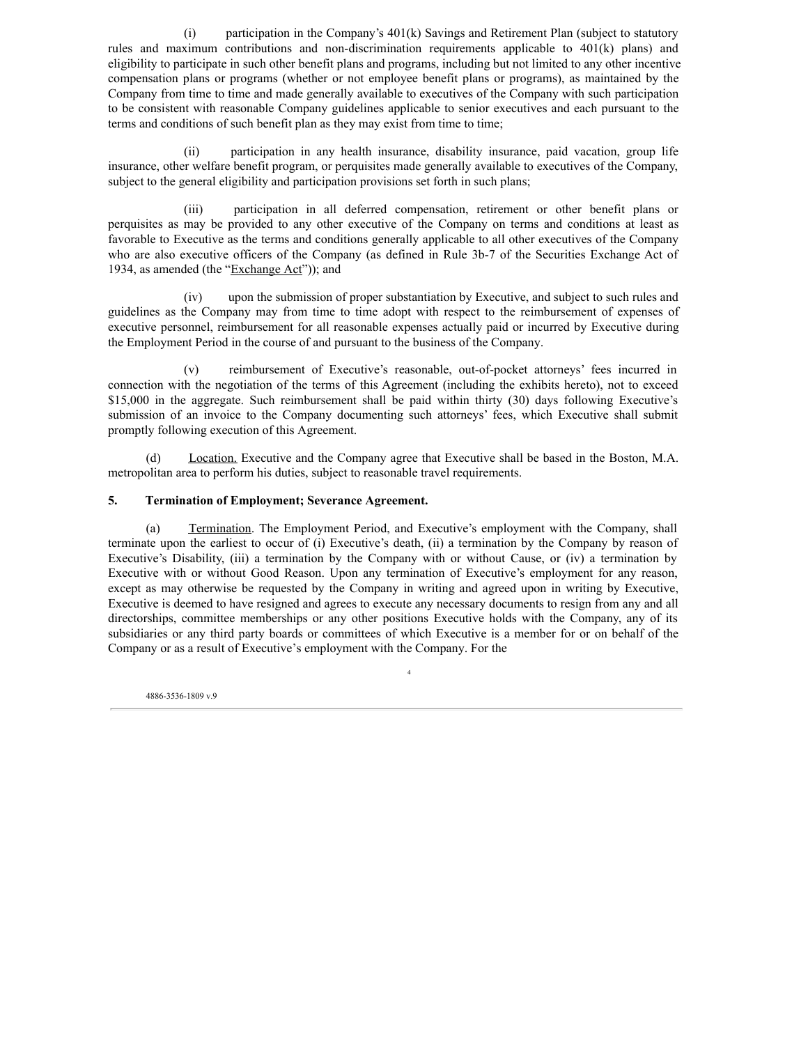(i) participation in the Company's 401(k) Savings and Retirement Plan (subject to statutory rules and maximum contributions and non-discrimination requirements applicable to 401(k) plans) and eligibility to participate in such other benefit plans and programs, including but not limited to any other incentive compensation plans or programs (whether or not employee benefit plans or programs), as maintained by the Company from time to time and made generally available to executives of the Company with such participation to be consistent with reasonable Company guidelines applicable to senior executives and each pursuant to the terms and conditions of such benefit plan as they may exist from time to time;

(ii) participation in any health insurance, disability insurance, paid vacation, group life insurance, other welfare benefit program, or perquisites made generally available to executives of the Company, subject to the general eligibility and participation provisions set forth in such plans;

(iii) participation in all deferred compensation, retirement or other benefit plans or perquisites as may be provided to any other executive of the Company on terms and conditions at least as favorable to Executive as the terms and conditions generally applicable to all other executives of the Company who are also executive officers of the Company (as defined in Rule 3b-7 of the Securities Exchange Act of 1934, as amended (the "Exchange Act")); and

(iv) upon the submission of proper substantiation by Executive, and subject to such rules and guidelines as the Company may from time to time adopt with respect to the reimbursement of expenses of executive personnel, reimbursement for all reasonable expenses actually paid or incurred by Executive during the Employment Period in the course of and pursuant to the business of the Company.

(v) reimbursement of Executive's reasonable, out-of-pocket attorneys' fees incurred in connection with the negotiation of the terms of this Agreement (including the exhibits hereto), not to exceed \$15,000 in the aggregate. Such reimbursement shall be paid within thirty (30) days following Executive's submission of an invoice to the Company documenting such attorneys' fees, which Executive shall submit promptly following execution of this Agreement.

(d) Location. Executive and the Company agree that Executive shall be based in the Boston, M.A. metropolitan area to perform his duties, subject to reasonable travel requirements.

# **5. Termination of Employment; Severance Agreement.**

(a) Termination. The Employment Period, and Executive's employment with the Company, shall terminate upon the earliest to occur of (i) Executive's death, (ii) a termination by the Company by reason of Executive's Disability, (iii) a termination by the Company with or without Cause, or (iv) a termination by Executive with or without Good Reason. Upon any termination of Executive's employment for any reason, except as may otherwise be requested by the Company in writing and agreed upon in writing by Executive, Executive is deemed to have resigned and agrees to execute any necessary documents to resign from any and all directorships, committee memberships or any other positions Executive holds with the Company, any of its subsidiaries or any third party boards or committees of which Executive is a member for or on behalf of the Company or as a result of Executive's employment with the Company. For the

4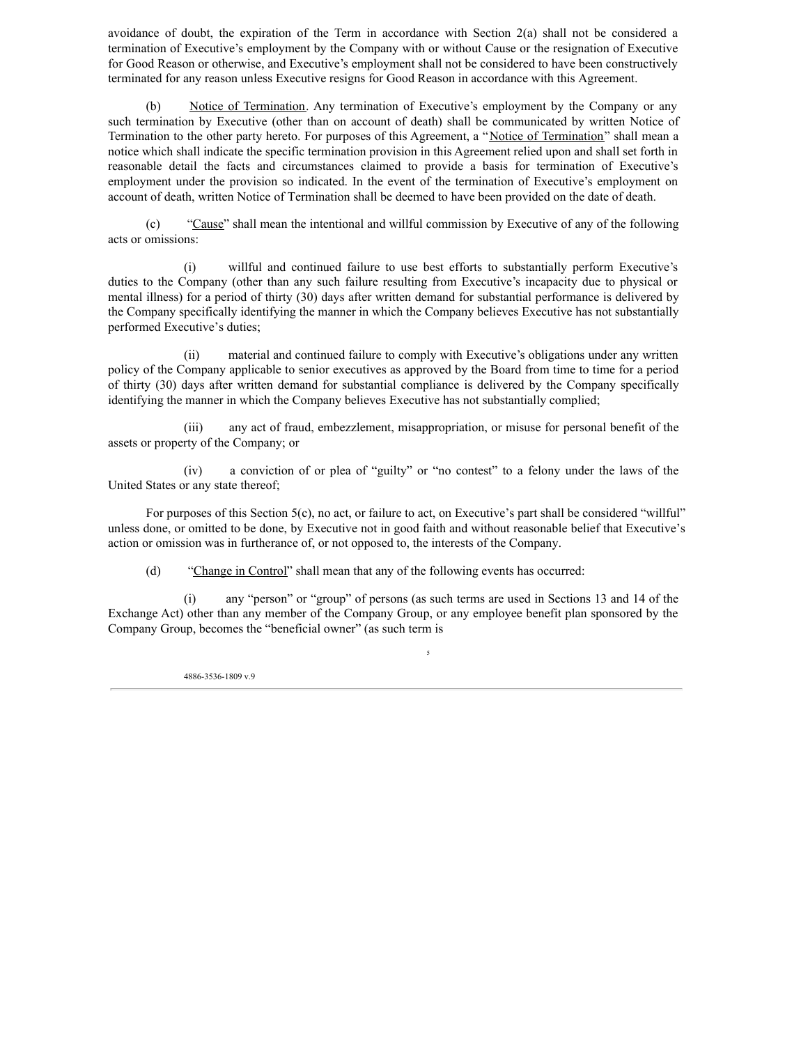avoidance of doubt, the expiration of the Term in accordance with Section 2(a) shall not be considered a termination of Executive's employment by the Company with or without Cause or the resignation of Executive for Good Reason or otherwise, and Executive's employment shall not be considered to have been constructively terminated for any reason unless Executive resigns for Good Reason in accordance with this Agreement.

Notice of Termination. Any termination of Executive's employment by the Company or any such termination by Executive (other than on account of death) shall be communicated by written Notice of Termination to the other party hereto. For purposes of this Agreement, a "Notice of Termination" shall mean a notice which shall indicate the specific termination provision in this Agreement relied upon and shall set forth in reasonable detail the facts and circumstances claimed to provide a basis for termination of Executive's employment under the provision so indicated. In the event of the termination of Executive's employment on account of death, written Notice of Termination shall be deemed to have been provided on the date of death.

(c) "Cause" shall mean the intentional and willful commission by Executive of any of the following acts or omissions:

(i) willful and continued failure to use best efforts to substantially perform Executive's duties to the Company (other than any such failure resulting from Executive's incapacity due to physical or mental illness) for a period of thirty (30) days after written demand for substantial performance is delivered by the Company specifically identifying the manner in which the Company believes Executive has not substantially performed Executive's duties;

(ii) material and continued failure to comply with Executive's obligations under any written policy of the Company applicable to senior executives as approved by the Board from time to time for a period of thirty (30) days after written demand for substantial compliance is delivered by the Company specifically identifying the manner in which the Company believes Executive has not substantially complied;

(iii) any act of fraud, embezzlement, misappropriation, or misuse for personal benefit of the assets or property of the Company; or

(iv) a conviction of or plea of "guilty" or "no contest" to a felony under the laws of the United States or any state thereof;

For purposes of this Section 5(c), no act, or failure to act, on Executive's part shall be considered "willful" unless done, or omitted to be done, by Executive not in good faith and without reasonable belief that Executive's action or omission was in furtherance of, or not opposed to, the interests of the Company.

(d) "Change in Control" shall mean that any of the following events has occurred:

(i) any "person" or "group" of persons (as such terms are used in Sections 13 and 14 of the Exchange Act) other than any member of the Company Group, or any employee benefit plan sponsored by the Company Group, becomes the "beneficial owner" (as such term is

5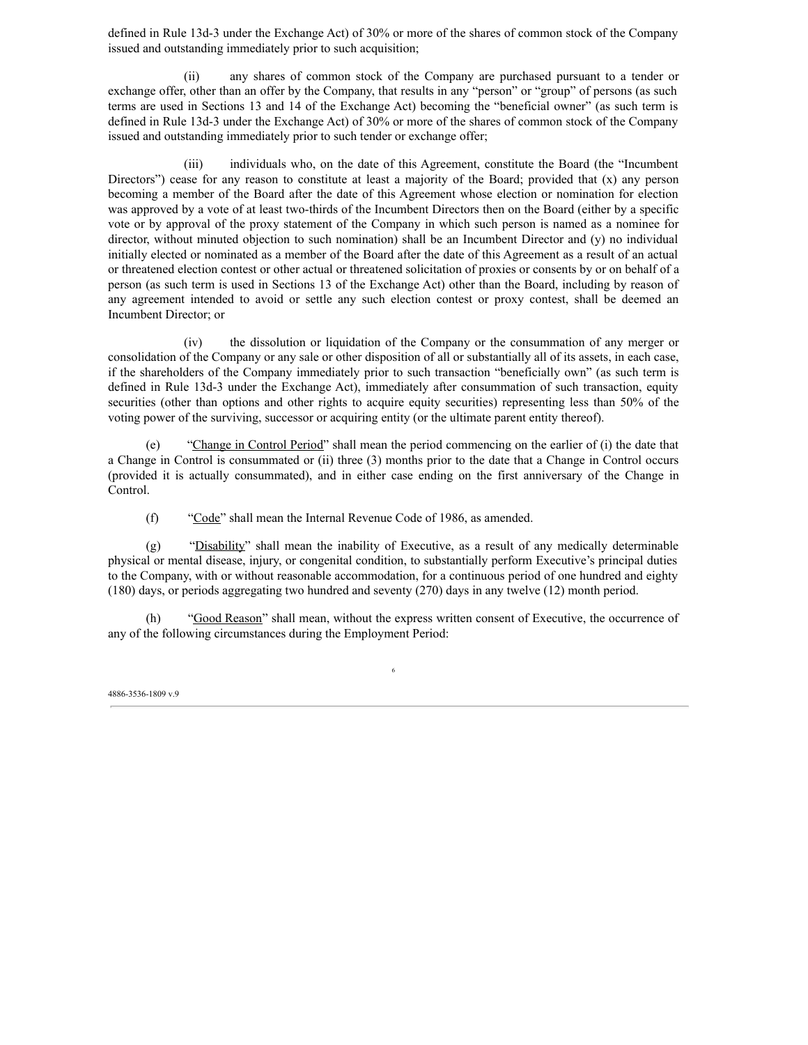defined in Rule 13d-3 under the Exchange Act) of 30% or more of the shares of common stock of the Company issued and outstanding immediately prior to such acquisition;

(ii) any shares of common stock of the Company are purchased pursuant to a tender or exchange offer, other than an offer by the Company, that results in any "person" or "group" of persons (as such terms are used in Sections 13 and 14 of the Exchange Act) becoming the "beneficial owner" (as such term is defined in Rule 13d-3 under the Exchange Act) of 30% or more of the shares of common stock of the Company issued and outstanding immediately prior to such tender or exchange offer;

(iii) individuals who, on the date of this Agreement, constitute the Board (the "Incumbent Directors") cease for any reason to constitute at least a majority of the Board; provided that (x) any person becoming a member of the Board after the date of this Agreement whose election or nomination for election was approved by a vote of at least two-thirds of the Incumbent Directors then on the Board (either by a specific vote or by approval of the proxy statement of the Company in which such person is named as a nominee for director, without minuted objection to such nomination) shall be an Incumbent Director and (y) no individual initially elected or nominated as a member of the Board after the date of this Agreement as a result of an actual or threatened election contest or other actual or threatened solicitation of proxies or consents by or on behalf of a person (as such term is used in Sections 13 of the Exchange Act) other than the Board, including by reason of any agreement intended to avoid or settle any such election contest or proxy contest, shall be deemed an Incumbent Director; or

(iv) the dissolution or liquidation of the Company or the consummation of any merger or consolidation of the Company or any sale or other disposition of all or substantially all of its assets, in each case, if the shareholders of the Company immediately prior to such transaction "beneficially own" (as such term is defined in Rule 13d-3 under the Exchange Act), immediately after consummation of such transaction, equity securities (other than options and other rights to acquire equity securities) representing less than 50% of the voting power of the surviving, successor or acquiring entity (or the ultimate parent entity thereof).

(e) "Change in Control Period" shall mean the period commencing on the earlier of (i) the date that a Change in Control is consummated or (ii) three (3) months prior to the date that a Change in Control occurs (provided it is actually consummated), and in either case ending on the first anniversary of the Change in Control.

(f) "Code" shall mean the Internal Revenue Code of 1986, as amended.

(g) "Disability" shall mean the inability of Executive, as a result of any medically determinable physical or mental disease, injury, or congenital condition, to substantially perform Executive's principal duties to the Company, with or without reasonable accommodation, for a continuous period of one hundred and eighty (180) days, or periods aggregating two hundred and seventy (270) days in any twelve (12) month period.

(h) "Good Reason" shall mean, without the express written consent of Executive, the occurrence of any of the following circumstances during the Employment Period:

6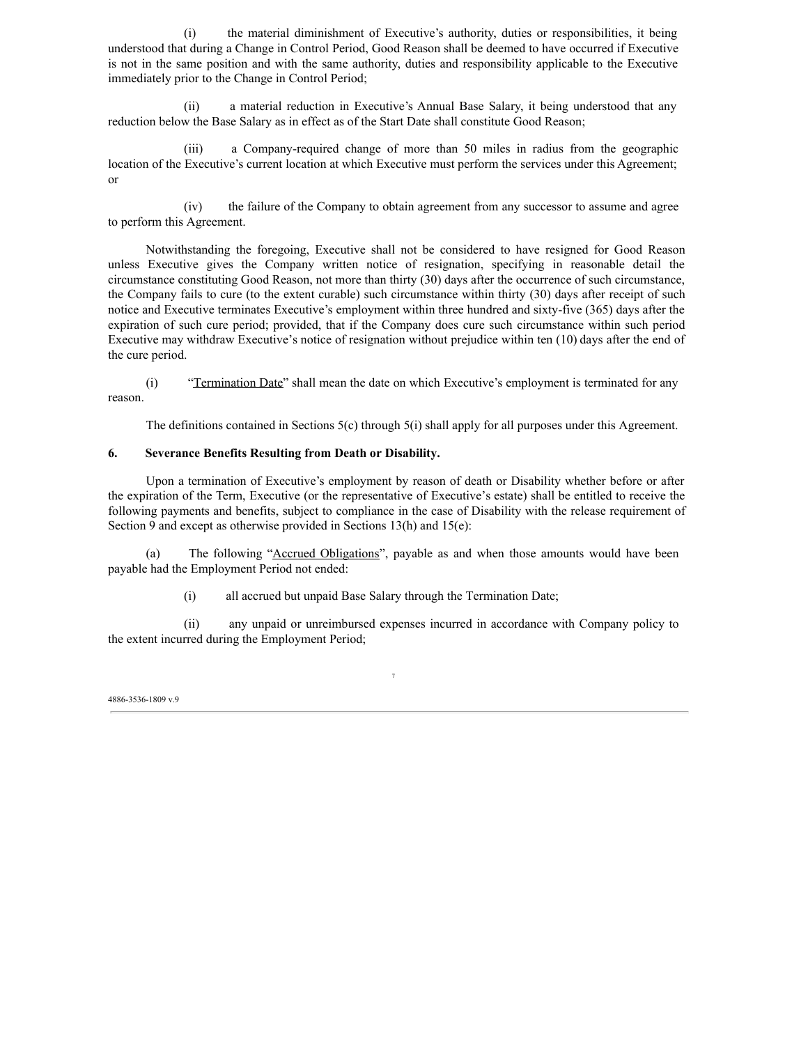(i) the material diminishment of Executive's authority, duties or responsibilities, it being understood that during a Change in Control Period, Good Reason shall be deemed to have occurred if Executive is not in the same position and with the same authority, duties and responsibility applicable to the Executive immediately prior to the Change in Control Period;

(ii) a material reduction in Executive's Annual Base Salary, it being understood that any reduction below the Base Salary as in effect as of the Start Date shall constitute Good Reason;

(iii) a Company-required change of more than 50 miles in radius from the geographic location of the Executive's current location at which Executive must perform the services under this Agreement; or

(iv) the failure of the Company to obtain agreement from any successor to assume and agree to perform this Agreement.

Notwithstanding the foregoing, Executive shall not be considered to have resigned for Good Reason unless Executive gives the Company written notice of resignation, specifying in reasonable detail the circumstance constituting Good Reason, not more than thirty (30) days after the occurrence of such circumstance, the Company fails to cure (to the extent curable) such circumstance within thirty (30) days after receipt of such notice and Executive terminates Executive's employment within three hundred and sixty-five (365) days after the expiration of such cure period; provided, that if the Company does cure such circumstance within such period Executive may withdraw Executive's notice of resignation without prejudice within ten (10) days after the end of the cure period.

(i) "Termination Date" shall mean the date on which Executive's employment is terminated for any reason.

The definitions contained in Sections 5(c) through 5(i) shall apply for all purposes under this Agreement.

# **6. Severance Benefits Resulting from Death or Disability.**

Upon a termination of Executive's employment by reason of death or Disability whether before or after the expiration of the Term, Executive (or the representative of Executive's estate) shall be entitled to receive the following payments and benefits, subject to compliance in the case of Disability with the release requirement of Section 9 and except as otherwise provided in Sections 13(h) and 15(e):

(a) The following "Accrued Obligations", payable as and when those amounts would have been payable had the Employment Period not ended:

(i) all accrued but unpaid Base Salary through the Termination Date;

(ii) any unpaid or unreimbursed expenses incurred in accordance with Company policy to the extent incurred during the Employment Period;

7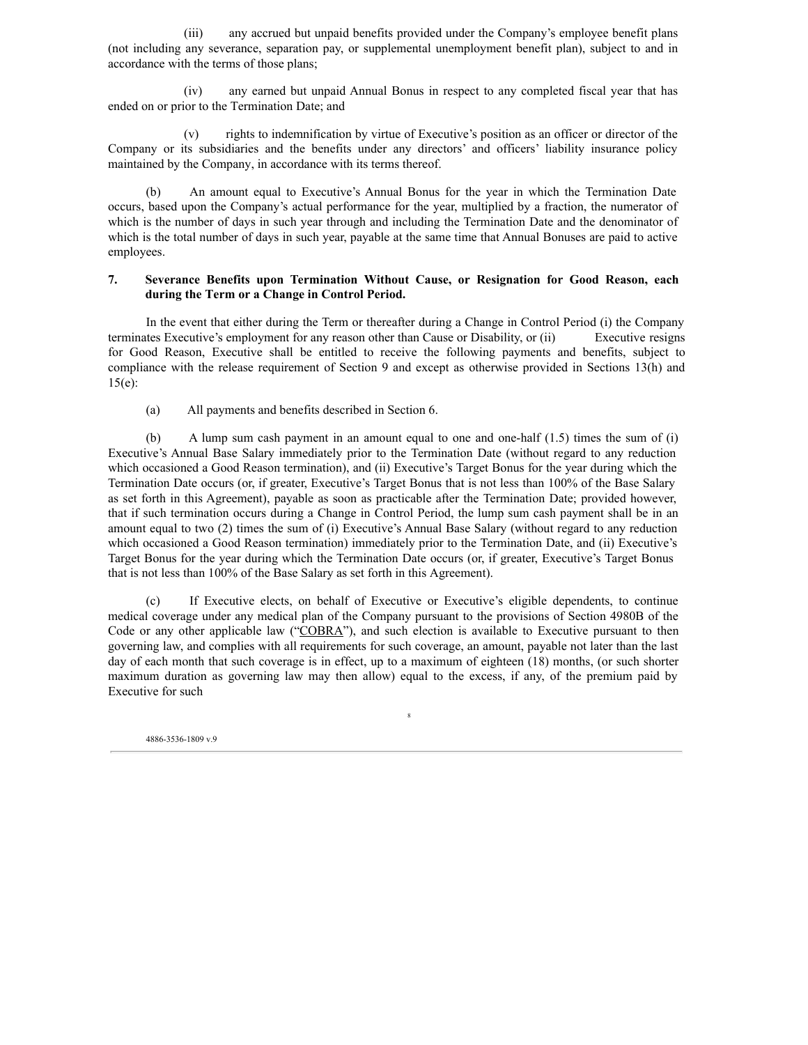(iii) any accrued but unpaid benefits provided under the Company's employee benefit plans (not including any severance, separation pay, or supplemental unemployment benefit plan), subject to and in accordance with the terms of those plans;

(iv) any earned but unpaid Annual Bonus in respect to any completed fiscal year that has ended on or prior to the Termination Date; and

(v) rights to indemnification by virtue of Executive's position as an officer or director of the Company or its subsidiaries and the benefits under any directors' and officers' liability insurance policy maintained by the Company, in accordance with its terms thereof.

(b) An amount equal to Executive's Annual Bonus for the year in which the Termination Date occurs, based upon the Company's actual performance for the year, multiplied by a fraction, the numerator of which is the number of days in such year through and including the Termination Date and the denominator of which is the total number of days in such year, payable at the same time that Annual Bonuses are paid to active employees.

# **7. Severance Benefits upon Termination Without Cause, or Resignation for Good Reason, each during the Term or a Change in Control Period.**

In the event that either during the Term or thereafter during a Change in Control Period (i) the Company terminates Executive's employment for any reason other than Cause or Disability, or (ii) Executive resigns for Good Reason, Executive shall be entitled to receive the following payments and benefits, subject to compliance with the release requirement of Section 9 and except as otherwise provided in Sections 13(h) and 15(e):

(a) All payments and benefits described in Section 6.

(b) A lump sum cash payment in an amount equal to one and one-half (1.5) times the sum of (i) Executive's Annual Base Salary immediately prior to the Termination Date (without regard to any reduction which occasioned a Good Reason termination), and (ii) Executive's Target Bonus for the year during which the Termination Date occurs (or, if greater, Executive's Target Bonus that is not less than 100% of the Base Salary as set forth in this Agreement), payable as soon as practicable after the Termination Date; provided however, that if such termination occurs during a Change in Control Period, the lump sum cash payment shall be in an amount equal to two (2) times the sum of (i) Executive's Annual Base Salary (without regard to any reduction which occasioned a Good Reason termination) immediately prior to the Termination Date, and (ii) Executive's Target Bonus for the year during which the Termination Date occurs (or, if greater, Executive's Target Bonus that is not less than 100% of the Base Salary as set forth in this Agreement).

(c) If Executive elects, on behalf of Executive or Executive's eligible dependents, to continue medical coverage under any medical plan of the Company pursuant to the provisions of Section 4980B of the Code or any other applicable law ("COBRA"), and such election is available to Executive pursuant to then governing law, and complies with all requirements for such coverage, an amount, payable not later than the last day of each month that such coverage is in effect, up to a maximum of eighteen (18) months, (or such shorter maximum duration as governing law may then allow) equal to the excess, if any, of the premium paid by Executive for such

8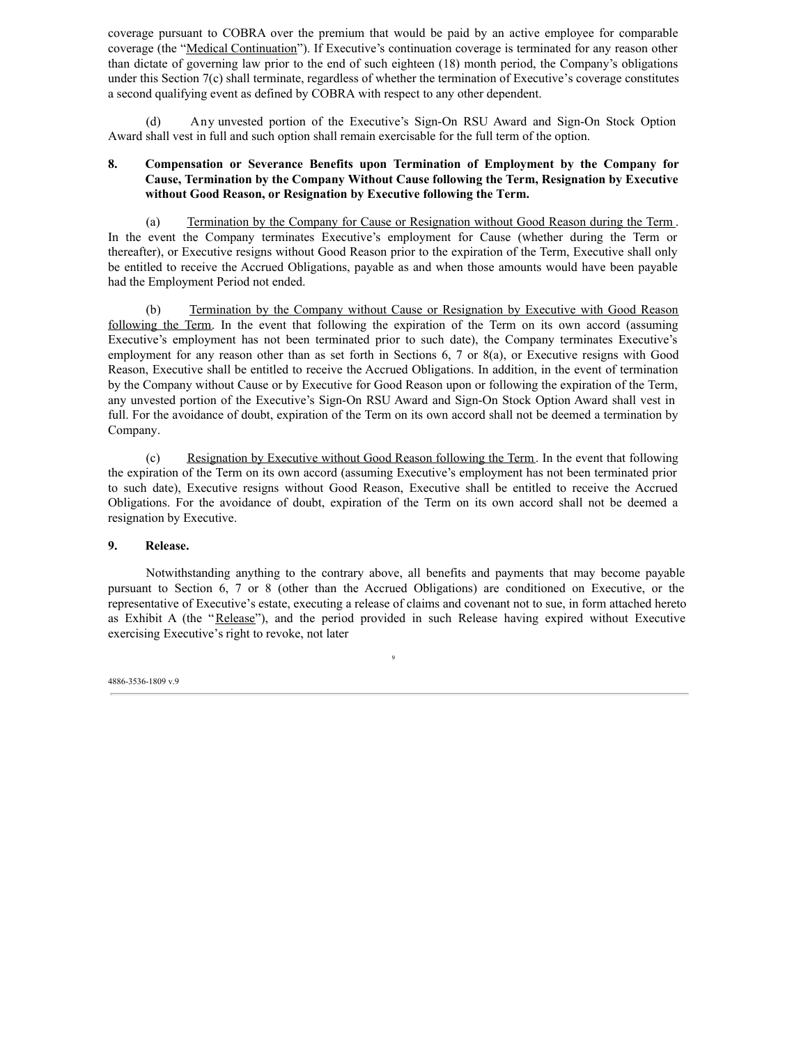<span id="page-64-0"></span>coverage pursuant to COBRA over the premium that would be paid by an active employee for comparable coverage (the "Medical Continuation"). If Executive's continuation coverage is terminated for any reason other than dictate of governing law prior to the end of such eighteen (18) month period, the Company's obligations under this Section 7(c) shall terminate, regardless of whether the termination of Executive's coverage constitutes a second qualifying event as defined by COBRA with respect to any other dependent.

(d) Any unvested portion of the Executive's Sign-On RSU Award and Sign-On Stock Option Award shall vest in full and such option shall remain exercisable for the full term of the option.

# **8. Compensation or Severance Benefits upon Termination of Employment by the Company for Cause, Termination by the Company Without Cause following the Term, Resignation by Executive without Good Reason, or Resignation by Executive following the Term.**

(a) Termination by the Company for Cause or Resignation without Good Reason during the Term . In the event the Company terminates Executive's employment for Cause (whether during the Term or thereafter), or Executive resigns without Good Reason prior to the expiration of the Term, Executive shall only be entitled to receive the Accrued Obligations, payable as and when those amounts would have been payable had the Employment Period not ended.

(b) Termination by the Company without Cause or Resignation by Executive with Good Reason following the Term. In the event that following the expiration of the Term on its own accord (assuming Executive's employment has not been terminated prior to such date), the Company terminates Executive's employment for any reason other than as set forth in Sections 6, 7 or 8(a), or Executive resigns with Good Reason, Executive shall be entitled to receive the Accrued Obligations. In addition, in the event of termination by the Company without Cause or by Executive for Good Reason upon or following the expiration of the Term, any unvested portion of the Executive's Sign-On RSU Award and Sign-On Stock Option Award shall vest in full. For the avoidance of doubt, expiration of the Term on its own accord shall not be deemed a termination by Company.

(c) Resignation by Executive without Good Reason following the Term. In the event that following the expiration of the Term on its own accord (assuming Executive's employment has not been terminated prior to such date), Executive resigns without Good Reason, Executive shall be entitled to receive the Accrued Obligations. For the avoidance of doubt, expiration of the Term on its own accord shall not be deemed a resignation by Executive.

# **9. Release.**

Notwithstanding anything to the contrary above, all benefits and payments that may become payable pursuant to Section 6, 7 or 8 (other than the Accrued Obligations) are conditioned on Executive, or the representative of Executive's estate, executing a release of claims and covenant not to sue, in form attached hereto as Exhibit A (the "Release"), and the period provided in such Release having expired without Executive exercising Executive's right to revoke, not later

9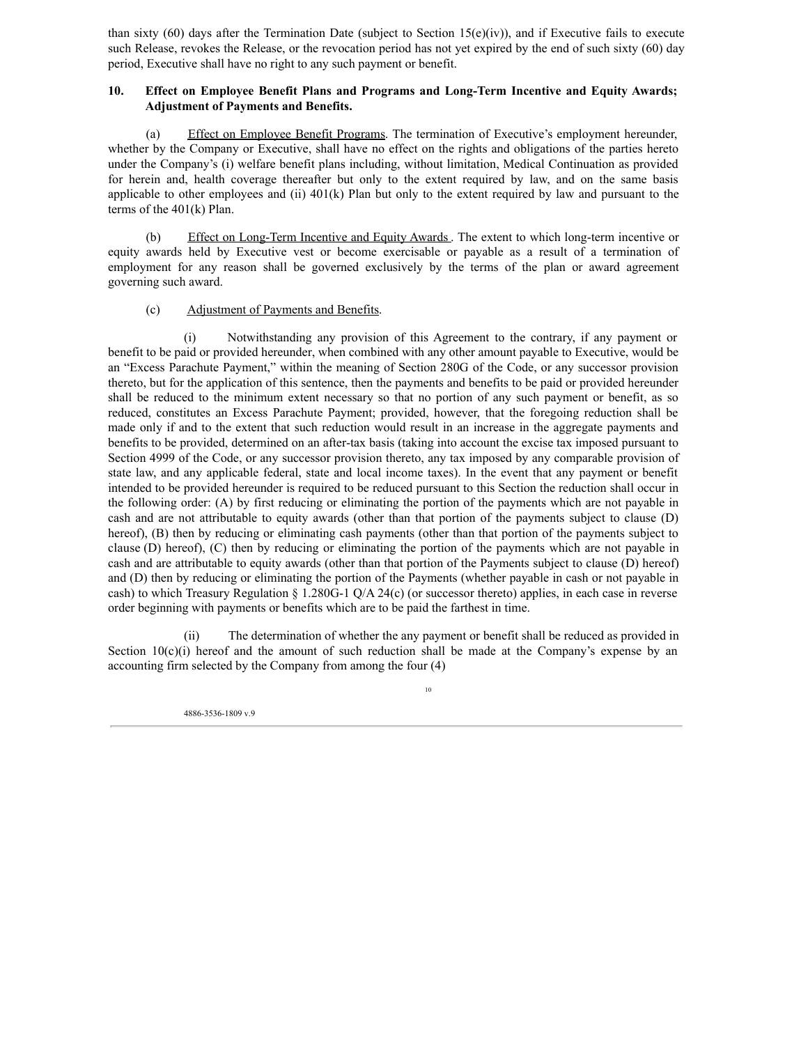than sixty (60) days after the Termination Date (subject to Section 15(e)(iv)), and if Executive fails to execute such Release, revokes the Release, or the revocation period has not yet expired by the end of such sixty (60) day period, Executive shall have no right to any such payment or benefit.

# **10. Effect on Employee Benefit Plans and Programs and Long-Term Incentive and Equity Awards; Adjustment of Payments and Benefits.**

(a) Effect on Employee Benefit Programs. The termination of Executive's employment hereunder, whether by the Company or Executive, shall have no effect on the rights and obligations of the parties hereto under the Company's (i) welfare benefit plans including, without limitation, Medical Continuation as provided for herein and, health coverage thereafter but only to the extent required by law, and on the same basis applicable to other employees and (ii)  $401(k)$  Plan but only to the extent required by law and pursuant to the terms of the 401(k) Plan.

(b) Effect on Long-Term Incentive and Equity Awards . The extent to which long-term incentive or equity awards held by Executive vest or become exercisable or payable as a result of a termination of employment for any reason shall be governed exclusively by the terms of the plan or award agreement governing such award.

# (c) Adjustment of Payments and Benefits.

(i) Notwithstanding any provision of this Agreement to the contrary, if any payment or benefit to be paid or provided hereunder, when combined with any other amount payable to Executive, would be an "Excess Parachute Payment," within the meaning of Section 280G of the Code, or any successor provision thereto, but for the application of this sentence, then the payments and benefits to be paid or provided hereunder shall be reduced to the minimum extent necessary so that no portion of any such payment or benefit, as so reduced, constitutes an Excess Parachute Payment; provided, however, that the foregoing reduction shall be made only if and to the extent that such reduction would result in an increase in the aggregate payments and benefits to be provided, determined on an after-tax basis (taking into account the excise tax imposed pursuant to Section 4999 of the Code, or any successor provision thereto, any tax imposed by any comparable provision of state law, and any applicable federal, state and local income taxes). In the event that any payment or benefit intended to be provided hereunder is required to be reduced pursuant to this Section the reduction shall occur in the following order: (A) by first reducing or eliminating the portion of the payments which are not payable in cash and are not attributable to equity awards (other than that portion of the payments subject to clause (D) hereof), (B) then by reducing or eliminating cash payments (other than that portion of the payments subject to clause (D) hereof), (C) then by reducing or eliminating the portion of the payments which are not payable in cash and are attributable to equity awards (other than that portion of the Payments subject to clause (D) hereof) and (D) then by reducing or eliminating the portion of the Payments (whether payable in cash or not payable in cash) to which Treasury Regulation § 1.280G-1 Q/A 24(c) (or successor thereto) applies, in each case in reverse order beginning with payments or benefits which are to be paid the farthest in time.

(ii) The determination of whether the any payment or benefit shall be reduced as provided in Section  $10(c)(i)$  hereof and the amount of such reduction shall be made at the Company's expense by an accounting firm selected by the Company from among the four (4)

10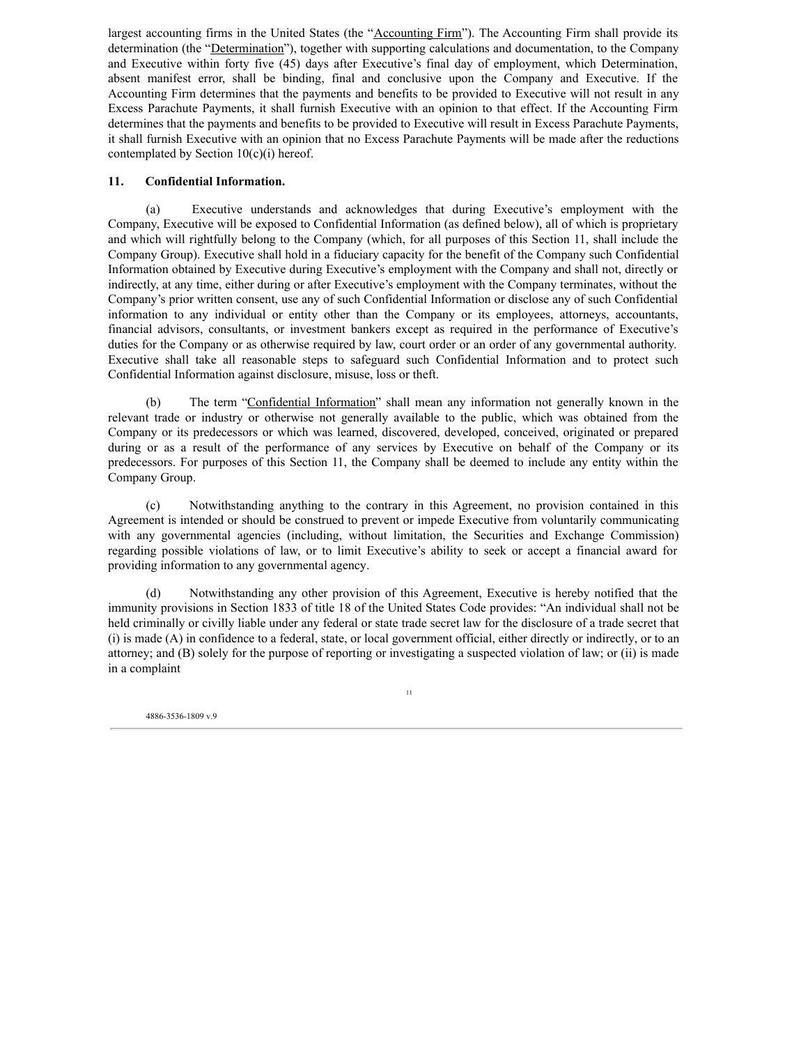largest accounting firms in the United States (the "Accounting Firm"). The Accounting Firm shall provide its determination (the "Determination"), together with supporting calculations and documentation, to the Company and Executive within forty five (45) days after Executive's final day of employment, which Determination, absent manifest error, shall be binding, final and conclusive upon the Company and Executive. If the Accounting Firm determines that the payments and benefits to be provided to Executive will not result in any Excess Parachute Payments, it shall furnish Executive with an opinion to that effect. If the Accounting Firm determines that the payments and benefits to be provided to Executive will result in Excess Parachute Payments, it shall furnish Executive with an opinion that no Excess Parachute Payments will be made after the reductions contemplated by Section  $10(c)(i)$  hereof.

# **11. Confidential Information.**

(a) Executive understands and acknowledges that during Executive's employment with the Company, Executive will be exposed to Confidential Information (as defined below), all of which is proprietary and which will rightfully belong to the Company (which, for all purposes of this Section 11, shall include the Company Group). Executive shall hold in a fiduciary capacity for the benefit of the Company such Confidential Information obtained by Executive during Executive's employment with the Company and shall not, directly or indirectly, at any time, either during or after Executive's employment with the Company terminates, without the Company's prior written consent, use any of such Confidential Information or disclose any of such Confidential information to any individual or entity other than the Company or its employees, attorneys, accountants, financial advisors, consultants, or investment bankers except as required in the performance of Executive's duties for the Company or as otherwise required by law, court order or an order of any governmental authority. Executive shall take all reasonable steps to safeguard such Confidential Information and to protect such Confidential Information against disclosure, misuse, loss or theft.

(b) The term "Confidential Information" shall mean any information not generally known in the relevant trade or industry or otherwise not generally available to the public, which was obtained from the Company or its predecessors or which was learned, discovered, developed, conceived, originated or prepared during or as a result of the performance of any services by Executive on behalf of the Company or its predecessors. For purposes of this Section 11, the Company shall be deemed to include any entity within the Company Group.

(c) Notwithstanding anything to the contrary in this Agreement, no provision contained in this Agreement is intended or should be construed to prevent or impede Executive from voluntarily communicating with any governmental agencies (including, without limitation, the Securities and Exchange Commission) regarding possible violations of law, or to limit Executive's ability to seek or accept a financial award for providing information to any governmental agency.

(d) Notwithstanding any other provision of this Agreement, Executive is hereby notified that the immunity provisions in Section 1833 of title 18 of the United States Code provides: "An individual shall not be held criminally or civilly liable under any federal or state trade secret law for the disclosure of a trade secret that (i) is made (A) in confidence to a federal, state, or local government official, either directly or indirectly, or to an attorney; and (B) solely for the purpose of reporting or investigating a suspected violation of law; or (ii) is made in a complaint

11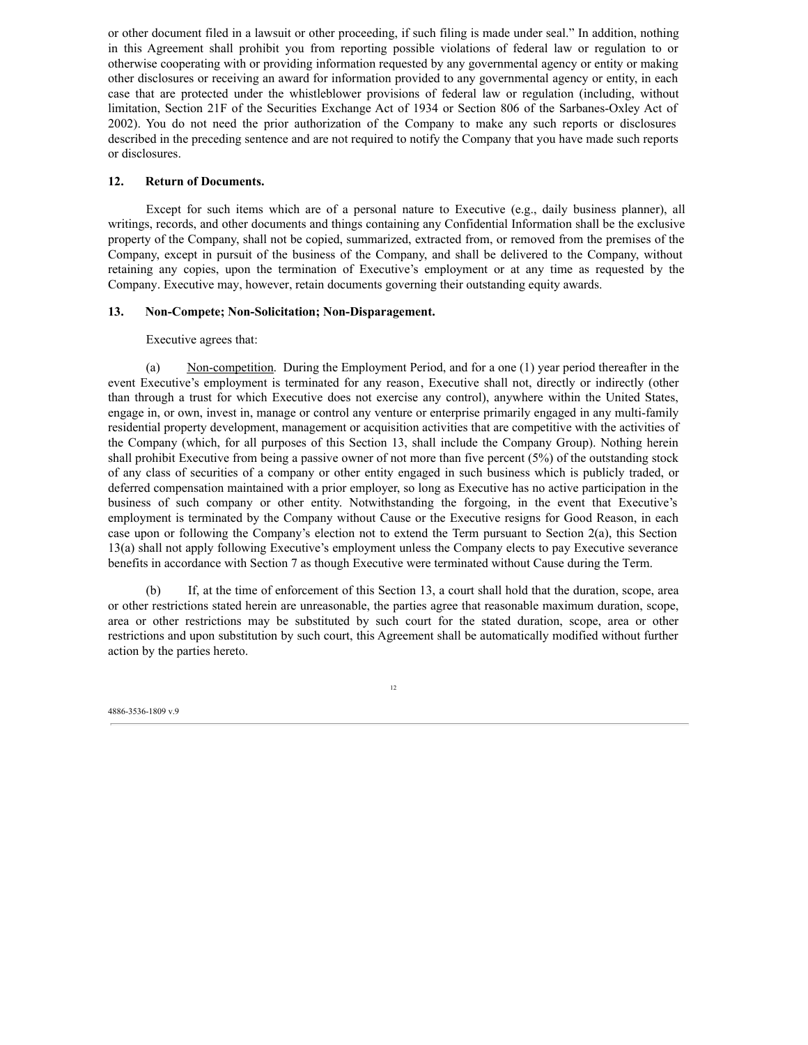or other document filed in a lawsuit or other proceeding, if such filing is made under seal." In addition, nothing in this Agreement shall prohibit you from reporting possible violations of federal law or regulation to or otherwise cooperating with or providing information requested by any governmental agency or entity or making other disclosures or receiving an award for information provided to any governmental agency or entity, in each case that are protected under the whistleblower provisions of federal law or regulation (including, without limitation, Section 21F of the Securities Exchange Act of 1934 or Section 806 of the Sarbanes-Oxley Act of 2002). You do not need the prior authorization of the Company to make any such reports or disclosures described in the preceding sentence and are not required to notify the Company that you have made such reports or disclosures.

# **12. Return of Documents.**

Except for such items which are of a personal nature to Executive (e.g., daily business planner), all writings, records, and other documents and things containing any Confidential Information shall be the exclusive property of the Company, shall not be copied, summarized, extracted from, or removed from the premises of the Company, except in pursuit of the business of the Company, and shall be delivered to the Company, without retaining any copies, upon the termination of Executive's employment or at any time as requested by the Company. Executive may, however, retain documents governing their outstanding equity awards.

# **13. Non-Compete; Non-Solicitation; Non-Disparagement.**

# Executive agrees that:

(a) Non-competition. During the Employment Period, and for a one (1) year period thereafter in the event Executive's employment is terminated for any reason, Executive shall not, directly or indirectly (other than through a trust for which Executive does not exercise any control), anywhere within the United States, engage in, or own, invest in, manage or control any venture or enterprise primarily engaged in any multi-family residential property development, management or acquisition activities that are competitive with the activities of the Company (which, for all purposes of this Section 13, shall include the Company Group). Nothing herein shall prohibit Executive from being a passive owner of not more than five percent (5%) of the outstanding stock of any class of securities of a company or other entity engaged in such business which is publicly traded, or deferred compensation maintained with a prior employer, so long as Executive has no active participation in the business of such company or other entity. Notwithstanding the forgoing, in the event that Executive's employment is terminated by the Company without Cause or the Executive resigns for Good Reason, in each case upon or following the Company's election not to extend the Term pursuant to Section 2(a), this Section 13(a) shall not apply following Executive's employment unless the Company elects to pay Executive severance benefits in accordance with Section 7 as though Executive were terminated without Cause during the Term.

(b) If, at the time of enforcement of this Section 13, a court shall hold that the duration, scope, area or other restrictions stated herein are unreasonable, the parties agree that reasonable maximum duration, scope, area or other restrictions may be substituted by such court for the stated duration, scope, area or other restrictions and upon substitution by such court, this Agreement shall be automatically modified without further action by the parties hereto.

12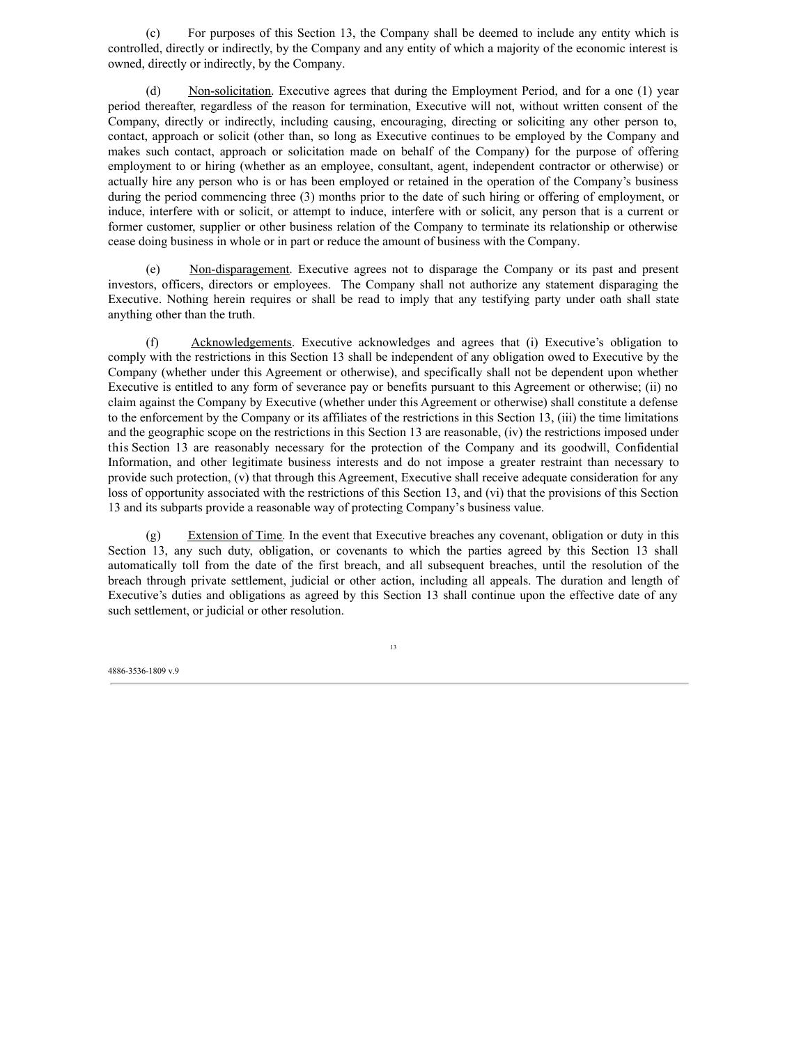(c) For purposes of this Section 13, the Company shall be deemed to include any entity which is controlled, directly or indirectly, by the Company and any entity of which a majority of the economic interest is owned, directly or indirectly, by the Company.

(d) Non-solicitation. Executive agrees that during the Employment Period, and for a one (1) year period thereafter, regardless of the reason for termination, Executive will not, without written consent of the Company, directly or indirectly, including causing, encouraging, directing or soliciting any other person to, contact, approach or solicit (other than, so long as Executive continues to be employed by the Company and makes such contact, approach or solicitation made on behalf of the Company) for the purpose of offering employment to or hiring (whether as an employee, consultant, agent, independent contractor or otherwise) or actually hire any person who is or has been employed or retained in the operation of the Company's business during the period commencing three (3) months prior to the date of such hiring or offering of employment, or induce, interfere with or solicit, or attempt to induce, interfere with or solicit, any person that is a current or former customer, supplier or other business relation of the Company to terminate its relationship or otherwise cease doing business in whole or in part or reduce the amount of business with the Company.

(e) Non-disparagement. Executive agrees not to disparage the Company or its past and present investors, officers, directors or employees. The Company shall not authorize any statement disparaging the Executive. Nothing herein requires or shall be read to imply that any testifying party under oath shall state anything other than the truth.

(f) Acknowledgements. Executive acknowledges and agrees that (i) Executive's obligation to comply with the restrictions in this Section 13 shall be independent of any obligation owed to Executive by the Company (whether under this Agreement or otherwise), and specifically shall not be dependent upon whether Executive is entitled to any form of severance pay or benefits pursuant to this Agreement or otherwise; (ii) no claim against the Company by Executive (whether under this Agreement or otherwise) shall constitute a defense to the enforcement by the Company or its affiliates of the restrictions in this Section 13, (iii) the time limitations and the geographic scope on the restrictions in this Section 13 are reasonable, (iv) the restrictions imposed under this Section 13 are reasonably necessary for the protection of the Company and its goodwill, Confidential Information, and other legitimate business interests and do not impose a greater restraint than necessary to provide such protection, (v) that through this Agreement, Executive shall receive adequate consideration for any loss of opportunity associated with the restrictions of this Section 13, and (vi) that the provisions of this Section 13 and its subparts provide a reasonable way of protecting Company's business value.

(g) Extension of Time. In the event that Executive breaches any covenant, obligation or duty in this Section 13, any such duty, obligation, or covenants to which the parties agreed by this Section 13 shall automatically toll from the date of the first breach, and all subsequent breaches, until the resolution of the breach through private settlement, judicial or other action, including all appeals. The duration and length of Executive's duties and obligations as agreed by this Section 13 shall continue upon the effective date of any such settlement, or judicial or other resolution.

4886-3536-1809 v.9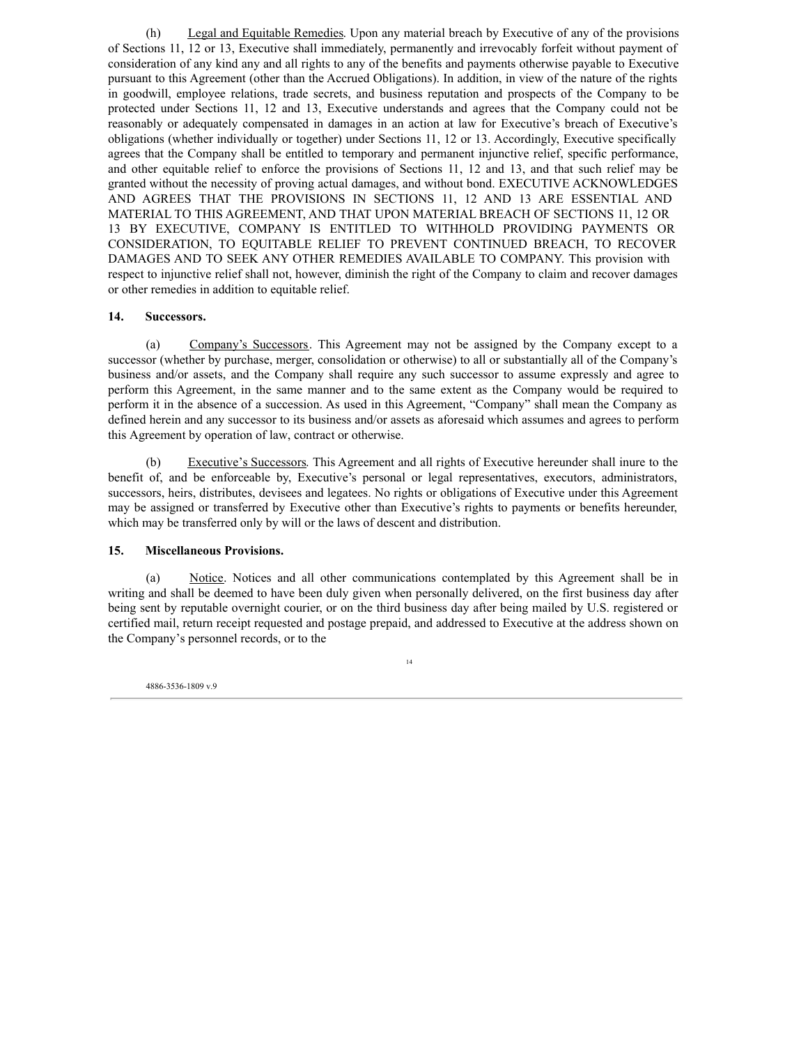(h) Legal and Equitable Remedies. Upon any material breach by Executive of any of the provisions of Sections 11, 12 or 13, Executive shall immediately, permanently and irrevocably forfeit without payment of consideration of any kind any and all rights to any of the benefits and payments otherwise payable to Executive pursuant to this Agreement (other than the Accrued Obligations). In addition, in view of the nature of the rights in goodwill, employee relations, trade secrets, and business reputation and prospects of the Company to be protected under Sections 11, 12 and 13, Executive understands and agrees that the Company could not be reasonably or adequately compensated in damages in an action at law for Executive's breach of Executive's obligations (whether individually or together) under Sections 11, 12 or 13. Accordingly, Executive specifically agrees that the Company shall be entitled to temporary and permanent injunctive relief, specific performance, and other equitable relief to enforce the provisions of Sections 11, 12 and 13, and that such relief may be granted without the necessity of proving actual damages, and without bond. EXECUTIVE ACKNOWLEDGES AND AGREES THAT THE PROVISIONS IN SECTIONS 11, 12 AND 13 ARE ESSENTIAL AND MATERIAL TO THIS AGREEMENT, AND THAT UPON MATERIAL BREACH OF SECTIONS 11, 12 OR 13 BY EXECUTIVE, COMPANY IS ENTITLED TO WITHHOLD PROVIDING PAYMENTS OR CONSIDERATION, TO EQUITABLE RELIEF TO PREVENT CONTINUED BREACH, TO RECOVER DAMAGES AND TO SEEK ANY OTHER REMEDIES AVAILABLE TO COMPANY. This provision with respect to injunctive relief shall not, however, diminish the right of the Company to claim and recover damages or other remedies in addition to equitable relief.

# **14. Successors.**

(a) Company's Successors. This Agreement may not be assigned by the Company except to a successor (whether by purchase, merger, consolidation or otherwise) to all or substantially all of the Company's business and/or assets, and the Company shall require any such successor to assume expressly and agree to perform this Agreement, in the same manner and to the same extent as the Company would be required to perform it in the absence of a succession. As used in this Agreement, "Company" shall mean the Company as defined herein and any successor to its business and/or assets as aforesaid which assumes and agrees to perform this Agreement by operation of law, contract or otherwise.

(b) Executive's Successors. This Agreement and all rights of Executive hereunder shall inure to the benefit of, and be enforceable by, Executive's personal or legal representatives, executors, administrators, successors, heirs, distributes, devisees and legatees. No rights or obligations of Executive under this Agreement may be assigned or transferred by Executive other than Executive's rights to payments or benefits hereunder, which may be transferred only by will or the laws of descent and distribution.

# **15. Miscellaneous Provisions.**

(a) Notice. Notices and all other communications contemplated by this Agreement shall be in writing and shall be deemed to have been duly given when personally delivered, on the first business day after being sent by reputable overnight courier, or on the third business day after being mailed by U.S. registered or certified mail, return receipt requested and postage prepaid, and addressed to Executive at the address shown on the Company's personnel records, or to the

14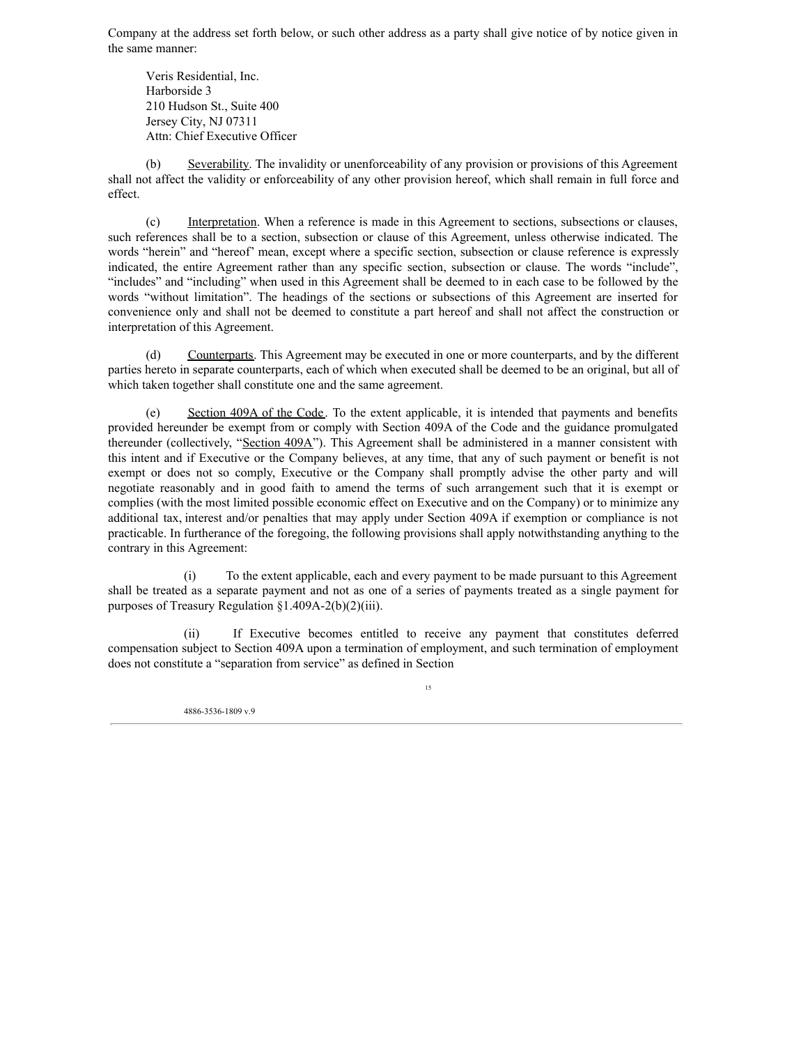Company at the address set forth below, or such other address as a party shall give notice of by notice given in the same manner:

Veris Residential, Inc. Harborside 3 210 Hudson St., Suite 400 Jersey City, NJ 07311 Attn: Chief Executive Officer

(b) Severability. The invalidity or unenforceability of any provision or provisions of this Agreement shall not affect the validity or enforceability of any other provision hereof, which shall remain in full force and effect.

(c) Interpretation. When a reference is made in this Agreement to sections, subsections or clauses, such references shall be to a section, subsection or clause of this Agreement, unless otherwise indicated. The words "herein" and "hereof' mean, except where a specific section, subsection or clause reference is expressly indicated, the entire Agreement rather than any specific section, subsection or clause. The words "include", "includes" and "including" when used in this Agreement shall be deemed to in each case to be followed by the words "without limitation". The headings of the sections or subsections of this Agreement are inserted for convenience only and shall not be deemed to constitute a part hereof and shall not affect the construction or interpretation of this Agreement.

(d) Counterparts. This Agreement may be executed in one or more counterparts, and by the different parties hereto in separate counterparts, each of which when executed shall be deemed to be an original, but all of which taken together shall constitute one and the same agreement.

Section 409A of the Code. To the extent applicable, it is intended that payments and benefits provided hereunder be exempt from or comply with Section 409A of the Code and the guidance promulgated thereunder (collectively, "Section 409A"). This Agreement shall be administered in a manner consistent with this intent and if Executive or the Company believes, at any time, that any of such payment or benefit is not exempt or does not so comply, Executive or the Company shall promptly advise the other party and will negotiate reasonably and in good faith to amend the terms of such arrangement such that it is exempt or complies (with the most limited possible economic effect on Executive and on the Company) or to minimize any additional tax, interest and/or penalties that may apply under Section 409A if exemption or compliance is not practicable. In furtherance of the foregoing, the following provisions shall apply notwithstanding anything to the contrary in this Agreement:

(i) To the extent applicable, each and every payment to be made pursuant to this Agreement shall be treated as a separate payment and not as one of a series of payments treated as a single payment for purposes of Treasury Regulation §1.409A-2(b)(2)(iii).

(ii) If Executive becomes entitled to receive any payment that constitutes deferred compensation subject to Section 409A upon a termination of employment, and such termination of employment does not constitute a "separation from service" as defined in Section

15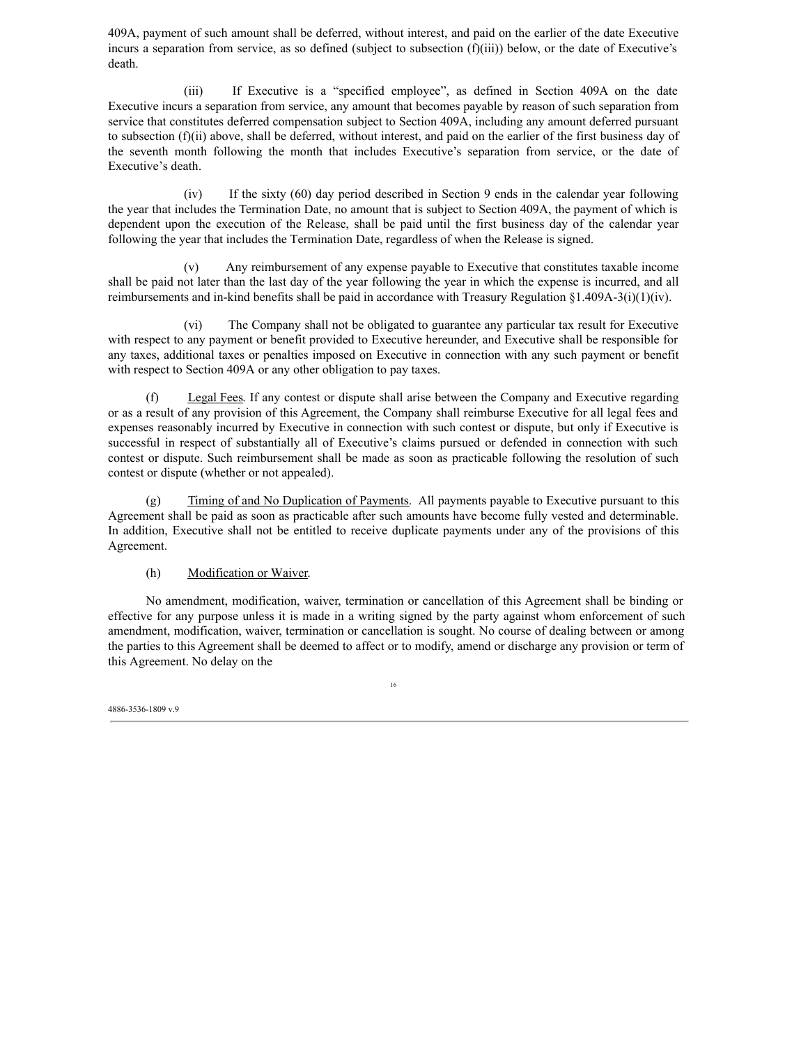409A, payment of such amount shall be deferred, without interest, and paid on the earlier of the date Executive incurs a separation from service, as so defined (subject to subsection  $(f)(iii)$ ) below, or the date of Executive's death.

(iii) If Executive is a "specified employee", as defined in Section 409A on the date Executive incurs a separation from service, any amount that becomes payable by reason of such separation from service that constitutes deferred compensation subject to Section 409A, including any amount deferred pursuant to subsection (f)(ii) above, shall be deferred, without interest, and paid on the earlier of the first business day of the seventh month following the month that includes Executive's separation from service, or the date of Executive's death.

(iv) If the sixty (60) day period described in Section 9 ends in the calendar year following the year that includes the Termination Date, no amount that is subject to Section 409A, the payment of which is dependent upon the execution of the Release, shall be paid until the first business day of the calendar year following the year that includes the Termination Date, regardless of when the Release is signed.

(v) Any reimbursement of any expense payable to Executive that constitutes taxable income shall be paid not later than the last day of the year following the year in which the expense is incurred, and all reimbursements and in-kind benefits shall be paid in accordance with Treasury Regulation §1.409A-3(i)(1)(iv).

(vi) The Company shall not be obligated to guarantee any particular tax result for Executive with respect to any payment or benefit provided to Executive hereunder, and Executive shall be responsible for any taxes, additional taxes or penalties imposed on Executive in connection with any such payment or benefit with respect to Section 409A or any other obligation to pay taxes.

(f) Legal Fees. If any contest or dispute shall arise between the Company and Executive regarding or as a result of any provision of this Agreement, the Company shall reimburse Executive for all legal fees and expenses reasonably incurred by Executive in connection with such contest or dispute, but only if Executive is successful in respect of substantially all of Executive's claims pursued or defended in connection with such contest or dispute. Such reimbursement shall be made as soon as practicable following the resolution of such contest or dispute (whether or not appealed).

(g) Timing of and No Duplication of Payments. All payments payable to Executive pursuant to this Agreement shall be paid as soon as practicable after such amounts have become fully vested and determinable. In addition, Executive shall not be entitled to receive duplicate payments under any of the provisions of this Agreement.

# (h) Modification or Waiver.

No amendment, modification, waiver, termination or cancellation of this Agreement shall be binding or effective for any purpose unless it is made in a writing signed by the party against whom enforcement of such amendment, modification, waiver, termination or cancellation is sought. No course of dealing between or among the parties to this Agreement shall be deemed to affect or to modify, amend or discharge any provision or term of this Agreement. No delay on the

16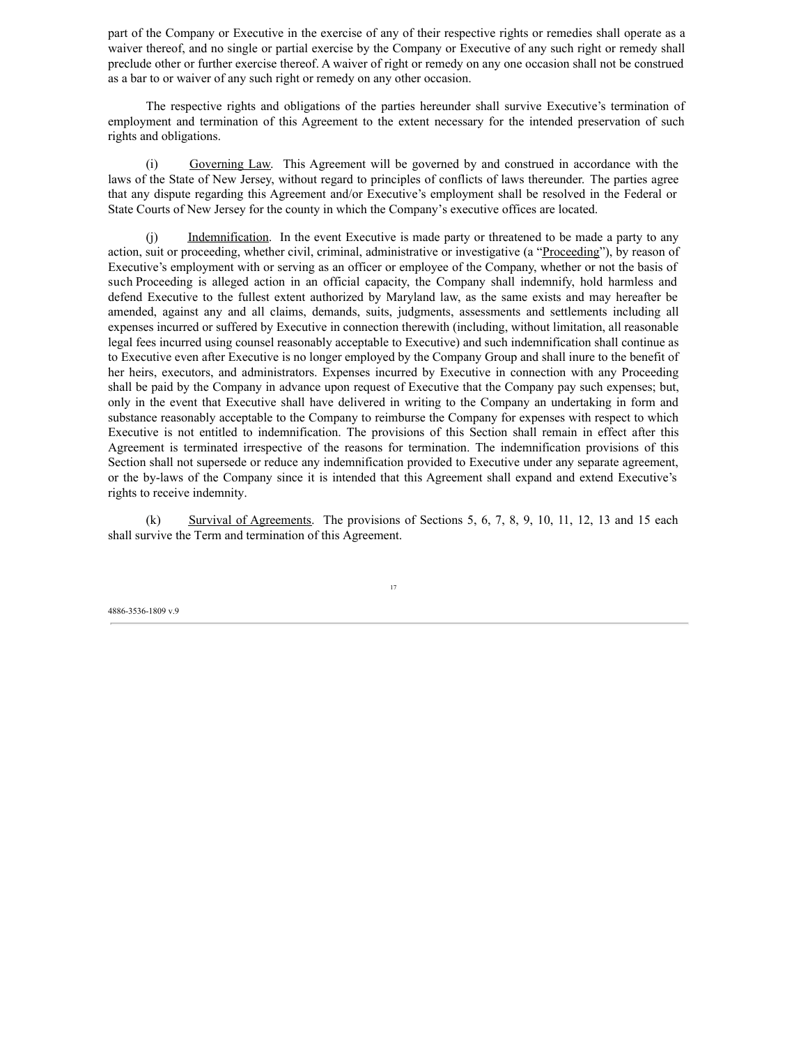part of the Company or Executive in the exercise of any of their respective rights or remedies shall operate as a waiver thereof, and no single or partial exercise by the Company or Executive of any such right or remedy shall preclude other or further exercise thereof. A waiver of right or remedy on any one occasion shall not be construed as a bar to or waiver of any such right or remedy on any other occasion.

The respective rights and obligations of the parties hereunder shall survive Executive's termination of employment and termination of this Agreement to the extent necessary for the intended preservation of such rights and obligations.

(i) Governing Law. This Agreement will be governed by and construed in accordance with the laws of the State of New Jersey, without regard to principles of conflicts of laws thereunder. The parties agree that any dispute regarding this Agreement and/or Executive's employment shall be resolved in the Federal or State Courts of New Jersey for the county in which the Company's executive offices are located.

(j) Indemnification. In the event Executive is made party or threatened to be made a party to any action, suit or proceeding, whether civil, criminal, administrative or investigative (a "Proceeding"), by reason of Executive's employment with or serving as an officer or employee of the Company, whether or not the basis of such Proceeding is alleged action in an official capacity, the Company shall indemnify, hold harmless and defend Executive to the fullest extent authorized by Maryland law, as the same exists and may hereafter be amended, against any and all claims, demands, suits, judgments, assessments and settlements including all expenses incurred or suffered by Executive in connection therewith (including, without limitation, all reasonable legal fees incurred using counsel reasonably acceptable to Executive) and such indemnification shall continue as to Executive even after Executive is no longer employed by the Company Group and shall inure to the benefit of her heirs, executors, and administrators. Expenses incurred by Executive in connection with any Proceeding shall be paid by the Company in advance upon request of Executive that the Company pay such expenses; but, only in the event that Executive shall have delivered in writing to the Company an undertaking in form and substance reasonably acceptable to the Company to reimburse the Company for expenses with respect to which Executive is not entitled to indemnification. The provisions of this Section shall remain in effect after this Agreement is terminated irrespective of the reasons for termination. The indemnification provisions of this Section shall not supersede or reduce any indemnification provided to Executive under any separate agreement, or the by-laws of the Company since it is intended that this Agreement shall expand and extend Executive's rights to receive indemnity.

(k) Survival of Agreements. The provisions of Sections 5, 6, 7, 8, 9, 10, 11, 12, 13 and 15 each shall survive the Term and termination of this Agreement.

17

4886-3536-1809 v.9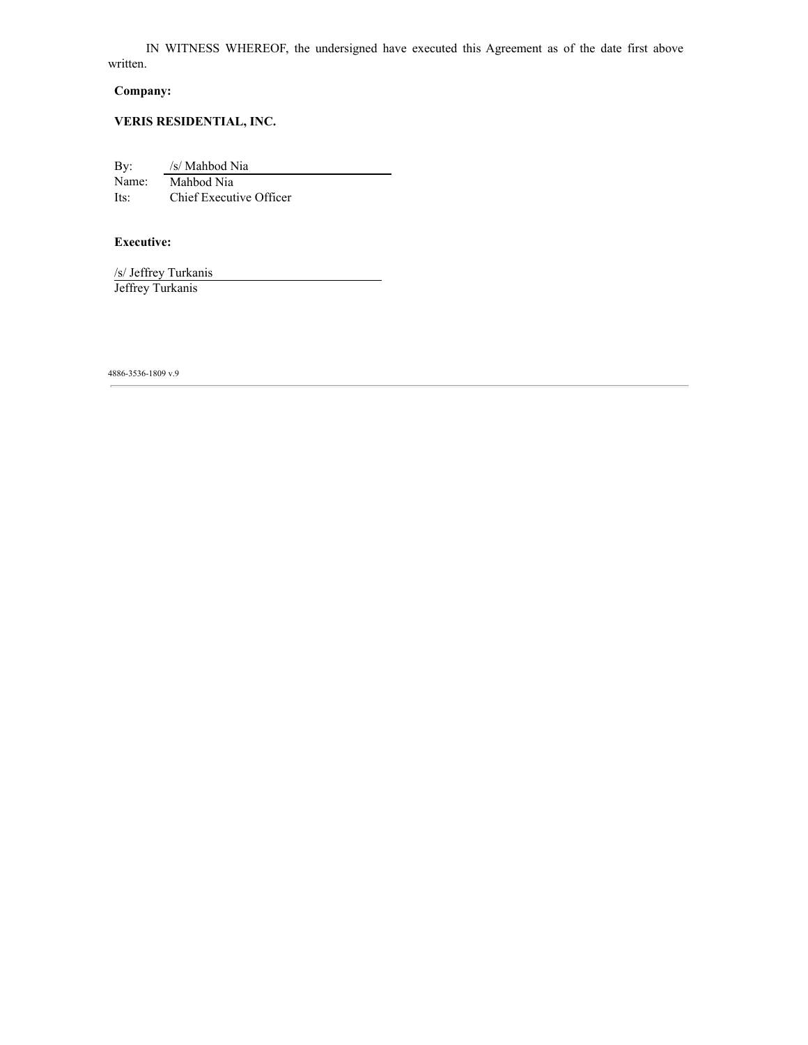IN WITNESS WHEREOF, the undersigned have executed this Agreement as of the date first above written.

# **Company:**

# **VERIS RESIDENTIAL, INC.**

By: /s/ Mahbod Nia Name: Mahbod Nia Its: Chief Executive Officer

# **Executive:**

/s/ Jeffrey Turkanis Jeffrey Turkanis

4886-3536-1809 v.9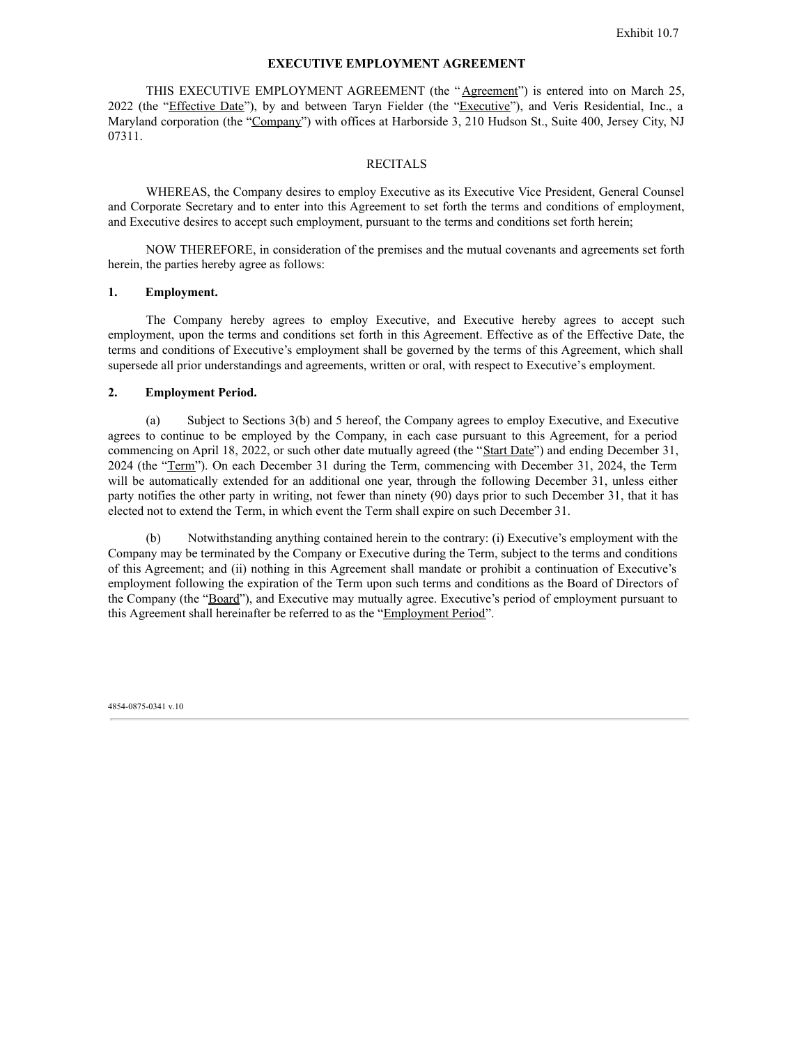### **EXECUTIVE EMPLOYMENT AGREEMENT**

THIS EXECUTIVE EMPLOYMENT AGREEMENT (the "Agreement") is entered into on March 25, 2022 (the "Effective Date"), by and between Taryn Fielder (the "Executive"), and Veris Residential, Inc., a Maryland corporation (the "Company") with offices at Harborside 3, 210 Hudson St., Suite 400, Jersey City, NJ 07311.

#### RECITALS

WHEREAS, the Company desires to employ Executive as its Executive Vice President, General Counsel and Corporate Secretary and to enter into this Agreement to set forth the terms and conditions of employment, and Executive desires to accept such employment, pursuant to the terms and conditions set forth herein;

NOW THEREFORE, in consideration of the premises and the mutual covenants and agreements set forth herein, the parties hereby agree as follows:

#### **1. Employment.**

The Company hereby agrees to employ Executive, and Executive hereby agrees to accept such employment, upon the terms and conditions set forth in this Agreement. Effective as of the Effective Date, the terms and conditions of Executive's employment shall be governed by the terms of this Agreement, which shall supersede all prior understandings and agreements, written or oral, with respect to Executive's employment.

#### **2. Employment Period.**

(a) Subject to Sections 3(b) and 5 hereof, the Company agrees to employ Executive, and Executive agrees to continue to be employed by the Company, in each case pursuant to this Agreement, for a period commencing on April 18, 2022, or such other date mutually agreed (the "Start Date") and ending December 31, 2024 (the "Term"). On each December 31 during the Term, commencing with December 31, 2024, the Term will be automatically extended for an additional one year, through the following December 31, unless either party notifies the other party in writing, not fewer than ninety (90) days prior to such December 31, that it has elected not to extend the Term, in which event the Term shall expire on such December 31.

(b) Notwithstanding anything contained herein to the contrary: (i) Executive's employment with the Company may be terminated by the Company or Executive during the Term, subject to the terms and conditions of this Agreement; and (ii) nothing in this Agreement shall mandate or prohibit a continuation of Executive's employment following the expiration of the Term upon such terms and conditions as the Board of Directors of the Company (the "Board"), and Executive may mutually agree. Executive's period of employment pursuant to this Agreement shall hereinafter be referred to as the "Employment Period".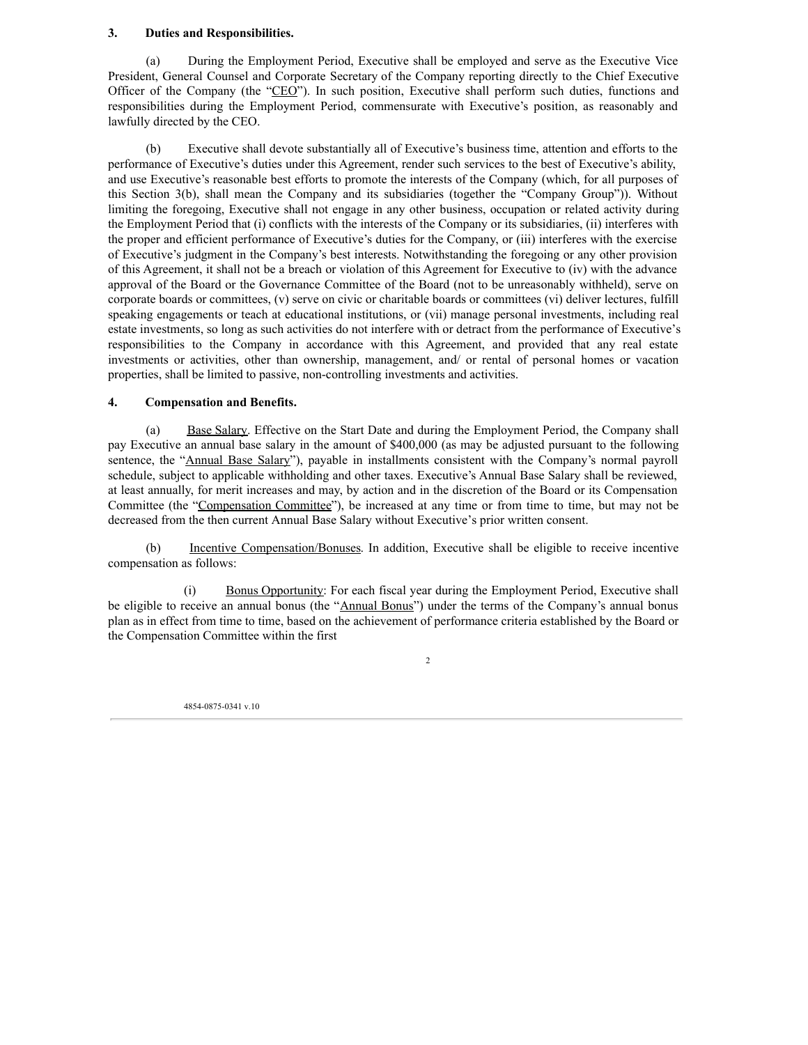## **3. Duties and Responsibilities.**

(a) During the Employment Period, Executive shall be employed and serve as the Executive Vice President, General Counsel and Corporate Secretary of the Company reporting directly to the Chief Executive Officer of the Company (the "CEO"). In such position, Executive shall perform such duties, functions and responsibilities during the Employment Period, commensurate with Executive's position, as reasonably and lawfully directed by the CEO.

(b) Executive shall devote substantially all of Executive's business time, attention and efforts to the performance of Executive's duties under this Agreement, render such services to the best of Executive's ability, and use Executive's reasonable best efforts to promote the interests of the Company (which, for all purposes of this Section 3(b), shall mean the Company and its subsidiaries (together the "Company Group")). Without limiting the foregoing, Executive shall not engage in any other business, occupation or related activity during the Employment Period that (i) conflicts with the interests of the Company or its subsidiaries, (ii) interferes with the proper and efficient performance of Executive's duties for the Company, or (iii) interferes with the exercise of Executive's judgment in the Company's best interests. Notwithstanding the foregoing or any other provision of this Agreement, it shall not be a breach or violation of this Agreement for Executive to (iv) with the advance approval of the Board or the Governance Committee of the Board (not to be unreasonably withheld), serve on corporate boards or committees, (v) serve on civic or charitable boards or committees (vi) deliver lectures, fulfill speaking engagements or teach at educational institutions, or (vii) manage personal investments, including real estate investments, so long as such activities do not interfere with or detract from the performance of Executive's responsibilities to the Company in accordance with this Agreement, and provided that any real estate investments or activities, other than ownership, management, and/ or rental of personal homes or vacation properties, shall be limited to passive, non-controlling investments and activities.

### **4. Compensation and Benefits.**

(a) Base Salary. Effective on the Start Date and during the Employment Period, the Company shall pay Executive an annual base salary in the amount of \$400,000 (as may be adjusted pursuant to the following sentence, the "Annual Base Salary"), payable in installments consistent with the Company's normal payroll schedule, subject to applicable withholding and other taxes. Executive's Annual Base Salary shall be reviewed, at least annually, for merit increases and may, by action and in the discretion of the Board or its Compensation Committee (the "Compensation Committee"), be increased at any time or from time to time, but may not be decreased from the then current Annual Base Salary without Executive's prior written consent.

(b) Incentive Compensation/Bonuses. In addition, Executive shall be eligible to receive incentive compensation as follows:

(i) Bonus Opportunity: For each fiscal year during the Employment Period, Executive shall be eligible to receive an annual bonus (the "Annual Bonus") under the terms of the Company's annual bonus plan as in effect from time to time, based on the achievement of performance criteria established by the Board or the Compensation Committee within the first

2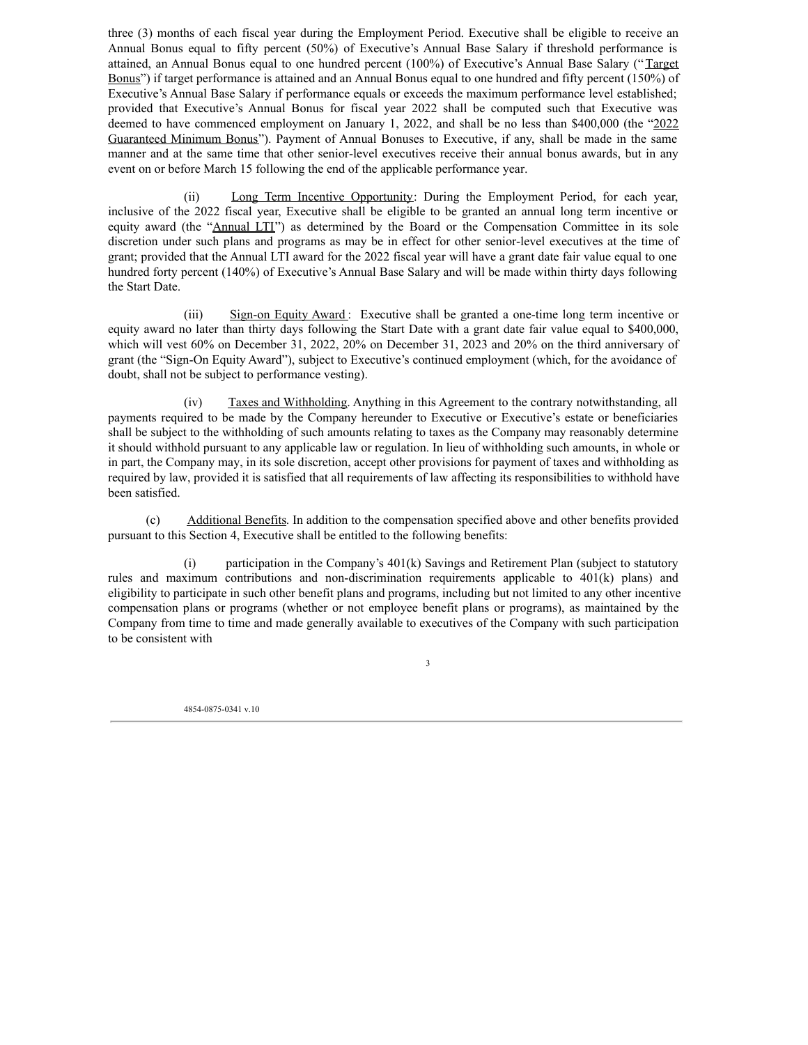three (3) months of each fiscal year during the Employment Period. Executive shall be eligible to receive an Annual Bonus equal to fifty percent (50%) of Executive's Annual Base Salary if threshold performance is attained, an Annual Bonus equal to one hundred percent (100%) of Executive's Annual Base Salary ("Target Bonus") if target performance is attained and an Annual Bonus equal to one hundred and fifty percent (150%) of Executive's Annual Base Salary if performance equals or exceeds the maximum performance level established; provided that Executive's Annual Bonus for fiscal year 2022 shall be computed such that Executive was deemed to have commenced employment on January 1, 2022, and shall be no less than \$400,000 (the "2022 Guaranteed Minimum Bonus"). Payment of Annual Bonuses to Executive, if any, shall be made in the same manner and at the same time that other senior-level executives receive their annual bonus awards, but in any event on or before March 15 following the end of the applicable performance year.

(ii) Long Term Incentive Opportunity: During the Employment Period, for each year, inclusive of the 2022 fiscal year, Executive shall be eligible to be granted an annual long term incentive or equity award (the "Annual LTI") as determined by the Board or the Compensation Committee in its sole discretion under such plans and programs as may be in effect for other senior-level executives at the time of grant; provided that the Annual LTI award for the 2022 fiscal year will have a grant date fair value equal to one hundred forty percent (140%) of Executive's Annual Base Salary and will be made within thirty days following the Start Date.

(iii) Sign-on Equity Award : Executive shall be granted a one-time long term incentive or equity award no later than thirty days following the Start Date with a grant date fair value equal to \$400,000, which will vest 60% on December 31, 2022, 20% on December 31, 2023 and 20% on the third anniversary of grant (the "Sign-On Equity Award"), subject to Executive's continued employment (which, for the avoidance of doubt, shall not be subject to performance vesting).

(iv) Taxes and Withholding. Anything in this Agreement to the contrary notwithstanding, all payments required to be made by the Company hereunder to Executive or Executive's estate or beneficiaries shall be subject to the withholding of such amounts relating to taxes as the Company may reasonably determine it should withhold pursuant to any applicable law or regulation. In lieu of withholding such amounts, in whole or in part, the Company may, in its sole discretion, accept other provisions for payment of taxes and withholding as required by law, provided it is satisfied that all requirements of law affecting its responsibilities to withhold have been satisfied.

(c) Additional Benefits. In addition to the compensation specified above and other benefits provided pursuant to this Section 4, Executive shall be entitled to the following benefits:

(i) participation in the Company's 401(k) Savings and Retirement Plan (subject to statutory rules and maximum contributions and non-discrimination requirements applicable to 401(k) plans) and eligibility to participate in such other benefit plans and programs, including but not limited to any other incentive compensation plans or programs (whether or not employee benefit plans or programs), as maintained by the Company from time to time and made generally available to executives of the Company with such participation to be consistent with

3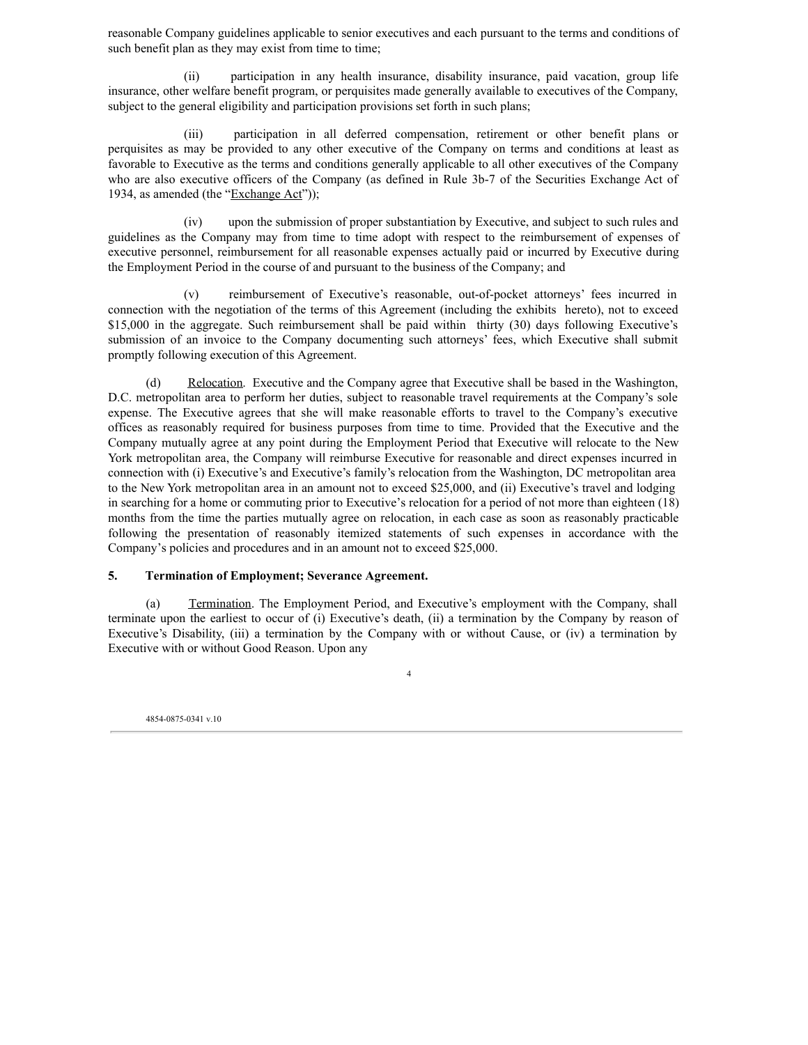reasonable Company guidelines applicable to senior executives and each pursuant to the terms and conditions of such benefit plan as they may exist from time to time;

(ii) participation in any health insurance, disability insurance, paid vacation, group life insurance, other welfare benefit program, or perquisites made generally available to executives of the Company, subject to the general eligibility and participation provisions set forth in such plans;

(iii) participation in all deferred compensation, retirement or other benefit plans or perquisites as may be provided to any other executive of the Company on terms and conditions at least as favorable to Executive as the terms and conditions generally applicable to all other executives of the Company who are also executive officers of the Company (as defined in Rule 3b-7 of the Securities Exchange Act of 1934, as amended (the "Exchange Act"));

(iv) upon the submission of proper substantiation by Executive, and subject to such rules and guidelines as the Company may from time to time adopt with respect to the reimbursement of expenses of executive personnel, reimbursement for all reasonable expenses actually paid or incurred by Executive during the Employment Period in the course of and pursuant to the business of the Company; and

(v) reimbursement of Executive's reasonable, out-of-pocket attorneys' fees incurred in connection with the negotiation of the terms of this Agreement (including the exhibits hereto), not to exceed \$15,000 in the aggregate. Such reimbursement shall be paid within thirty (30) days following Executive's submission of an invoice to the Company documenting such attorneys' fees, which Executive shall submit promptly following execution of this Agreement.

(d) Relocation. Executive and the Company agree that Executive shall be based in the Washington, D.C. metropolitan area to perform her duties, subject to reasonable travel requirements at the Company's sole expense. The Executive agrees that she will make reasonable efforts to travel to the Company's executive offices as reasonably required for business purposes from time to time. Provided that the Executive and the Company mutually agree at any point during the Employment Period that Executive will relocate to the New York metropolitan area, the Company will reimburse Executive for reasonable and direct expenses incurred in connection with (i) Executive's and Executive's family's relocation from the Washington, DC metropolitan area to the New York metropolitan area in an amount not to exceed \$25,000, and (ii) Executive's travel and lodging in searching for a home or commuting prior to Executive's relocation for a period of not more than eighteen (18) months from the time the parties mutually agree on relocation, in each case as soon as reasonably practicable following the presentation of reasonably itemized statements of such expenses in accordance with the Company's policies and procedures and in an amount not to exceed \$25,000.

# **5. Termination of Employment; Severance Agreement.**

(a) Termination. The Employment Period, and Executive's employment with the Company, shall terminate upon the earliest to occur of (i) Executive's death, (ii) a termination by the Company by reason of Executive's Disability, (iii) a termination by the Company with or without Cause, or (iv) a termination by Executive with or without Good Reason. Upon any

4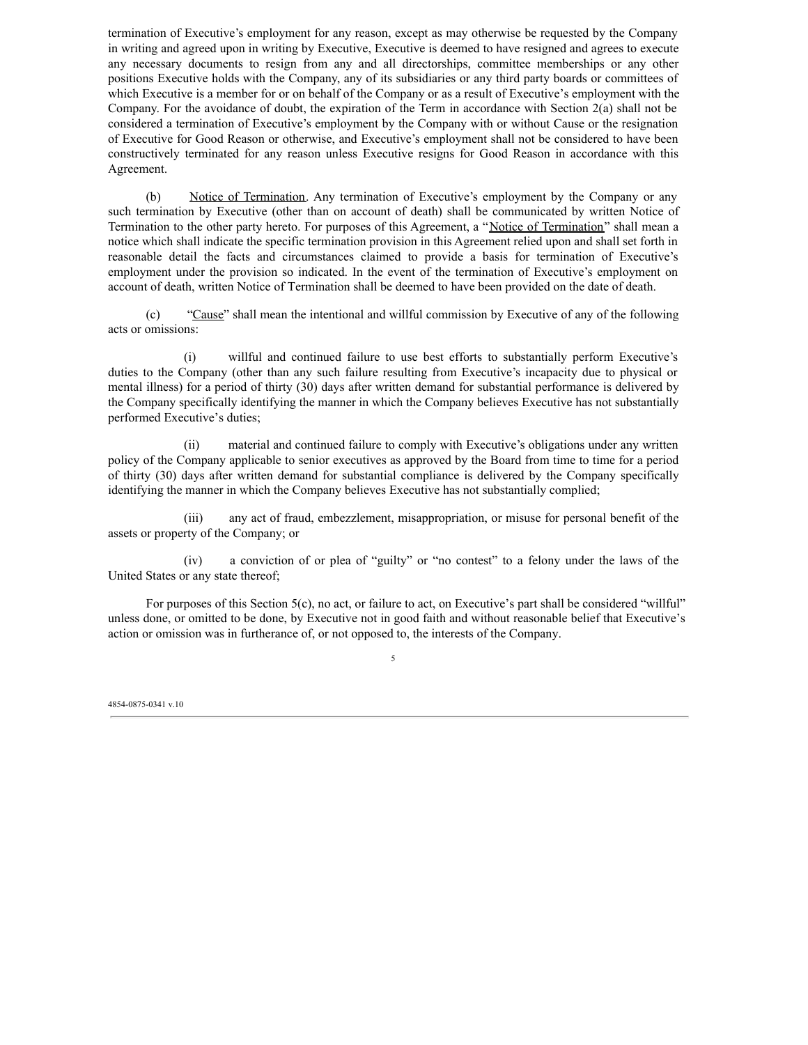termination of Executive's employment for any reason, except as may otherwise be requested by the Company in writing and agreed upon in writing by Executive, Executive is deemed to have resigned and agrees to execute any necessary documents to resign from any and all directorships, committee memberships or any other positions Executive holds with the Company, any of its subsidiaries or any third party boards or committees of which Executive is a member for or on behalf of the Company or as a result of Executive's employment with the Company. For the avoidance of doubt, the expiration of the Term in accordance with Section 2(a) shall not be considered a termination of Executive's employment by the Company with or without Cause or the resignation of Executive for Good Reason or otherwise, and Executive's employment shall not be considered to have been constructively terminated for any reason unless Executive resigns for Good Reason in accordance with this Agreement.

(b) Notice of Termination. Any termination of Executive's employment by the Company or any such termination by Executive (other than on account of death) shall be communicated by written Notice of Termination to the other party hereto. For purposes of this Agreement, a "Notice of Termination" shall mean a notice which shall indicate the specific termination provision in this Agreement relied upon and shall set forth in reasonable detail the facts and circumstances claimed to provide a basis for termination of Executive's employment under the provision so indicated. In the event of the termination of Executive's employment on account of death, written Notice of Termination shall be deemed to have been provided on the date of death.

(c) "Cause" shall mean the intentional and willful commission by Executive of any of the following acts or omissions:

(i) willful and continued failure to use best efforts to substantially perform Executive's duties to the Company (other than any such failure resulting from Executive's incapacity due to physical or mental illness) for a period of thirty (30) days after written demand for substantial performance is delivered by the Company specifically identifying the manner in which the Company believes Executive has not substantially performed Executive's duties;

(ii) material and continued failure to comply with Executive's obligations under any written policy of the Company applicable to senior executives as approved by the Board from time to time for a period of thirty (30) days after written demand for substantial compliance is delivered by the Company specifically identifying the manner in which the Company believes Executive has not substantially complied;

(iii) any act of fraud, embezzlement, misappropriation, or misuse for personal benefit of the assets or property of the Company; or

(iv) a conviction of or plea of "guilty" or "no contest" to a felony under the laws of the United States or any state thereof;

For purposes of this Section 5(c), no act, or failure to act, on Executive's part shall be considered "willful" unless done, or omitted to be done, by Executive not in good faith and without reasonable belief that Executive's action or omission was in furtherance of, or not opposed to, the interests of the Company.

5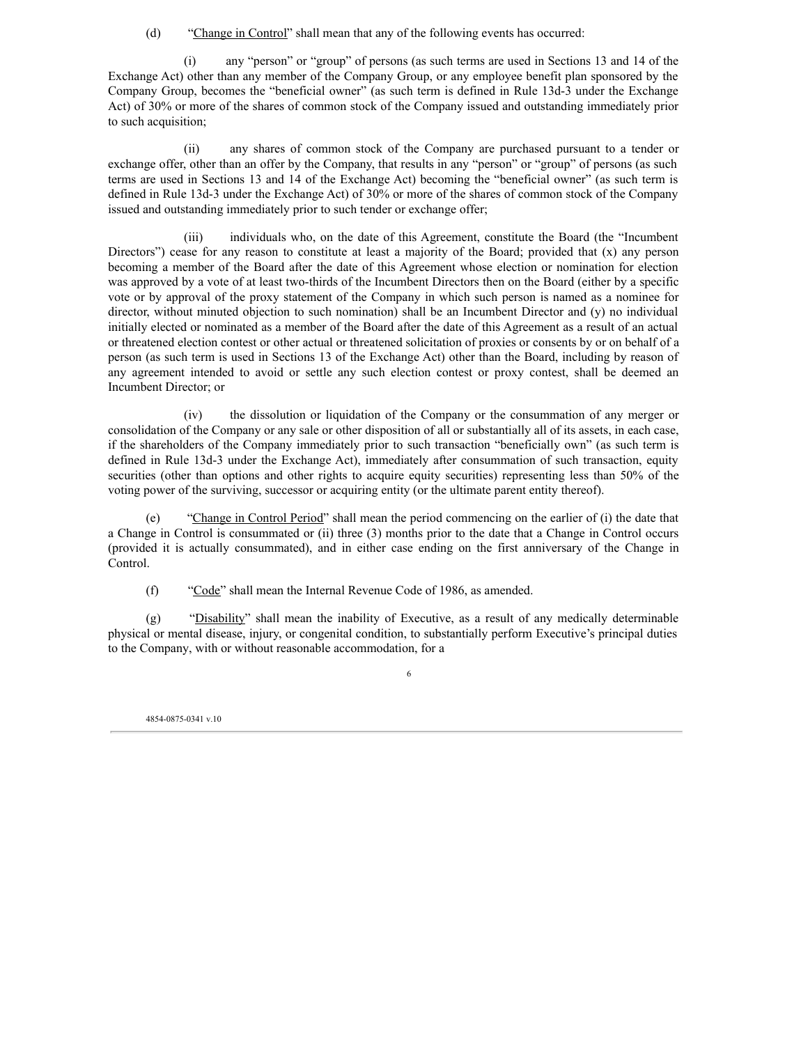(d) "Change in Control" shall mean that any of the following events has occurred:

(i) any "person" or "group" of persons (as such terms are used in Sections 13 and 14 of the Exchange Act) other than any member of the Company Group, or any employee benefit plan sponsored by the Company Group, becomes the "beneficial owner" (as such term is defined in Rule 13d-3 under the Exchange Act) of 30% or more of the shares of common stock of the Company issued and outstanding immediately prior to such acquisition;

(ii) any shares of common stock of the Company are purchased pursuant to a tender or exchange offer, other than an offer by the Company, that results in any "person" or "group" of persons (as such terms are used in Sections 13 and 14 of the Exchange Act) becoming the "beneficial owner" (as such term is defined in Rule 13d-3 under the Exchange Act) of 30% or more of the shares of common stock of the Company issued and outstanding immediately prior to such tender or exchange offer;

(iii) individuals who, on the date of this Agreement, constitute the Board (the "Incumbent Directors") cease for any reason to constitute at least a majority of the Board; provided that (x) any person becoming a member of the Board after the date of this Agreement whose election or nomination for election was approved by a vote of at least two-thirds of the Incumbent Directors then on the Board (either by a specific vote or by approval of the proxy statement of the Company in which such person is named as a nominee for director, without minuted objection to such nomination) shall be an Incumbent Director and (y) no individual initially elected or nominated as a member of the Board after the date of this Agreement as a result of an actual or threatened election contest or other actual or threatened solicitation of proxies or consents by or on behalf of a person (as such term is used in Sections 13 of the Exchange Act) other than the Board, including by reason of any agreement intended to avoid or settle any such election contest or proxy contest, shall be deemed an Incumbent Director; or

(iv) the dissolution or liquidation of the Company or the consummation of any merger or consolidation of the Company or any sale or other disposition of all or substantially all of its assets, in each case, if the shareholders of the Company immediately prior to such transaction "beneficially own" (as such term is defined in Rule 13d-3 under the Exchange Act), immediately after consummation of such transaction, equity securities (other than options and other rights to acquire equity securities) representing less than 50% of the voting power of the surviving, successor or acquiring entity (or the ultimate parent entity thereof).

(e) "Change in Control Period" shall mean the period commencing on the earlier of (i) the date that a Change in Control is consummated or (ii) three (3) months prior to the date that a Change in Control occurs (provided it is actually consummated), and in either case ending on the first anniversary of the Change in Control.

(f) "Code" shall mean the Internal Revenue Code of 1986, as amended.

(g) "Disability" shall mean the inability of Executive, as a result of any medically determinable physical or mental disease, injury, or congenital condition, to substantially perform Executive's principal duties to the Company, with or without reasonable accommodation, for a

6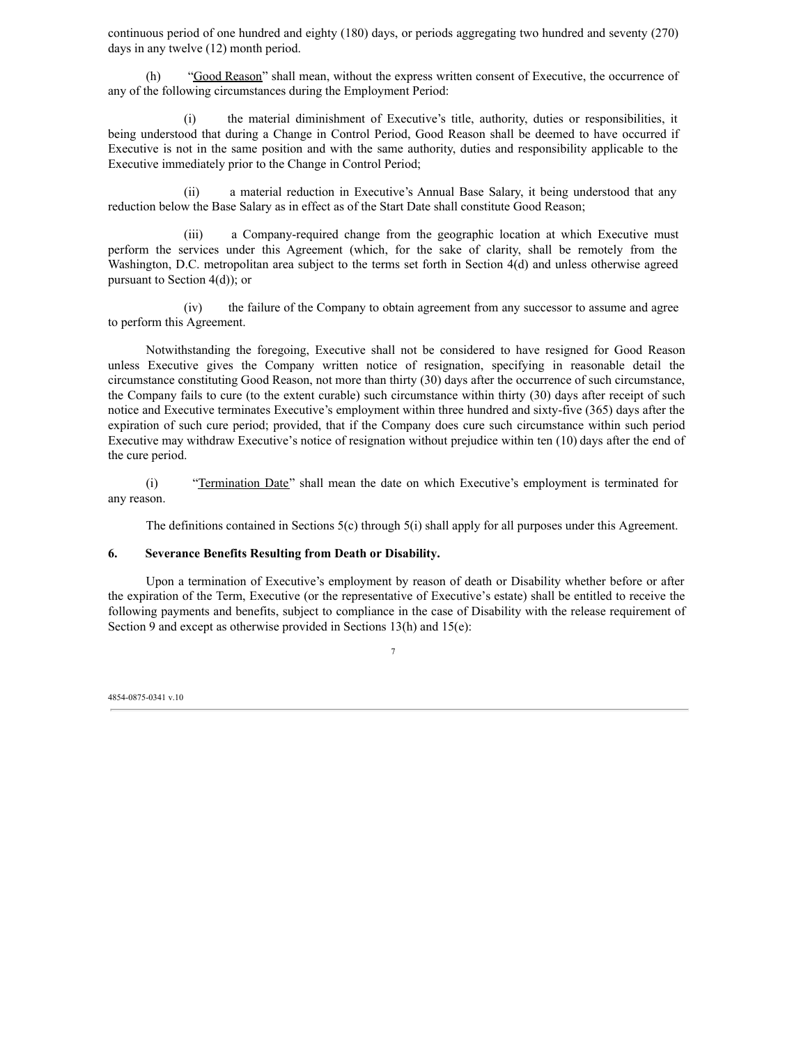continuous period of one hundred and eighty (180) days, or periods aggregating two hundred and seventy (270) days in any twelve (12) month period.

(h) "Good Reason" shall mean, without the express written consent of Executive, the occurrence of any of the following circumstances during the Employment Period:

(i) the material diminishment of Executive's title, authority, duties or responsibilities, it being understood that during a Change in Control Period, Good Reason shall be deemed to have occurred if Executive is not in the same position and with the same authority, duties and responsibility applicable to the Executive immediately prior to the Change in Control Period;

(ii) a material reduction in Executive's Annual Base Salary, it being understood that any reduction below the Base Salary as in effect as of the Start Date shall constitute Good Reason;

(iii) a Company-required change from the geographic location at which Executive must perform the services under this Agreement (which, for the sake of clarity, shall be remotely from the Washington, D.C. metropolitan area subject to the terms set forth in Section 4(d) and unless otherwise agreed pursuant to Section 4(d)); or

(iv) the failure of the Company to obtain agreement from any successor to assume and agree to perform this Agreement.

Notwithstanding the foregoing, Executive shall not be considered to have resigned for Good Reason unless Executive gives the Company written notice of resignation, specifying in reasonable detail the circumstance constituting Good Reason, not more than thirty (30) days after the occurrence of such circumstance, the Company fails to cure (to the extent curable) such circumstance within thirty (30) days after receipt of such notice and Executive terminates Executive's employment within three hundred and sixty-five (365) days after the expiration of such cure period; provided, that if the Company does cure such circumstance within such period Executive may withdraw Executive's notice of resignation without prejudice within ten (10) days after the end of the cure period.

(i) "Termination Date" shall mean the date on which Executive's employment is terminated for any reason.

The definitions contained in Sections 5(c) through 5(i) shall apply for all purposes under this Agreement.

### **6. Severance Benefits Resulting from Death or Disability.**

Upon a termination of Executive's employment by reason of death or Disability whether before or after the expiration of the Term, Executive (or the representative of Executive's estate) shall be entitled to receive the following payments and benefits, subject to compliance in the case of Disability with the release requirement of Section 9 and except as otherwise provided in Sections 13(h) and 15(e):

7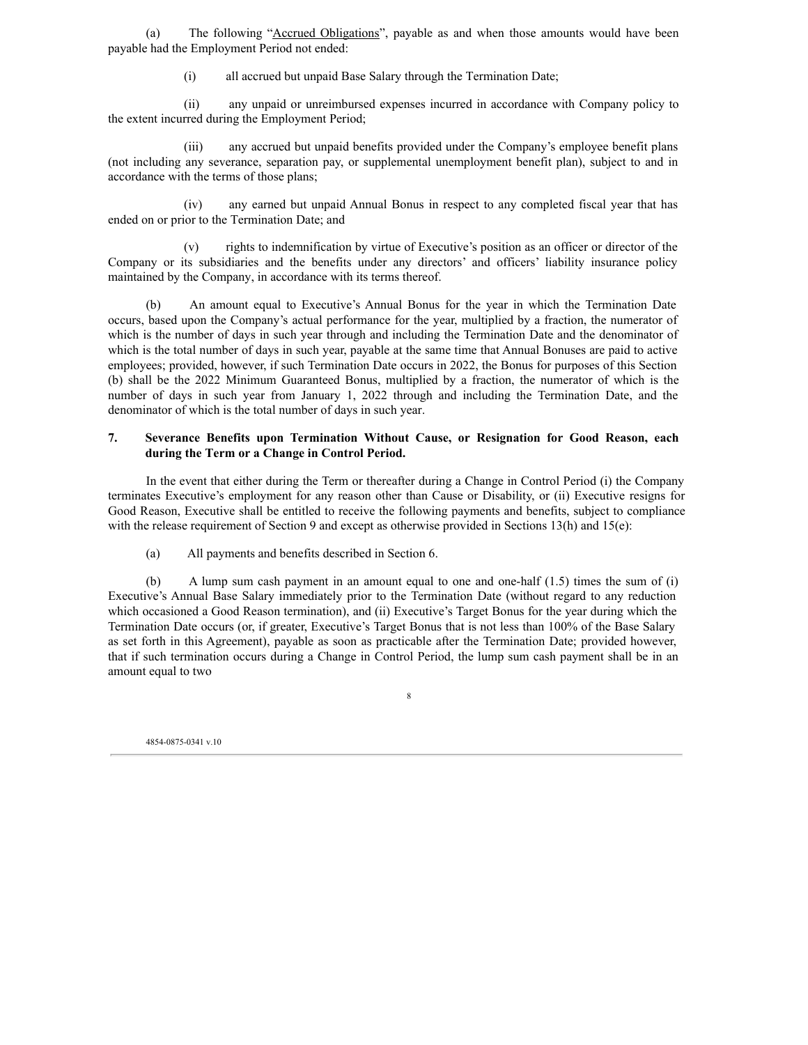(a) The following "Accrued Obligations", payable as and when those amounts would have been payable had the Employment Period not ended:

(i) all accrued but unpaid Base Salary through the Termination Date;

(ii) any unpaid or unreimbursed expenses incurred in accordance with Company policy to the extent incurred during the Employment Period;

(iii) any accrued but unpaid benefits provided under the Company's employee benefit plans (not including any severance, separation pay, or supplemental unemployment benefit plan), subject to and in accordance with the terms of those plans;

(iv) any earned but unpaid Annual Bonus in respect to any completed fiscal year that has ended on or prior to the Termination Date; and

(v) rights to indemnification by virtue of Executive's position as an officer or director of the Company or its subsidiaries and the benefits under any directors' and officers' liability insurance policy maintained by the Company, in accordance with its terms thereof.

(b) An amount equal to Executive's Annual Bonus for the year in which the Termination Date occurs, based upon the Company's actual performance for the year, multiplied by a fraction, the numerator of which is the number of days in such year through and including the Termination Date and the denominator of which is the total number of days in such year, payable at the same time that Annual Bonuses are paid to active employees; provided, however, if such Termination Date occurs in 2022, the Bonus for purposes of this Section (b) shall be the 2022 Minimum Guaranteed Bonus, multiplied by a fraction, the numerator of which is the number of days in such year from January 1, 2022 through and including the Termination Date, and the denominator of which is the total number of days in such year.

## **7. Severance Benefits upon Termination Without Cause, or Resignation for Good Reason, each during the Term or a Change in Control Period.**

In the event that either during the Term or thereafter during a Change in Control Period (i) the Company terminates Executive's employment for any reason other than Cause or Disability, or (ii) Executive resigns for Good Reason, Executive shall be entitled to receive the following payments and benefits, subject to compliance with the release requirement of Section 9 and except as otherwise provided in Sections 13(h) and 15(e):

(a) All payments and benefits described in Section 6.

(b) A lump sum cash payment in an amount equal to one and one-half (1.5) times the sum of (i) Executive's Annual Base Salary immediately prior to the Termination Date (without regard to any reduction which occasioned a Good Reason termination), and (ii) Executive's Target Bonus for the year during which the Termination Date occurs (or, if greater, Executive's Target Bonus that is not less than 100% of the Base Salary as set forth in this Agreement), payable as soon as practicable after the Termination Date; provided however, that if such termination occurs during a Change in Control Period, the lump sum cash payment shall be in an amount equal to two

8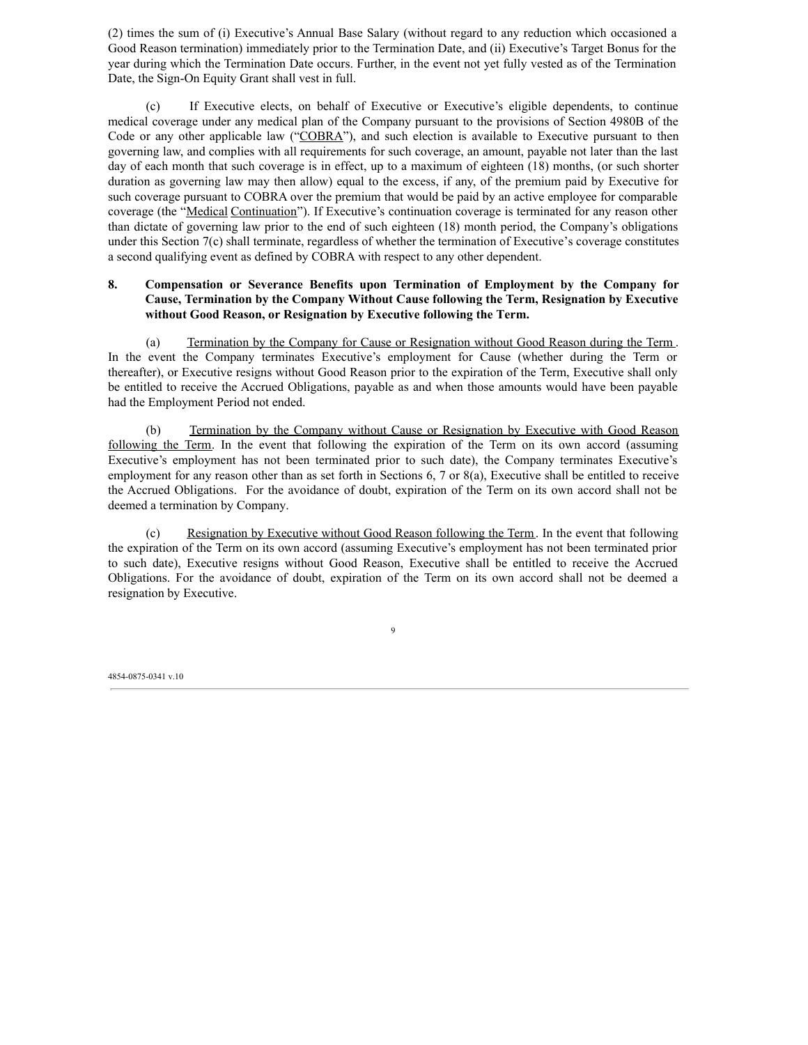(2) times the sum of (i) Executive's Annual Base Salary (without regard to any reduction which occasioned a Good Reason termination) immediately prior to the Termination Date, and (ii) Executive's Target Bonus for the year during which the Termination Date occurs. Further, in the event not yet fully vested as of the Termination Date, the Sign-On Equity Grant shall vest in full.

(c) If Executive elects, on behalf of Executive or Executive's eligible dependents, to continue medical coverage under any medical plan of the Company pursuant to the provisions of Section 4980B of the Code or any other applicable law ("COBRA"), and such election is available to Executive pursuant to then governing law, and complies with all requirements for such coverage, an amount, payable not later than the last day of each month that such coverage is in effect, up to a maximum of eighteen (18) months, (or such shorter duration as governing law may then allow) equal to the excess, if any, of the premium paid by Executive for such coverage pursuant to COBRA over the premium that would be paid by an active employee for comparable coverage (the "Medical Continuation"). If Executive's continuation coverage is terminated for any reason other than dictate of governing law prior to the end of such eighteen (18) month period, the Company's obligations under this Section 7(c) shall terminate, regardless of whether the termination of Executive's coverage constitutes a second qualifying event as defined by COBRA with respect to any other dependent.

# **8. Compensation or Severance Benefits upon Termination of Employment by the Company for Cause, Termination by the Company Without Cause following the Term, Resignation by Executive without Good Reason, or Resignation by Executive following the Term.**

(a) Termination by the Company for Cause or Resignation without Good Reason during the Term . In the event the Company terminates Executive's employment for Cause (whether during the Term or thereafter), or Executive resigns without Good Reason prior to the expiration of the Term, Executive shall only be entitled to receive the Accrued Obligations, payable as and when those amounts would have been payable had the Employment Period not ended.

(b) Termination by the Company without Cause or Resignation by Executive with Good Reason following the Term. In the event that following the expiration of the Term on its own accord (assuming Executive's employment has not been terminated prior to such date), the Company terminates Executive's employment for any reason other than as set forth in Sections 6, 7 or 8(a), Executive shall be entitled to receive the Accrued Obligations. For the avoidance of doubt, expiration of the Term on its own accord shall not be deemed a termination by Company.

(c) Resignation by Executive without Good Reason following the Term. In the event that following the expiration of the Term on its own accord (assuming Executive's employment has not been terminated prior to such date), Executive resigns without Good Reason, Executive shall be entitled to receive the Accrued Obligations. For the avoidance of doubt, expiration of the Term on its own accord shall not be deemed a resignation by Executive.

9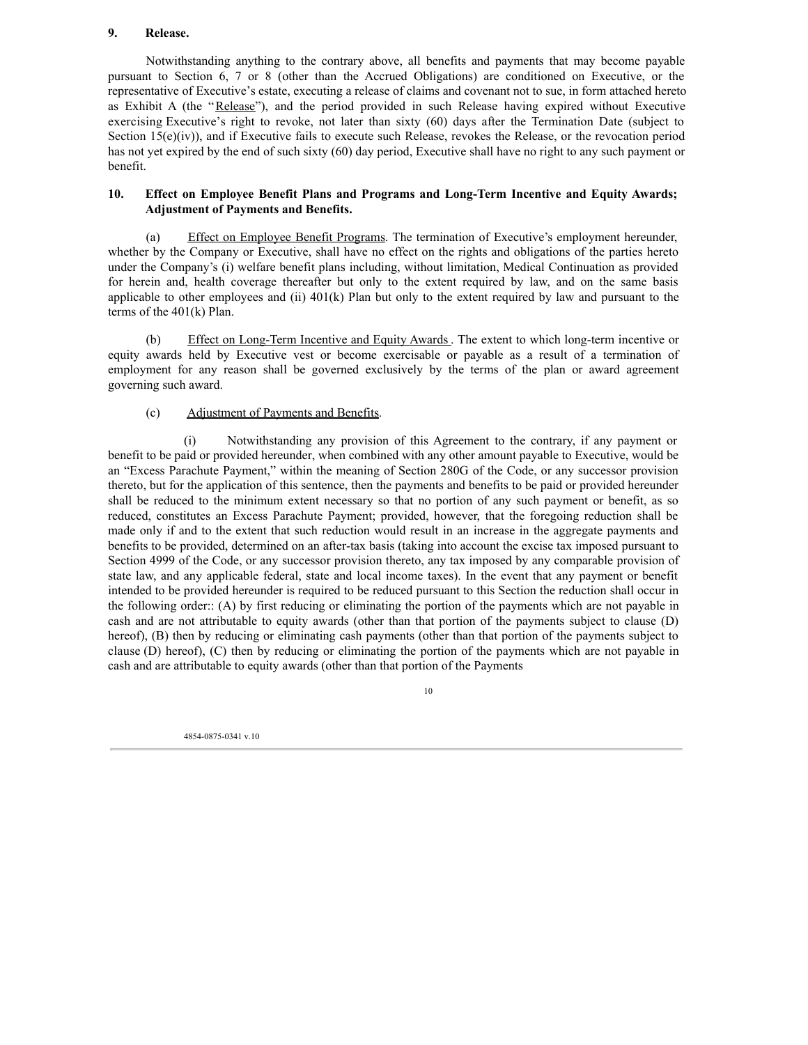### **9. Release.**

Notwithstanding anything to the contrary above, all benefits and payments that may become payable pursuant to Section 6, 7 or 8 (other than the Accrued Obligations) are conditioned on Executive, or the representative of Executive's estate, executing a release of claims and covenant not to sue, in form attached hereto as Exhibit A (the "Release"), and the period provided in such Release having expired without Executive exercising Executive's right to revoke, not later than sixty (60) days after the Termination Date (subject to Section  $15(e)(iv)$ , and if Executive fails to execute such Release, revokes the Release, or the revocation period has not yet expired by the end of such sixty (60) day period, Executive shall have no right to any such payment or benefit.

# **10. Effect on Employee Benefit Plans and Programs and Long-Term Incentive and Equity Awards; Adjustment of Payments and Benefits.**

(a) Effect on Employee Benefit Programs. The termination of Executive's employment hereunder, whether by the Company or Executive, shall have no effect on the rights and obligations of the parties hereto under the Company's (i) welfare benefit plans including, without limitation, Medical Continuation as provided for herein and, health coverage thereafter but only to the extent required by law, and on the same basis applicable to other employees and (ii)  $401(k)$  Plan but only to the extent required by law and pursuant to the terms of the 401(k) Plan.

(b) Effect on Long-Term Incentive and Equity Awards . The extent to which long-term incentive or equity awards held by Executive vest or become exercisable or payable as a result of a termination of employment for any reason shall be governed exclusively by the terms of the plan or award agreement governing such award.

# (c) Adjustment of Payments and Benefits.

(i) Notwithstanding any provision of this Agreement to the contrary, if any payment or benefit to be paid or provided hereunder, when combined with any other amount payable to Executive, would be an "Excess Parachute Payment," within the meaning of Section 280G of the Code, or any successor provision thereto, but for the application of this sentence, then the payments and benefits to be paid or provided hereunder shall be reduced to the minimum extent necessary so that no portion of any such payment or benefit, as so reduced, constitutes an Excess Parachute Payment; provided, however, that the foregoing reduction shall be made only if and to the extent that such reduction would result in an increase in the aggregate payments and benefits to be provided, determined on an after-tax basis (taking into account the excise tax imposed pursuant to Section 4999 of the Code, or any successor provision thereto, any tax imposed by any comparable provision of state law, and any applicable federal, state and local income taxes). In the event that any payment or benefit intended to be provided hereunder is required to be reduced pursuant to this Section the reduction shall occur in the following order:: (A) by first reducing or eliminating the portion of the payments which are not payable in cash and are not attributable to equity awards (other than that portion of the payments subject to clause (D) hereof), (B) then by reducing or eliminating cash payments (other than that portion of the payments subject to clause (D) hereof), (C) then by reducing or eliminating the portion of the payments which are not payable in cash and are attributable to equity awards (other than that portion of the Payments

10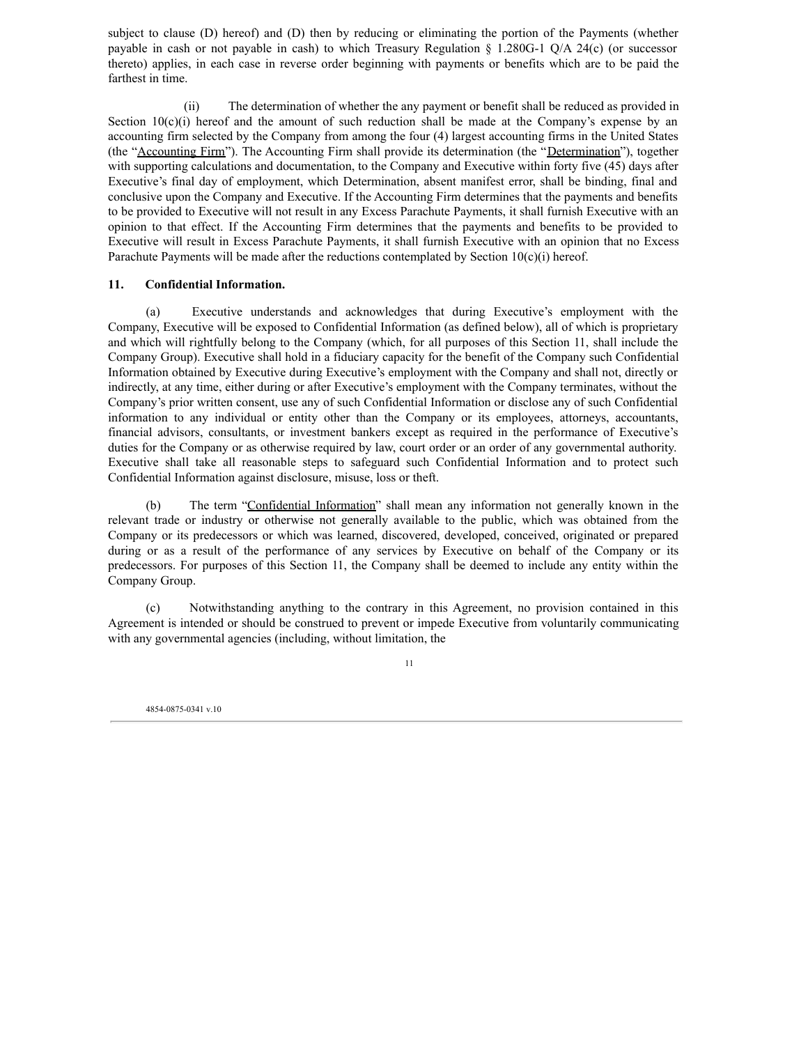subject to clause (D) hereof) and (D) then by reducing or eliminating the portion of the Payments (whether payable in cash or not payable in cash) to which Treasury Regulation § 1.280G-1 Q/A 24(c) (or successor thereto) applies, in each case in reverse order beginning with payments or benefits which are to be paid the farthest in time.

(ii) The determination of whether the any payment or benefit shall be reduced as provided in Section  $10(c)(i)$  hereof and the amount of such reduction shall be made at the Company's expense by an accounting firm selected by the Company from among the four (4) largest accounting firms in the United States (the "Accounting Firm"). The Accounting Firm shall provide its determination (the "Determination"), together with supporting calculations and documentation, to the Company and Executive within forty five (45) days after Executive's final day of employment, which Determination, absent manifest error, shall be binding, final and conclusive upon the Company and Executive. If the Accounting Firm determines that the payments and benefits to be provided to Executive will not result in any Excess Parachute Payments, it shall furnish Executive with an opinion to that effect. If the Accounting Firm determines that the payments and benefits to be provided to Executive will result in Excess Parachute Payments, it shall furnish Executive with an opinion that no Excess Parachute Payments will be made after the reductions contemplated by Section  $10(c)(i)$  hereof.

#### **11. Confidential Information.**

(a) Executive understands and acknowledges that during Executive's employment with the Company, Executive will be exposed to Confidential Information (as defined below), all of which is proprietary and which will rightfully belong to the Company (which, for all purposes of this Section 11, shall include the Company Group). Executive shall hold in a fiduciary capacity for the benefit of the Company such Confidential Information obtained by Executive during Executive's employment with the Company and shall not, directly or indirectly, at any time, either during or after Executive's employment with the Company terminates, without the Company's prior written consent, use any of such Confidential Information or disclose any of such Confidential information to any individual or entity other than the Company or its employees, attorneys, accountants, financial advisors, consultants, or investment bankers except as required in the performance of Executive's duties for the Company or as otherwise required by law, court order or an order of any governmental authority. Executive shall take all reasonable steps to safeguard such Confidential Information and to protect such Confidential Information against disclosure, misuse, loss or theft.

(b) The term "Confidential Information" shall mean any information not generally known in the relevant trade or industry or otherwise not generally available to the public, which was obtained from the Company or its predecessors or which was learned, discovered, developed, conceived, originated or prepared during or as a result of the performance of any services by Executive on behalf of the Company or its predecessors. For purposes of this Section 11, the Company shall be deemed to include any entity within the Company Group.

(c) Notwithstanding anything to the contrary in this Agreement, no provision contained in this Agreement is intended or should be construed to prevent or impede Executive from voluntarily communicating with any governmental agencies (including, without limitation, the

11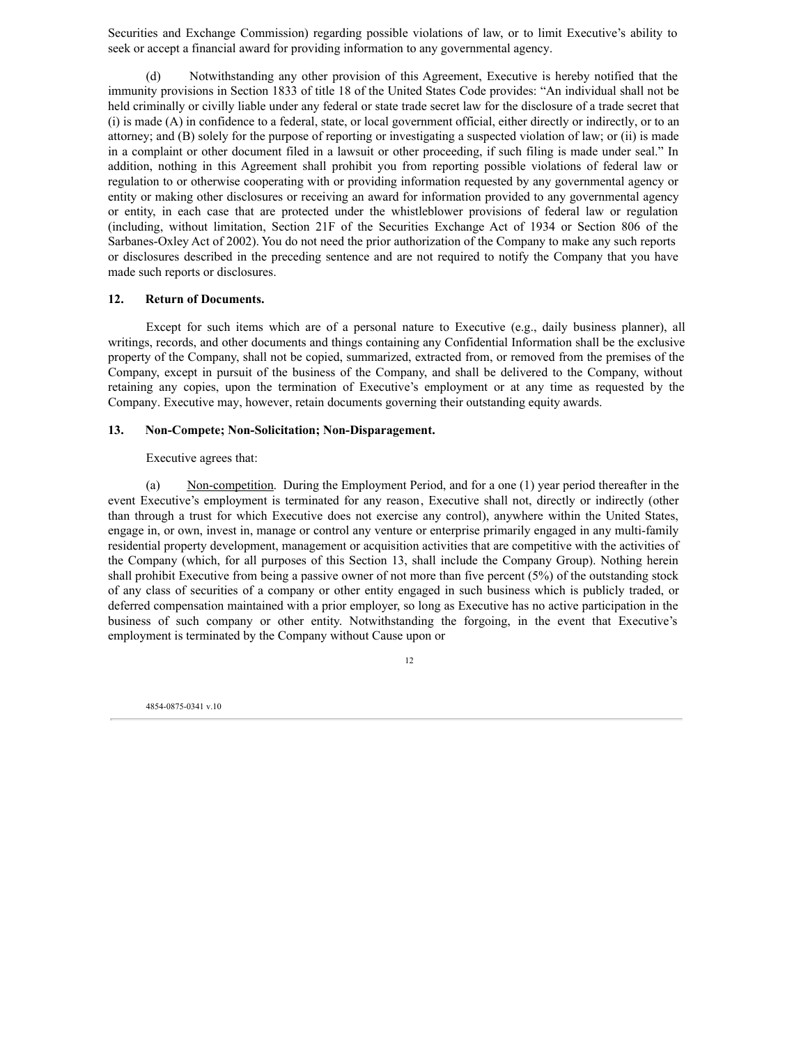Securities and Exchange Commission) regarding possible violations of law, or to limit Executive's ability to seek or accept a financial award for providing information to any governmental agency.

Notwithstanding any other provision of this Agreement, Executive is hereby notified that the immunity provisions in Section 1833 of title 18 of the United States Code provides: "An individual shall not be held criminally or civilly liable under any federal or state trade secret law for the disclosure of a trade secret that (i) is made (A) in confidence to a federal, state, or local government official, either directly or indirectly, or to an attorney; and (B) solely for the purpose of reporting or investigating a suspected violation of law; or (ii) is made in a complaint or other document filed in a lawsuit or other proceeding, if such filing is made under seal." In addition, nothing in this Agreement shall prohibit you from reporting possible violations of federal law or regulation to or otherwise cooperating with or providing information requested by any governmental agency or entity or making other disclosures or receiving an award for information provided to any governmental agency or entity, in each case that are protected under the whistleblower provisions of federal law or regulation (including, without limitation, Section 21F of the Securities Exchange Act of 1934 or Section 806 of the Sarbanes-Oxley Act of 2002). You do not need the prior authorization of the Company to make any such reports or disclosures described in the preceding sentence and are not required to notify the Company that you have made such reports or disclosures.

#### **12. Return of Documents.**

Except for such items which are of a personal nature to Executive (e.g., daily business planner), all writings, records, and other documents and things containing any Confidential Information shall be the exclusive property of the Company, shall not be copied, summarized, extracted from, or removed from the premises of the Company, except in pursuit of the business of the Company, and shall be delivered to the Company, without retaining any copies, upon the termination of Executive's employment or at any time as requested by the Company. Executive may, however, retain documents governing their outstanding equity awards.

#### **13. Non-Compete; Non-Solicitation; Non-Disparagement.**

#### Executive agrees that:

(a) Non-competition. During the Employment Period, and for a one (1) year period thereafter in the event Executive's employment is terminated for any reason, Executive shall not, directly or indirectly (other than through a trust for which Executive does not exercise any control), anywhere within the United States, engage in, or own, invest in, manage or control any venture or enterprise primarily engaged in any multi-family residential property development, management or acquisition activities that are competitive with the activities of the Company (which, for all purposes of this Section 13, shall include the Company Group). Nothing herein shall prohibit Executive from being a passive owner of not more than five percent (5%) of the outstanding stock of any class of securities of a company or other entity engaged in such business which is publicly traded, or deferred compensation maintained with a prior employer, so long as Executive has no active participation in the business of such company or other entity. Notwithstanding the forgoing, in the event that Executive's employment is terminated by the Company without Cause upon or

12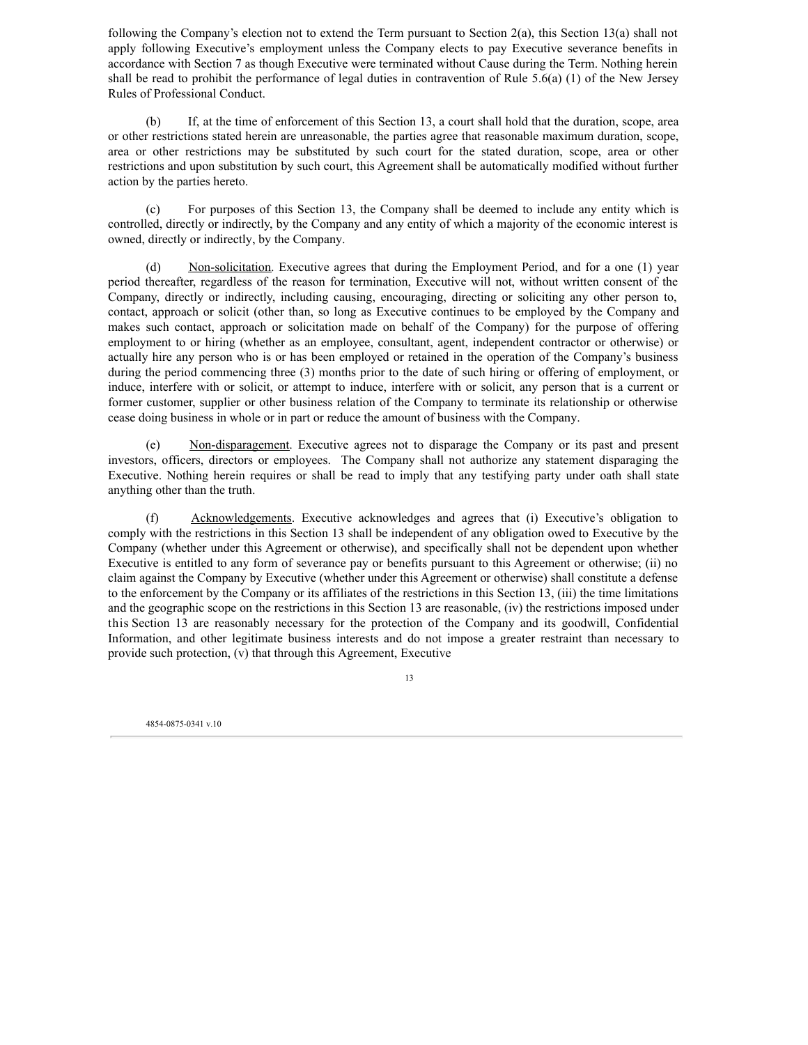following the Company's election not to extend the Term pursuant to Section 2(a), this Section 13(a) shall not apply following Executive's employment unless the Company elects to pay Executive severance benefits in accordance with Section 7 as though Executive were terminated without Cause during the Term. Nothing herein shall be read to prohibit the performance of legal duties in contravention of Rule 5.6(a) (1) of the New Jersey Rules of Professional Conduct.

(b) If, at the time of enforcement of this Section 13, a court shall hold that the duration, scope, area or other restrictions stated herein are unreasonable, the parties agree that reasonable maximum duration, scope, area or other restrictions may be substituted by such court for the stated duration, scope, area or other restrictions and upon substitution by such court, this Agreement shall be automatically modified without further action by the parties hereto.

(c) For purposes of this Section 13, the Company shall be deemed to include any entity which is controlled, directly or indirectly, by the Company and any entity of which a majority of the economic interest is owned, directly or indirectly, by the Company.

(d) Non-solicitation. Executive agrees that during the Employment Period, and for a one (1) year period thereafter, regardless of the reason for termination, Executive will not, without written consent of the Company, directly or indirectly, including causing, encouraging, directing or soliciting any other person to, contact, approach or solicit (other than, so long as Executive continues to be employed by the Company and makes such contact, approach or solicitation made on behalf of the Company) for the purpose of offering employment to or hiring (whether as an employee, consultant, agent, independent contractor or otherwise) or actually hire any person who is or has been employed or retained in the operation of the Company's business during the period commencing three (3) months prior to the date of such hiring or offering of employment, or induce, interfere with or solicit, or attempt to induce, interfere with or solicit, any person that is a current or former customer, supplier or other business relation of the Company to terminate its relationship or otherwise cease doing business in whole or in part or reduce the amount of business with the Company.

(e) Non-disparagement. Executive agrees not to disparage the Company or its past and present investors, officers, directors or employees. The Company shall not authorize any statement disparaging the Executive. Nothing herein requires or shall be read to imply that any testifying party under oath shall state anything other than the truth.

(f) Acknowledgements. Executive acknowledges and agrees that (i) Executive's obligation to comply with the restrictions in this Section 13 shall be independent of any obligation owed to Executive by the Company (whether under this Agreement or otherwise), and specifically shall not be dependent upon whether Executive is entitled to any form of severance pay or benefits pursuant to this Agreement or otherwise; (ii) no claim against the Company by Executive (whether under this Agreement or otherwise) shall constitute a defense to the enforcement by the Company or its affiliates of the restrictions in this Section 13, (iii) the time limitations and the geographic scope on the restrictions in this Section 13 are reasonable, (iv) the restrictions imposed under this Section 13 are reasonably necessary for the protection of the Company and its goodwill, Confidential Information, and other legitimate business interests and do not impose a greater restraint than necessary to provide such protection, (v) that through this Agreement, Executive

13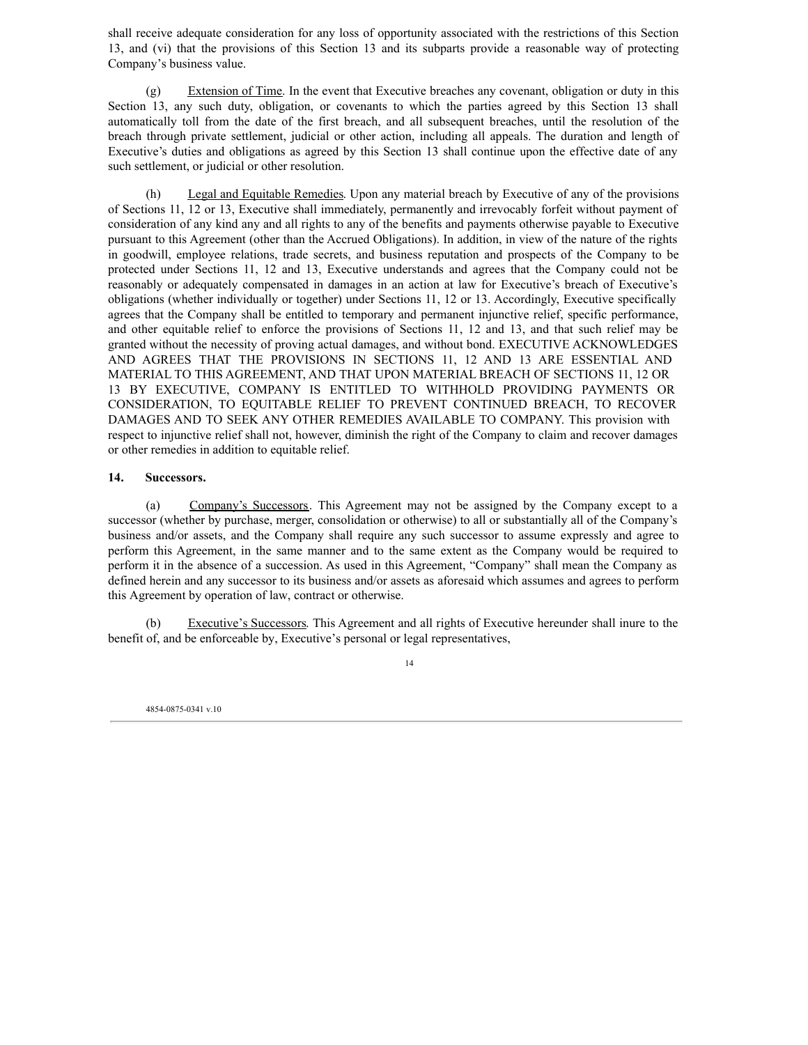shall receive adequate consideration for any loss of opportunity associated with the restrictions of this Section 13, and (vi) that the provisions of this Section 13 and its subparts provide a reasonable way of protecting Company's business value.

(g) Extension of Time. In the event that Executive breaches any covenant, obligation or duty in this Section 13, any such duty, obligation, or covenants to which the parties agreed by this Section 13 shall automatically toll from the date of the first breach, and all subsequent breaches, until the resolution of the breach through private settlement, judicial or other action, including all appeals. The duration and length of Executive's duties and obligations as agreed by this Section 13 shall continue upon the effective date of any such settlement, or judicial or other resolution.

(h) Legal and Equitable Remedies. Upon any material breach by Executive of any of the provisions of Sections 11, 12 or 13, Executive shall immediately, permanently and irrevocably forfeit without payment of consideration of any kind any and all rights to any of the benefits and payments otherwise payable to Executive pursuant to this Agreement (other than the Accrued Obligations). In addition, in view of the nature of the rights in goodwill, employee relations, trade secrets, and business reputation and prospects of the Company to be protected under Sections 11, 12 and 13, Executive understands and agrees that the Company could not be reasonably or adequately compensated in damages in an action at law for Executive's breach of Executive's obligations (whether individually or together) under Sections 11, 12 or 13. Accordingly, Executive specifically agrees that the Company shall be entitled to temporary and permanent injunctive relief, specific performance, and other equitable relief to enforce the provisions of Sections 11, 12 and 13, and that such relief may be granted without the necessity of proving actual damages, and without bond. EXECUTIVE ACKNOWLEDGES AND AGREES THAT THE PROVISIONS IN SECTIONS 11, 12 AND 13 ARE ESSENTIAL AND MATERIAL TO THIS AGREEMENT, AND THAT UPON MATERIAL BREACH OF SECTIONS 11, 12 OR 13 BY EXECUTIVE, COMPANY IS ENTITLED TO WITHHOLD PROVIDING PAYMENTS OR CONSIDERATION, TO EQUITABLE RELIEF TO PREVENT CONTINUED BREACH, TO RECOVER DAMAGES AND TO SEEK ANY OTHER REMEDIES AVAILABLE TO COMPANY. This provision with respect to injunctive relief shall not, however, diminish the right of the Company to claim and recover damages or other remedies in addition to equitable relief.

#### **14. Successors.**

(a) Company's Successors. This Agreement may not be assigned by the Company except to a successor (whether by purchase, merger, consolidation or otherwise) to all or substantially all of the Company's business and/or assets, and the Company shall require any such successor to assume expressly and agree to perform this Agreement, in the same manner and to the same extent as the Company would be required to perform it in the absence of a succession. As used in this Agreement, "Company" shall mean the Company as defined herein and any successor to its business and/or assets as aforesaid which assumes and agrees to perform this Agreement by operation of law, contract or otherwise.

(b) Executive's Successors. This Agreement and all rights of Executive hereunder shall inure to the benefit of, and be enforceable by, Executive's personal or legal representatives,

14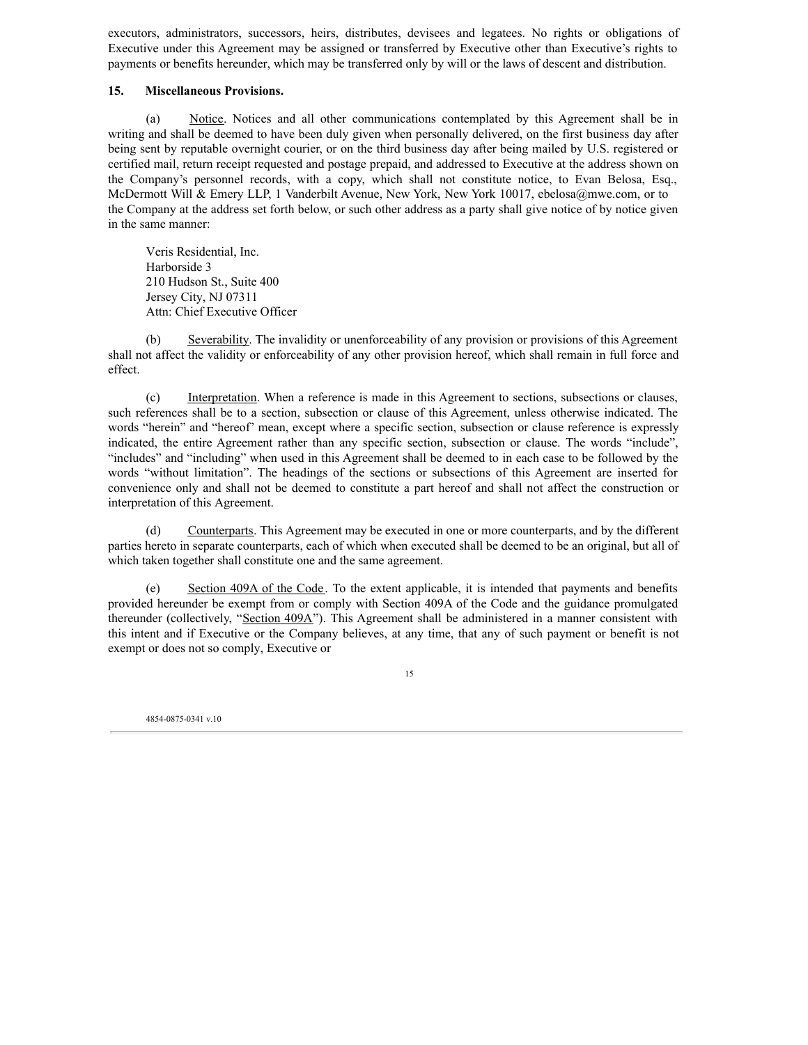executors, administrators, successors, heirs, distributes, devisees and legatees. No rights or obligations of Executive under this Agreement may be assigned or transferred by Executive other than Executive's rights to payments or benefits hereunder, which may be transferred only by will or the laws of descent and distribution.

#### **15. Miscellaneous Provisions.**

(a) Notice. Notices and all other communications contemplated by this Agreement shall be in writing and shall be deemed to have been duly given when personally delivered, on the first business day after being sent by reputable overnight courier, or on the third business day after being mailed by U.S. registered or certified mail, return receipt requested and postage prepaid, and addressed to Executive at the address shown on the Company's personnel records, with a copy, which shall not constitute notice, to Evan Belosa, Esq., McDermott Will & Emery LLP, 1 Vanderbilt Avenue, New York, New York 10017, ebelosa@mwe.com, or to the Company at the address set forth below, or such other address as a party shall give notice of by notice given in the same manner:

Veris Residential, Inc. Harborside 3 210 Hudson St., Suite 400 Jersey City, NJ 07311 Attn: Chief Executive Officer

(b) Severability. The invalidity or unenforceability of any provision or provisions of this Agreement shall not affect the validity or enforceability of any other provision hereof, which shall remain in full force and effect.

(c) Interpretation. When a reference is made in this Agreement to sections, subsections or clauses, such references shall be to a section, subsection or clause of this Agreement, unless otherwise indicated. The words "herein" and "hereof' mean, except where a specific section, subsection or clause reference is expressly indicated, the entire Agreement rather than any specific section, subsection or clause. The words "include", "includes" and "including" when used in this Agreement shall be deemed to in each case to be followed by the words "without limitation". The headings of the sections or subsections of this Agreement are inserted for convenience only and shall not be deemed to constitute a part hereof and shall not affect the construction or interpretation of this Agreement.

(d) Counterparts. This Agreement may be executed in one or more counterparts, and by the different parties hereto in separate counterparts, each of which when executed shall be deemed to be an original, but all of which taken together shall constitute one and the same agreement.

(e) Section 409A of the Code. To the extent applicable, it is intended that payments and benefits provided hereunder be exempt from or comply with Section 409A of the Code and the guidance promulgated thereunder (collectively, "Section 409A"). This Agreement shall be administered in a manner consistent with this intent and if Executive or the Company believes, at any time, that any of such payment or benefit is not exempt or does not so comply, Executive or

15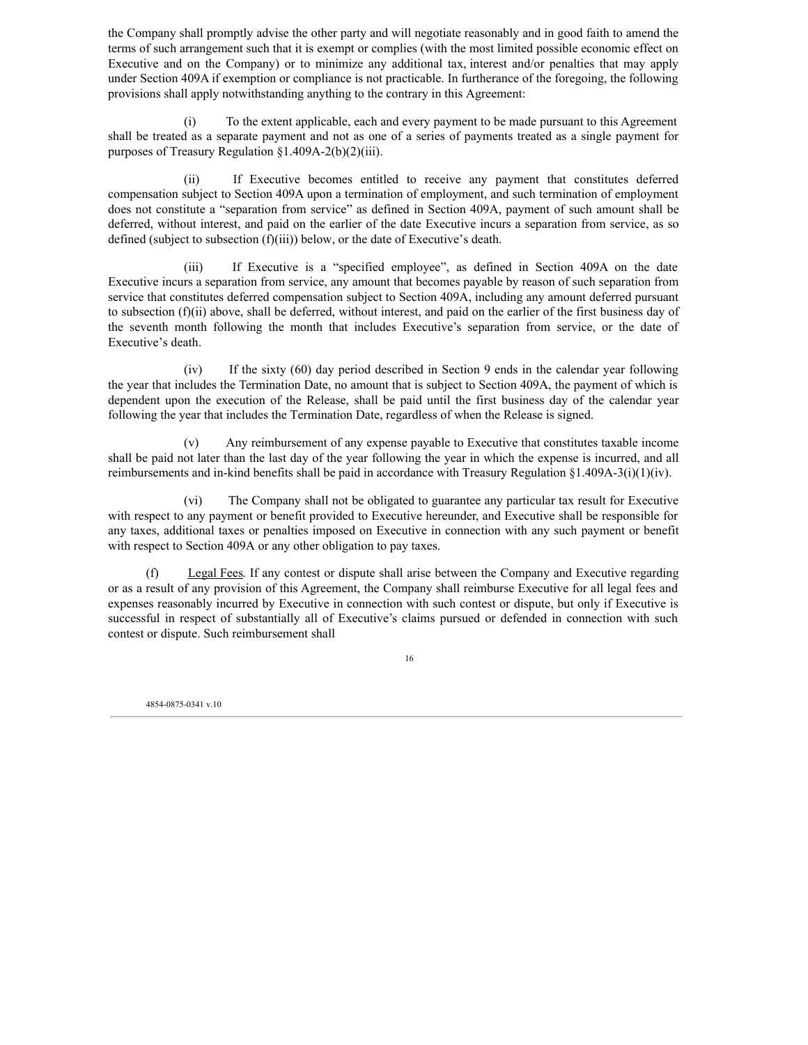the Company shall promptly advise the other party and will negotiate reasonably and in good faith to amend the terms of such arrangement such that it is exempt or complies (with the most limited possible economic effect on Executive and on the Company) or to minimize any additional tax, interest and/or penalties that may apply under Section 409A if exemption or compliance is not practicable. In furtherance of the foregoing, the following provisions shall apply notwithstanding anything to the contrary in this Agreement:

(i) To the extent applicable, each and every payment to be made pursuant to this Agreement shall be treated as a separate payment and not as one of a series of payments treated as a single payment for purposes of Treasury Regulation §1.409A-2(b)(2)(iii).

(ii) If Executive becomes entitled to receive any payment that constitutes deferred compensation subject to Section 409A upon a termination of employment, and such termination of employment does not constitute a "separation from service" as defined in Section 409A, payment of such amount shall be deferred, without interest, and paid on the earlier of the date Executive incurs a separation from service, as so defined (subject to subsection (f)(iii)) below, or the date of Executive's death.

(iii) If Executive is a "specified employee", as defined in Section 409A on the date Executive incurs a separation from service, any amount that becomes payable by reason of such separation from service that constitutes deferred compensation subject to Section 409A, including any amount deferred pursuant to subsection (f)(ii) above, shall be deferred, without interest, and paid on the earlier of the first business day of the seventh month following the month that includes Executive's separation from service, or the date of Executive's death.

(iv) If the sixty (60) day period described in Section 9 ends in the calendar year following the year that includes the Termination Date, no amount that is subject to Section 409A, the payment of which is dependent upon the execution of the Release, shall be paid until the first business day of the calendar year following the year that includes the Termination Date, regardless of when the Release is signed.

(v) Any reimbursement of any expense payable to Executive that constitutes taxable income shall be paid not later than the last day of the year following the year in which the expense is incurred, and all reimbursements and in-kind benefits shall be paid in accordance with Treasury Regulation §1.409A-3(i)(1)(iv).

(vi) The Company shall not be obligated to guarantee any particular tax result for Executive with respect to any payment or benefit provided to Executive hereunder, and Executive shall be responsible for any taxes, additional taxes or penalties imposed on Executive in connection with any such payment or benefit with respect to Section 409A or any other obligation to pay taxes.

(f) Legal Fees. If any contest or dispute shall arise between the Company and Executive regarding or as a result of any provision of this Agreement, the Company shall reimburse Executive for all legal fees and expenses reasonably incurred by Executive in connection with such contest or dispute, but only if Executive is successful in respect of substantially all of Executive's claims pursued or defended in connection with such contest or dispute. Such reimbursement shall

16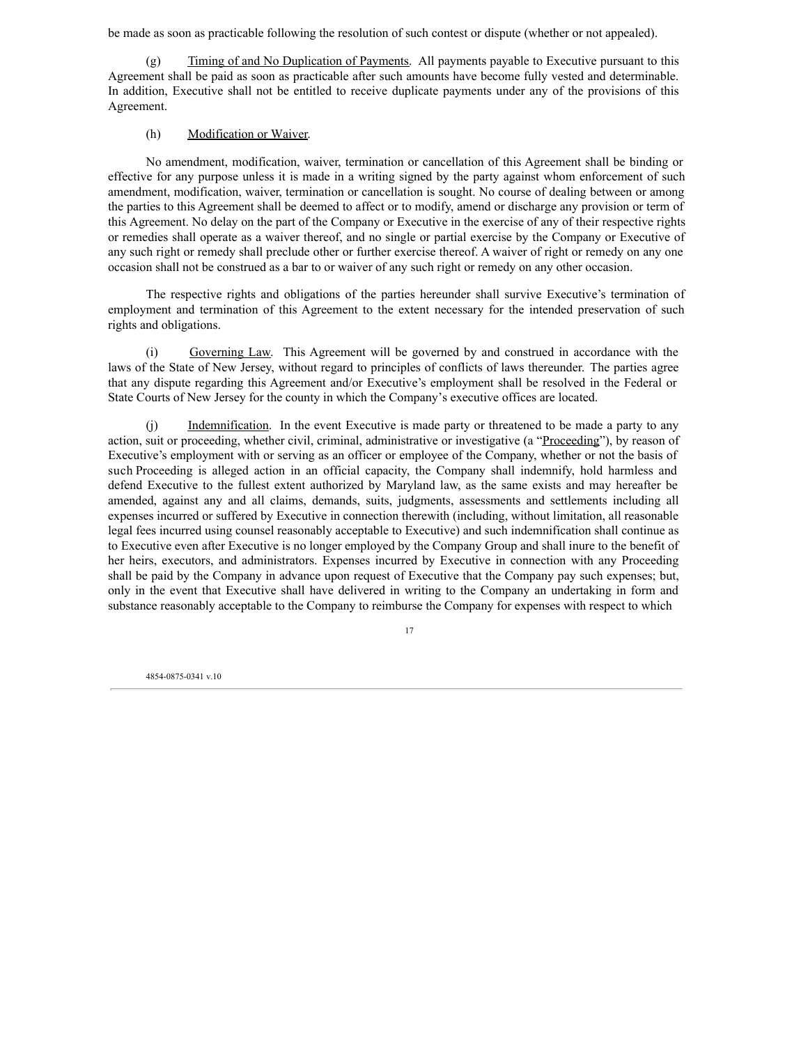be made as soon as practicable following the resolution of such contest or dispute (whether or not appealed).

(g) Timing of and No Duplication of Payments. All payments payable to Executive pursuant to this Agreement shall be paid as soon as practicable after such amounts have become fully vested and determinable. In addition, Executive shall not be entitled to receive duplicate payments under any of the provisions of this Agreement.

### (h) Modification or Waiver.

No amendment, modification, waiver, termination or cancellation of this Agreement shall be binding or effective for any purpose unless it is made in a writing signed by the party against whom enforcement of such amendment, modification, waiver, termination or cancellation is sought. No course of dealing between or among the parties to this Agreement shall be deemed to affect or to modify, amend or discharge any provision or term of this Agreement. No delay on the part of the Company or Executive in the exercise of any of their respective rights or remedies shall operate as a waiver thereof, and no single or partial exercise by the Company or Executive of any such right or remedy shall preclude other or further exercise thereof. A waiver of right or remedy on any one occasion shall not be construed as a bar to or waiver of any such right or remedy on any other occasion.

The respective rights and obligations of the parties hereunder shall survive Executive's termination of employment and termination of this Agreement to the extent necessary for the intended preservation of such rights and obligations.

(i) Governing Law. This Agreement will be governed by and construed in accordance with the laws of the State of New Jersey, without regard to principles of conflicts of laws thereunder. The parties agree that any dispute regarding this Agreement and/or Executive's employment shall be resolved in the Federal or State Courts of New Jersey for the county in which the Company's executive offices are located.

(j) Indemnification. In the event Executive is made party or threatened to be made a party to any action, suit or proceeding, whether civil, criminal, administrative or investigative (a "Proceeding"), by reason of Executive's employment with or serving as an officer or employee of the Company, whether or not the basis of such Proceeding is alleged action in an official capacity, the Company shall indemnify, hold harmless and defend Executive to the fullest extent authorized by Maryland law, as the same exists and may hereafter be amended, against any and all claims, demands, suits, judgments, assessments and settlements including all expenses incurred or suffered by Executive in connection therewith (including, without limitation, all reasonable legal fees incurred using counsel reasonably acceptable to Executive) and such indemnification shall continue as to Executive even after Executive is no longer employed by the Company Group and shall inure to the benefit of her heirs, executors, and administrators. Expenses incurred by Executive in connection with any Proceeding shall be paid by the Company in advance upon request of Executive that the Company pay such expenses; but, only in the event that Executive shall have delivered in writing to the Company an undertaking in form and substance reasonably acceptable to the Company to reimburse the Company for expenses with respect to which

17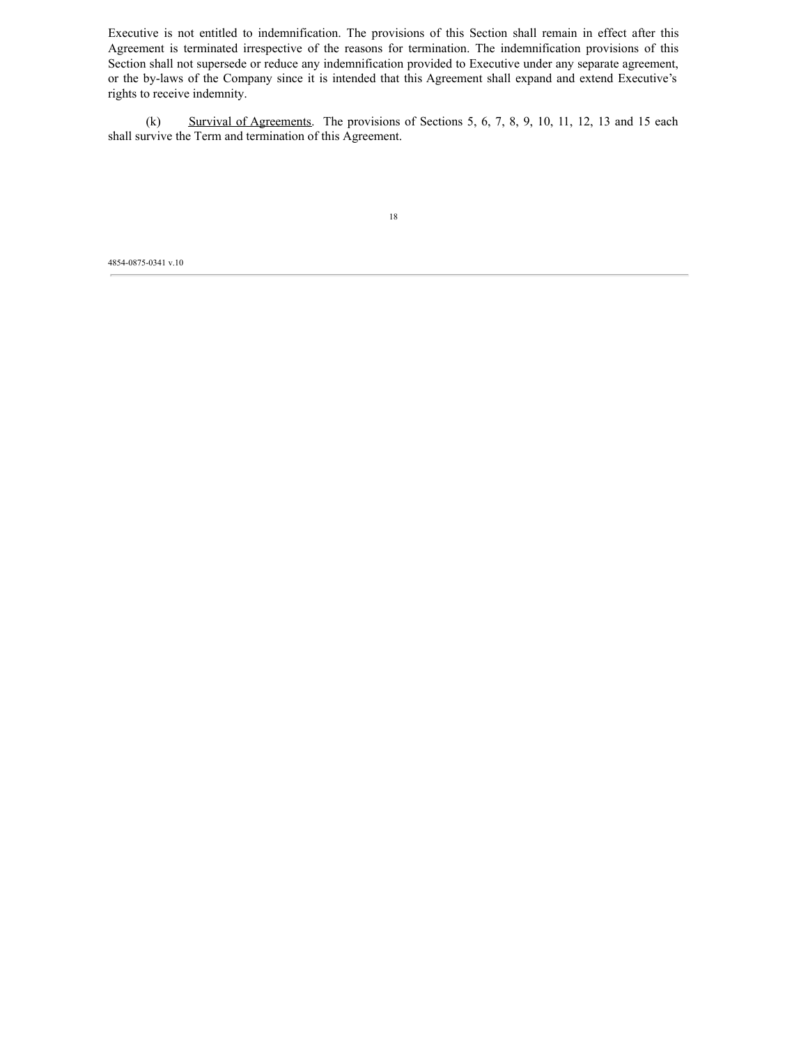Executive is not entitled to indemnification. The provisions of this Section shall remain in effect after this Agreement is terminated irrespective of the reasons for termination. The indemnification provisions of this Section shall not supersede or reduce any indemnification provided to Executive under any separate agreement, or the by-laws of the Company since it is intended that this Agreement shall expand and extend Executive's rights to receive indemnity.

(k) Survival of Agreements. The provisions of Sections 5, 6, 7, 8, 9, 10, 11, 12, 13 and 15 each shall survive the Term and termination of this Agreement.

<sup>18</sup>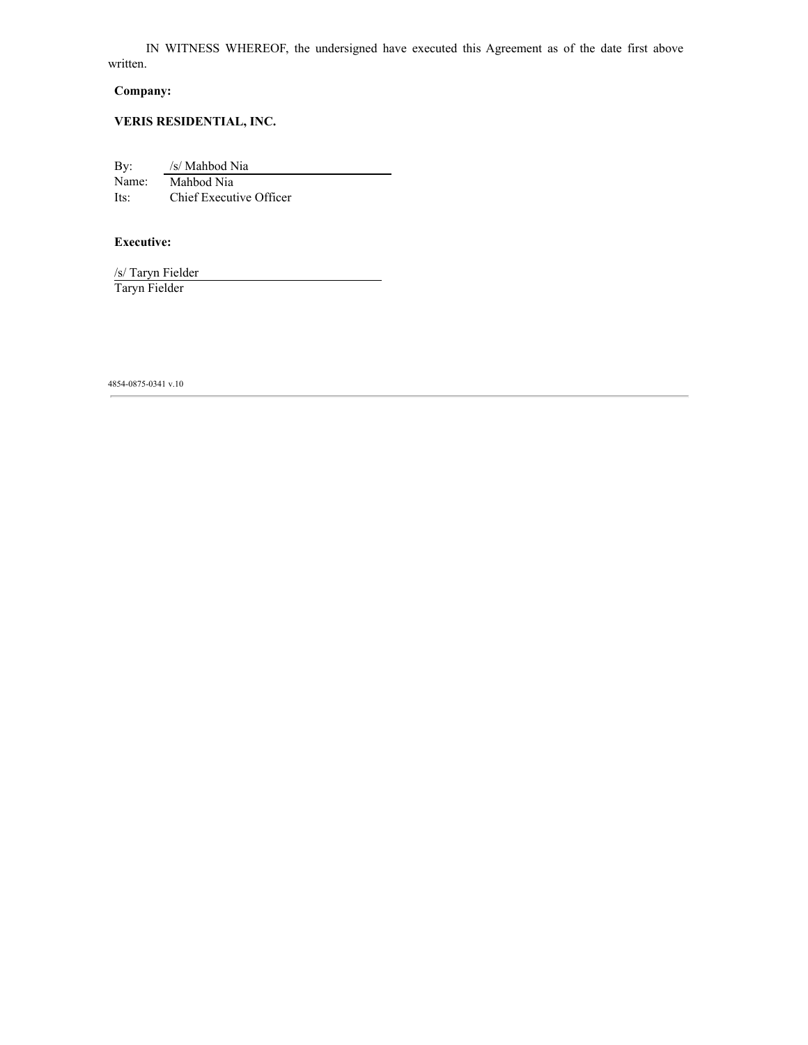IN WITNESS WHEREOF, the undersigned have executed this Agreement as of the date first above written.

# **Company:**

# **VERIS RESIDENTIAL, INC.**

By: /s/ Mahbod Nia Name: Mahbod Nia Its: Chief Executive Officer

# **Executive:**

/s/ Taryn Fielder Taryn Fielder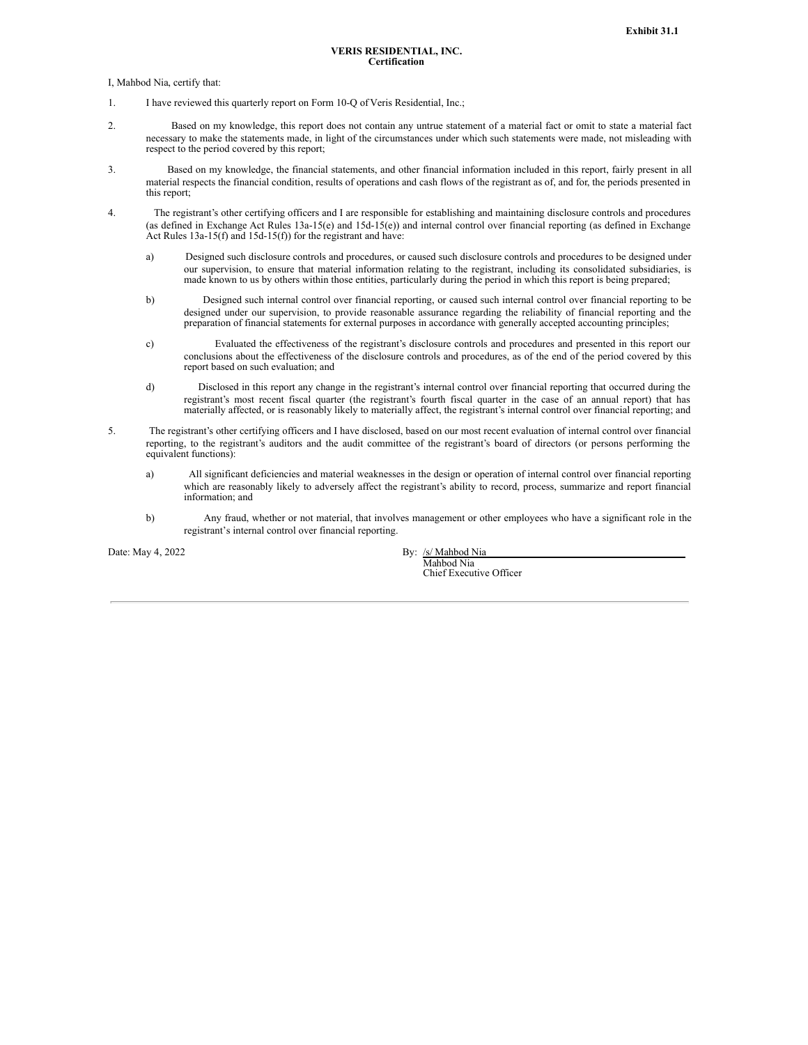#### **VERIS RESIDENTIAL, INC. Certification**

I, Mahbod Nia, certify that:

- 1. I have reviewed this quarterly report on Form 10-Q of Veris Residential, Inc.;
- 2. Based on my knowledge, this report does not contain any untrue statement of a material fact or omit to state a material fact necessary to make the statements made, in light of the circumstances under which such statements were made, not misleading with respect to the period covered by this report;
- 3. Based on my knowledge, the financial statements, and other financial information included in this report, fairly present in all material respects the financial condition, results of operations and cash flows of the registrant as of, and for, the periods presented in this report;
- 4. The registrant's other certifying officers and I are responsible for establishing and maintaining disclosure controls and procedures (as defined in Exchange Act Rules 13a-15(e) and 15d-15(e)) and internal control over financial reporting (as defined in Exchange Act Rules 13a-15(f) and 15d-15(f)) for the registrant and have:
	- a) Designed such disclosure controls and procedures, or caused such disclosure controls and procedures to be designed under our supervision, to ensure that material information relating to the registrant, including its consolidated subsidiaries, is made known to us by others within those entities, particularly during the period in which this re
	- b) Designed such internal control over financial reporting, or caused such internal control over financial reporting to be designed under our supervision, to provide reasonable assurance regarding the reliability of financial reporting and the preparation of financial statements for external purposes in accordance with generally accepted accounting principles;
	- c) Evaluated the effectiveness of the registrant's disclosure controls and procedures and presented in this report our conclusions about the effectiveness of the disclosure controls and procedures, as of the end of the period covered by this report based on such evaluation; and
	- d) Disclosed in this report any change in the registrant's internal control over financial reporting that occurred during the registrant's most recent fiscal quarter (the registrant's fourth fiscal quarter in the case of an annual report) that has materially affected, or is reasonably likely to materially affect, the registrant's internal control over financial reporting; and
- 5. The registrant's other certifying officers and I have disclosed, based on our most recent evaluation of internal control over financial reporting, to the registrant's auditors and the audit committee of the registrant's board of directors (or persons performing the equivalent functions):
	- a) All significant deficiencies and material weaknesses in the design or operation of internal control over financial reporting which are reasonably likely to adversely affect the registrant's ability to record, process, summarize and report financial information; and
	- b) Any fraud, whether or not material, that involves management or other employees who have a significant role in the registrant's internal control over financial reporting.

Date: May 4, 2022 By: /s/ Mahbod Nia Mahbod Nia Chief Executive Officer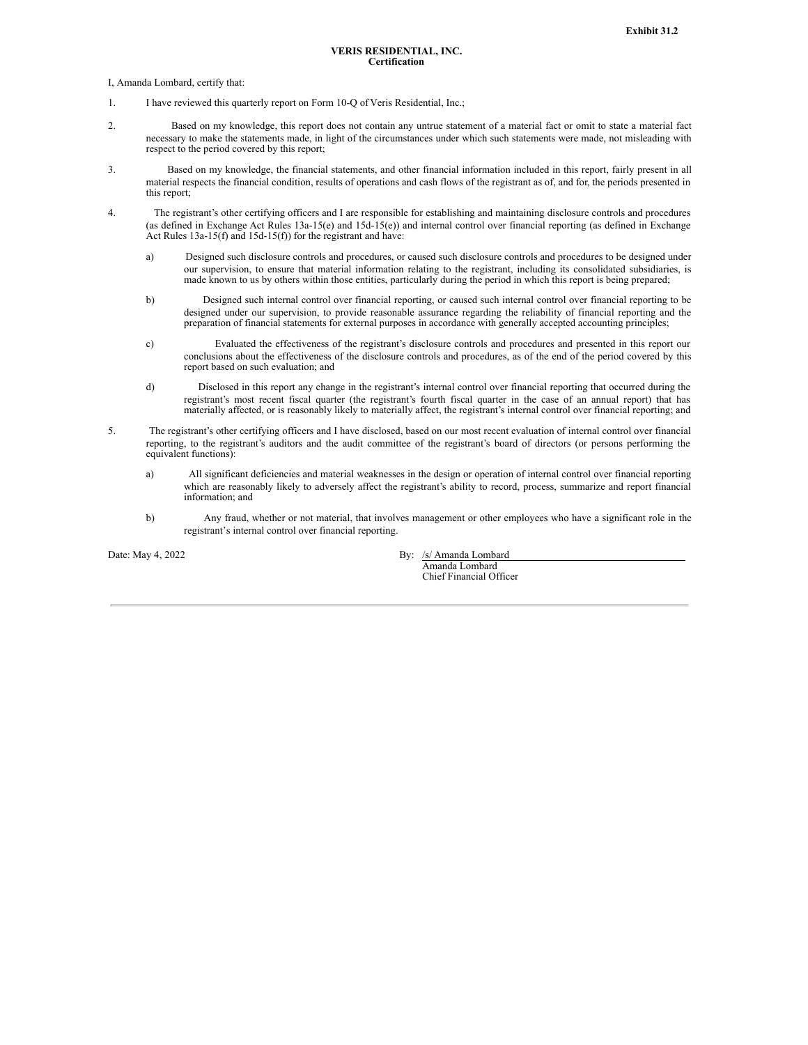#### **VERIS RESIDENTIAL, INC. Certification**

I, Amanda Lombard, certify that:

- 1. I have reviewed this quarterly report on Form 10-Q of Veris Residential, Inc.;
- 2. Based on my knowledge, this report does not contain any untrue statement of a material fact or omit to state a material fact necessary to make the statements made, in light of the circumstances under which such statements were made, not misleading with respect to the period covered by this report;
- 3. Based on my knowledge, the financial statements, and other financial information included in this report, fairly present in all material respects the financial condition, results of operations and cash flows of the registrant as of, and for, the periods presented in this report;
- 4. The registrant's other certifying officers and I are responsible for establishing and maintaining disclosure controls and procedures (as defined in Exchange Act Rules 13a-15(e) and 15d-15(e)) and internal control over financial reporting (as defined in Exchange Act Rules 13a-15(f) and 15d-15(f)) for the registrant and have:
	- a) Designed such disclosure controls and procedures, or caused such disclosure controls and procedures to be designed under our supervision, to ensure that material information relating to the registrant, including its consolidated subsidiaries, is made known to us by others within those entities, particularly during the period in which this re
	- b) Designed such internal control over financial reporting, or caused such internal control over financial reporting to be designed under our supervision, to provide reasonable assurance regarding the reliability of financial reporting and the preparation of financial statements for external purposes in accordance with generally accepted accounting principles;
	- c) Evaluated the effectiveness of the registrant's disclosure controls and procedures and presented in this report our conclusions about the effectiveness of the disclosure controls and procedures, as of the end of the period covered by this report based on such evaluation; and
	- d) Disclosed in this report any change in the registrant's internal control over financial reporting that occurred during the registrant's most recent fiscal quarter (the registrant's fourth fiscal quarter in the case of an annual report) that has materially affected, or is reasonably likely to materially affect, the registrant's internal control over financial reporting; and
- 5. The registrant's other certifying officers and I have disclosed, based on our most recent evaluation of internal control over financial reporting, to the registrant's auditors and the audit committee of the registrant's board of directors (or persons performing the equivalent functions):
	- a) All significant deficiencies and material weaknesses in the design or operation of internal control over financial reporting which are reasonably likely to adversely affect the registrant's ability to record, process, summarize and report financial information; and
	- b) Any fraud, whether or not material, that involves management or other employees who have a significant role in the registrant's internal control over financial reporting.

Date: May 4, 2022 By: /s/ Amanda Lombard Amanda Lombard Chief Financial Officer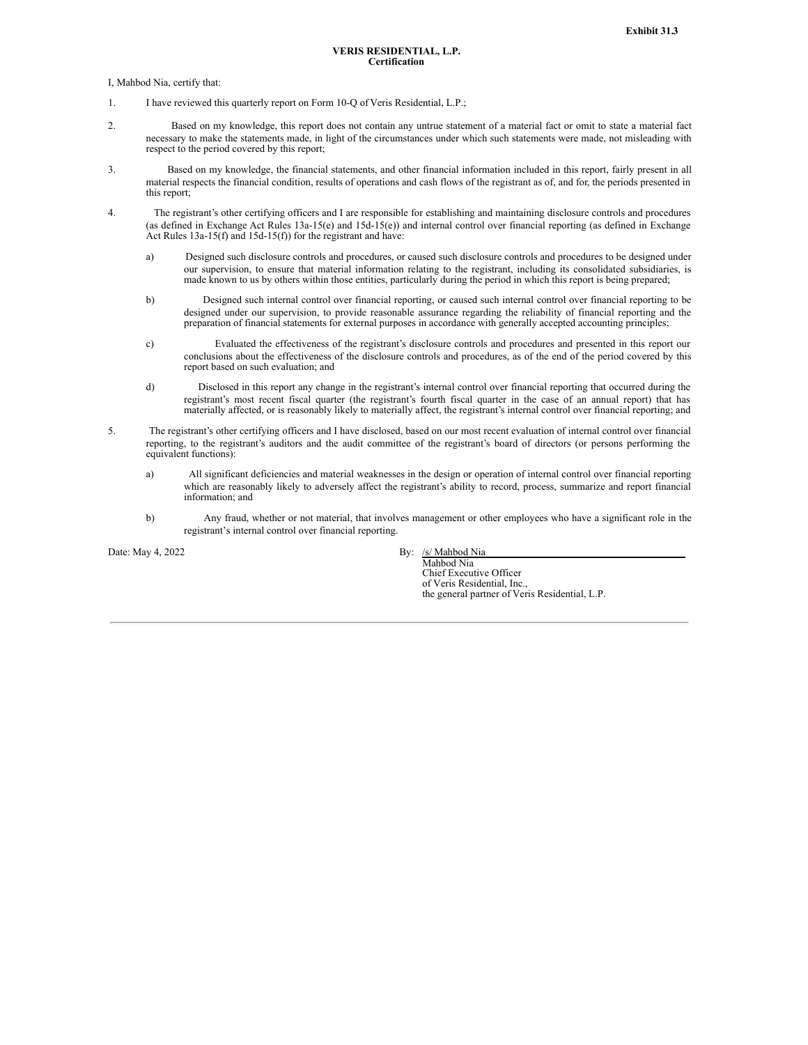I, Mahbod Nia, certify that:

- 1. I have reviewed this quarterly report on Form 10-Q of Veris Residential, L.P.;
- 2. Based on my knowledge, this report does not contain any untrue statement of a material fact or omit to state a material fact necessary to make the statements made, in light of the circumstances under which such statements were made, not misleading with respect to the period covered by this report;
- 3. Based on my knowledge, the financial statements, and other financial information included in this report, fairly present in all material respects the financial condition, results of operations and cash flows of the registrant as of, and for, the periods presented in this report;
- 4. The registrant's other certifying officers and I are responsible for establishing and maintaining disclosure controls and procedures (as defined in Exchange Act Rules 13a-15(e) and 15d-15(e)) and internal control over financial reporting (as defined in Exchange Act Rules 13a-15(f) and 15d-15(f)) for the registrant and have:
	- a) Designed such disclosure controls and procedures, or caused such disclosure controls and procedures to be designed under our supervision, to ensure that material information relating to the registrant, including its consolidated subsidiaries, is made known to us by others within those entities, particularly during the period in which this re
	- b) Designed such internal control over financial reporting, or caused such internal control over financial reporting to be designed under our supervision, to provide reasonable assurance regarding the reliability of financial reporting and the preparation of financial statements for external purposes in accordance with generally accepted accounting principles;
	- c) Evaluated the effectiveness of the registrant's disclosure controls and procedures and presented in this report our conclusions about the effectiveness of the disclosure controls and procedures, as of the end of the period covered by this report based on such evaluation; and
	- d) Disclosed in this report any change in the registrant's internal control over financial reporting that occurred during the registrant's most recent fiscal quarter (the registrant's fourth fiscal quarter in the case of an annual report) that has materially affected, or is reasonably likely to materially affect, the registrant's internal control over financial reporting; and
- 5. The registrant's other certifying officers and I have disclosed, based on our most recent evaluation of internal control over financial reporting, to the registrant's auditors and the audit committee of the registrant's board of directors (or persons performing the equivalent functions):
	- a) All significant deficiencies and material weaknesses in the design or operation of internal control over financial reporting which are reasonably likely to adversely affect the registrant's ability to record, process, summarize and report financial information; and
	- b) Any fraud, whether or not material, that involves management or other employees who have a significant role in the registrant's internal control over financial reporting.

Date: May 4, 2022 By: /s/ Mahbod Nia

Mahbod Nia Chief Executive Officer of Veris Residential, Inc., the general partner of Veris Residential, L.P.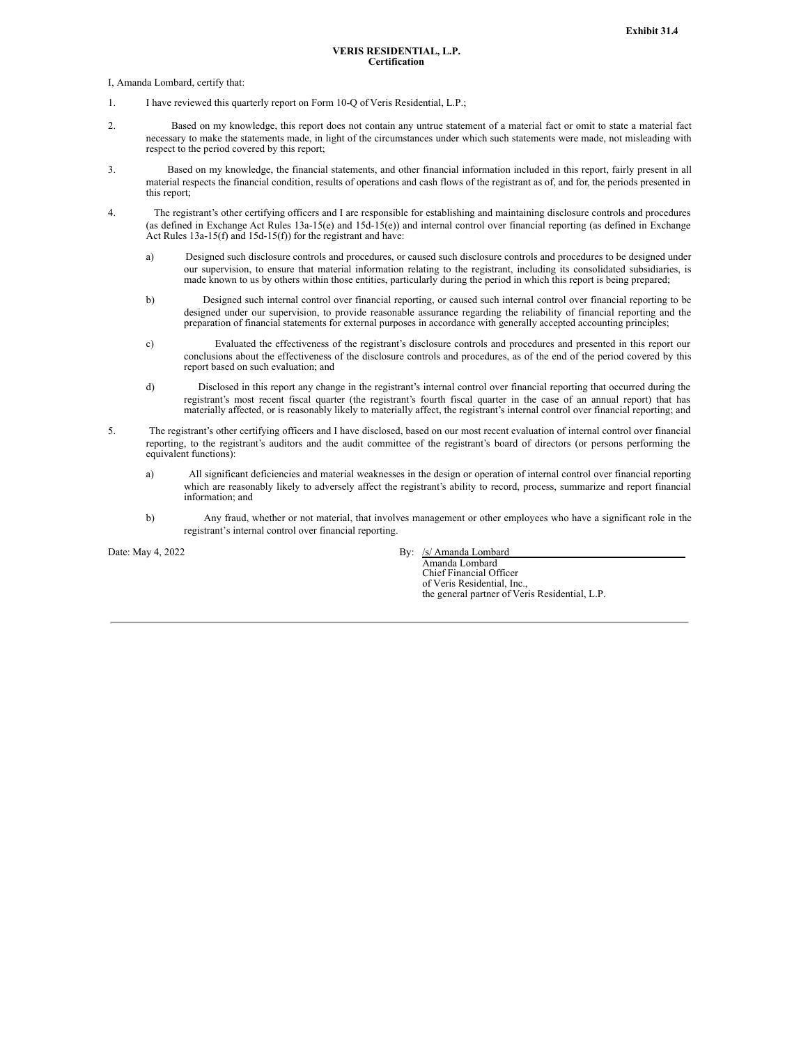I, Amanda Lombard, certify that:

- 1. I have reviewed this quarterly report on Form 10-Q of Veris Residential, L.P.;
- 2. Based on my knowledge, this report does not contain any untrue statement of a material fact or omit to state a material fact necessary to make the statements made, in light of the circumstances under which such statements were made, not misleading with respect to the period covered by this report;
- 3. Based on my knowledge, the financial statements, and other financial information included in this report, fairly present in all material respects the financial condition, results of operations and cash flows of the registrant as of, and for, the periods presented in this report;
- 4. The registrant's other certifying officers and I are responsible for establishing and maintaining disclosure controls and procedures (as defined in Exchange Act Rules 13a-15(e) and 15d-15(e)) and internal control over financial reporting (as defined in Exchange Act Rules 13a-15(f) and 15d-15(f)) for the registrant and have:
	- a) Designed such disclosure controls and procedures, or caused such disclosure controls and procedures to be designed under our supervision, to ensure that material information relating to the registrant, including its consolidated subsidiaries, is made known to us by others within those entities, particularly during the period in which this re
	- b) Designed such internal control over financial reporting, or caused such internal control over financial reporting to be designed under our supervision, to provide reasonable assurance regarding the reliability of financial reporting and the preparation of financial statements for external purposes in accordance with generally accepted accounting principles;
	- c) Evaluated the effectiveness of the registrant's disclosure controls and procedures and presented in this report our conclusions about the effectiveness of the disclosure controls and procedures, as of the end of the period covered by this report based on such evaluation; and
	- d) Disclosed in this report any change in the registrant's internal control over financial reporting that occurred during the registrant's most recent fiscal quarter (the registrant's fourth fiscal quarter in the case of an annual report) that has materially affected, or is reasonably likely to materially affect, the registrant's internal control over financial reporting; and
- 5. The registrant's other certifying officers and I have disclosed, based on our most recent evaluation of internal control over financial reporting, to the registrant's auditors and the audit committee of the registrant's board of directors (or persons performing the equivalent functions):
	- a) All significant deficiencies and material weaknesses in the design or operation of internal control over financial reporting which are reasonably likely to adversely affect the registrant's ability to record, process, summarize and report financial information; and
	- b) Any fraud, whether or not material, that involves management or other employees who have a significant role in the registrant's internal control over financial reporting.

Date: May 4, 2022 By: /s/ Amanda Lombard

Amanda Lombard Chief Financial Officer of Veris Residential, Inc., the general partner of Veris Residential, L.P.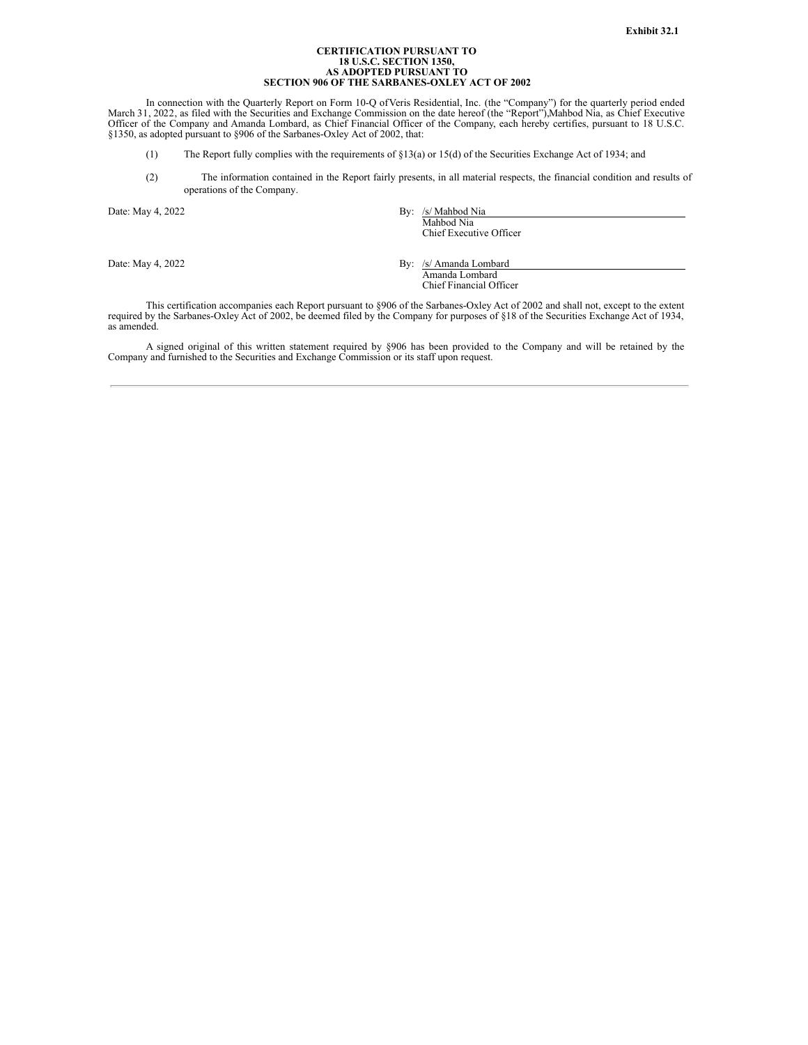#### **CERTIFICATION PURSUANT TO 18 U.S.C. SECTION 1350, AS ADOPTED PURSUANT TO SECTION 906 OF THE SARBANES-OXLEY ACT OF 2002**

In connection with the Quarterly Report on Form 10-Q of Veris Residential, Inc. (the "Company") for the quarterly period ended<br>March 31, 2022, as filed with the Securities and Exchange Commission on the date hereof (the "R

- (1) The Report fully complies with the requirements of §13(a) or 15(d) of the Securities Exchange Act of 1934; and
- (2) The information contained in the Report fairly presents, in all material respects, the financial condition and results of operations of the Company.

Date: May 4, 2022 By: /s/ Mahbod Nia Mahbod Nia

Chief Executive Officer

Date: May 4, 2022 By: /s/ Amanda Lombard Amanda Lombard Chief Financial Officer

This certification accompanies each Report pursuant to §906 of the Sarbanes-Oxley Act of 2002 and shall not, except to the extent required by the Sarbanes-Oxley Act of 2002, be deemed filed by the Company for purposes of §18 of the Securities Exchange Act of 1934, as amended.

A signed original of this written statement required by §906 has been provided to the Company and will be retained by the Company and furnished to the Securities and Exchange Commission or its staff upon request.